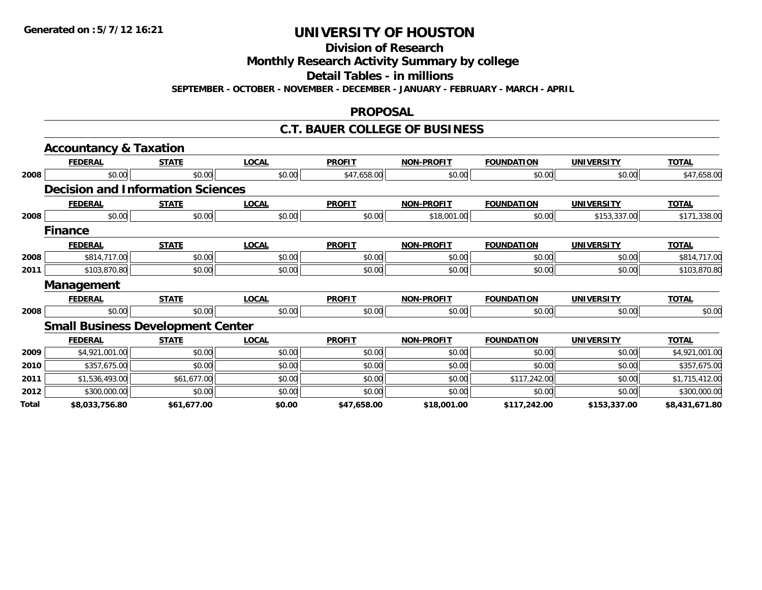**Division of Research**

**Monthly Research Activity Summary by college**

**Detail Tables - in millions**

**SEPTEMBER - OCTOBER - NOVEMBER - DECEMBER - JANUARY - FEBRUARY - MARCH - APRIL**

#### **PROPOSAL**

### **C.T. BAUER COLLEGE OF BUSINESS**

|       | <b>Accountancy &amp; Taxation</b>        |              |              |               |                   |                   |                   |                |
|-------|------------------------------------------|--------------|--------------|---------------|-------------------|-------------------|-------------------|----------------|
|       | <b>FEDERAL</b>                           | <b>STATE</b> | <b>LOCAL</b> | <b>PROFIT</b> | <b>NON-PROFIT</b> | <b>FOUNDATION</b> | <b>UNIVERSITY</b> | <b>TOTAL</b>   |
| 2008  | \$0.00                                   | \$0.00       | \$0.00       | \$47,658.00   | \$0.00            | \$0.00            | \$0.00            | \$47,658.00    |
|       | <b>Decision and Information Sciences</b> |              |              |               |                   |                   |                   |                |
|       | <b>FEDERAL</b>                           | <b>STATE</b> | <b>LOCAL</b> | <b>PROFIT</b> | <b>NON-PROFIT</b> | <b>FOUNDATION</b> | <b>UNIVERSITY</b> | <b>TOTAL</b>   |
| 2008  | \$0.00                                   | \$0.00       | \$0.00       | \$0.00        | \$18,001.00       | \$0.00            | \$153,337.00      | \$171,338.00   |
|       | <b>Finance</b>                           |              |              |               |                   |                   |                   |                |
|       | <b>FEDERAL</b>                           | <b>STATE</b> | <b>LOCAL</b> | <b>PROFIT</b> | <b>NON-PROFIT</b> | <b>FOUNDATION</b> | <b>UNIVERSITY</b> | <b>TOTAL</b>   |
| 2008  | \$814,717.00                             | \$0.00       | \$0.00       | \$0.00        | \$0.00            | \$0.00            | \$0.00            | \$814,717.00   |
| 2011  | \$103,870.80                             | \$0.00       | \$0.00       | \$0.00        | \$0.00            | \$0.00            | \$0.00            | \$103,870.80   |
|       | <b>Management</b>                        |              |              |               |                   |                   |                   |                |
|       | <b>FEDERAL</b>                           | <b>STATE</b> | <b>LOCAL</b> | <b>PROFIT</b> | <b>NON-PROFIT</b> | <b>FOUNDATION</b> | <b>UNIVERSITY</b> | <b>TOTAL</b>   |
| 2008  | \$0.00                                   | \$0.00       | \$0.00       | \$0.00        | \$0.00            | \$0.00            | \$0.00            | \$0.00         |
|       | <b>Small Business Development Center</b> |              |              |               |                   |                   |                   |                |
|       | <b>FEDERAL</b>                           | <b>STATE</b> | <b>LOCAL</b> | <b>PROFIT</b> | <b>NON-PROFIT</b> | <b>FOUNDATION</b> | <b>UNIVERSITY</b> | <b>TOTAL</b>   |
| 2009  | \$4,921,001.00                           | \$0.00       | \$0.00       | \$0.00        | \$0.00            | \$0.00            | \$0.00            | \$4,921,001.00 |
| 2010  | \$357,675.00                             | \$0.00       | \$0.00       | \$0.00        | \$0.00            | \$0.00            | \$0.00            | \$357,675.00   |
| 2011  | \$1,536,493.00                           | \$61,677.00  | \$0.00       | \$0.00        | \$0.00            | \$117,242.00      | \$0.00            | \$1,715,412.00 |
| 2012  | \$300,000.00                             | \$0.00       | \$0.00       | \$0.00        | \$0.00            | \$0.00            | \$0.00            | \$300,000.00   |
| Total | \$8,033,756.80                           | \$61,677.00  | \$0.00       | \$47,658.00   | \$18,001.00       | \$117,242.00      | \$153,337.00      | \$8,431,671.80 |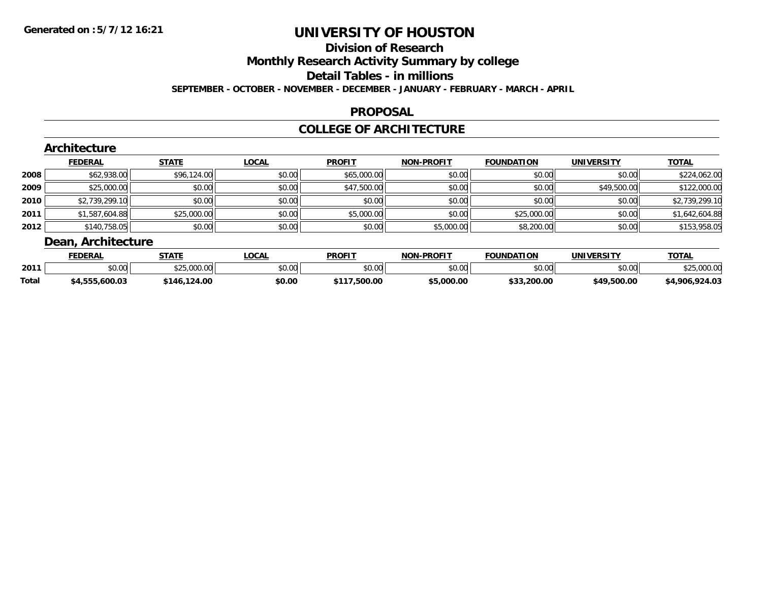### **Division of Research**

**Monthly Research Activity Summary by college**

**Detail Tables - in millions**

**SEPTEMBER - OCTOBER - NOVEMBER - DECEMBER - JANUARY - FEBRUARY - MARCH - APRIL**

### **PROPOSAL**

### **COLLEGE OF ARCHITECTURE**

|        | Architecture       |              |              |               |                   |                   |                   |                |  |  |  |
|--------|--------------------|--------------|--------------|---------------|-------------------|-------------------|-------------------|----------------|--|--|--|
|        | <b>FEDERAL</b>     | <b>STATE</b> | <b>LOCAL</b> | <b>PROFIT</b> | <b>NON-PROFIT</b> | <b>FOUNDATION</b> | <b>UNIVERSITY</b> | <b>TOTAL</b>   |  |  |  |
| 2008   | \$62,938.00        | \$96,124.00  | \$0.00       | \$65,000.00   | \$0.00            | \$0.00            | \$0.00            | \$224,062.00   |  |  |  |
| 2009   | \$25,000.00        | \$0.00       | \$0.00       | \$47,500.00   | \$0.00            | \$0.00            | \$49,500.00       | \$122,000.00   |  |  |  |
| ا 2010 | \$2,739,299.10     | \$0.00       | \$0.00       | \$0.00        | \$0.00            | \$0.00            | \$0.00            | \$2,739,299.10 |  |  |  |
| 2011   | \$1,587,604.88     | \$25,000.00  | \$0.00       | \$5,000.00    | \$0.00            | \$25,000.00       | \$0.00            | \$1,642,604.88 |  |  |  |
| 2012   | \$140,758.05       | \$0.00       | \$0.00       | \$0.00        | \$5,000.00        | \$8,200.00        | \$0.00            | \$153,958.05   |  |  |  |
|        | Dean, Architecture |              |              |               |                   |                   |                   |                |  |  |  |

|              | EENEDAI<br>CUCRA     | <b>STATE</b>   | <b>_OCAL</b> | <b>PROFIT</b>                               | <b>DDAEIT</b><br>חחו | FOUNDATION          | <b>UNIVERSITY</b> | -^-                           |
|--------------|----------------------|----------------|--------------|---------------------------------------------|----------------------|---------------------|-------------------|-------------------------------|
| 2011         | ልስ ስስ<br>JU.UU       | A<br>- ツム い いい | \$0.00       | $\mathfrak{c}\cap\mathfrak{c}\cap$<br>JU.UU | 0000<br>JU.UU        | \$0.00              | no ool<br>וטט.טי  | $\sim$ $\sim$<br>v.v          |
| <b>Total</b> | مم مم<br>.ooo.ouu.u. | 24.00          | \$0.00       | .500.00                                     | non no<br>.uuu.uu    | 33.200.00<br>$\sim$ | 49.500.00<br>-40  | n <sub>0</sub><br>റാ<br>- 906 |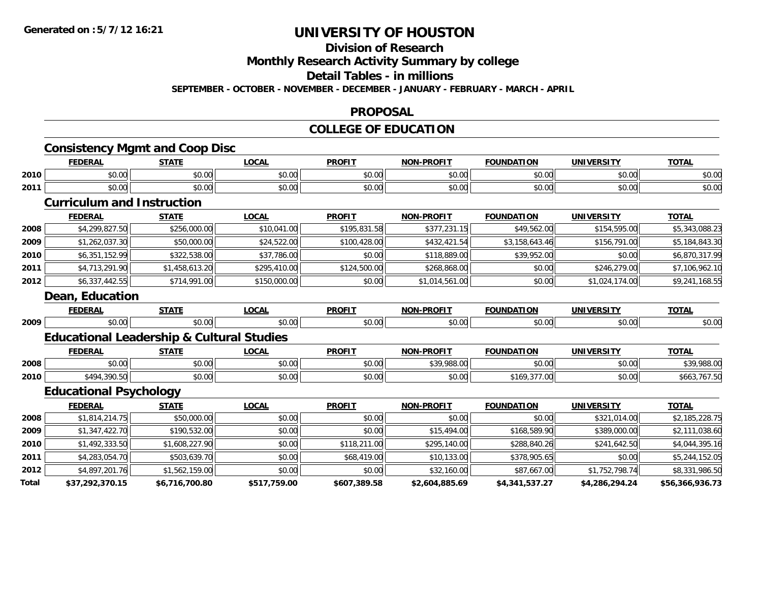#### **Division of Research**

**Monthly Research Activity Summary by college**

#### **Detail Tables - in millions**

**SEPTEMBER - OCTOBER - NOVEMBER - DECEMBER - JANUARY - FEBRUARY - MARCH - APRIL**

#### **PROPOSAL**

#### **COLLEGE OF EDUCATION**

|       | <b>Consistency Mgmt and Coop Disc</b>                |                |              |               |                   |                   |                   |                 |
|-------|------------------------------------------------------|----------------|--------------|---------------|-------------------|-------------------|-------------------|-----------------|
|       | <b>FEDERAL</b>                                       | <b>STATE</b>   | <b>LOCAL</b> | <b>PROFIT</b> | <b>NON-PROFIT</b> | <b>FOUNDATION</b> | <b>UNIVERSITY</b> | <b>TOTAL</b>    |
| 2010  | \$0.00                                               | \$0.00         | \$0.00       | \$0.00        | \$0.00            | \$0.00            | \$0.00            | \$0.00          |
| 2011  | \$0.00                                               | \$0.00         | \$0.00       | \$0.00        | \$0.00            | \$0.00            | \$0.00            | \$0.00          |
|       | <b>Curriculum and Instruction</b>                    |                |              |               |                   |                   |                   |                 |
|       | <b>FEDERAL</b>                                       | <b>STATE</b>   | <b>LOCAL</b> | <b>PROFIT</b> | <b>NON-PROFIT</b> | <b>FOUNDATION</b> | <b>UNIVERSITY</b> | <b>TOTAL</b>    |
| 2008  | \$4,299,827.50                                       | \$256,000.00   | \$10,041.00  | \$195,831.58  | \$377,231.15      | \$49,562.00       | \$154,595.00      | \$5,343,088.23  |
| 2009  | \$1,262,037.30                                       | \$50,000.00    | \$24,522.00  | \$100,428.00  | \$432,421.54      | \$3,158,643.46    | \$156,791.00      | \$5,184,843.30  |
| 2010  | \$6,351,152.99                                       | \$322,538.00   | \$37,786.00  | \$0.00        | \$118,889.00      | \$39,952.00       | \$0.00            | \$6,870,317.99  |
| 2011  | \$4,713,291.90                                       | \$1,458,613.20 | \$295,410.00 | \$124,500.00  | \$268,868.00      | \$0.00            | \$246,279.00      | \$7,106,962.10  |
| 2012  | \$6,337,442.55                                       | \$714,991.00   | \$150,000.00 | \$0.00        | \$1,014,561.00    | \$0.00            | \$1,024,174.00    | \$9,241,168.55  |
|       | Dean, Education                                      |                |              |               |                   |                   |                   |                 |
|       | <b>FEDERAL</b>                                       | <b>STATE</b>   | <b>LOCAL</b> | <b>PROFIT</b> | <b>NON-PROFIT</b> | <b>FOUNDATION</b> | <b>UNIVERSITY</b> | <b>TOTAL</b>    |
| 2009  | \$0.00                                               | \$0.00         | \$0.00       | \$0.00        | \$0.00            | \$0.00            | \$0.00            | \$0.00          |
|       | <b>Educational Leadership &amp; Cultural Studies</b> |                |              |               |                   |                   |                   |                 |
|       | <b>FEDERAL</b>                                       | <b>STATE</b>   | <b>LOCAL</b> | <b>PROFIT</b> | <b>NON-PROFIT</b> | <b>FOUNDATION</b> | <b>UNIVERSITY</b> | <b>TOTAL</b>    |
| 2008  | \$0.00                                               | \$0.00         | \$0.00       | \$0.00        | \$39,988.00       | \$0.00            | \$0.00            | \$39,988.00     |
| 2010  | \$494,390.50                                         | \$0.00         | \$0.00       | \$0.00        | \$0.00            | \$169,377.00      | \$0.00            | \$663,767.50    |
|       | <b>Educational Psychology</b>                        |                |              |               |                   |                   |                   |                 |
|       | <b>FEDERAL</b>                                       | <b>STATE</b>   | <b>LOCAL</b> | <b>PROFIT</b> | <b>NON-PROFIT</b> | <b>FOUNDATION</b> | <b>UNIVERSITY</b> | <b>TOTAL</b>    |
| 2008  | \$1,814,214.75                                       | \$50,000.00    | \$0.00       | \$0.00        | \$0.00            | \$0.00            | \$321,014.00      | \$2,185,228.75  |
| 2009  | \$1,347,422.70                                       | \$190,532.00   | \$0.00       | \$0.00        | \$15,494.00       | \$168,589.90      | \$389,000.00      | \$2,111,038.60  |
| 2010  | \$1,492,333.50                                       | \$1,608,227.90 | \$0.00       | \$118,211.00  | \$295,140.00      | \$288,840.26      | \$241,642.50      | \$4,044,395.16  |
| 2011  | \$4,283,054.70                                       | \$503,639.70   | \$0.00       | \$68,419.00   | \$10,133.00       | \$378,905.65      | \$0.00            | \$5,244,152.05  |
| 2012  | \$4,897,201.76                                       | \$1,562,159.00 | \$0.00       | \$0.00        | \$32,160.00       | \$87,667.00       | \$1,752,798.74    | \$8,331,986.50  |
| Total | \$37,292,370.15                                      | \$6,716,700.80 | \$517,759.00 | \$607,389.58  | \$2,604,885.69    | \$4,341,537.27    | \$4,286,294.24    | \$56,366,936.73 |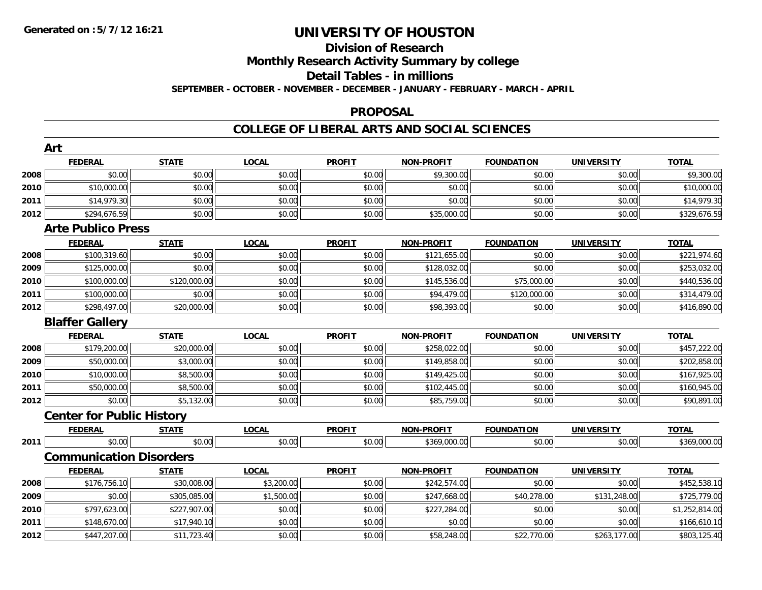# **Division of Research**

**Monthly Research Activity Summary by college**

#### **Detail Tables - in millions**

**SEPTEMBER - OCTOBER - NOVEMBER - DECEMBER - JANUARY - FEBRUARY - MARCH - APRIL**

#### **PROPOSAL**

|      | Art                              |              |              |               |                   |                   |                   |                |
|------|----------------------------------|--------------|--------------|---------------|-------------------|-------------------|-------------------|----------------|
|      | <b>FEDERAL</b>                   | <b>STATE</b> | <b>LOCAL</b> | <b>PROFIT</b> | NON-PROFIT        | <b>FOUNDATION</b> | <b>UNIVERSITY</b> | <b>TOTAL</b>   |
| 2008 | \$0.00                           | \$0.00       | \$0.00       | \$0.00        | \$9,300.00        | \$0.00            | \$0.00            | \$9,300.00     |
| 2010 | \$10,000.00                      | \$0.00       | \$0.00       | \$0.00        | \$0.00            | \$0.00            | \$0.00            | \$10,000.00    |
| 2011 | \$14,979.30                      | \$0.00       | \$0.00       | \$0.00        | \$0.00            | \$0.00            | \$0.00            | \$14,979.30    |
| 2012 | \$294,676.59                     | \$0.00       | \$0.00       | \$0.00        | \$35,000.00       | \$0.00            | \$0.00            | \$329,676.59   |
|      | <b>Arte Publico Press</b>        |              |              |               |                   |                   |                   |                |
|      | <b>FEDERAL</b>                   | <b>STATE</b> | <b>LOCAL</b> | <b>PROFIT</b> | <b>NON-PROFIT</b> | <b>FOUNDATION</b> | <b>UNIVERSITY</b> | <b>TOTAL</b>   |
| 2008 | \$100,319.60                     | \$0.00       | \$0.00       | \$0.00        | \$121,655.00      | \$0.00            | \$0.00            | \$221,974.60   |
| 2009 | \$125,000.00                     | \$0.00       | \$0.00       | \$0.00        | \$128,032.00      | \$0.00            | \$0.00            | \$253,032.00   |
| 2010 | \$100,000.00                     | \$120,000.00 | \$0.00       | \$0.00        | \$145,536.00      | \$75,000.00       | \$0.00            | \$440,536.00   |
| 2011 | \$100,000.00                     | \$0.00       | \$0.00       | \$0.00        | \$94,479.00       | \$120,000.00      | \$0.00            | \$314,479.00   |
| 2012 | \$298,497.00                     | \$20,000.00  | \$0.00       | \$0.00        | \$98,393.00       | \$0.00            | \$0.00            | \$416,890.00   |
|      | <b>Blaffer Gallery</b>           |              |              |               |                   |                   |                   |                |
|      | <b>FEDERAL</b>                   | <b>STATE</b> | <b>LOCAL</b> | <b>PROFIT</b> | <b>NON-PROFIT</b> | <b>FOUNDATION</b> | <b>UNIVERSITY</b> | <b>TOTAL</b>   |
| 2008 | \$179,200.00                     | \$20,000.00  | \$0.00       | \$0.00        | \$258,022.00      | \$0.00            | \$0.00            | \$457,222.00   |
| 2009 | \$50,000.00                      | \$3,000.00   | \$0.00       | \$0.00        | \$149,858.00      | \$0.00            | \$0.00            | \$202,858.00   |
| 2010 | \$10,000.00                      | \$8,500.00   | \$0.00       | \$0.00        | \$149,425.00      | \$0.00            | \$0.00            | \$167,925.00   |
| 2011 | \$50,000.00                      | \$8,500.00   | \$0.00       | \$0.00        | \$102,445.00      | \$0.00            | \$0.00            | \$160,945.00   |
| 2012 | \$0.00                           | \$5,132.00   | \$0.00       | \$0.00        | \$85,759.00       | \$0.00            | \$0.00            | \$90,891.00    |
|      | <b>Center for Public History</b> |              |              |               |                   |                   |                   |                |
|      | <b>FEDERAL</b>                   | <b>STATE</b> | <b>LOCAL</b> | <b>PROFIT</b> | <b>NON-PROFIT</b> | <b>FOUNDATION</b> | <b>UNIVERSITY</b> | <b>TOTAL</b>   |
| 2011 | \$0.00                           | \$0.00       | \$0.00       | \$0.00        | \$369,000.00      | \$0.00            | \$0.00            | \$369,000.00   |
|      | <b>Communication Disorders</b>   |              |              |               |                   |                   |                   |                |
|      | <b>FEDERAL</b>                   | <b>STATE</b> | <b>LOCAL</b> | <b>PROFIT</b> | <b>NON-PROFIT</b> | <b>FOUNDATION</b> | <b>UNIVERSITY</b> | <b>TOTAL</b>   |
| 2008 | \$176,756.10                     | \$30,008.00  | \$3,200.00   | \$0.00        | \$242,574.00      | \$0.00            | \$0.00            | \$452,538.10   |
| 2009 | \$0.00                           | \$305,085.00 | \$1,500.00   | \$0.00        | \$247,668.00      | \$40,278.00       | \$131,248.00      | \$725,779.00   |
| 2010 | \$797,623.00                     | \$227,907.00 | \$0.00       | \$0.00        | \$227,284.00      | \$0.00            | \$0.00            | \$1,252,814.00 |
| 2011 | \$148,670.00                     | \$17,940.10  | \$0.00       | \$0.00        | \$0.00            | \$0.00            | \$0.00            | \$166,610.10   |
| 2012 | \$447,207.00                     | \$11,723.40  | \$0.00       | \$0.00        | \$58,248.00       | \$22,770.00       | \$263,177.00      | \$803,125.40   |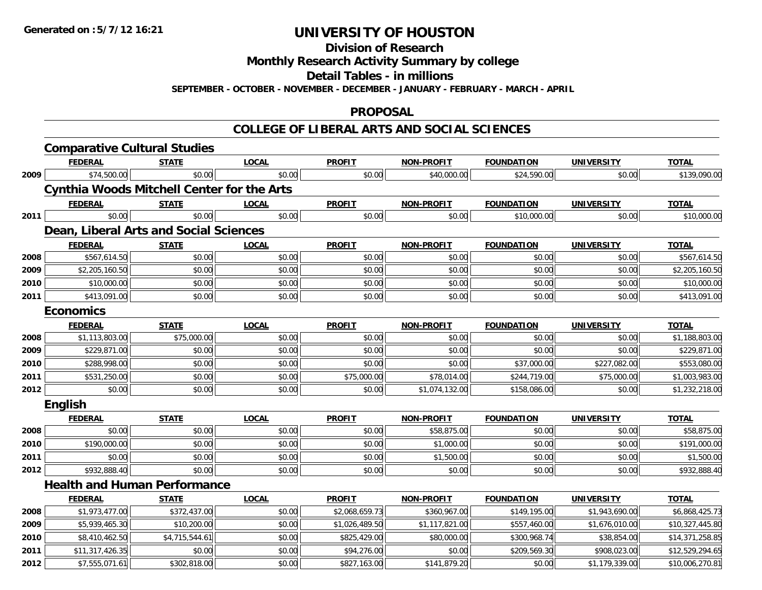**Division of Research**

**Monthly Research Activity Summary by college**

**Detail Tables - in millions**

**SEPTEMBER - OCTOBER - NOVEMBER - DECEMBER - JANUARY - FEBRUARY - MARCH - APRIL**

### **PROPOSAL**

|      | <b>Comparative Cultural Studies</b>               |                |              |                |                   |                   |                   |                 |
|------|---------------------------------------------------|----------------|--------------|----------------|-------------------|-------------------|-------------------|-----------------|
|      | <b>FEDERAL</b>                                    | <b>STATE</b>   | <b>LOCAL</b> | <b>PROFIT</b>  | <b>NON-PROFIT</b> | <b>FOUNDATION</b> | <b>UNIVERSITY</b> | <b>TOTAL</b>    |
| 2009 | \$74,500.00                                       | \$0.00         | \$0.00       | \$0.00         | \$40,000.00       | \$24,590.00       | \$0.00            | \$139,090.00    |
|      | <b>Cynthia Woods Mitchell Center for the Arts</b> |                |              |                |                   |                   |                   |                 |
|      | <b>FEDERAL</b>                                    | <b>STATE</b>   | <b>LOCAL</b> | <b>PROFIT</b>  | <b>NON-PROFIT</b> | <b>FOUNDATION</b> | <b>UNIVERSITY</b> | <b>TOTAL</b>    |
| 2011 | \$0.00                                            | \$0.00         | \$0.00       | \$0.00         | \$0.00            | \$10,000.00       | \$0.00            | \$10,000.00     |
|      | Dean, Liberal Arts and Social Sciences            |                |              |                |                   |                   |                   |                 |
|      | <b>FEDERAL</b>                                    | <b>STATE</b>   | <b>LOCAL</b> | <b>PROFIT</b>  | <b>NON-PROFIT</b> | <b>FOUNDATION</b> | <b>UNIVERSITY</b> | <b>TOTAL</b>    |
| 2008 | \$567,614.50                                      | \$0.00         | \$0.00       | \$0.00         | \$0.00            | \$0.00            | \$0.00            | \$567,614.50    |
| 2009 | \$2,205,160.50                                    | \$0.00         | \$0.00       | \$0.00         | \$0.00            | \$0.00            | \$0.00            | \$2,205,160.50  |
| 2010 | \$10,000.00                                       | \$0.00         | \$0.00       | \$0.00         | \$0.00            | \$0.00            | \$0.00            | \$10,000.00     |
| 2011 | \$413,091.00                                      | \$0.00         | \$0.00       | \$0.00         | \$0.00            | \$0.00            | \$0.00            | \$413,091.00    |
|      | <b>Economics</b>                                  |                |              |                |                   |                   |                   |                 |
|      | <b>FEDERAL</b>                                    | <b>STATE</b>   | <b>LOCAL</b> | <b>PROFIT</b>  | <b>NON-PROFIT</b> | <b>FOUNDATION</b> | <b>UNIVERSITY</b> | <b>TOTAL</b>    |
| 2008 | \$1,113,803.00                                    | \$75,000.00    | \$0.00       | \$0.00         | \$0.00            | \$0.00            | \$0.00            | \$1,188,803.00  |
| 2009 | \$229,871.00                                      | \$0.00         | \$0.00       | \$0.00         | \$0.00            | \$0.00            | \$0.00            | \$229,871.00    |
| 2010 | \$288,998.00                                      | \$0.00         | \$0.00       | \$0.00         | \$0.00            | \$37,000.00       | \$227,082.00      | \$553,080.00    |
| 2011 | \$531,250.00                                      | \$0.00         | \$0.00       | \$75,000.00    | \$78,014.00       | \$244,719.00      | \$75,000.00       | \$1,003,983.00  |
| 2012 | \$0.00                                            | \$0.00         | \$0.00       | \$0.00         | \$1,074,132.00    | \$158,086.00      | \$0.00            | \$1,232,218.00  |
|      | <b>English</b>                                    |                |              |                |                   |                   |                   |                 |
|      | <b>FEDERAL</b>                                    | <b>STATE</b>   | <b>LOCAL</b> | <b>PROFIT</b>  | <b>NON-PROFIT</b> | <b>FOUNDATION</b> | <b>UNIVERSITY</b> | <b>TOTAL</b>    |
| 2008 | \$0.00                                            | \$0.00         | \$0.00       | \$0.00         | \$58,875.00       | \$0.00            | \$0.00            | \$58,875.00     |
| 2010 | \$190,000.00                                      | \$0.00         | \$0.00       | \$0.00         | \$1,000.00        | \$0.00            | \$0.00            | \$191,000.00    |
| 2011 | \$0.00                                            | \$0.00         | \$0.00       | \$0.00         | \$1,500.00        | \$0.00            | \$0.00            | \$1,500.00      |
| 2012 | \$932,888.40                                      | \$0.00         | \$0.00       | \$0.00         | \$0.00            | \$0.00            | \$0.00            | \$932,888.40    |
|      | <b>Health and Human Performance</b>               |                |              |                |                   |                   |                   |                 |
|      | <b>FEDERAL</b>                                    | <b>STATE</b>   | <b>LOCAL</b> | <b>PROFIT</b>  | <b>NON-PROFIT</b> | <b>FOUNDATION</b> | <b>UNIVERSITY</b> | <b>TOTAL</b>    |
| 2008 | \$1,973,477.00                                    | \$372,437.00   | \$0.00       | \$2,068,659.73 | \$360,967.00      | \$149,195.00      | \$1,943,690.00    | \$6,868,425.73  |
| 2009 | \$5,939,465.30                                    | \$10,200.00    | \$0.00       | \$1,026,489.50 | \$1,117,821.00    | \$557,460.00      | \$1,676,010.00    | \$10,327,445.80 |
| 2010 | \$8,410,462.50                                    | \$4,715,544.61 | \$0.00       | \$825,429.00   | \$80,000.00       | \$300,968.74      | \$38,854.00       | \$14,371,258.85 |
| 2011 | \$11,317,426.35                                   | \$0.00         | \$0.00       | \$94,276.00    | \$0.00            | \$209,569.30      | \$908,023.00      | \$12,529,294.65 |
| 2012 | \$7,555,071.61                                    | \$302,818.00   | \$0.00       | \$827,163.00   | \$141,879.20      | \$0.00            | \$1,179,339.00    | \$10,006,270.81 |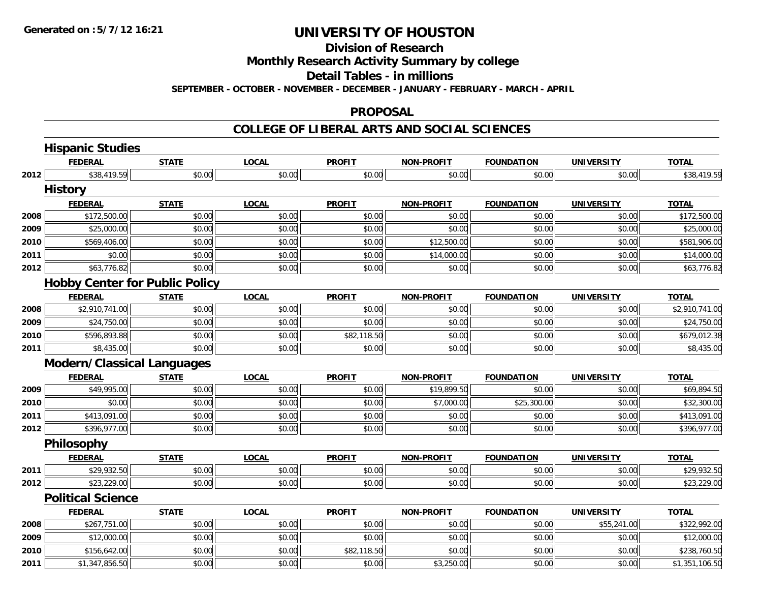**Division of Research**

**Monthly Research Activity Summary by college**

**Detail Tables - in millions**

**SEPTEMBER - OCTOBER - NOVEMBER - DECEMBER - JANUARY - FEBRUARY - MARCH - APRIL**

#### **PROPOSAL**

|      | <b>Hispanic Studies</b>               |              |              |               |                   |                   |                   |                |
|------|---------------------------------------|--------------|--------------|---------------|-------------------|-------------------|-------------------|----------------|
|      | <b>FEDERAL</b>                        | <b>STATE</b> | <b>LOCAL</b> | <b>PROFIT</b> | <b>NON-PROFIT</b> | <b>FOUNDATION</b> | <b>UNIVERSITY</b> | <b>TOTAL</b>   |
| 2012 | \$38,419.59                           | \$0.00       | \$0.00       | \$0.00        | \$0.00            | \$0.00            | \$0.00            | \$38,419.59    |
|      | <b>History</b>                        |              |              |               |                   |                   |                   |                |
|      | <b>FEDERAL</b>                        | <b>STATE</b> | <b>LOCAL</b> | <b>PROFIT</b> | <b>NON-PROFIT</b> | <b>FOUNDATION</b> | <b>UNIVERSITY</b> | <b>TOTAL</b>   |
| 2008 | \$172,500.00                          | \$0.00       | \$0.00       | \$0.00        | \$0.00            | \$0.00            | \$0.00            | \$172,500.00   |
| 2009 | \$25,000.00                           | \$0.00       | \$0.00       | \$0.00        | \$0.00            | \$0.00            | \$0.00            | \$25,000.00    |
| 2010 | \$569,406.00                          | \$0.00       | \$0.00       | \$0.00        | \$12,500.00       | \$0.00            | \$0.00            | \$581,906.00   |
| 2011 | \$0.00                                | \$0.00       | \$0.00       | \$0.00        | \$14,000.00       | \$0.00            | \$0.00            | \$14,000.00    |
| 2012 | \$63,776.82                           | \$0.00       | \$0.00       | \$0.00        | \$0.00            | \$0.00            | \$0.00            | \$63,776.82    |
|      | <b>Hobby Center for Public Policy</b> |              |              |               |                   |                   |                   |                |
|      | <b>FEDERAL</b>                        | <b>STATE</b> | <b>LOCAL</b> | <b>PROFIT</b> | <b>NON-PROFIT</b> | <b>FOUNDATION</b> | <b>UNIVERSITY</b> | <b>TOTAL</b>   |
| 2008 | \$2,910,741.00                        | \$0.00       | \$0.00       | \$0.00        | \$0.00            | \$0.00            | \$0.00            | \$2,910,741.00 |
| 2009 | \$24,750.00                           | \$0.00       | \$0.00       | \$0.00        | \$0.00            | \$0.00            | \$0.00            | \$24,750.00    |
| 2010 | \$596,893.88                          | \$0.00       | \$0.00       | \$82,118.50   | \$0.00            | \$0.00            | \$0.00            | \$679,012.38   |
| 2011 | \$8,435.00                            | \$0.00       | \$0.00       | \$0.00        | \$0.00            | \$0.00            | \$0.00            | \$8,435.00     |
|      | <b>Modern/Classical Languages</b>     |              |              |               |                   |                   |                   |                |
|      | <b>FEDERAL</b>                        | <b>STATE</b> | <b>LOCAL</b> | <b>PROFIT</b> | <b>NON-PROFIT</b> | <b>FOUNDATION</b> | <b>UNIVERSITY</b> | <b>TOTAL</b>   |
| 2009 | \$49,995.00                           | \$0.00       | \$0.00       | \$0.00        | \$19,899.50       | \$0.00            | \$0.00            | \$69,894.50    |
| 2010 | \$0.00                                | \$0.00       | \$0.00       | \$0.00        | \$7,000.00        | \$25,300.00       | \$0.00            | \$32,300.00    |
| 2011 | \$413,091.00                          | \$0.00       | \$0.00       | \$0.00        | \$0.00            | \$0.00            | \$0.00            | \$413,091.00   |
| 2012 | \$396,977.00                          | \$0.00       | \$0.00       | \$0.00        | \$0.00            | \$0.00            | \$0.00            | \$396,977.00   |
|      | <b>Philosophy</b>                     |              |              |               |                   |                   |                   |                |
|      | <b>FEDERAL</b>                        | <b>STATE</b> | <b>LOCAL</b> | <b>PROFIT</b> | <b>NON-PROFIT</b> | <b>FOUNDATION</b> | <b>UNIVERSITY</b> | <b>TOTAL</b>   |
| 2011 | \$29,932.50                           | \$0.00       | \$0.00       | \$0.00        | \$0.00            | \$0.00            | \$0.00            | \$29,932.50    |
| 2012 | \$23,229.00                           | \$0.00       | \$0.00       | \$0.00        | \$0.00            | \$0.00            | \$0.00            | \$23,229.00    |
|      | <b>Political Science</b>              |              |              |               |                   |                   |                   |                |
|      | <b>FEDERAL</b>                        | <b>STATE</b> | <b>LOCAL</b> | <b>PROFIT</b> | <b>NON-PROFIT</b> | <b>FOUNDATION</b> | <b>UNIVERSITY</b> | <b>TOTAL</b>   |
| 2008 | \$267,751.00                          | \$0.00       | \$0.00       | \$0.00        | \$0.00            | \$0.00            | \$55,241.00       | \$322,992.00   |
| 2009 | \$12,000.00                           | \$0.00       | \$0.00       | \$0.00        | \$0.00            | \$0.00            | \$0.00            | \$12,000.00    |
| 2010 | \$156,642.00                          | \$0.00       | \$0.00       | \$82,118.50   | \$0.00            | \$0.00            | \$0.00            | \$238,760.50   |
| 2011 | \$1,347,856.50                        | \$0.00       | \$0.00       | \$0.00        | \$3,250.00        | \$0.00            | \$0.00            | \$1,351,106.50 |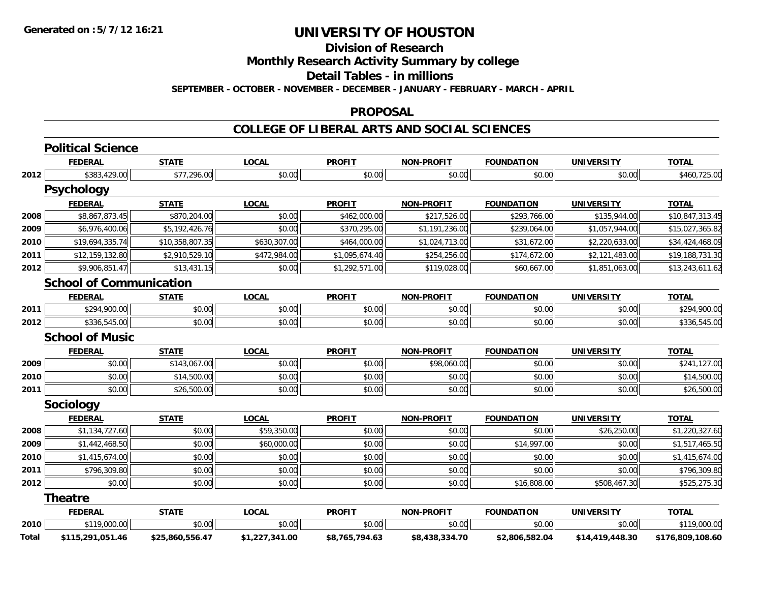**Division of Research**

**Monthly Research Activity Summary by college**

**Detail Tables - in millions**

**SEPTEMBER - OCTOBER - NOVEMBER - DECEMBER - JANUARY - FEBRUARY - MARCH - APRIL**

#### **PROPOSAL**

|       | <b>Political Science</b>       |                 |                |                |                   |                   |                   |                  |
|-------|--------------------------------|-----------------|----------------|----------------|-------------------|-------------------|-------------------|------------------|
|       | <b>FEDERAL</b>                 | <b>STATE</b>    | <b>LOCAL</b>   | <b>PROFIT</b>  | <b>NON-PROFIT</b> | <b>FOUNDATION</b> | <b>UNIVERSITY</b> | <b>TOTAL</b>     |
| 2012  | \$383,429.00                   | \$77,296.00     | \$0.00         | \$0.00         | \$0.00            | \$0.00            | \$0.00            | \$460,725.00     |
|       | <b>Psychology</b>              |                 |                |                |                   |                   |                   |                  |
|       | <b>FEDERAL</b>                 | <b>STATE</b>    | <b>LOCAL</b>   | <b>PROFIT</b>  | <b>NON-PROFIT</b> | <b>FOUNDATION</b> | <b>UNIVERSITY</b> | <b>TOTAL</b>     |
| 2008  | \$8,867,873.45                 | \$870,204.00    | \$0.00         | \$462,000.00   | \$217,526.00      | \$293,766.00      | \$135,944.00      | \$10,847,313.45  |
| 2009  | \$6,976,400.06                 | \$5,192,426.76  | \$0.00         | \$370,295.00   | \$1,191,236.00    | \$239,064.00      | \$1,057,944.00    | \$15,027,365.82  |
| 2010  | \$19,694,335.74                | \$10,358,807.35 | \$630,307.00   | \$464,000.00   | \$1,024,713.00    | \$31,672.00       | \$2,220,633.00    | \$34,424,468.09  |
| 2011  | \$12,159,132.80                | \$2,910,529.10  | \$472,984.00   | \$1,095,674.40 | \$254,256.00      | \$174,672.00      | \$2,121,483.00    | \$19,188,731.30  |
| 2012  | \$9,906,851.47                 | \$13,431.15     | \$0.00         | \$1,292,571.00 | \$119,028.00      | \$60,667.00       | \$1,851,063.00    | \$13,243,611.62  |
|       | <b>School of Communication</b> |                 |                |                |                   |                   |                   |                  |
|       | <b>FEDERAL</b>                 | <b>STATE</b>    | <b>LOCAL</b>   | <b>PROFIT</b>  | <b>NON-PROFIT</b> | <b>FOUNDATION</b> | <b>UNIVERSITY</b> | <b>TOTAL</b>     |
| 2011  | \$294,900.00                   | \$0.00          | \$0.00         | \$0.00         | \$0.00            | \$0.00            | \$0.00            | \$294,900.00     |
| 2012  | \$336,545.00                   | \$0.00          | \$0.00         | \$0.00         | \$0.00            | \$0.00            | \$0.00            | \$336,545.00     |
|       | <b>School of Music</b>         |                 |                |                |                   |                   |                   |                  |
|       | <b>FEDERAL</b>                 | <b>STATE</b>    | <b>LOCAL</b>   | <b>PROFIT</b>  | <b>NON-PROFIT</b> | <b>FOUNDATION</b> | <b>UNIVERSITY</b> | <b>TOTAL</b>     |
| 2009  | \$0.00                         | \$143,067.00    | \$0.00         | \$0.00         | \$98,060.00       | \$0.00            | \$0.00            | \$241,127.00     |
| 2010  | \$0.00                         | \$14,500.00     | \$0.00         | \$0.00         | \$0.00            | \$0.00            | \$0.00            | \$14,500.00      |
| 2011  | \$0.00                         | \$26,500.00     | \$0.00         | \$0.00         | \$0.00            | \$0.00            | \$0.00            | \$26,500.00      |
|       | Sociology                      |                 |                |                |                   |                   |                   |                  |
|       | <b>FEDERAL</b>                 | <b>STATE</b>    | <b>LOCAL</b>   | <b>PROFIT</b>  | <b>NON-PROFIT</b> | <b>FOUNDATION</b> | <b>UNIVERSITY</b> | <b>TOTAL</b>     |
| 2008  | \$1,134,727.60                 | \$0.00          | \$59,350.00    | \$0.00         | \$0.00            | \$0.00            | \$26,250.00       | \$1,220,327.60   |
| 2009  | \$1,442,468.50                 | \$0.00          | \$60,000.00    | \$0.00         | \$0.00            | \$14,997.00       | \$0.00            | \$1,517,465.50   |
| 2010  | \$1,415,674.00                 | \$0.00          | \$0.00         | \$0.00         | \$0.00            | \$0.00            | \$0.00            | \$1,415,674.00   |
| 2011  | \$796,309.80                   | \$0.00          | \$0.00         | \$0.00         | \$0.00            | \$0.00            | \$0.00            | \$796,309.80     |
| 2012  | \$0.00                         | \$0.00          | \$0.00         | \$0.00         | \$0.00            | \$16,808.00       | \$508,467.30      | \$525,275.30     |
|       | <b>Theatre</b>                 |                 |                |                |                   |                   |                   |                  |
|       | <b>FEDERAL</b>                 | <b>STATE</b>    | <b>LOCAL</b>   | <b>PROFIT</b>  | <b>NON-PROFIT</b> | <b>FOUNDATION</b> | <b>UNIVERSITY</b> | <b>TOTAL</b>     |
| 2010  | \$119,000.00                   | \$0.00          | \$0.00         | \$0.00         | \$0.00            | \$0.00            | \$0.00            | \$119,000.00     |
| Total | \$115,291,051.46               | \$25,860,556.47 | \$1,227,341.00 | \$8,765,794.63 | \$8,438,334.70    | \$2,806,582.04    | \$14,419,448.30   | \$176,809,108.60 |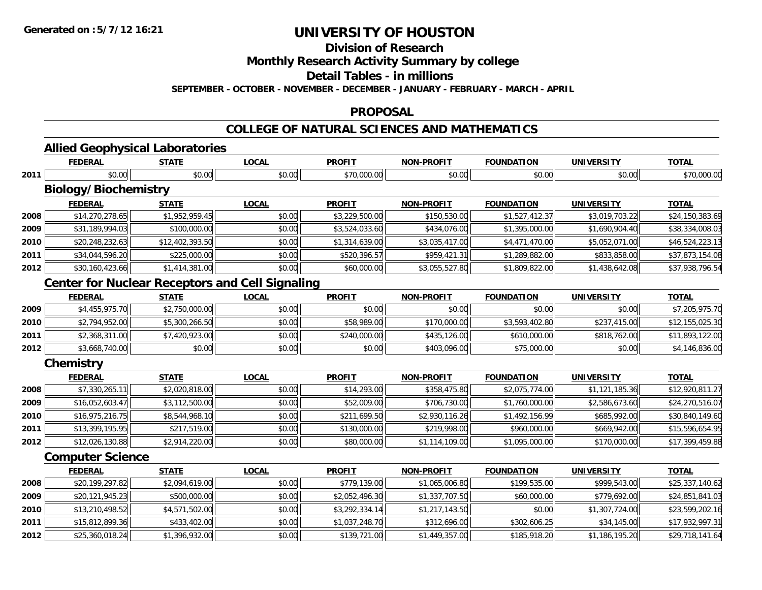**2012**

# **UNIVERSITY OF HOUSTON**

**Division of Research**

**Monthly Research Activity Summary by college**

**Detail Tables - in millions**

**SEPTEMBER - OCTOBER - NOVEMBER - DECEMBER - JANUARY - FEBRUARY - MARCH - APRIL**

### **PROPOSAL**

### **COLLEGE OF NATURAL SCIENCES AND MATHEMATICS**

|      | <b>Allied Geophysical Laboratories</b>                 |                 |              |                |                   |                   |                   |                 |
|------|--------------------------------------------------------|-----------------|--------------|----------------|-------------------|-------------------|-------------------|-----------------|
|      | <b>FEDERAL</b>                                         | <b>STATE</b>    | <b>LOCAL</b> | <b>PROFIT</b>  | <b>NON-PROFIT</b> | <b>FOUNDATION</b> | <b>UNIVERSITY</b> | <b>TOTAL</b>    |
| 2011 | \$0.00                                                 | \$0.00          | \$0.00       | \$70,000.00    | \$0.00            | \$0.00            | \$0.00            | \$70,000.00     |
|      | <b>Biology/Biochemistry</b>                            |                 |              |                |                   |                   |                   |                 |
|      | <b>FEDERAL</b>                                         | <b>STATE</b>    | <b>LOCAL</b> | <b>PROFIT</b>  | <b>NON-PROFIT</b> | <b>FOUNDATION</b> | <b>UNIVERSITY</b> | <b>TOTAL</b>    |
| 2008 | \$14,270,278.65                                        | \$1,952,959.45  | \$0.00       | \$3,229,500.00 | \$150,530.00      | \$1,527,412.37    | \$3,019,703.22    | \$24,150,383.69 |
| 2009 | \$31,189,994.03                                        | \$100,000.00    | \$0.00       | \$3,524,033.60 | \$434,076.00      | \$1,395,000.00    | \$1,690,904.40    | \$38,334,008.03 |
| 2010 | \$20,248,232.63                                        | \$12,402,393.50 | \$0.00       | \$1,314,639.00 | \$3,035,417.00    | \$4,471,470.00    | \$5,052,071.00    | \$46,524,223.13 |
| 2011 | \$34,044,596.20                                        | \$225,000.00    | \$0.00       | \$520,396.57   | \$959,421.31      | \$1,289,882.00    | \$833,858.00      | \$37,873,154.08 |
| 2012 | \$30,160,423.66                                        | \$1,414,381.00  | \$0.00       | \$60,000.00    | \$3,055,527.80    | \$1,809,822.00    | \$1,438,642.08    | \$37,938,796.54 |
|      | <b>Center for Nuclear Receptors and Cell Signaling</b> |                 |              |                |                   |                   |                   |                 |
|      | <b>FEDERAL</b>                                         | <b>STATE</b>    | <b>LOCAL</b> | <b>PROFIT</b>  | <b>NON-PROFIT</b> | <b>FOUNDATION</b> | <b>UNIVERSITY</b> | <b>TOTAL</b>    |
| 2009 | \$4,455,975.70                                         | \$2,750,000.00  | \$0.00       | \$0.00         | \$0.00            | \$0.00            | \$0.00            | \$7,205,975.70  |
| 2010 | \$2,794,952.00                                         | \$5,300,266.50  | \$0.00       | \$58,989.00    | \$170,000.00      | \$3,593,402.80    | \$237,415.00      | \$12,155,025.30 |
| 2011 | \$2,368,311.00                                         | \$7,420,923.00  | \$0.00       | \$240,000.00   | \$435,126.00      | \$610,000.00      | \$818,762.00      | \$11,893,122.00 |
| 2012 | \$3,668,740.00                                         | \$0.00          | \$0.00       | \$0.00         | \$403,096.00      | \$75,000.00       | \$0.00            | \$4,146,836.00  |
|      | Chemistry                                              |                 |              |                |                   |                   |                   |                 |
|      | <b>FEDERAL</b>                                         | <b>STATE</b>    | <b>LOCAL</b> | <b>PROFIT</b>  | <b>NON-PROFIT</b> | <b>FOUNDATION</b> | <b>UNIVERSITY</b> | <b>TOTAL</b>    |
| 2008 | \$7,330,265.11                                         | \$2,020,818.00  | \$0.00       | \$14,293.00    | \$358,475.80      | \$2,075,774.00    | \$1,121,185.36    | \$12,920,811.27 |
| 2009 | \$16,052,603.47                                        | \$3,112,500.00  | \$0.00       | \$52,009.00    | \$706,730.00      | \$1,760,000.00    | \$2,586,673.60    | \$24,270,516.07 |
| 2010 | \$16,975,216.75                                        | \$8,544,968.10  | \$0.00       | \$211,699.50   | \$2,930,116.26    | \$1,492,156.99    | \$685,992.00      | \$30,840,149.60 |
| 2011 | \$13,399,195.95                                        | \$217,519.00    | \$0.00       | \$130,000.00   | \$219,998.00      | \$960,000.00      | \$669,942.00      | \$15,596,654.95 |
| 2012 | \$12,026,130.88                                        | \$2,914,220.00  | \$0.00       | \$80,000.00    | \$1,114,109.00    | \$1,095,000.00    | \$170,000.00      | \$17,399,459.88 |
|      | <b>Computer Science</b>                                |                 |              |                |                   |                   |                   |                 |
|      | <b>FEDERAL</b>                                         | <b>STATE</b>    | <b>LOCAL</b> | <b>PROFIT</b>  | <b>NON-PROFIT</b> | <b>FOUNDATION</b> | <b>UNIVERSITY</b> | <b>TOTAL</b>    |
| 2008 | \$20,199,297.82                                        | \$2,094,619.00  | \$0.00       | \$779,139.00   | \$1,065,006.80    | \$199,535.00      | \$999,543.00      | \$25,337,140.62 |
| 2009 | \$20,121,945.23                                        | \$500,000.00    | \$0.00       | \$2,052,496.30 | \$1,337,707.50    | \$60,000.00       | \$779,692.00      | \$24,851,841.03 |
| 2010 | \$13,210,498.52                                        | \$4,571,502.00  | \$0.00       | \$3,292,334.14 | \$1,217,143.50    | \$0.00            | \$1,307,724.00    | \$23,599,202.16 |
| 2011 | \$15,812,899.36                                        | \$433,402.00    | \$0.00       | \$1,037,248.70 | \$312,696.00      | \$302,606.25      | \$34,145.00       | \$17,932,997.31 |

\$25,360,018.24 \$1,396,932.00 \$0.00 \$139,721.00 \$1,449,357.00 \$185,918.20 \$1,186,195.20 \$29,718,141.64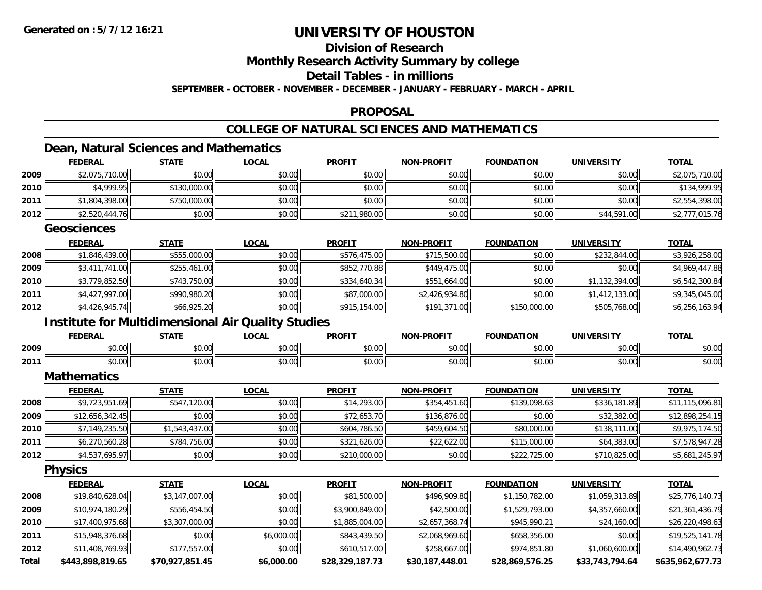### **Division of Research**

**Monthly Research Activity Summary by college**

**Detail Tables - in millions**

**SEPTEMBER - OCTOBER - NOVEMBER - DECEMBER - JANUARY - FEBRUARY - MARCH - APRIL**

### **PROPOSAL**

### **COLLEGE OF NATURAL SCIENCES AND MATHEMATICS**

### **Dean, Natural Sciences and Mathematics**

|       | <b>FEDERAL</b>                                            | <b>STATE</b>    | <b>LOCAL</b> | <b>PROFIT</b>   | <b>NON-PROFIT</b> | <b>FOUNDATION</b> | <b>UNIVERSITY</b> | <b>TOTAL</b>     |
|-------|-----------------------------------------------------------|-----------------|--------------|-----------------|-------------------|-------------------|-------------------|------------------|
| 2009  | \$2,075,710.00                                            | \$0.00          | \$0.00       | \$0.00          | \$0.00            | \$0.00            | \$0.00            | \$2,075,710.00   |
| 2010  | \$4,999.95                                                | \$130,000.00    | \$0.00       | \$0.00          | \$0.00            | \$0.00            | \$0.00            | \$134,999.95     |
| 2011  | \$1,804,398.00                                            | \$750,000.00    | \$0.00       | \$0.00          | \$0.00            | \$0.00            | \$0.00            | \$2,554,398.00   |
| 2012  | \$2,520,444.76                                            | \$0.00          | \$0.00       | \$211,980.00    | \$0.00            | \$0.00            | \$44,591.00       | \$2,777,015.76   |
|       | <b>Geosciences</b>                                        |                 |              |                 |                   |                   |                   |                  |
|       | <b>FEDERAL</b>                                            | <b>STATE</b>    | <b>LOCAL</b> | <b>PROFIT</b>   | <b>NON-PROFIT</b> | <b>FOUNDATION</b> | <b>UNIVERSITY</b> | <b>TOTAL</b>     |
| 2008  | \$1,846,439.00                                            | \$555,000.00    | \$0.00       | \$576,475.00    | \$715,500.00      | \$0.00            | \$232,844.00      | \$3,926,258.00   |
| 2009  | \$3,411,741.00                                            | \$255,461.00    | \$0.00       | \$852,770.88    | \$449,475.00      | \$0.00            | \$0.00            | \$4,969,447.88   |
| 2010  | \$3,779,852.50                                            | \$743,750.00    | \$0.00       | \$334,640.34    | \$551,664.00      | \$0.00            | \$1,132,394.00    | \$6,542,300.84   |
| 2011  | \$4,427,997.00                                            | \$990,980.20    | \$0.00       | \$87,000.00     | \$2,426,934.80    | \$0.00            | \$1,412,133.00    | \$9,345,045.00   |
| 2012  | \$4,426,945.74                                            | \$66,925.20     | \$0.00       | \$915,154.00    | \$191,371.00      | \$150,000.00      | \$505,768.00      | \$6,256,163.94   |
|       | <b>Institute for Multidimensional Air Quality Studies</b> |                 |              |                 |                   |                   |                   |                  |
|       | <b>FEDERAL</b>                                            | <b>STATE</b>    | <b>LOCAL</b> | <b>PROFIT</b>   | <b>NON-PROFIT</b> | <b>FOUNDATION</b> | <b>UNIVERSITY</b> | <b>TOTAL</b>     |
| 2009  | \$0.00                                                    | \$0.00          | \$0.00       | \$0.00          | \$0.00            | \$0.00            | \$0.00            | \$0.00           |
| 2011  | \$0.00                                                    | \$0.00          | \$0.00       | \$0.00          | \$0.00            | \$0.00            | \$0.00            | \$0.00           |
|       | <b>Mathematics</b>                                        |                 |              |                 |                   |                   |                   |                  |
|       | <b>FEDERAL</b>                                            | <b>STATE</b>    | <b>LOCAL</b> | <b>PROFIT</b>   | <b>NON-PROFIT</b> | <b>FOUNDATION</b> | <b>UNIVERSITY</b> | <b>TOTAL</b>     |
| 2008  | \$9,723,951.69                                            | \$547,120.00    | \$0.00       | \$14,293.00     | \$354,451.60      | \$139,098.63      | \$336,181.89      | \$11,115,096.81  |
| 2009  | \$12,656,342.45                                           | \$0.00          | \$0.00       | \$72,653.70     | \$136,876.00      | \$0.00            | \$32,382.00       | \$12,898,254.15  |
| 2010  | \$7,149,235.50                                            | \$1,543,437.00  | \$0.00       | \$604,786.50    | \$459,604.50      | \$80,000.00       | \$138,111.00      | \$9,975,174.50   |
| 2011  | \$6,270,560.28                                            | \$784,756.00    | \$0.00       | \$321,626.00    | \$22,622.00       | \$115,000.00      | \$64,383.00       | \$7,578,947.28   |
| 2012  | \$4,537,695.97                                            | \$0.00          | \$0.00       | \$210,000.00    | \$0.00            | \$222,725.00      | \$710,825.00      | \$5,681,245.97   |
|       | <b>Physics</b>                                            |                 |              |                 |                   |                   |                   |                  |
|       | <b>FEDERAL</b>                                            | <b>STATE</b>    | <b>LOCAL</b> | <b>PROFIT</b>   | <b>NON-PROFIT</b> | <b>FOUNDATION</b> | <b>UNIVERSITY</b> | <b>TOTAL</b>     |
| 2008  | \$19,840,628.04                                           | \$3,147,007.00  | \$0.00       | \$81,500.00     | \$496,909.80      | \$1,150,782.00    | \$1,059,313.89    | \$25,776,140.73  |
| 2009  | \$10,974,180.29                                           | \$556,454.50    | \$0.00       | \$3,900,849.00  | \$42,500.00       | \$1,529,793.00    | \$4,357,660.00    | \$21,361,436.79  |
| 2010  | \$17,400,975.68                                           | \$3,307,000.00  | \$0.00       | \$1,885,004.00  | \$2,657,368.74    | \$945,990.21      | \$24,160.00       | \$26,220,498.63  |
| 2011  | \$15,948,376.68                                           | \$0.00          | \$6,000.00   | \$843,439.50    | \$2,068,969.60    | \$658,356.00      | \$0.00            | \$19,525,141.78  |
| 2012  | \$11,408,769.93                                           | \$177,557.00    | \$0.00       | \$610,517.00    | \$258,667.00      | \$974,851.80      | \$1,060,600.00    | \$14,490,962.73  |
| Total | \$443.898.819.65                                          | \$70.927.851.45 | \$6,000.00   | \$28.329.187.73 | \$30.187.448.01   | \$28.869.576.25   | \$33,743,794.64   | \$635.962.677.73 |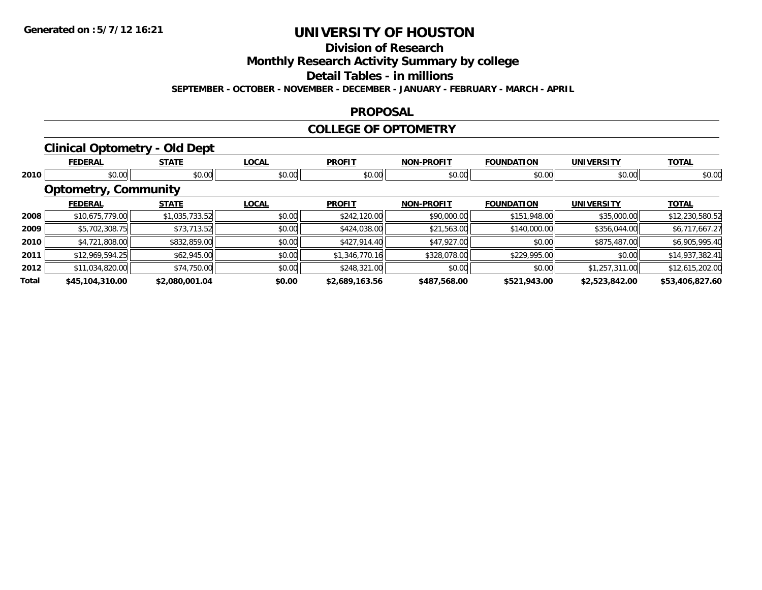**Division of Research**

**Monthly Research Activity Summary by college**

**Detail Tables - in millions**

**SEPTEMBER - OCTOBER - NOVEMBER - DECEMBER - JANUARY - FEBRUARY - MARCH - APRIL**

### **PROPOSAL**

### **COLLEGE OF OPTOMETRY**

### **Clinical Optometry - Old Dept**

|       | <b>FEDERAL</b>              | <b>STATE</b>   | <b>LOCAL</b> | <b>PROFIT</b>  | <b>NON-PROFIT</b> | <b>FOUNDATION</b> | <b>UNIVERSITY</b> | <b>TOTAL</b>    |
|-------|-----------------------------|----------------|--------------|----------------|-------------------|-------------------|-------------------|-----------------|
| 2010  | \$0.00                      | \$0.00         | \$0.00       | \$0.00         | \$0.00            | \$0.00            | \$0.00            | \$0.00          |
|       | <b>Optometry, Community</b> |                |              |                |                   |                   |                   |                 |
|       | <b>FEDERAL</b>              | <b>STATE</b>   | <b>LOCAL</b> | <b>PROFIT</b>  | <b>NON-PROFIT</b> | <b>FOUNDATION</b> | <b>UNIVERSITY</b> | <b>TOTAL</b>    |
| 2008  | \$10,675,779.00             | \$1,035,733.52 | \$0.00       | \$242,120.00   | \$90,000.00       | \$151,948.00      | \$35,000.00       | \$12,230,580.52 |
| 2009  | \$5,702,308.75              | \$73,713.52    | \$0.00       | \$424,038.00   | \$21,563.00       | \$140,000.00      | \$356,044.00      | \$6,717,667.27  |
| 2010  | \$4,721,808.00              | \$832,859.00   | \$0.00       | \$427,914.40   | \$47,927.00       | \$0.00            | \$875,487.00      | \$6,905,995.40  |
| 2011  | \$12,969,594.25             | \$62,945.00    | \$0.00       | \$1,346,770.16 | \$328,078.00      | \$229,995.00      | \$0.00            | \$14,937,382.41 |
| 2012  | \$11,034,820.00             | \$74,750.00    | \$0.00       | \$248,321.00   | \$0.00            | \$0.00            | \$1,257,311.00    | \$12,615,202.00 |
| Total | \$45,104,310.00             | \$2,080,001.04 | \$0.00       | \$2,689,163.56 | \$487,568.00      | \$521,943.00      | \$2,523,842.00    | \$53,406,827.60 |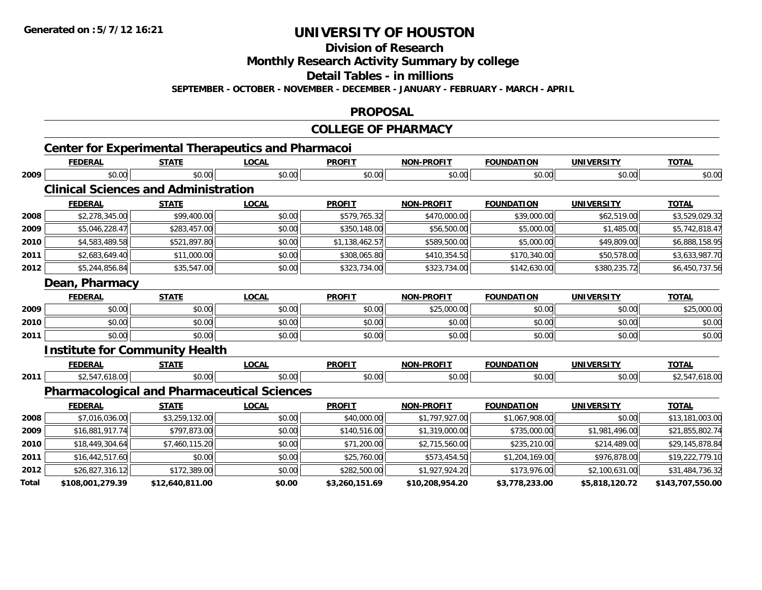**Division of Research**

**Monthly Research Activity Summary by college**

**Detail Tables - in millions**

**SEPTEMBER - OCTOBER - NOVEMBER - DECEMBER - JANUARY - FEBRUARY - MARCH - APRIL**

#### **PROPOSAL**

#### **COLLEGE OF PHARMACY**

|       | <b>FEDERAL</b>   | <b>STATE</b>                                       | <b>LOCAL</b> | <b>PROFIT</b>  | <b>NON-PROFIT</b> | <b>FOUNDATION</b> | <b>UNIVERSITY</b> | <b>TOTAL</b>     |
|-------|------------------|----------------------------------------------------|--------------|----------------|-------------------|-------------------|-------------------|------------------|
| 2009  | \$0.00           | \$0.00                                             | \$0.00       | \$0.00         | \$0.00            | \$0.00            | \$0.00            | \$0.00           |
|       |                  | <b>Clinical Sciences and Administration</b>        |              |                |                   |                   |                   |                  |
|       | <b>FEDERAL</b>   | <b>STATE</b>                                       | <b>LOCAL</b> | <b>PROFIT</b>  | <b>NON-PROFIT</b> | <b>FOUNDATION</b> | <b>UNIVERSITY</b> | <b>TOTAL</b>     |
| 2008  | \$2,278,345.00   | \$99,400.00                                        | \$0.00       | \$579,765.32   | \$470,000.00      | \$39,000.00       | \$62,519.00       | \$3,529,029.32   |
| 2009  | \$5,046,228.47   | \$283,457.00                                       | \$0.00       | \$350,148.00   | \$56,500.00       | \$5,000.00        | \$1,485.00        | \$5,742,818.47   |
| 2010  | \$4,583,489.58   | \$521,897.80                                       | \$0.00       | \$1,138,462.57 | \$589,500.00      | \$5,000.00        | \$49,809.00       | \$6,888,158.95   |
| 2011  | \$2,683,649.40   | \$11,000.00                                        | \$0.00       | \$308,065.80   | \$410,354.50      | \$170,340.00      | \$50,578.00       | \$3,633,987.70   |
| 2012  | \$5,244,856.84   | \$35,547.00                                        | \$0.00       | \$323,734.00   | \$323,734.00      | \$142,630.00      | \$380,235.72      | \$6,450,737.56   |
|       | Dean, Pharmacy   |                                                    |              |                |                   |                   |                   |                  |
|       | <b>FEDERAL</b>   | <b>STATE</b>                                       | <b>LOCAL</b> | <b>PROFIT</b>  | <b>NON-PROFIT</b> | <b>FOUNDATION</b> | <b>UNIVERSITY</b> | <b>TOTAL</b>     |
| 2009  | \$0.00           | \$0.00                                             | \$0.00       | \$0.00         | \$25,000.00       | \$0.00            | \$0.00            | \$25,000.00      |
| 2010  | \$0.00           | \$0.00                                             | \$0.00       | \$0.00         | \$0.00            | \$0.00            | \$0.00            | \$0.00           |
| 2011  | \$0.00           | \$0.00                                             | \$0.00       | \$0.00         | \$0.00            | \$0.00            | \$0.00            | \$0.00           |
|       |                  | <b>Institute for Community Health</b>              |              |                |                   |                   |                   |                  |
|       | <b>FEDERAL</b>   | <b>STATE</b>                                       | <b>LOCAL</b> | <b>PROFIT</b>  | <b>NON-PROFIT</b> | <b>FOUNDATION</b> | <b>UNIVERSITY</b> | <b>TOTAL</b>     |
| 2011  | \$2,547,618.00   | \$0.00                                             | \$0.00       | \$0.00         | \$0.00            | \$0.00            | \$0.00            | \$2,547,618.00   |
|       |                  | <b>Pharmacological and Pharmaceutical Sciences</b> |              |                |                   |                   |                   |                  |
|       | <b>FEDERAL</b>   | <b>STATE</b>                                       | <b>LOCAL</b> | <b>PROFIT</b>  | <b>NON-PROFIT</b> | <b>FOUNDATION</b> | <b>UNIVERSITY</b> | <b>TOTAL</b>     |
| 2008  | \$7,016,036.00   | \$3,259,132.00                                     | \$0.00       | \$40,000.00    | \$1,797,927.00    | \$1,067,908.00    | \$0.00            | \$13,181,003.00  |
| 2009  | \$16,881,917.74  | \$797,873.00                                       | \$0.00       | \$140,516.00   | \$1,319,000.00    | \$735,000.00      | \$1,981,496.00    | \$21,855,802.74  |
| 2010  | \$18,449,304.64  | \$7,460,115.20                                     | \$0.00       | \$71,200.00    | \$2,715,560.00    | \$235,210.00      | \$214,489.00      | \$29,145,878.84  |
| 2011  | \$16,442,517.60  | \$0.00                                             | \$0.00       | \$25,760.00    | \$573,454.50      | \$1,204,169.00    | \$976,878.00      | \$19,222,779.10  |
| 2012  | \$26,827,316.12  | \$172,389.00                                       | \$0.00       | \$282,500.00   | \$1,927,924.20    | \$173,976.00      | \$2,100,631.00    | \$31,484,736.32  |
| Total | \$108,001,279.39 | \$12,640,811.00                                    | \$0.00       | \$3,260,151.69 | \$10,208,954.20   | \$3,778,233.00    | \$5,818,120.72    | \$143,707,550.00 |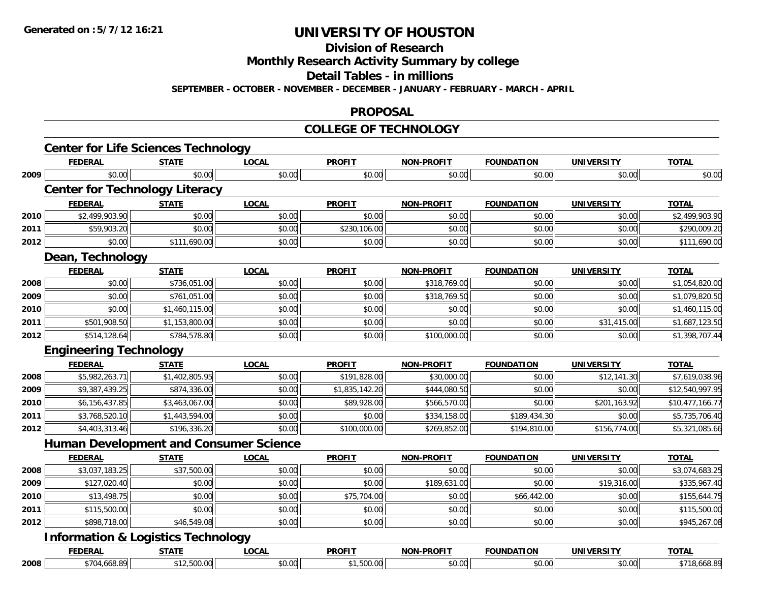**Division of Research**

**Monthly Research Activity Summary by college**

**Detail Tables - in millions**

**SEPTEMBER - OCTOBER - NOVEMBER - DECEMBER - JANUARY - FEBRUARY - MARCH - APRIL**

#### **PROPOSAL**

#### **COLLEGE OF TECHNOLOGY**

|      | <b>Center for Life Sciences Technology</b><br><b>FEDERAL</b> | <b>STATE</b>   | <b>LOCAL</b> | <b>PROFIT</b>  | <b>NON-PROFIT</b> | <b>FOUNDATION</b> | <b>UNIVERSITY</b> | <b>TOTAL</b>    |
|------|--------------------------------------------------------------|----------------|--------------|----------------|-------------------|-------------------|-------------------|-----------------|
| 2009 | \$0.00                                                       | \$0.00         | \$0.00       | \$0.00         | \$0.00            | \$0.00            | \$0.00            | \$0.00          |
|      | <b>Center for Technology Literacy</b>                        |                |              |                |                   |                   |                   |                 |
|      | <b>FEDERAL</b>                                               | <b>STATE</b>   | <b>LOCAL</b> | <b>PROFIT</b>  | <b>NON-PROFIT</b> | <b>FOUNDATION</b> | <b>UNIVERSITY</b> | <b>TOTAL</b>    |
| 2010 | \$2,499,903.90                                               | \$0.00         | \$0.00       | \$0.00         | \$0.00            | \$0.00            | \$0.00            | \$2,499,903.90  |
| 2011 | \$59,903.20                                                  | \$0.00         | \$0.00       | \$230,106.00   | \$0.00            | \$0.00            | \$0.00            | \$290,009.20    |
| 2012 | \$0.00                                                       | \$111,690.00   | \$0.00       | \$0.00         | \$0.00            | \$0.00            | \$0.00            | \$111,690.00    |
|      | Dean, Technology                                             |                |              |                |                   |                   |                   |                 |
|      | <b>FEDERAL</b>                                               | <b>STATE</b>   | <b>LOCAL</b> | <b>PROFIT</b>  | <b>NON-PROFIT</b> | <b>FOUNDATION</b> | <b>UNIVERSITY</b> | <b>TOTAL</b>    |
| 2008 | \$0.00                                                       | \$736,051.00   | \$0.00       | \$0.00         | \$318,769.00      | \$0.00            | \$0.00            | \$1,054,820.00  |
| 2009 | \$0.00                                                       | \$761,051.00   | \$0.00       | \$0.00         | \$318,769.50      | \$0.00            | \$0.00            | \$1,079,820.50  |
| 2010 | \$0.00                                                       | \$1,460,115.00 | \$0.00       | \$0.00         | \$0.00            | \$0.00            | \$0.00            | \$1,460,115.00  |
| 2011 | \$501,908.50                                                 | \$1,153,800.00 | \$0.00       | \$0.00         | \$0.00            | \$0.00            | \$31,415.00       | \$1,687,123.50  |
| 2012 | \$514,128.64                                                 | \$784,578.80   | \$0.00       | \$0.00         | \$100,000.00      | \$0.00            | \$0.00            | \$1,398,707.44  |
|      | <b>Engineering Technology</b>                                |                |              |                |                   |                   |                   |                 |
|      | <b>FEDERAL</b>                                               | <b>STATE</b>   | <b>LOCAL</b> | <b>PROFIT</b>  | <b>NON-PROFIT</b> | <b>FOUNDATION</b> | <b>UNIVERSITY</b> | <b>TOTAL</b>    |
| 2008 | \$5,982,263.71                                               | \$1,402,805.95 | \$0.00       | \$191,828.00   | \$30,000.00       | \$0.00            | \$12,141.30       | \$7,619,038.96  |
| 2009 | \$9,387,439.25                                               | \$874,336.00   | \$0.00       | \$1,835,142.20 | \$444,080.50      | \$0.00            | \$0.00            | \$12,540,997.95 |
| 2010 | \$6,156,437.85                                               | \$3,463,067.00 | \$0.00       | \$89,928.00    | \$566,570.00      | \$0.00            | \$201,163.92      | \$10,477,166.77 |
| 2011 | \$3,768,520.10                                               | \$1,443,594.00 | \$0.00       | \$0.00         | \$334,158.00      | \$189,434.30      | \$0.00            | \$5,735,706.40  |
| 2012 | \$4,403,313.46                                               | \$196,336.20   | \$0.00       | \$100,000.00   | \$269,852.00      | \$194,810.00      | \$156,774.00      | \$5,321,085.66  |
|      | <b>Human Development and Consumer Science</b>                |                |              |                |                   |                   |                   |                 |
|      | <b>FEDERAL</b>                                               | <b>STATE</b>   | <b>LOCAL</b> | <b>PROFIT</b>  | <b>NON-PROFIT</b> | <b>FOUNDATION</b> | <b>UNIVERSITY</b> | <b>TOTAL</b>    |
| 2008 | \$3,037,183.25                                               | \$37,500.00    | \$0.00       | \$0.00         | \$0.00            | \$0.00            | \$0.00            | \$3,074,683.25  |
| 2009 | \$127,020.40                                                 | \$0.00         | \$0.00       | \$0.00         | \$189,631.00      | \$0.00            | \$19,316.00       | \$335,967.40    |
| 2010 | \$13,498.75                                                  | \$0.00         | \$0.00       | \$75,704.00    | \$0.00            | \$66,442.00       | \$0.00            | \$155,644.75    |
| 2011 | \$115,500.00                                                 | \$0.00         | \$0.00       | \$0.00         | \$0.00            | \$0.00            | \$0.00            | \$115,500.00    |
| 2012 | \$898,718.00                                                 | \$46,549.08    | \$0.00       | \$0.00         | \$0.00            | \$0.00            | \$0.00            | \$945,267.08    |
|      | <b>Information &amp; Logistics Technology</b>                |                |              |                |                   |                   |                   |                 |
|      | <b>FEDERAL</b>                                               | <b>STATE</b>   | <b>LOCAL</b> | <b>PROFIT</b>  | <b>NON-PROFIT</b> | <b>FOUNDATION</b> | <b>UNIVERSITY</b> | <b>TOTAL</b>    |
| 2008 | \$704,668.89                                                 | \$12,500.00    | \$0.00       | \$1,500.00     | \$0.00            | \$0.00            | \$0.00            | \$718,668.89    |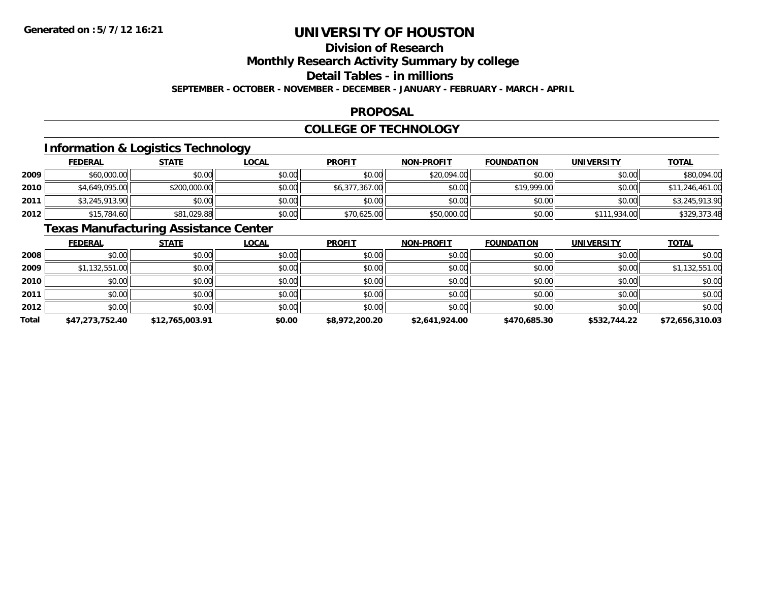### **Division of Research**

**Monthly Research Activity Summary by college**

**Detail Tables - in millions**

**SEPTEMBER - OCTOBER - NOVEMBER - DECEMBER - JANUARY - FEBRUARY - MARCH - APRIL**

### **PROPOSAL**

### **COLLEGE OF TECHNOLOGY**

### **Information & Logistics Technology**

|      | <b>FEDERAL</b> | <b>STATE</b> | <u>LOCAL</u> | <b>PROFIT</b>  | <b>NON-PROFIT</b> | <b>FOUNDATION</b> | <b>UNIVERSITY</b> | <b>TOTAL</b>    |
|------|----------------|--------------|--------------|----------------|-------------------|-------------------|-------------------|-----------------|
| 2009 | \$60,000.00    | \$0.00       | \$0.00       | \$0.00         | \$20,094.00       | \$0.00            | \$0.00            | \$80,094.00     |
| 2010 | \$4,649,095.00 | \$200,000.00 | \$0.00       | \$6,377,367.00 | \$0.00            | \$19,999.00       | \$0.00            | \$11,246,461.00 |
| 2011 | \$3,245,913.90 | \$0.00       | \$0.00       | \$0.00         | \$0.00            | \$0.00            | \$0.00            | \$3,245,913.90  |
| 2012 | \$15,784.60    | \$81,029.88  | \$0.00       | \$70,625.00    | \$50,000.00       | \$0.00            | \$111,934.00      | \$329,373.48    |

### **Texas Manufacturing Assistance Center**

|              | <b>FEDERAL</b>  | <b>STATE</b>    | <u>LOCAL</u> | <b>PROFIT</b>  | <b>NON-PROFIT</b> | <b>FOUNDATION</b> | <b>UNIVERSITY</b> | <b>TOTAL</b>    |
|--------------|-----------------|-----------------|--------------|----------------|-------------------|-------------------|-------------------|-----------------|
| 2008         | \$0.00          | \$0.00          | \$0.00       | \$0.00         | \$0.00            | \$0.00            | \$0.00            | \$0.00          |
| 2009         | \$1,132,551.00  | \$0.00          | \$0.00       | \$0.00         | \$0.00            | \$0.00            | \$0.00            | \$1,132,551.00  |
| 2010         | \$0.00          | \$0.00          | \$0.00       | \$0.00         | \$0.00            | \$0.00            | \$0.00            | \$0.00          |
| 2011         | \$0.00          | \$0.00          | \$0.00       | \$0.00         | \$0.00            | \$0.00            | \$0.00            | \$0.00          |
| 2012         | \$0.00          | \$0.00          | \$0.00       | \$0.00         | \$0.00            | \$0.00            | \$0.00            | \$0.00          |
| <b>Total</b> | \$47,273,752.40 | \$12,765,003.91 | \$0.00       | \$8,972,200.20 | \$2,641,924.00    | \$470.685.30      | \$532,744.22      | \$72,656,310.03 |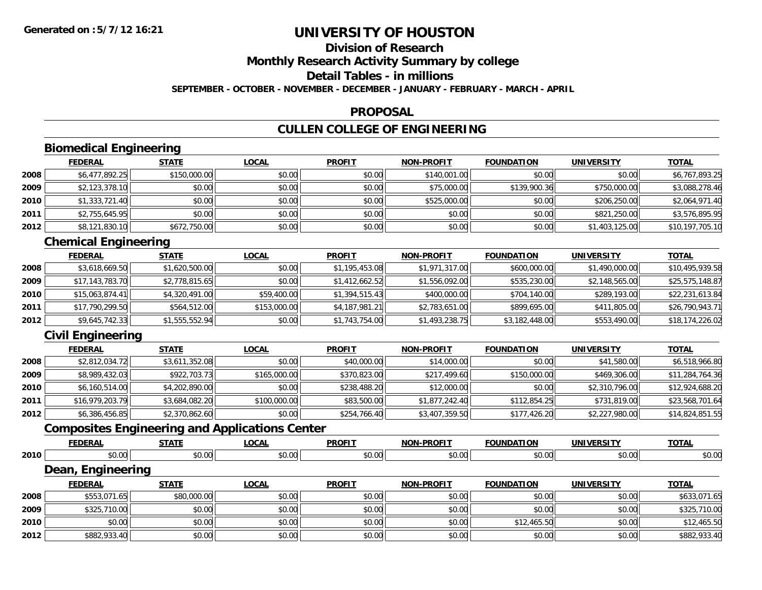### **Division of Research**

**Monthly Research Activity Summary by college**

**Detail Tables - in millions**

**SEPTEMBER - OCTOBER - NOVEMBER - DECEMBER - JANUARY - FEBRUARY - MARCH - APRIL**

#### **PROPOSAL**

### **CULLEN COLLEGE OF ENGINEERING**

### **Biomedical Engineering**

|      | <b>FEDERAL</b> | <b>STATE</b> | <b>LOCAL</b> | <b>PROFIT</b> | <b>NON-PROFIT</b> | <b>FOUNDATION</b> | <b>UNIVERSITY</b> | <b>TOTAL</b>    |
|------|----------------|--------------|--------------|---------------|-------------------|-------------------|-------------------|-----------------|
| 2008 | \$6,477,892.25 | \$150,000.00 | \$0.00       | \$0.00        | \$140,001.00      | \$0.00            | \$0.00            | \$6,767,893.25  |
| 2009 | \$2,123,378.10 | \$0.00       | \$0.00       | \$0.00        | \$75,000.00       | \$139,900.36      | \$750,000.00      | \$3,088,278.46  |
| 2010 | \$1,333,721.40 | \$0.00       | \$0.00       | \$0.00        | \$525,000.00      | \$0.00            | \$206,250.00      | \$2,064,971.40  |
| 2011 | \$2,755,645.95 | \$0.00       | \$0.00       | \$0.00        | \$0.00            | \$0.00            | \$821,250.00      | \$3,576,895.95  |
| 2012 | \$8,121,830.10 | \$672,750.00 | \$0.00       | \$0.00        | \$0.00            | \$0.00            | \$1,403,125.00    | \$10,197,705.10 |

### **Chemical Engineering**

|      | <b>FEDERAL</b>  | <b>STATE</b>   | <b>LOCAL</b> | <b>PROFIT</b>  | <b>NON-PROFIT</b> | <b>FOUNDATION</b> | UNIVERSITY     | <b>TOTAL</b>    |
|------|-----------------|----------------|--------------|----------------|-------------------|-------------------|----------------|-----------------|
| 2008 | \$3,618,669.50  | \$1,620,500.00 | \$0.00       | \$1,195,453.08 | \$1,971,317.00    | \$600,000.00      | \$1,490,000.00 | \$10,495,939.58 |
| 2009 | \$17,143,783.70 | \$2,778,815.65 | \$0.00       | \$1,412,662.52 | \$1,556,092.00    | \$535,230.00      | \$2,148,565.00 | \$25,575,148.87 |
| 2010 | \$15,063,874.41 | \$4,320,491.00 | \$59,400.00  | \$1,394,515.43 | \$400,000,00      | \$704,140.00      | \$289,193.00   | \$22,231,613.84 |
| 2011 | \$17,790,299.50 | \$564,512.00   | \$153,000.00 | \$4,187,981.21 | \$2,783,651.00    | \$899,695.00      | \$411,805.00   | \$26,790,943.71 |
| 2012 | \$9,645,742.33  | \$1,555,552.94 | \$0.00       | \$1,743,754.00 | \$1,493,238.75    | \$3,182,448.00    | \$553,490.00   | \$18,174,226.02 |

### **Civil Engineering**

|      | <b>FEDERAL</b>  | <b>STATE</b>   | <b>LOCAL</b> | <b>PROFIT</b> | <b>NON-PROFIT</b> | <b>FOUNDATION</b> | UNIVERSITY     | <b>TOTAL</b>    |
|------|-----------------|----------------|--------------|---------------|-------------------|-------------------|----------------|-----------------|
| 2008 | \$2,812,034.72  | \$3,611,352.08 | \$0.00       | \$40,000.00   | \$14,000.00       | \$0.00            | \$41,580.00    | \$6,518,966.80  |
| 2009 | \$8,989,432.03  | \$922,703.73   | \$165,000.00 | \$370,823.00  | \$217,499.60      | \$150,000.00      | \$469,306.00   | \$11,284,764.36 |
| 2010 | \$6,160,514.00  | \$4,202,890.00 | \$0.00       | \$238,488.20  | \$12,000.00       | \$0.00            | \$2,310,796.00 | \$12,924,688.20 |
| 2011 | \$16,979,203.79 | \$3,684,082.20 | \$100,000.00 | \$83,500.00   | \$1,877,242.40    | \$112,854.25      | \$731,819,00   | \$23,568,701.64 |
| 2012 | \$6,386,456.85  | \$2,370,862.60 | \$0.00       | \$254,766.40  | \$3,407,359.50    | \$177,426.20      | \$2,227,980.00 | \$14,824,851.55 |

### **Composites Engineering and Applications Center**

|      | <b>FEDERAL</b>    | <b>STATE</b> | <b>LOCAL</b> | <b>PROFIT</b> | <b>NON-PROFIT</b> | <b>FOUNDATION</b> | <b>UNIVERSITY</b> | <b>TOTAL</b> |
|------|-------------------|--------------|--------------|---------------|-------------------|-------------------|-------------------|--------------|
| 2010 | \$0.00            | \$0.00       | \$0.00       | \$0.00        | \$0.00            | \$0.00            | \$0.00            | \$0.00       |
|      | Dean, Engineering |              |              |               |                   |                   |                   |              |
|      | <b>FEDERAL</b>    | <b>STATE</b> | <b>LOCAL</b> | <b>PROFIT</b> | <b>NON-PROFIT</b> | <b>FOUNDATION</b> | <b>UNIVERSITY</b> | <b>TOTAL</b> |
| 2008 | \$553,071.65      | \$80,000.00  | \$0.00       | \$0.00        | \$0.00            | \$0.00            | \$0.00            | \$633,071.65 |
| 2009 | \$325,710.00      | \$0.00       | \$0.00       | \$0.00        | \$0.00            | \$0.00            | \$0.00            | \$325,710.00 |
| 2010 | \$0.00            | \$0.00       | \$0.00       | \$0.00        | \$0.00            | \$12,465.50       | \$0.00            | \$12,465.50  |
| 2012 | \$882,933.40      | \$0.00       | \$0.00       | \$0.00        | \$0.00            | \$0.00            | \$0.00            | \$882,933.40 |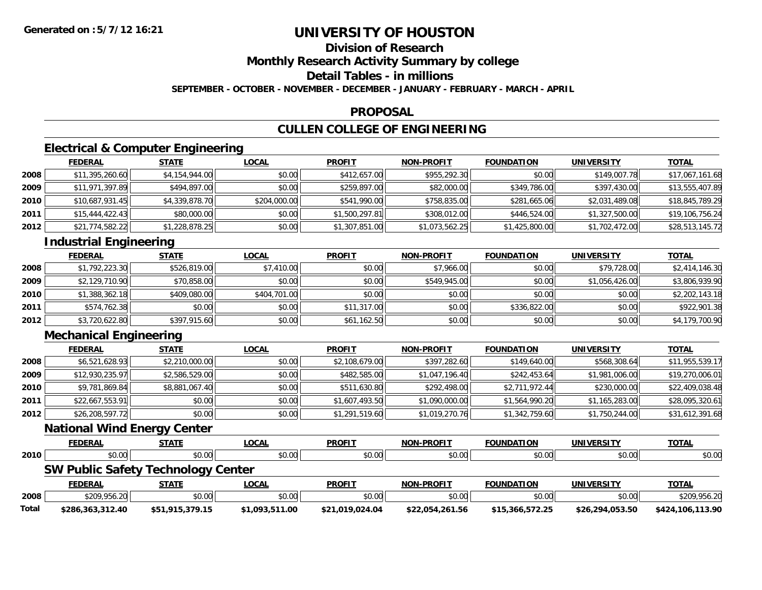**Division of Research**

**Monthly Research Activity Summary by college**

**Detail Tables - in millions**

**SEPTEMBER - OCTOBER - NOVEMBER - DECEMBER - JANUARY - FEBRUARY - MARCH - APRIL**

### **PROPOSAL**

## **CULLEN COLLEGE OF ENGINEERING**

### **Electrical & Computer Engineering**

|      | <b>FEDERAL</b>  | <b>STATE</b>   | <u>LOCAL</u> | <b>PROFIT</b>  | <b>NON-PROFIT</b> | <b>FOUNDATION</b> | UNIVERSITY     | <u>TOTAL</u>    |
|------|-----------------|----------------|--------------|----------------|-------------------|-------------------|----------------|-----------------|
| 2008 | \$11,395,260.60 | \$4,154,944.00 | \$0.00       | \$412,657.00   | \$955,292.30      | \$0.00            | \$149,007.78   | \$17,067,161.68 |
| 2009 | \$11,971,397.89 | \$494,897.00   | \$0.00       | \$259,897.00   | \$82,000.00       | \$349,786.00      | \$397,430.00   | \$13,555,407.89 |
| 2010 | \$10,687,931.45 | \$4,339,878.70 | \$204,000.00 | \$541,990.00   | \$758,835.00      | \$281,665.06      | \$2,031,489.08 | \$18,845,789.29 |
| 2011 | \$15,444,422.43 | \$80,000.00    | \$0.00       | \$1,500,297.81 | \$308,012.00      | \$446,524.00      | \$1,327,500.00 | \$19,106,756.24 |
| 2012 | \$21,774,582.22 | \$1,228,878.25 | \$0.00       | \$1,307,851.00 | \$1,073,562.25    | \$1,425,800.00    | \$1,702,472.00 | \$28,513,145.72 |

### **Industrial Engineering**

|      | <b>FEDERAL</b> | <b>STATE</b> | <u>LOCAL</u> | <b>PROFIT</b> | <b>NON-PROFIT</b> | <b>FOUNDATION</b> | <b>UNIVERSITY</b> | <b>TOTAL</b>   |
|------|----------------|--------------|--------------|---------------|-------------------|-------------------|-------------------|----------------|
| 2008 | \$1,792,223.30 | \$526,819,00 | \$7,410.00   | \$0.00        | \$7,966.00        | \$0.00            | \$79,728.00       | \$2,414,146.30 |
| 2009 | \$2,129,710.90 | \$70,858.00  | \$0.00       | \$0.00        | \$549,945.00      | \$0.00            | \$1,056,426.00    | \$3,806,939.90 |
| 2010 | \$1,388,362.18 | \$409,080.00 | \$404,701.00 | \$0.00        | \$0.00            | \$0.00            | \$0.00            | \$2,202,143.18 |
| 2011 | \$574,762.38   | \$0.00       | \$0.00       | \$11,317.00   | \$0.00            | \$336,822.00      | \$0.00            | \$922,901.38   |
| 2012 | \$3,720,622.80 | \$397,915.60 | \$0.00       | \$61,162.50   | \$0.00            | \$0.00            | \$0.00            | \$4,179,700.90 |

### **Mechanical Engineering**

|      | <b>FEDERAL</b>  | <u>STATE</u>   | <b>LOCAL</b> | <b>PROFIT</b>  | <b>NON-PROFIT</b> | <b>FOUNDATION</b> | <b>UNIVERSITY</b> | <b>TOTAL</b>    |
|------|-----------------|----------------|--------------|----------------|-------------------|-------------------|-------------------|-----------------|
| 2008 | \$6,521,628.93  | \$2,210,000.00 | \$0.00       | \$2,108,679.00 | \$397,282.60      | \$149,640.00      | \$568,308.64      | \$11,955,539.17 |
| 2009 | \$12,930,235.97 | \$2,586,529.00 | \$0.00       | \$482,585.00   | \$1,047,196.40    | \$242,453.64      | \$1,981,006.00    | \$19,270,006.01 |
| 2010 | \$9,781,869.84  | \$8,881,067.40 | \$0.00       | \$511,630.80   | \$292,498,00      | \$2,711,972.44    | \$230,000.00      | \$22,409,038.48 |
| 2011 | \$22,667,553.91 | \$0.00         | \$0.00       | \$1,607,493.50 | \$1,090,000.00    | \$1,564,990.20    | \$1,165,283.00    | \$28,095,320.61 |
| 2012 | \$26,208,597.72 | \$0.00         | \$0.00       | \$1,291,519.60 | \$1,019,270.76    | \$1,342,759.60    | \$1,750,244.00    | \$31,612,391.68 |

#### **National Wind Energy Center**

|       | <b>FEDERAL</b>                            | <b>STATE</b>    | <u>LOCAL</u>   | <b>PROFIT</b>   | <b>NON-PROFIT</b> | <b>FOUNDATION</b> | UNIVERSITY      | <b>TOTAL</b>     |
|-------|-------------------------------------------|-----------------|----------------|-----------------|-------------------|-------------------|-----------------|------------------|
| 2010  | \$0.00                                    | \$0.00          | \$0.00         | \$0.00          | \$0.00            | \$0.00            | \$0.00          | \$0.00           |
|       | <b>SW Public Safety Technology Center</b> |                 |                |                 |                   |                   |                 |                  |
|       | <b>FEDERAL</b>                            | <b>STATE</b>    | <u>LOCAL</u>   | <b>PROFIT</b>   | <b>NON-PROFIT</b> | <b>FOUNDATION</b> | UNIVERSITY      | <b>TOTAL</b>     |
| 2008  | \$209,956.20                              | \$0.00          | \$0.00         | \$0.00          | \$0.00            | \$0.00            | \$0.00          | \$209,956.20     |
| Total | \$286,363,312.40                          | \$51,915,379.15 | \$1,093,511.00 | \$21,019,024.04 | \$22,054,261.56   | \$15,366,572.25   | \$26,294,053.50 | \$424,106,113.90 |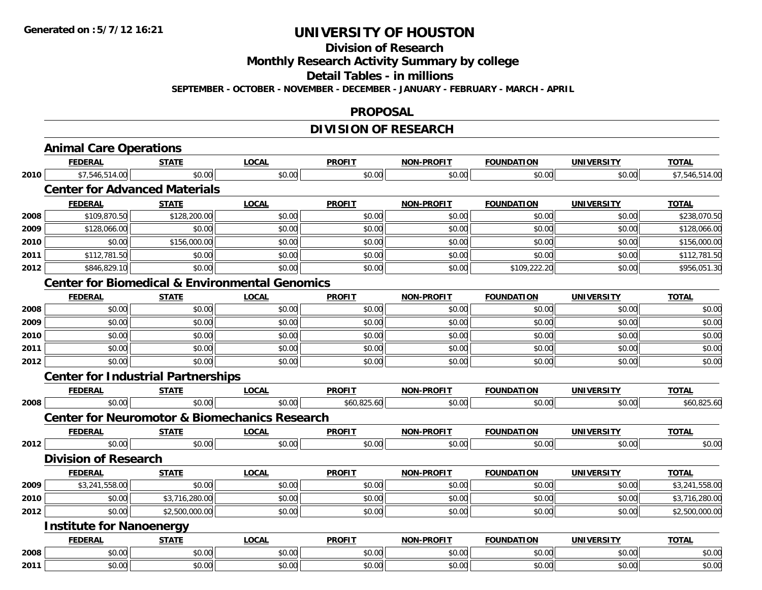**Division of Research**

**Monthly Research Activity Summary by college**

**Detail Tables - in millions**

**SEPTEMBER - OCTOBER - NOVEMBER - DECEMBER - JANUARY - FEBRUARY - MARCH - APRIL**

### **PROPOSAL**

### **DIVISION OF RESEARCH**

|      | <b>Animal Care Operations</b>                             |                |              |               |                   |                   |                   |                |
|------|-----------------------------------------------------------|----------------|--------------|---------------|-------------------|-------------------|-------------------|----------------|
|      | <b>FEDERAL</b>                                            | <b>STATE</b>   | <b>LOCAL</b> | <b>PROFIT</b> | <b>NON-PROFIT</b> | <b>FOUNDATION</b> | <b>UNIVERSITY</b> | <b>TOTAL</b>   |
| 2010 | \$7,546,514.00                                            | \$0.00         | \$0.00       | \$0.00        | \$0.00            | \$0.00            | \$0.00            | \$7,546,514.00 |
|      | <b>Center for Advanced Materials</b>                      |                |              |               |                   |                   |                   |                |
|      | <b>FEDERAL</b>                                            | <b>STATE</b>   | <b>LOCAL</b> | <b>PROFIT</b> | <b>NON-PROFIT</b> | <b>FOUNDATION</b> | <b>UNIVERSITY</b> | <b>TOTAL</b>   |
| 2008 | \$109,870.50                                              | \$128,200.00   | \$0.00       | \$0.00        | \$0.00            | \$0.00            | \$0.00            | \$238,070.50   |
| 2009 | \$128,066.00                                              | \$0.00         | \$0.00       | \$0.00        | \$0.00            | \$0.00            | \$0.00            | \$128,066.00   |
| 2010 | \$0.00                                                    | \$156,000.00   | \$0.00       | \$0.00        | \$0.00            | \$0.00            | \$0.00            | \$156,000.00   |
| 2011 | \$112,781.50                                              | \$0.00         | \$0.00       | \$0.00        | \$0.00            | \$0.00            | \$0.00            | \$112,781.50   |
| 2012 | \$846,829.10                                              | \$0.00         | \$0.00       | \$0.00        | \$0.00            | \$109,222.20      | \$0.00            | \$956,051.30   |
|      | <b>Center for Biomedical &amp; Environmental Genomics</b> |                |              |               |                   |                   |                   |                |
|      | <b>FEDERAL</b>                                            | <b>STATE</b>   | <b>LOCAL</b> | <b>PROFIT</b> | <b>NON-PROFIT</b> | <b>FOUNDATION</b> | <b>UNIVERSITY</b> | <b>TOTAL</b>   |
| 2008 | \$0.00                                                    | \$0.00         | \$0.00       | \$0.00        | \$0.00            | \$0.00            | \$0.00            | \$0.00         |
| 2009 | \$0.00                                                    | \$0.00         | \$0.00       | \$0.00        | \$0.00            | \$0.00            | \$0.00            | \$0.00         |
| 2010 | \$0.00                                                    | \$0.00         | \$0.00       | \$0.00        | \$0.00            | \$0.00            | \$0.00            | \$0.00         |
| 2011 | \$0.00                                                    | \$0.00         | \$0.00       | \$0.00        | \$0.00            | \$0.00            | \$0.00            | \$0.00         |
| 2012 | \$0.00                                                    | \$0.00         | \$0.00       | \$0.00        | \$0.00            | \$0.00            | \$0.00            | \$0.00         |
|      | <b>Center for Industrial Partnerships</b>                 |                |              |               |                   |                   |                   |                |
|      | <b>FEDERAL</b>                                            | <b>STATE</b>   | <b>LOCAL</b> | <b>PROFIT</b> | <b>NON-PROFIT</b> | <b>FOUNDATION</b> | <b>UNIVERSITY</b> | <b>TOTAL</b>   |
| 2008 | \$0.00                                                    | \$0.00         | \$0.00       | \$60,825.60   | \$0.00            | \$0.00            | \$0.00            | \$60,825.60    |
|      | <b>Center for Neuromotor &amp; Biomechanics Research</b>  |                |              |               |                   |                   |                   |                |
|      | <b>FEDERAL</b>                                            | <b>STATE</b>   | <b>LOCAL</b> | <b>PROFIT</b> | <b>NON-PROFIT</b> | <b>FOUNDATION</b> | <b>UNIVERSITY</b> | <b>TOTAL</b>   |
| 2012 | \$0.00                                                    | \$0.00         | \$0.00       | \$0.00        | \$0.00            | \$0.00            | \$0.00            | \$0.00         |
|      | <b>Division of Research</b>                               |                |              |               |                   |                   |                   |                |
|      | <b>FEDERAL</b>                                            | <b>STATE</b>   | <b>LOCAL</b> | <b>PROFIT</b> | <b>NON-PROFIT</b> | <b>FOUNDATION</b> | <b>UNIVERSITY</b> | <b>TOTAL</b>   |
| 2009 | \$3,241,558.00                                            | \$0.00         | \$0.00       | \$0.00        | \$0.00            | \$0.00            | \$0.00            | \$3,241,558.00 |
| 2010 | \$0.00                                                    | \$3,716,280.00 | \$0.00       | \$0.00        | \$0.00            | \$0.00            | \$0.00            | \$3,716,280.00 |
| 2012 | \$0.00                                                    | \$2,500,000.00 | \$0.00       | \$0.00        | \$0.00            | \$0.00            | \$0.00            | \$2,500,000.00 |
|      | <b>Institute for Nanoenergy</b>                           |                |              |               |                   |                   |                   |                |
|      | <b>FEDERAL</b>                                            | <b>STATE</b>   | <b>LOCAL</b> | <b>PROFIT</b> | <b>NON-PROFIT</b> | <b>FOUNDATION</b> | <b>UNIVERSITY</b> | <b>TOTAL</b>   |
| 2008 | \$0.00                                                    | \$0.00         | \$0.00       | \$0.00        | \$0.00            | \$0.00            | \$0.00            | \$0.00         |
| 2011 | \$0.00                                                    | \$0.00         | \$0.00       | \$0.00        | \$0.00            | \$0.00            | \$0.00            | \$0.00         |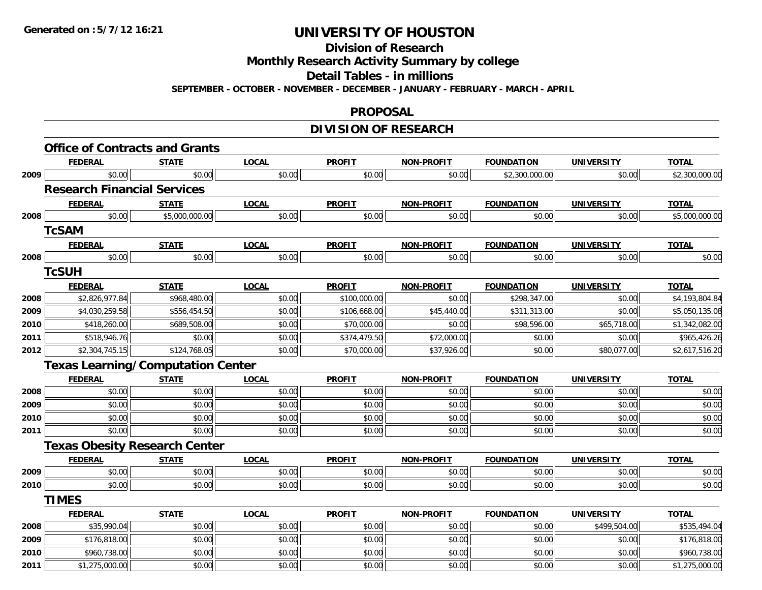**Division of Research**

**Monthly Research Activity Summary by college**

**Detail Tables - in millions**

**SEPTEMBER - OCTOBER - NOVEMBER - DECEMBER - JANUARY - FEBRUARY - MARCH - APRIL**

#### **PROPOSAL**

### **DIVISION OF RESEARCH**

|      | <b>Office of Contracts and Grants</b>    |                |              |               |                   |                   |                   |                |
|------|------------------------------------------|----------------|--------------|---------------|-------------------|-------------------|-------------------|----------------|
|      | <b>FEDERAL</b>                           | <b>STATE</b>   | <b>LOCAL</b> | <b>PROFIT</b> | <b>NON-PROFIT</b> | <b>FOUNDATION</b> | <b>UNIVERSITY</b> | <b>TOTAL</b>   |
| 2009 | \$0.00                                   | \$0.00         | \$0.00       | \$0.00        | \$0.00            | \$2,300,000.00    | \$0.00            | \$2,300,000.00 |
|      | <b>Research Financial Services</b>       |                |              |               |                   |                   |                   |                |
|      | <b>FEDERAL</b>                           | <b>STATE</b>   | <b>LOCAL</b> | <b>PROFIT</b> | <b>NON-PROFIT</b> | <b>FOUNDATION</b> | <b>UNIVERSITY</b> | <b>TOTAL</b>   |
| 2008 | \$0.00                                   | \$5,000,000.00 | \$0.00       | \$0.00        | \$0.00            | \$0.00            | \$0.00            | \$5,000,000.00 |
|      | <b>TcSAM</b>                             |                |              |               |                   |                   |                   |                |
|      | <b>FEDERAL</b>                           | <b>STATE</b>   | <b>LOCAL</b> | <b>PROFIT</b> | NON-PROFIT        | <b>FOUNDATION</b> | UNIVERSITY        | <b>TOTAL</b>   |
| 2008 | \$0.00                                   | \$0.00         | \$0.00       | \$0.00        | \$0.00            | \$0.00            | \$0.00            | \$0.00         |
|      | <b>TcSUH</b>                             |                |              |               |                   |                   |                   |                |
|      | <b>FEDERAL</b>                           | <b>STATE</b>   | <b>LOCAL</b> | <b>PROFIT</b> | <b>NON-PROFIT</b> | <b>FOUNDATION</b> | <b>UNIVERSITY</b> | <b>TOTAL</b>   |
| 2008 | \$2,826,977.84                           | \$968,480.00   | \$0.00       | \$100,000.00  | \$0.00            | \$298,347.00      | \$0.00            | \$4,193,804.84 |
| 2009 | \$4,030,259.58                           | \$556,454.50   | \$0.00       | \$106,668.00  | \$45,440.00       | \$311,313.00      | \$0.00            | \$5,050,135.08 |
| 2010 | \$418,260.00                             | \$689,508.00   | \$0.00       | \$70,000.00   | \$0.00            | \$98,596.00       | \$65,718.00       | \$1,342,082.00 |
| 2011 | \$518,946.76                             | \$0.00         | \$0.00       | \$374,479.50  | \$72,000.00       | \$0.00            | \$0.00            | \$965,426.26   |
| 2012 | \$2,304,745.15                           | \$124,768.05   | \$0.00       | \$70,000.00   | \$37,926.00       | \$0.00            | \$80,077.00       | \$2,617,516.20 |
|      | <b>Texas Learning/Computation Center</b> |                |              |               |                   |                   |                   |                |
|      | <b>FEDERAL</b>                           | <b>STATE</b>   | <b>LOCAL</b> | <b>PROFIT</b> | <b>NON-PROFIT</b> | <b>FOUNDATION</b> | <b>UNIVERSITY</b> | <b>TOTAL</b>   |
| 2008 | \$0.00                                   | \$0.00         | \$0.00       | \$0.00        | \$0.00            | \$0.00            | \$0.00            | \$0.00         |
| 2009 | \$0.00                                   | \$0.00         | \$0.00       | \$0.00        | \$0.00            | \$0.00            | \$0.00            | \$0.00         |
| 2010 | \$0.00                                   | \$0.00         | \$0.00       | \$0.00        | \$0.00            | \$0.00            | \$0.00            | \$0.00         |
| 2011 | \$0.00                                   | \$0.00         | \$0.00       | \$0.00        | \$0.00            | \$0.00            | \$0.00            | \$0.00         |
|      | <b>Texas Obesity Research Center</b>     |                |              |               |                   |                   |                   |                |
|      | <b>FEDERAL</b>                           | <b>STATE</b>   | <b>LOCAL</b> | <b>PROFIT</b> | <b>NON-PROFIT</b> | <b>FOUNDATION</b> | <b>UNIVERSITY</b> | <b>TOTAL</b>   |
| 2009 | \$0.00                                   | \$0.00         | \$0.00       | \$0.00        | \$0.00            | \$0.00            | \$0.00            | \$0.00         |
| 2010 | \$0.00                                   | \$0.00         | \$0.00       | \$0.00        | \$0.00            | \$0.00            | \$0.00            | \$0.00         |
|      | <b>TIMES</b>                             |                |              |               |                   |                   |                   |                |
|      | <b>FEDERAL</b>                           | <b>STATE</b>   | <b>LOCAL</b> | <b>PROFIT</b> | <b>NON-PROFIT</b> | <b>FOUNDATION</b> | <b>UNIVERSITY</b> | <b>TOTAL</b>   |
| 2008 | \$35,990.04                              | \$0.00         | \$0.00       | \$0.00        | \$0.00            | \$0.00            | \$499,504.00      | \$535,494.04   |
| 2009 | \$176,818.00                             | \$0.00         | \$0.00       | \$0.00        | \$0.00            | \$0.00            | \$0.00            | \$176,818.00   |
| 2010 | \$960,738.00                             | \$0.00         | \$0.00       | \$0.00        | \$0.00            | \$0.00            | \$0.00            | \$960,738.00   |
| 2011 | \$1,275,000.00                           | \$0.00         | \$0.00       | \$0.00        | \$0.00            | \$0.00            | \$0.00            | \$1,275,000.00 |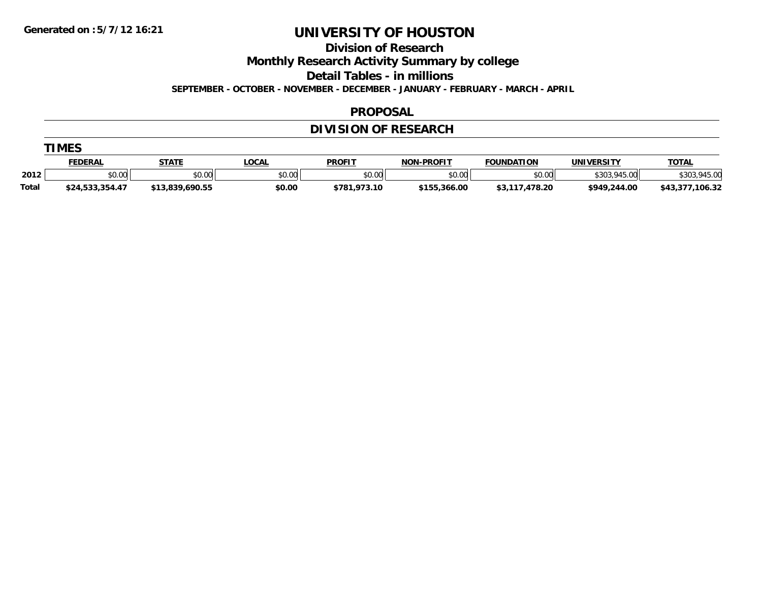**Division of Research**

**Monthly Research Activity Summary by college**

**Detail Tables - in millions**

**SEPTEMBER - OCTOBER - NOVEMBER - DECEMBER - JANUARY - FEBRUARY - MARCH - APRIL**

### **PROPOSAL**

### **DIVISION OF RESEARCH**

|  | M<br>L |
|--|--------|
|--|--------|

|       | <u>FEDERAL</u>        | <b>STATE</b> | .OCAL  | <b>PROFIT</b> | -PROFIT<br>NON- | <b>FOUNDATION</b> | <b>UNIVERSITY</b> | <b>TOTAL</b>     |
|-------|-----------------------|--------------|--------|---------------|-----------------|-------------------|-------------------|------------------|
| 2012  | <b>¢∩ ∩∩</b><br>pu.uu | \$0.00       | \$0.00 | \$0.00        | \$0.00          | \$0.00            | 945.00            | .945.00          |
| Total | .354.4                | 9.690.55     | \$0.00 | \$781.973.10  | \$155.366.00    | .478.20<br>ΦJ,    | \$949,244.00      | 106.32<br>\$43.3 |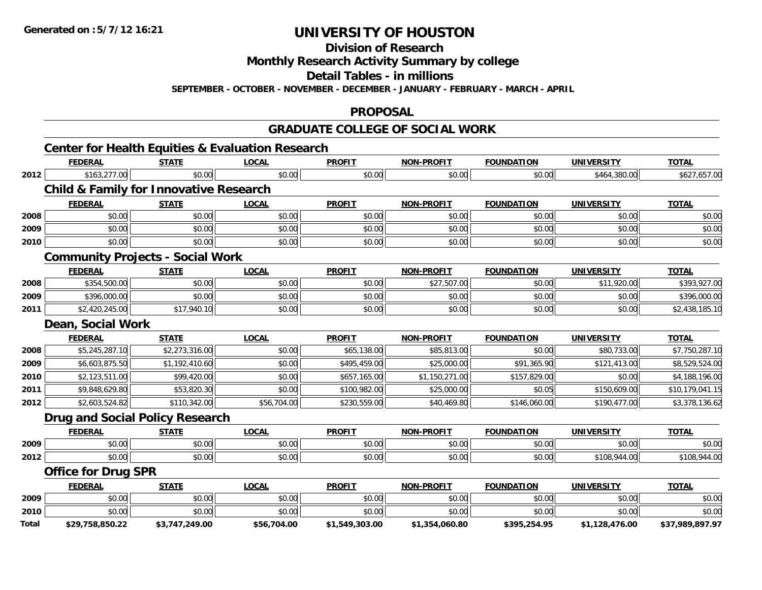**Division of Research**

**Monthly Research Activity Summary by college**

**Detail Tables - in millions**

**SEPTEMBER - OCTOBER - NOVEMBER - DECEMBER - JANUARY - FEBRUARY - MARCH - APRIL**

#### **PROPOSAL**

### **GRADUATE COLLEGE OF SOCIAL WORK**

|              | <b>Center for Health Equities &amp; Evaluation Research</b> |                |              |                |                   |                   |                   |                 |
|--------------|-------------------------------------------------------------|----------------|--------------|----------------|-------------------|-------------------|-------------------|-----------------|
|              | <b>FEDERAL</b>                                              | <b>STATE</b>   | <b>LOCAL</b> | <b>PROFIT</b>  | <b>NON-PROFIT</b> | <b>FOUNDATION</b> | <b>UNIVERSITY</b> | <b>TOTAL</b>    |
| 2012         | \$163,277.00                                                | \$0.00         | \$0.00       | \$0.00         | \$0.00            | \$0.00            | \$464,380.00      | \$627,657.00    |
|              | <b>Child &amp; Family for Innovative Research</b>           |                |              |                |                   |                   |                   |                 |
|              | <b>FEDERAL</b>                                              | <b>STATE</b>   | <b>LOCAL</b> | <b>PROFIT</b>  | <b>NON-PROFIT</b> | <b>FOUNDATION</b> | <b>UNIVERSITY</b> | <b>TOTAL</b>    |
| 2008         | \$0.00                                                      | \$0.00         | \$0.00       | \$0.00         | \$0.00            | \$0.00            | \$0.00            | \$0.00          |
| 2009         | \$0.00                                                      | \$0.00         | \$0.00       | \$0.00         | \$0.00            | \$0.00            | \$0.00            | \$0.00          |
| 2010         | \$0.00                                                      | \$0.00         | \$0.00       | \$0.00         | \$0.00            | \$0.00            | \$0.00            | \$0.00          |
|              | <b>Community Projects - Social Work</b>                     |                |              |                |                   |                   |                   |                 |
|              | <b>FEDERAL</b>                                              | <b>STATE</b>   | <b>LOCAL</b> | <b>PROFIT</b>  | <b>NON-PROFIT</b> | <b>FOUNDATION</b> | <b>UNIVERSITY</b> | <b>TOTAL</b>    |
| 2008         | \$354,500.00                                                | \$0.00         | \$0.00       | \$0.00         | \$27,507.00       | \$0.00            | \$11,920.00       | \$393,927.00    |
| 2009         | \$396,000.00                                                | \$0.00         | \$0.00       | \$0.00         | \$0.00            | \$0.00            | \$0.00            | \$396,000.00    |
| 2011         | \$2,420,245.00                                              | \$17,940.10    | \$0.00       | \$0.00         | \$0.00            | \$0.00            | \$0.00            | \$2,438,185.10  |
|              | Dean, Social Work                                           |                |              |                |                   |                   |                   |                 |
|              | <b>FEDERAL</b>                                              | <b>STATE</b>   | <b>LOCAL</b> | <b>PROFIT</b>  | <b>NON-PROFIT</b> | <b>FOUNDATION</b> | <b>UNIVERSITY</b> | <b>TOTAL</b>    |
| 2008         | \$5,245,287.10                                              | \$2,273,316.00 | \$0.00       | \$65,138.00    | \$85,813.00       | \$0.00            | \$80,733.00       | \$7,750,287.10  |
| 2009         | \$6,603,875.50                                              | \$1,192,410.60 | \$0.00       | \$495,459.00   | \$25,000.00       | \$91,365.90       | \$121,413.00      | \$8,529,524.00  |
| 2010         | \$2,123,511.00                                              | \$99,420.00    | \$0.00       | \$657,165.00   | \$1,150,271.00    | \$157,829.00      | \$0.00            | \$4,188,196.00  |
| 2011         | \$9,848,629.80                                              | \$53,820.30    | \$0.00       | \$100,982.00   | \$25,000.00       | \$0.05            | \$150,609.00      | \$10,179,041.15 |
| 2012         | \$2,603,524.82                                              | \$110,342.00   | \$56,704.00  | \$230,559.00   | \$40,469.80       | \$146,060.00      | \$190,477.00      | \$3,378,136.62  |
|              | <b>Drug and Social Policy Research</b>                      |                |              |                |                   |                   |                   |                 |
|              | <b>FEDERAL</b>                                              | <b>STATE</b>   | <b>LOCAL</b> | <b>PROFIT</b>  | <b>NON-PROFIT</b> | <b>FOUNDATION</b> | <b>UNIVERSITY</b> | <b>TOTAL</b>    |
| 2009         | \$0.00                                                      | \$0.00         | \$0.00       | \$0.00         | \$0.00            | \$0.00            | \$0.00            | \$0.00          |
| 2012         | \$0.00                                                      | \$0.00         | \$0.00       | \$0.00         | \$0.00            | \$0.00            | \$108,944.00      | \$108,944.00    |
|              | <b>Office for Drug SPR</b>                                  |                |              |                |                   |                   |                   |                 |
|              | <b>FEDERAL</b>                                              | <b>STATE</b>   | <b>LOCAL</b> | <b>PROFIT</b>  | <b>NON-PROFIT</b> | <b>FOUNDATION</b> | <b>UNIVERSITY</b> | <b>TOTAL</b>    |
| 2009         | \$0.00                                                      | \$0.00         | \$0.00       | \$0.00         | \$0.00            | \$0.00            | \$0.00            | \$0.00          |
| 2010         | \$0.00                                                      | \$0.00         | \$0.00       | \$0.00         | \$0.00            | \$0.00            | \$0.00            | \$0.00          |
| <b>Total</b> | \$29,758,850.22                                             | \$3,747,249.00 | \$56,704.00  | \$1,549,303.00 | \$1,354,060.80    | \$395,254.95      | \$1,128,476.00    | \$37,989,897.97 |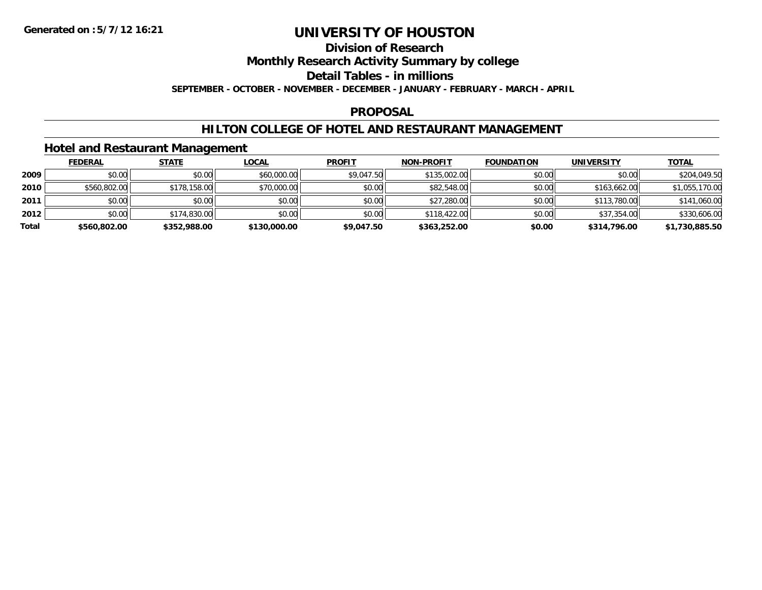### **Division of Research**

**Monthly Research Activity Summary by college**

**Detail Tables - in millions**

**SEPTEMBER - OCTOBER - NOVEMBER - DECEMBER - JANUARY - FEBRUARY - MARCH - APRIL**

### **PROPOSAL**

### **HILTON COLLEGE OF HOTEL AND RESTAURANT MANAGEMENT**

### **Hotel and Restaurant Management**

|       | <b>FEDERAL</b> | <b>STATE</b> | <u>LOCAL</u> | <b>PROFIT</b> | NON-PROFIT   | <b>FOUNDATION</b> | UNIVERSITY   | <u>TOTAL</u>   |
|-------|----------------|--------------|--------------|---------------|--------------|-------------------|--------------|----------------|
| 2009  | \$0.00         | \$0.00       | \$60,000.00  | \$9,047.50    | \$135,002.00 | \$0.00            | \$0.00       | \$204,049.50   |
| 2010  | \$560,802.00   | \$178,158.00 | \$70,000.00  | \$0.00        | \$82,548.00  | \$0.00            | \$163,662.00 | \$1,055,170.00 |
| 2011  | \$0.00         | \$0.00       | \$0.00       | \$0.00        | \$27,280.00  | \$0.00            | \$113,780.00 | \$141,060.00   |
| 2012  | \$0.00         | \$174,830.00 | \$0.00       | \$0.00        | \$118,422.00 | \$0.00            | \$37,354.00  | \$330,606.00   |
| Total | \$560,802.00   | \$352,988.00 | \$130,000.00 | \$9,047.50    | \$363,252.00 | \$0.00            | \$314,796.00 | \$1,730,885.50 |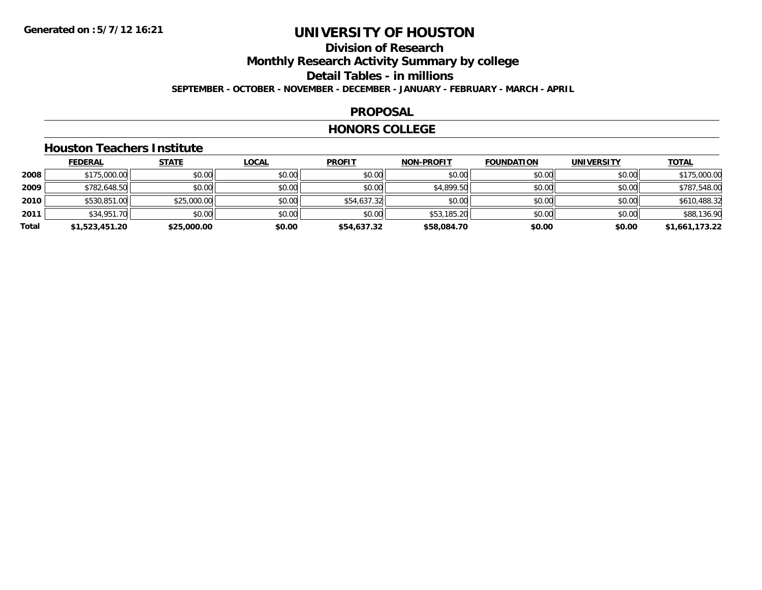### **Division of ResearchMonthly Research Activity Summary by college Detail Tables - in millions SEPTEMBER - OCTOBER - NOVEMBER - DECEMBER - JANUARY - FEBRUARY - MARCH - APRIL**

#### **PROPOSAL**

#### **HONORS COLLEGE**

### **Houston Teachers Institute**

|       | <b>FEDERAL</b> | <b>STATE</b> | <b>LOCAL</b> | <b>PROFIT</b> | <b>NON-PROFIT</b> | <b>FOUNDATION</b> | <b>UNIVERSITY</b> | <b>TOTAL</b>   |
|-------|----------------|--------------|--------------|---------------|-------------------|-------------------|-------------------|----------------|
| 2008  | \$175,000.00   | \$0.00       | \$0.00       | \$0.00        | \$0.00            | \$0.00            | \$0.00            | \$175,000.00   |
| 2009  | \$782,648.50   | \$0.00       | \$0.00       | \$0.00        | \$4,899.50        | \$0.00            | \$0.00            | \$787,548.00   |
| 2010  | \$530,851.00   | \$25,000.00  | \$0.00       | \$54,637.32   | \$0.00            | \$0.00            | \$0.00            | \$610,488.32   |
| 2011  | \$34,951.70    | \$0.00       | \$0.00       | \$0.00        | \$53,185.20       | \$0.00            | \$0.00            | \$88,136.90    |
| Total | \$1,523,451.20 | \$25,000.00  | \$0.00       | \$54,637.32   | \$58,084.70       | \$0.00            | \$0.00            | \$1,661,173.22 |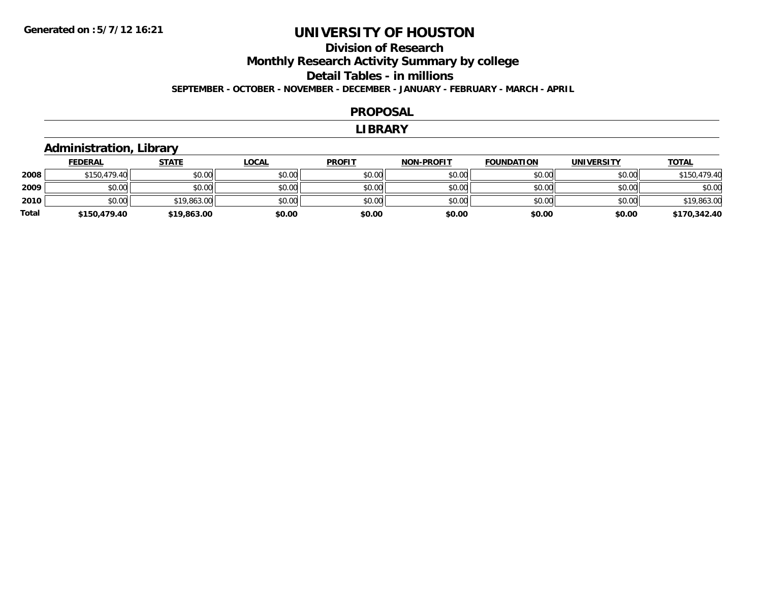### **Division of Research Monthly Research Activity Summary by college Detail Tables - in millions SEPTEMBER - OCTOBER - NOVEMBER - DECEMBER - JANUARY - FEBRUARY - MARCH - APRIL**

#### **PROPOSAL**

#### **LIBRARY**

### **Administration, Library**

|       | <b>FEDERAL</b> | <u>STATE</u> | <b>LOCAL</b> | <b>PROFIT</b> | <b>NON-PROFIT</b> | <b>FOUNDATION</b> | <b>UNIVERSITY</b> | <b>TOTAL</b> |
|-------|----------------|--------------|--------------|---------------|-------------------|-------------------|-------------------|--------------|
| 2008  | \$150,479.40   | \$0.00       | \$0.00       | \$0.00        | \$0.00            | \$0.00            | \$0.00            | \$150,479.40 |
| 2009  | \$0.00         | \$0.00       | \$0.00       | \$0.00        | \$0.00            | \$0.00            | \$0.00            | \$0.00       |
| 2010  | \$0.00         | \$19,863.00  | \$0.00       | \$0.00        | \$0.00            | \$0.00            | \$0.00            | \$19,863.00  |
| Total | \$150,479.40   | \$19,863.00  | \$0.00       | \$0.00        | \$0.00            | \$0.00            | \$0.00            | \$170,342.40 |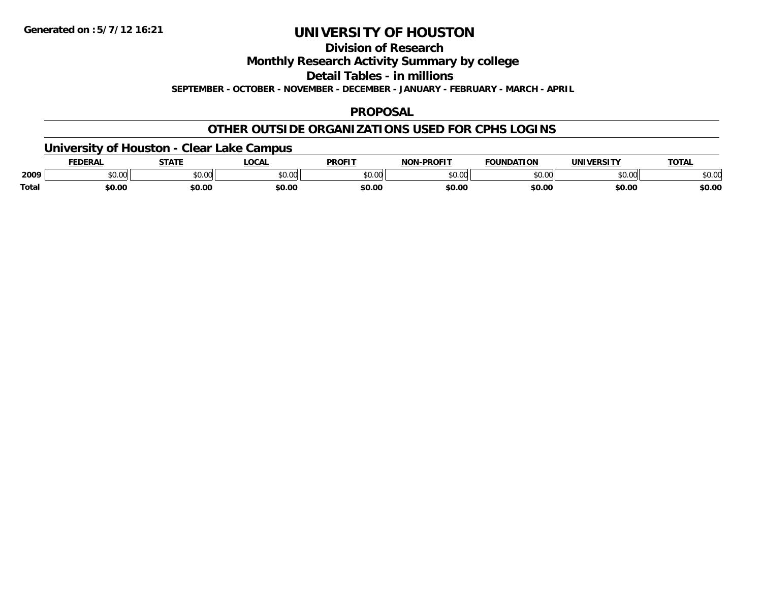**Division of Research**

**Monthly Research Activity Summary by college**

**Detail Tables - in millions**

**SEPTEMBER - OCTOBER - NOVEMBER - DECEMBER - JANUARY - FEBRUARY - MARCH - APRIL**

### **PROPOSAL**

### **OTHER OUTSIDE ORGANIZATIONS USED FOR CPHS LOGINS**

### **University of Houston - Clear Lake Campus**

|       | FEDERAL | -----  | .OCAI          | <b>PROFIT</b>      | -PROFIT<br>NON | <b>FOUNDATION</b> | <b>UNIVERSITY</b>   | <b>TOTAL</b> |
|-------|---------|--------|----------------|--------------------|----------------|-------------------|---------------------|--------------|
| 2009  | \$0.00  | \$0.00 | nn na<br>pu.uu | $\sim$ 00<br>וטטוע | ልስ ስስ<br>PU.UU | \$0.00            | $\sim$ 00<br>וטט.טע | \$0.00       |
| Total | \$0.00  | \$0.00 | \$0.00         | \$0.00             | \$0.00         | \$0.00            | \$0.00              | \$0.00       |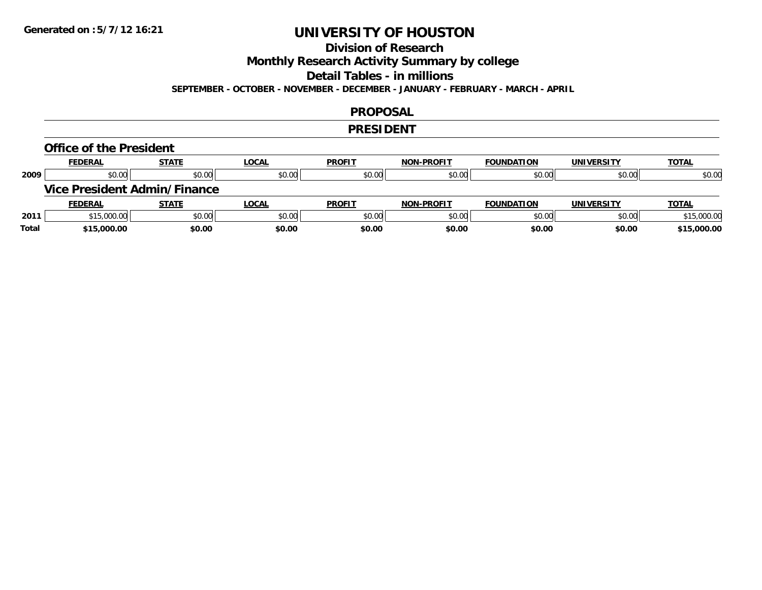### **Division of Research**

**Monthly Research Activity Summary by college**

**Detail Tables - in millions**

**SEPTEMBER - OCTOBER - NOVEMBER - DECEMBER - JANUARY - FEBRUARY - MARCH - APRIL**

#### **PROPOSAL**

#### **PRESIDENT**

#### **Office of the President**

|      | <b>FEDERAL</b> | <b>STATE</b>                        | <b>LOCAL</b> | <b>PROFIT</b> | <b>NON-PROFIT</b> | <b>FOUNDATION</b> | <b>UNIVERSITY</b> | <b>TOTAL</b> |
|------|----------------|-------------------------------------|--------------|---------------|-------------------|-------------------|-------------------|--------------|
| 2009 | \$0.00         | \$0.00                              | \$0.00       | \$0.00        | \$0.00            | \$0.00            | \$0.00            | \$0.00       |
|      |                | <b>Vice President Admin/Finance</b> |              |               |                   |                   |                   |              |
|      |                |                                     |              |               |                   |                   |                   |              |
|      | <b>FEDERAL</b> | <b>STATE</b>                        | <u>LOCAL</u> | <b>PROFIT</b> | <b>NON-PROFIT</b> | <b>FOUNDATION</b> | <b>UNIVERSITY</b> | <b>TOTAL</b> |
| 2011 | \$15,000.00    | \$0.00                              | \$0.00       | \$0.00        | \$0.00            | \$0.00            | \$0.00            | \$15,000.00  |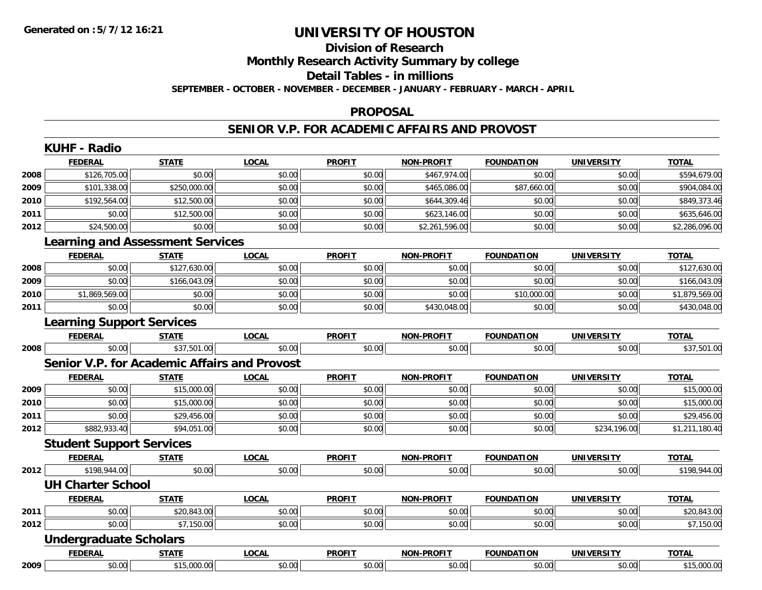## **Division of Research**

**Monthly Research Activity Summary by college**

**Detail Tables - in millions**

**SEPTEMBER - OCTOBER - NOVEMBER - DECEMBER - JANUARY - FEBRUARY - MARCH - APRIL**

#### **PROPOSAL**

### **SENIOR V.P. FOR ACADEMIC AFFAIRS AND PROVOST**

|      | <b>FEDERAL</b>                                      | <b>STATE</b> | <b>LOCAL</b> | <b>PROFIT</b> | <b>NON-PROFIT</b> | <b>FOUNDATION</b> | <b>UNIVERSITY</b> | <b>TOTAL</b>   |
|------|-----------------------------------------------------|--------------|--------------|---------------|-------------------|-------------------|-------------------|----------------|
| 2008 | \$126,705.00                                        | \$0.00       | \$0.00       | \$0.00        | \$467,974.00      | \$0.00            | \$0.00            | \$594,679.00   |
| 2009 | \$101,338.00                                        | \$250,000.00 | \$0.00       | \$0.00        | \$465,086.00      | \$87,660.00       | \$0.00            | \$904,084.00   |
| 2010 | \$192,564.00                                        | \$12,500.00  | \$0.00       | \$0.00        | \$644,309.46      | \$0.00            | \$0.00            | \$849,373.46   |
| 2011 | \$0.00                                              | \$12,500.00  | \$0.00       | \$0.00        | \$623,146.00      | \$0.00            | \$0.00            | \$635,646.00   |
| 2012 | \$24,500.00                                         | \$0.00       | \$0.00       | \$0.00        | \$2,261,596.00    | \$0.00            | \$0.00            | \$2,286,096.00 |
|      | <b>Learning and Assessment Services</b>             |              |              |               |                   |                   |                   |                |
|      | <b>FEDERAL</b>                                      | <b>STATE</b> | <b>LOCAL</b> | <b>PROFIT</b> | <b>NON-PROFIT</b> | <b>FOUNDATION</b> | <b>UNIVERSITY</b> | <b>TOTAL</b>   |
| 2008 | \$0.00                                              | \$127,630.00 | \$0.00       | \$0.00        | \$0.00            | \$0.00            | \$0.00            | \$127,630.00   |
| 2009 | \$0.00                                              | \$166,043.09 | \$0.00       | \$0.00        | \$0.00            | \$0.00            | \$0.00            | \$166,043.09   |
| 2010 | \$1,869,569.00                                      | \$0.00       | \$0.00       | \$0.00        | \$0.00            | \$10,000.00       | \$0.00            | \$1,879,569.00 |
| 2011 | \$0.00                                              | \$0.00       | \$0.00       | \$0.00        | \$430,048.00      | \$0.00            | \$0.00            | \$430,048.00   |
|      | <b>Learning Support Services</b>                    |              |              |               |                   |                   |                   |                |
|      | <b>FEDERAL</b>                                      | <b>STATE</b> | <b>LOCAL</b> | <b>PROFIT</b> | <b>NON-PROFIT</b> | <b>FOUNDATION</b> | <b>UNIVERSITY</b> | <b>TOTAL</b>   |
| 2008 | \$0.00                                              | \$37,501.00  | \$0.00       | \$0.00        | \$0.00            | \$0.00            | \$0.00            | \$37,501.00    |
|      | <b>Senior V.P. for Academic Affairs and Provost</b> |              |              |               |                   |                   |                   |                |
|      | <b>FEDERAL</b>                                      | <b>STATE</b> | <b>LOCAL</b> | <b>PROFIT</b> | <b>NON-PROFIT</b> | <b>FOUNDATION</b> | <b>UNIVERSITY</b> | <b>TOTAL</b>   |
| 2009 | \$0.00                                              | \$15,000.00  | \$0.00       | \$0.00        | \$0.00            | \$0.00            | \$0.00            | \$15,000.00    |
| 2010 | \$0.00                                              | \$15,000.00  | \$0.00       | \$0.00        | \$0.00            | \$0.00            | \$0.00            | \$15,000.00    |
| 2011 | \$0.00                                              | \$29,456.00  | \$0.00       | \$0.00        | \$0.00            | \$0.00            | \$0.00            | \$29,456.00    |
| 2012 | \$882,933.40                                        | \$94,051.00  | \$0.00       | \$0.00        | \$0.00            | \$0.00            | \$234,196.00      | \$1,211,180.40 |
|      | <b>Student Support Services</b>                     |              |              |               |                   |                   |                   |                |
|      | <b>FEDERAL</b>                                      | <b>STATE</b> | <b>LOCAL</b> | <b>PROFIT</b> | <b>NON-PROFIT</b> | <b>FOUNDATION</b> | <b>UNIVERSITY</b> | <b>TOTAL</b>   |
| 2012 | \$198,944.00                                        | \$0.00       | \$0.00       | \$0.00        | \$0.00            | \$0.00            | \$0.00            | \$198,944.00   |
|      | <b>UH Charter School</b>                            |              |              |               |                   |                   |                   |                |
|      | <b>FEDERAL</b>                                      | <b>STATE</b> | <b>LOCAL</b> | <b>PROFIT</b> | <b>NON-PROFIT</b> | <b>FOUNDATION</b> | <b>UNIVERSITY</b> | <b>TOTAL</b>   |
| 2011 | \$0.00                                              | \$20,843.00  | \$0.00       | \$0.00        | \$0.00            | \$0.00            | \$0.00            | \$20,843.00    |
| 2012 | \$0.00                                              | \$7,150.00   | \$0.00       | \$0.00        | \$0.00            | \$0.00            | \$0.00            | \$7,150.00     |
|      | <b>Undergraduate Scholars</b>                       |              |              |               |                   |                   |                   |                |
|      | <b>FEDERAL</b>                                      | <b>STATE</b> | <b>LOCAL</b> | <b>PROFIT</b> | <b>NON-PROFIT</b> | <b>FOUNDATION</b> | <b>UNIVERSITY</b> | <b>TOTAL</b>   |
|      | \$0.00                                              | \$15,000.00  | \$0.00       | \$0.00        | \$0.00            | \$0.00            | \$0.00            |                |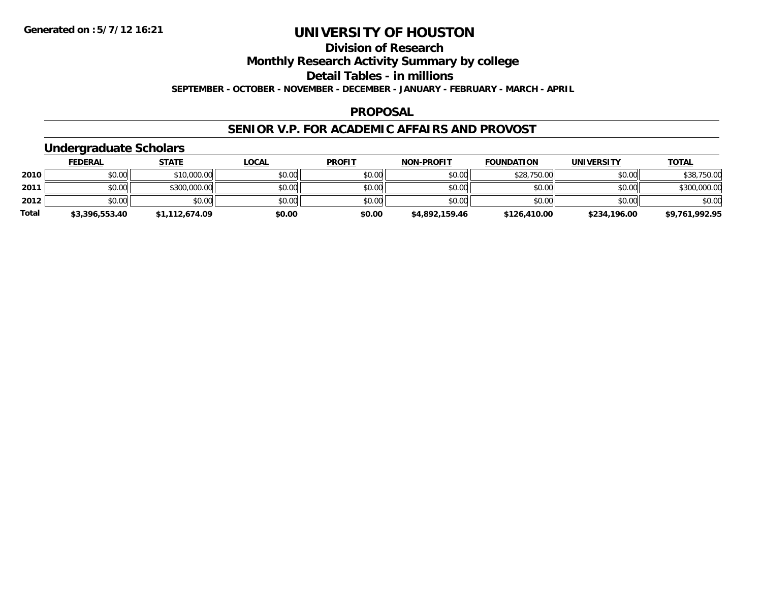**Division of Research**

**Monthly Research Activity Summary by college**

**Detail Tables - in millions**

**SEPTEMBER - OCTOBER - NOVEMBER - DECEMBER - JANUARY - FEBRUARY - MARCH - APRIL**

### **PROPOSAL**

### **SENIOR V.P. FOR ACADEMIC AFFAIRS AND PROVOST**

### **Undergraduate Scholars**

|              | <b>FEDERAL</b> | <b>STATE</b>   | <u>LOCAL</u> | <b>PROFIT</b> | <b>NON-PROFIT</b> | <b>FOUNDATION</b> | UNIVERSITY   | <b>TOTAL</b>   |
|--------------|----------------|----------------|--------------|---------------|-------------------|-------------------|--------------|----------------|
| 2010         | \$0.00         | \$10,000.00    | \$0.00       | \$0.00        | \$0.00            | \$28,750.00       | \$0.00       | \$38,750.00    |
| 2011         | \$0.00         | \$300,000.00   | \$0.00       | \$0.00        | \$0.00            | \$0.00            | \$0.00       | \$300,000.00   |
| 2012         | \$0.00         | \$0.00         | \$0.00       | \$0.00        | \$0.00            | \$0.00            | \$0.00       | \$0.00         |
| <b>Total</b> | \$3,396,553.40 | \$1,112,674.09 | \$0.00       | \$0.00        | \$4,892,159.46    | \$126,410.00      | \$234,196.00 | \$9,761,992.95 |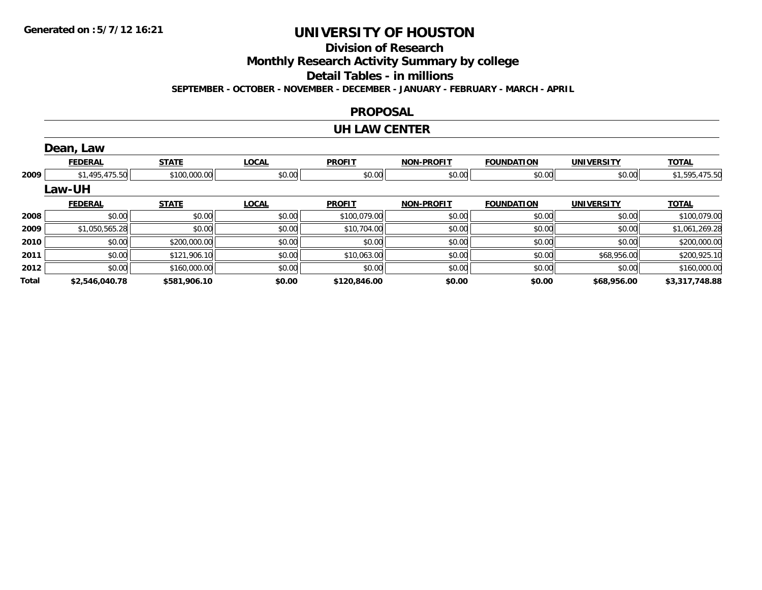**Division of Research**

**Monthly Research Activity Summary by college**

**Detail Tables - in millions**

**SEPTEMBER - OCTOBER - NOVEMBER - DECEMBER - JANUARY - FEBRUARY - MARCH - APRIL**

### **PROPOSAL**

#### **UH LAW CENTER**

|       | Dean, Law      |              |              |               |                   |                   |                   |                |
|-------|----------------|--------------|--------------|---------------|-------------------|-------------------|-------------------|----------------|
|       | <b>FEDERAL</b> | <b>STATE</b> | <b>LOCAL</b> | <b>PROFIT</b> | <b>NON-PROFIT</b> | <b>FOUNDATION</b> | <b>UNIVERSITY</b> | <b>TOTAL</b>   |
| 2009  | \$1,495,475.50 | \$100,000.00 | \$0.00       | \$0.00        | \$0.00            | \$0.00            | \$0.00            | \$1,595,475.50 |
|       | Law-UH         |              |              |               |                   |                   |                   |                |
|       | <b>FEDERAL</b> | <b>STATE</b> | <b>LOCAL</b> | <b>PROFIT</b> | <b>NON-PROFIT</b> | <b>FOUNDATION</b> | <b>UNIVERSITY</b> | <b>TOTAL</b>   |
| 2008  | \$0.00         | \$0.00       | \$0.00       | \$100,079.00  | \$0.00            | \$0.00            | \$0.00            | \$100,079.00   |
| 2009  | \$1,050,565.28 | \$0.00       | \$0.00       | \$10,704.00   | \$0.00            | \$0.00            | \$0.00            | \$1,061,269.28 |
| 2010  | \$0.00         | \$200,000.00 | \$0.00       | \$0.00        | \$0.00            | \$0.00            | \$0.00            | \$200,000.00   |
| 2011  | \$0.00         | \$121,906.10 | \$0.00       | \$10,063.00   | \$0.00            | \$0.00            | \$68,956.00       | \$200,925.10   |
| 2012  | \$0.00         | \$160,000.00 | \$0.00       | \$0.00        | \$0.00            | \$0.00            | \$0.00            | \$160,000.00   |
| Total | \$2,546,040.78 | \$581,906.10 | \$0.00       | \$120,846.00  | \$0.00            | \$0.00            | \$68,956.00       | \$3,317,748.88 |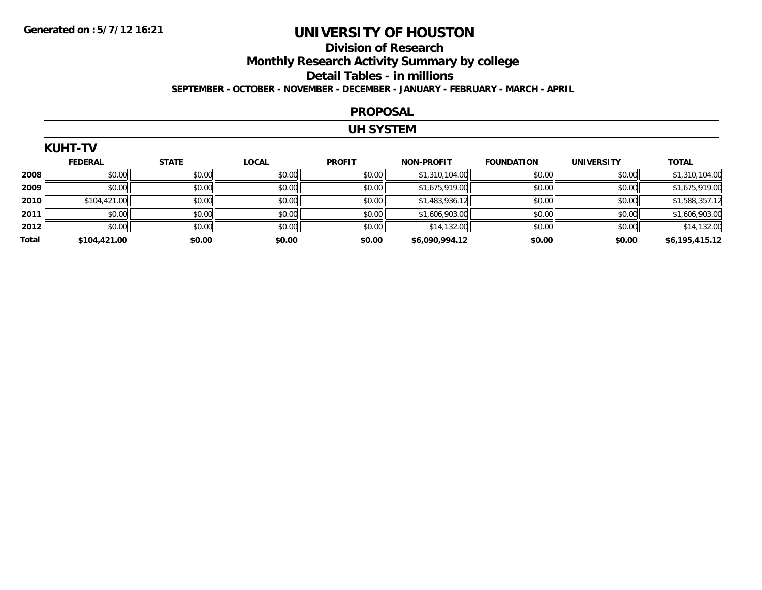### **Division of Research Monthly Research Activity Summary by college Detail Tables - in millions SEPTEMBER - OCTOBER - NOVEMBER - DECEMBER - JANUARY - FEBRUARY - MARCH - APRIL**

#### **PROPOSAL**

#### **UH SYSTEM**

|       | <b>KUHT-TV</b> |              |              |               |                   |                   |                   |                |
|-------|----------------|--------------|--------------|---------------|-------------------|-------------------|-------------------|----------------|
|       | <b>FEDERAL</b> | <b>STATE</b> | <b>LOCAL</b> | <b>PROFIT</b> | <b>NON-PROFIT</b> | <b>FOUNDATION</b> | <b>UNIVERSITY</b> | <b>TOTAL</b>   |
| 2008  | \$0.00         | \$0.00       | \$0.00       | \$0.00        | \$1,310,104.00    | \$0.00            | \$0.00            | \$1,310,104.00 |
| 2009  | \$0.00         | \$0.00       | \$0.00       | \$0.00        | \$1,675,919.00    | \$0.00            | \$0.00            | \$1,675,919.00 |
| 2010  | \$104,421.00   | \$0.00       | \$0.00       | \$0.00        | \$1,483,936.12    | \$0.00            | \$0.00            | \$1,588,357.12 |
| 2011  | \$0.00         | \$0.00       | \$0.00       | \$0.00        | \$1,606,903.00    | \$0.00            | \$0.00            | \$1,606,903.00 |
| 2012  | \$0.00         | \$0.00       | \$0.00       | \$0.00        | \$14,132.00       | \$0.00            | \$0.00            | \$14,132.00    |
| Total | \$104,421.00   | \$0.00       | \$0.00       | \$0.00        | \$6,090,994.12    | \$0.00            | \$0.00            | \$6,195,415.12 |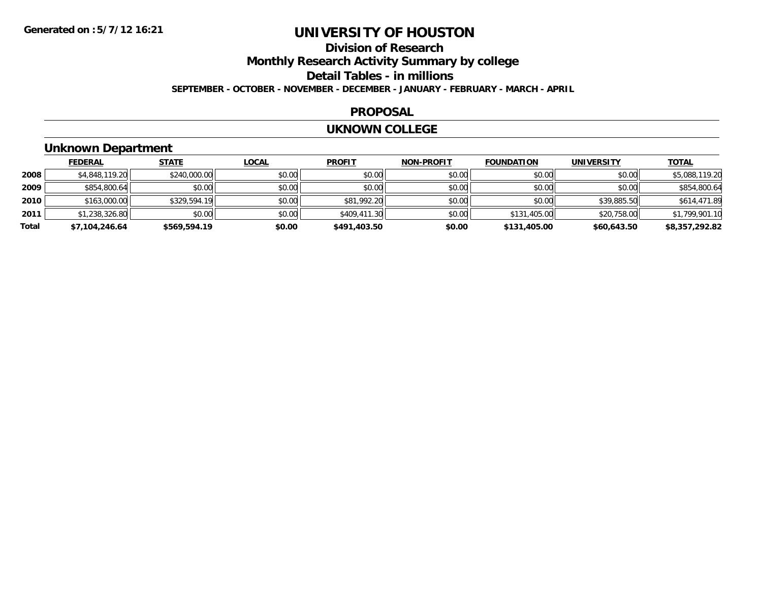# **Division of Research**

**Monthly Research Activity Summary by college**

**Detail Tables - in millions**

**SEPTEMBER - OCTOBER - NOVEMBER - DECEMBER - JANUARY - FEBRUARY - MARCH - APRIL**

### **PROPOSAL**

#### **UKNOWN COLLEGE**

### **Unknown Department**

|       | <b>FEDERAL</b> | <b>STATE</b> | <u>LOCAL</u> | <b>PROFIT</b> | <b>NON-PROFIT</b> | <b>FOUNDATION</b> | <b>UNIVERSITY</b> | <b>TOTAL</b>   |
|-------|----------------|--------------|--------------|---------------|-------------------|-------------------|-------------------|----------------|
| 2008  | \$4,848,119.20 | \$240,000.00 | \$0.00       | \$0.00        | \$0.00            | \$0.00            | \$0.00            | \$5,088,119.20 |
| 2009  | \$854,800.64   | \$0.00       | \$0.00       | \$0.00        | \$0.00            | \$0.00            | \$0.00            | \$854,800.64   |
| 2010  | \$163,000.00   | \$329,594.19 | \$0.00       | \$81,992.20   | \$0.00            | \$0.00            | \$39,885.50       | \$614,471.89   |
| 2011  | \$1,238,326.80 | \$0.00       | \$0.00       | \$409,411.30  | \$0.00            | \$131,405.00      | \$20,758.00       | \$1,799,901.10 |
| Total | \$7,104,246.64 | \$569,594.19 | \$0.00       | \$491,403.50  | \$0.00            | \$131,405.00      | \$60,643.50       | \$8,357,292.82 |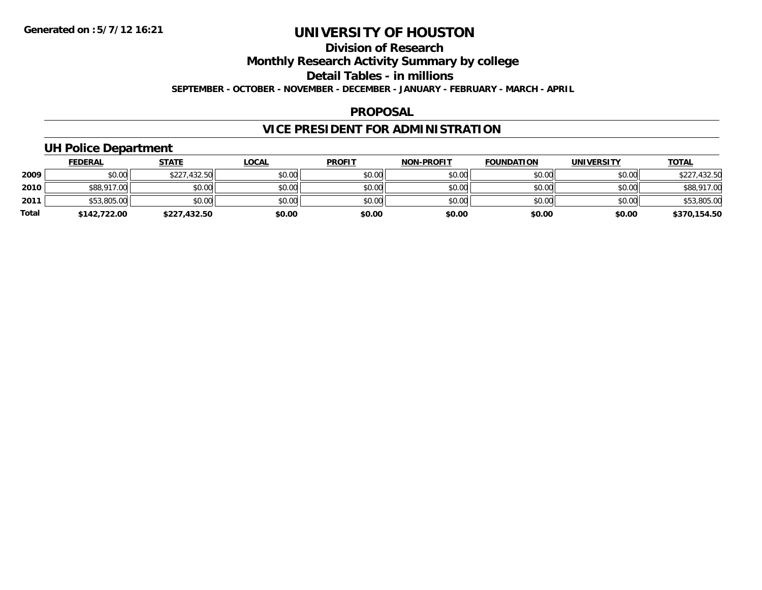### **Division of Research**

**Monthly Research Activity Summary by college**

**Detail Tables - in millions**

**SEPTEMBER - OCTOBER - NOVEMBER - DECEMBER - JANUARY - FEBRUARY - MARCH - APRIL**

#### **PROPOSAL**

## **VICE PRESIDENT FOR ADMINISTRATION**

### **UH Police Department**

|              | <b>FEDERAL</b> | <u>STATE</u> | <u>LOCAL</u> | <b>PROFIT</b> | <b>NON-PROFIT</b> | <b>FOUNDATION</b> | <b>UNIVERSITY</b> | <b>TOTAL</b> |
|--------------|----------------|--------------|--------------|---------------|-------------------|-------------------|-------------------|--------------|
| 2009         | \$0.00         | \$227,432.50 | \$0.00       | \$0.00        | \$0.00            | \$0.00            | \$0.00            | \$227,432.50 |
| 2010         | \$88,917.00    | \$0.00       | \$0.00       | \$0.00        | \$0.00            | \$0.00            | \$0.00            | \$88,917.00  |
| 2011         | \$53,805.00    | \$0.00       | \$0.00       | \$0.00        | \$0.00            | \$0.00            | \$0.00            | \$53,805.00  |
| <b>Total</b> | \$142,722.00   | \$227,432.50 | \$0.00       | \$0.00        | \$0.00            | \$0.00            | \$0.00            | \$370,154.50 |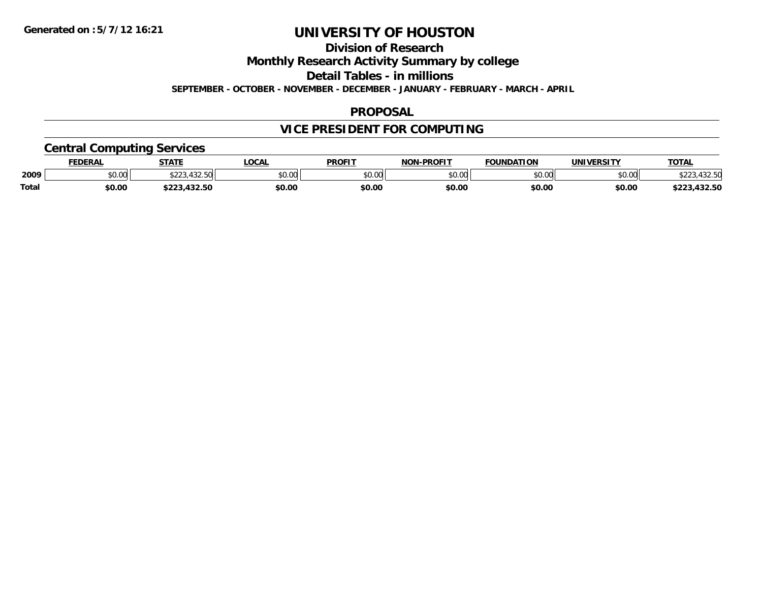**Division of Research**

**Monthly Research Activity Summary by college**

**Detail Tables - in millions**

**SEPTEMBER - OCTOBER - NOVEMBER - DECEMBER - JANUARY - FEBRUARY - MARCH - APRIL**

### **PROPOSAL**

## **VICE PRESIDENT FOR COMPUTING**

### **Central Computing Services**

|              | <b>DERAL</b> | <b>STATE</b>       | <b>LOCAL</b>            | <b>PROFIT</b> | <b>DDAEIT</b><br><b>ארות</b> | <b>FOUNDATION</b>     | UNIVERSITY | <b>TOTAL</b>         |
|--------------|--------------|--------------------|-------------------------|---------------|------------------------------|-----------------------|------------|----------------------|
| 2009         | \$0.00       | $\sqrt{2}$<br>ሐ へへ | 0 <sup>n</sup><br>DU.UC | 0000<br>JU.UU | ልስ ሰሰ<br>,u.uu               | $n \cap \overline{D}$ | \$0.00     | $\sim$ $\sim$ $\sim$ |
| <b>Total</b> | \$0.00       | .                  | \$0.00                  | \$0.00        | \$0.00                       | \$0.00                | \$0.00     | JZ.JL                |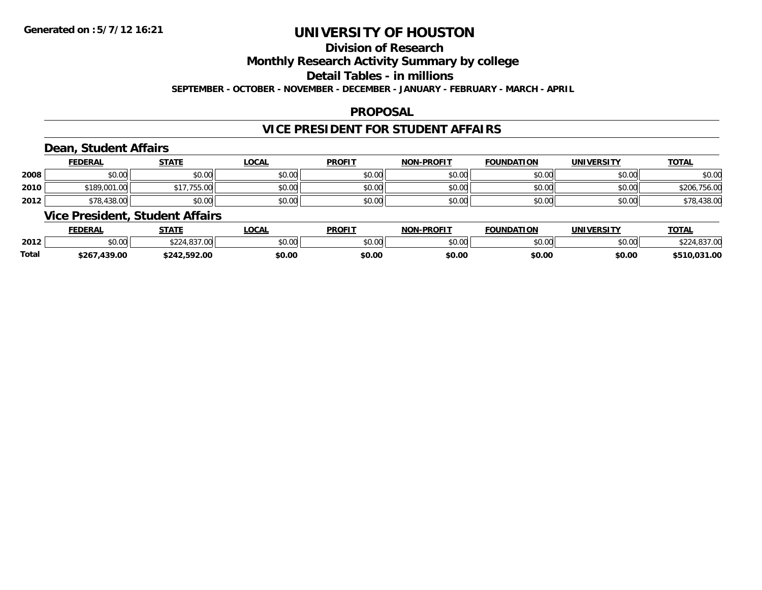### **Division of Research**

**Monthly Research Activity Summary by college**

**Detail Tables - in millions**

**SEPTEMBER - OCTOBER - NOVEMBER - DECEMBER - JANUARY - FEBRUARY - MARCH - APRIL**

### **PROPOSAL**

### **VICE PRESIDENT FOR STUDENT AFFAIRS**

### **Dean, Student Affairs**

|      | <b>FEDERAL</b> | <b>STATE</b> | <b>LOCAL</b> | <b>PROFIT</b> | <b>NON-PROFIT</b> | <b>FOUNDATION</b> | UNIVERSITY | <b>TOTAL</b> |
|------|----------------|--------------|--------------|---------------|-------------------|-------------------|------------|--------------|
| 2008 | \$0.00         | \$0.00       | \$0.00       | \$0.00        | \$0.00            | \$0.00            | \$0.00     | \$0.00       |
| 2010 | \$189,001.00   | \$17,755.00  | \$0.00       | \$0.00        | \$0.00            | \$0.00            | \$0.00     | \$206,756.00 |
| 2012 | \$78,438.00    | \$0.00       | \$0.00       | \$0.00        | \$0.00            | \$0.00            | \$0.00     | \$78,438.00  |

### **Vice President, Student Affairs**

|       | <b>FEDERAL</b>     | <b>STATE</b>                       | <b>OCAL</b>            | <b>PROFIT</b> | <b>NON-PROFIT</b>    | <b>FOUNDATION</b> | UNIVERSITY | TOTA.   |
|-------|--------------------|------------------------------------|------------------------|---------------|----------------------|-------------------|------------|---------|
| 2012  | $\sim$ 00<br>vv.vv | $\sim$<br>$\sim$ 227.00 $\mu$<br>w | $n \cap \neg$<br>DU.U¢ | 0000<br>JU.UU | 0000<br><b>JU.UU</b> | \$0.00            | \$0.00     | $\sim$  |
| Total | 439.00<br>\$26     | 42.592.00                          | \$0.00                 | \$0.00        | \$0.00               | \$0.00            | \$0.00     | .031.00 |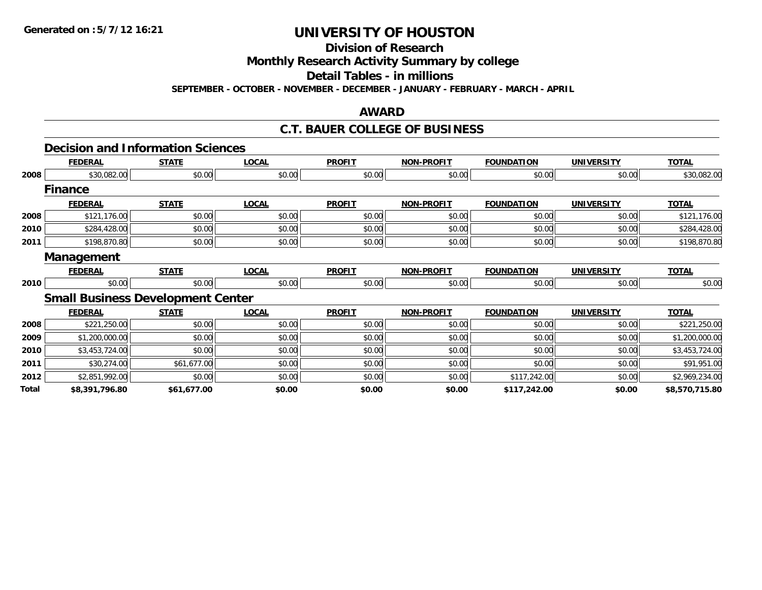**Division of Research**

**Monthly Research Activity Summary by college**

**Detail Tables - in millions**

**SEPTEMBER - OCTOBER - NOVEMBER - DECEMBER - JANUARY - FEBRUARY - MARCH - APRIL**

### **AWARD**

### **C.T. BAUER COLLEGE OF BUSINESS**

### **Decision and Information Sciences**

|       | <b>FEDERAL</b>    | <b>STATE</b>                             | <b>LOCAL</b> | <b>PROFIT</b> | <b>NON-PROFIT</b> | <b>FOUNDATION</b> | <b>UNIVERSITY</b> | <b>TOTAL</b>   |
|-------|-------------------|------------------------------------------|--------------|---------------|-------------------|-------------------|-------------------|----------------|
| 2008  | \$30,082.00       | \$0.00                                   | \$0.00       | \$0.00        | \$0.00            | \$0.00            | \$0.00            | \$30,082.00    |
|       | <b>Finance</b>    |                                          |              |               |                   |                   |                   |                |
|       | <b>FEDERAL</b>    | <b>STATE</b>                             | <b>LOCAL</b> | <b>PROFIT</b> | <b>NON-PROFIT</b> | <b>FOUNDATION</b> | <b>UNIVERSITY</b> | <b>TOTAL</b>   |
| 2008  | \$121,176.00      | \$0.00                                   | \$0.00       | \$0.00        | \$0.00            | \$0.00            | \$0.00            | \$121,176.00   |
| 2010  | \$284,428.00      | \$0.00                                   | \$0.00       | \$0.00        | \$0.00            | \$0.00            | \$0.00            | \$284,428.00   |
| 2011  | \$198,870.80      | \$0.00                                   | \$0.00       | \$0.00        | \$0.00            | \$0.00            | \$0.00            | \$198,870.80   |
|       | <b>Management</b> |                                          |              |               |                   |                   |                   |                |
|       | <b>FEDERAL</b>    | <b>STATE</b>                             | <b>LOCAL</b> | <b>PROFIT</b> | <b>NON-PROFIT</b> | <b>FOUNDATION</b> | <b>UNIVERSITY</b> | <b>TOTAL</b>   |
| 2010  | \$0.00            | \$0.00                                   | \$0.00       | \$0.00        | \$0.00            | \$0.00            | \$0.00            | \$0.00         |
|       |                   | <b>Small Business Development Center</b> |              |               |                   |                   |                   |                |
|       | <b>FEDERAL</b>    | <b>STATE</b>                             | <b>LOCAL</b> | <b>PROFIT</b> | <b>NON-PROFIT</b> | <b>FOUNDATION</b> | <b>UNIVERSITY</b> | <b>TOTAL</b>   |
| 2008  | \$221,250.00      | \$0.00                                   | \$0.00       | \$0.00        | \$0.00            | \$0.00            | \$0.00            | \$221,250.00   |
| 2009  | \$1,200,000.00    | \$0.00                                   | \$0.00       | \$0.00        | \$0.00            | \$0.00            | \$0.00            | \$1,200,000.00 |
| 2010  | \$3,453,724.00    | \$0.00                                   | \$0.00       | \$0.00        | \$0.00            | \$0.00            | \$0.00            | \$3,453,724.00 |
| 2011  | \$30,274.00       | \$61,677.00                              | \$0.00       | \$0.00        | \$0.00            | \$0.00            | \$0.00            | \$91,951.00    |
| 2012  | \$2,851,992.00    | \$0.00                                   | \$0.00       | \$0.00        | \$0.00            | \$117,242.00      | \$0.00            | \$2,969,234.00 |
| Total | \$8,391,796.80    | \$61,677.00                              | \$0.00       | \$0.00        | \$0.00            | \$117,242.00      | \$0.00            | \$8,570,715.80 |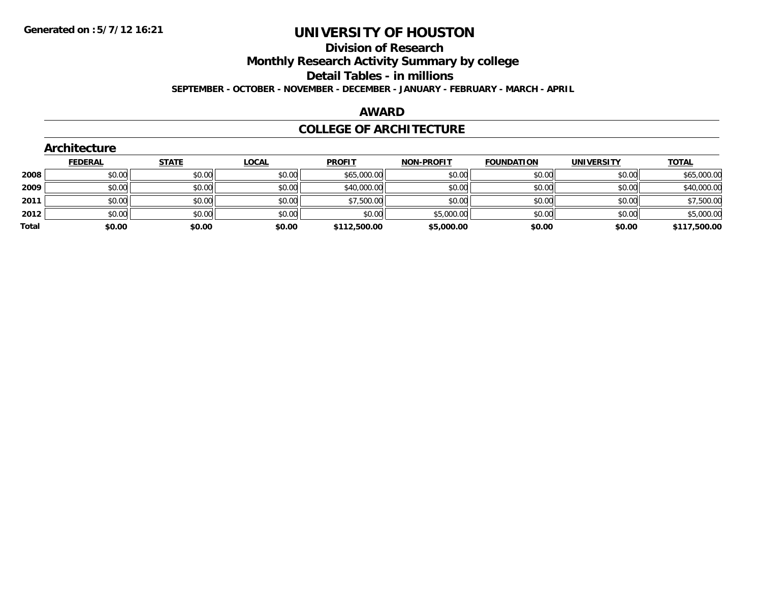**Division of Research**

**Monthly Research Activity Summary by college**

**Detail Tables - in millions**

**SEPTEMBER - OCTOBER - NOVEMBER - DECEMBER - JANUARY - FEBRUARY - MARCH - APRIL**

### **AWARD**

#### **COLLEGE OF ARCHITECTURE**

|       | Architecture   |              |              |               |                   |                   |                   |              |
|-------|----------------|--------------|--------------|---------------|-------------------|-------------------|-------------------|--------------|
|       | <b>FEDERAL</b> | <b>STATE</b> | <b>LOCAL</b> | <b>PROFIT</b> | <b>NON-PROFIT</b> | <b>FOUNDATION</b> | <b>UNIVERSITY</b> | <b>TOTAL</b> |
| 2008  | \$0.00         | \$0.00       | \$0.00       | \$65,000.00   | \$0.00            | \$0.00            | \$0.00            | \$65,000.00  |
| 2009  | \$0.00         | \$0.00       | \$0.00       | \$40,000.00   | \$0.00            | \$0.00            | \$0.00            | \$40,000.00  |
| 2011  | \$0.00         | \$0.00       | \$0.00       | \$7,500.00    | \$0.00            | \$0.00            | \$0.00            | \$7,500.00   |
| 2012  | \$0.00         | \$0.00       | \$0.00       | \$0.00        | \$5,000.00        | \$0.00            | \$0.00            | \$5,000.00   |
| Total | \$0.00         | \$0.00       | \$0.00       | \$112,500.00  | \$5,000.00        | \$0.00            | \$0.00            | \$117,500.00 |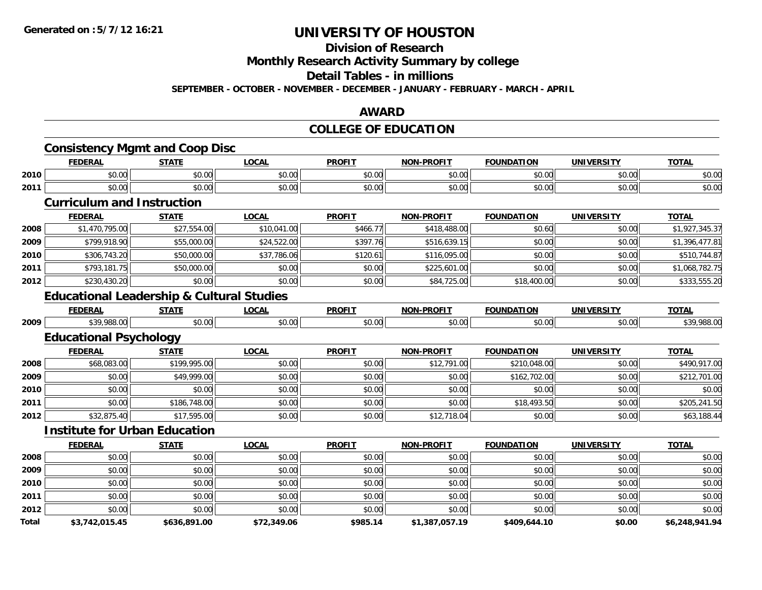#### **Division of Research**

**Monthly Research Activity Summary by college**

**Detail Tables - in millions**

**SEPTEMBER - OCTOBER - NOVEMBER - DECEMBER - JANUARY - FEBRUARY - MARCH - APRIL**

#### **AWARD**

### **COLLEGE OF EDUCATION**

|       | <b>FEDERAL</b>                                       | <b>STATE</b> | <b>LOCAL</b> | <b>PROFIT</b> | <b>NON-PROFIT</b> | <b>FOUNDATION</b> | <b>UNIVERSITY</b> | <b>TOTAL</b>   |
|-------|------------------------------------------------------|--------------|--------------|---------------|-------------------|-------------------|-------------------|----------------|
| 2010  | \$0.00                                               | \$0.00       | \$0.00       | \$0.00        | \$0.00            | \$0.00            | \$0.00            | \$0.00         |
| 2011  | \$0.00                                               | \$0.00       | \$0.00       | \$0.00        | \$0.00            | \$0.00            | \$0.00            | \$0.00         |
|       | <b>Curriculum and Instruction</b>                    |              |              |               |                   |                   |                   |                |
|       | <b>FEDERAL</b>                                       | <b>STATE</b> | <b>LOCAL</b> | <b>PROFIT</b> | <b>NON-PROFIT</b> | <b>FOUNDATION</b> | <b>UNIVERSITY</b> | <b>TOTAL</b>   |
| 2008  | \$1,470,795.00                                       | \$27,554.00  | \$10,041.00  | \$466.77      | \$418,488.00      | \$0.60            | \$0.00            | \$1,927,345.37 |
| 2009  | \$799,918.90                                         | \$55,000.00  | \$24,522.00  | \$397.76      | \$516,639.15      | \$0.00            | \$0.00            | \$1,396,477.81 |
| 2010  | \$306,743.20                                         | \$50,000.00  | \$37,786.06  | \$120.61      | \$116,095.00      | \$0.00            | \$0.00            | \$510,744.87   |
| 2011  | \$793,181.75                                         | \$50,000.00  | \$0.00       | \$0.00        | \$225,601.00      | \$0.00            | \$0.00            | \$1,068,782.75 |
| 2012  | \$230,430.20                                         | \$0.00       | \$0.00       | \$0.00        | \$84,725.00       | \$18,400.00       | \$0.00            | \$333,555.20   |
|       | <b>Educational Leadership &amp; Cultural Studies</b> |              |              |               |                   |                   |                   |                |
|       | <b>FEDERAL</b>                                       | <b>STATE</b> | <b>LOCAL</b> | <b>PROFIT</b> | <b>NON-PROFIT</b> | <b>FOUNDATION</b> | <b>UNIVERSITY</b> | <b>TOTAL</b>   |
| 2009  | \$39,988.00                                          | \$0.00       | \$0.00       | \$0.00        | \$0.00            | \$0.00            | \$0.00            | \$39,988.00    |
|       | <b>Educational Psychology</b>                        |              |              |               |                   |                   |                   |                |
|       | <b>FEDERAL</b>                                       | <b>STATE</b> | <b>LOCAL</b> | <b>PROFIT</b> | <b>NON-PROFIT</b> | <b>FOUNDATION</b> | <b>UNIVERSITY</b> | <b>TOTAL</b>   |
| 2008  | \$68,083.00                                          | \$199,995.00 | \$0.00       | \$0.00        | \$12,791.00       | \$210,048.00      | \$0.00            | \$490,917.00   |
| 2009  | \$0.00                                               | \$49,999.00  | \$0.00       | \$0.00        | \$0.00            | \$162,702.00      | \$0.00            | \$212,701.00   |
| 2010  | \$0.00                                               | \$0.00       | \$0.00       | \$0.00        | \$0.00            | \$0.00            | \$0.00            | \$0.00         |
| 2011  | \$0.00                                               | \$186,748.00 | \$0.00       | \$0.00        | \$0.00            | \$18,493.50       | \$0.00            | \$205,241.50   |
| 2012  | \$32,875.40                                          | \$17,595.00  | \$0.00       | \$0.00        | \$12,718.04       | \$0.00            | \$0.00            | \$63,188.44    |
|       | <b>Institute for Urban Education</b>                 |              |              |               |                   |                   |                   |                |
|       | <b>FEDERAL</b>                                       | <b>STATE</b> | <b>LOCAL</b> | <b>PROFIT</b> | <b>NON-PROFIT</b> | <b>FOUNDATION</b> | <b>UNIVERSITY</b> | <b>TOTAL</b>   |
| 2008  | \$0.00                                               | \$0.00       | \$0.00       | \$0.00        | \$0.00            | \$0.00            | \$0.00            | \$0.00         |
| 2009  | \$0.00                                               | \$0.00       | \$0.00       | \$0.00        | \$0.00            | \$0.00            | \$0.00            | \$0.00         |
| 2010  | \$0.00                                               | \$0.00       | \$0.00       | \$0.00        | \$0.00            | \$0.00            | \$0.00            | \$0.00         |
| 2011  | \$0.00                                               | \$0.00       | \$0.00       | \$0.00        | \$0.00            | \$0.00            | \$0.00            | \$0.00         |
| 2012  | \$0.00                                               | \$0.00       | \$0.00       | \$0.00        | \$0.00            | \$0.00            | \$0.00            | \$0.00         |
| Total | \$3,742,015.45                                       | \$636,891.00 | \$72,349.06  | \$985.14      | \$1,387,057.19    | \$409,644.10      | \$0.00            | \$6,248,941.94 |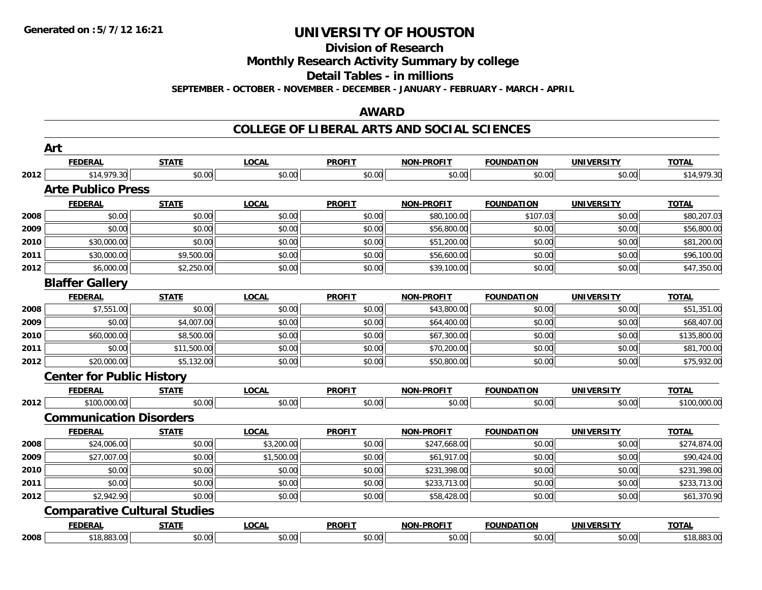**Division of Research**

**Monthly Research Activity Summary by college**

**Detail Tables - in millions**

**SEPTEMBER - OCTOBER - NOVEMBER - DECEMBER - JANUARY - FEBRUARY - MARCH - APRIL**

#### **AWARD**

|      | Art                                 |              |              |               |                   |                   |                   |              |
|------|-------------------------------------|--------------|--------------|---------------|-------------------|-------------------|-------------------|--------------|
|      | <b>FEDERAL</b>                      | <b>STATE</b> | <b>LOCAL</b> | <b>PROFIT</b> | <b>NON-PROFIT</b> | <b>FOUNDATION</b> | <b>UNIVERSITY</b> | <b>TOTAL</b> |
| 2012 | \$14,979.30                         | \$0.00       | \$0.00       | \$0.00        | \$0.00            | \$0.00            | \$0.00            | \$14,979.30  |
|      | <b>Arte Publico Press</b>           |              |              |               |                   |                   |                   |              |
|      | <b>FEDERAL</b>                      | <b>STATE</b> | <b>LOCAL</b> | <b>PROFIT</b> | <b>NON-PROFIT</b> | <b>FOUNDATION</b> | <b>UNIVERSITY</b> | <b>TOTAL</b> |
| 2008 | \$0.00                              | \$0.00       | \$0.00       | \$0.00        | \$80,100.00       | \$107.03          | \$0.00            | \$80,207.03  |
| 2009 | \$0.00                              | \$0.00       | \$0.00       | \$0.00        | \$56,800.00       | \$0.00            | \$0.00            | \$56,800.00  |
| 2010 | \$30,000.00                         | \$0.00       | \$0.00       | \$0.00        | \$51,200.00       | \$0.00            | \$0.00            | \$81,200.00  |
| 2011 | \$30,000.00                         | \$9,500.00   | \$0.00       | \$0.00        | \$56,600.00       | \$0.00            | \$0.00            | \$96,100.00  |
| 2012 | \$6,000.00                          | \$2,250.00   | \$0.00       | \$0.00        | \$39,100.00       | \$0.00            | \$0.00            | \$47,350.00  |
|      | <b>Blaffer Gallery</b>              |              |              |               |                   |                   |                   |              |
|      | <b>FEDERAL</b>                      | <b>STATE</b> | <b>LOCAL</b> | <b>PROFIT</b> | <b>NON-PROFIT</b> | <b>FOUNDATION</b> | <b>UNIVERSITY</b> | <b>TOTAL</b> |
| 2008 | \$7,551.00                          | \$0.00       | \$0.00       | \$0.00        | \$43,800.00       | \$0.00            | \$0.00            | \$51,351.00  |
| 2009 | \$0.00                              | \$4,007.00   | \$0.00       | \$0.00        | \$64,400.00       | \$0.00            | \$0.00            | \$68,407.00  |
| 2010 | \$60,000.00                         | \$8,500.00   | \$0.00       | \$0.00        | \$67,300.00       | \$0.00            | \$0.00            | \$135,800.00 |
| 2011 | \$0.00                              | \$11,500.00  | \$0.00       | \$0.00        | \$70,200.00       | \$0.00            | \$0.00            | \$81,700.00  |
| 2012 | \$20,000.00                         | \$5,132.00   | \$0.00       | \$0.00        | \$50,800.00       | \$0.00            | \$0.00            | \$75,932.00  |
|      | <b>Center for Public History</b>    |              |              |               |                   |                   |                   |              |
|      | <b>FEDERAL</b>                      | <b>STATE</b> | <b>LOCAL</b> | <b>PROFIT</b> | <b>NON-PROFIT</b> | <b>FOUNDATION</b> | <b>UNIVERSITY</b> | <b>TOTAL</b> |
| 2012 | \$100,000.00                        | \$0.00       | \$0.00       | \$0.00        | \$0.00            | \$0.00            | \$0.00            | \$100,000.00 |
|      | <b>Communication Disorders</b>      |              |              |               |                   |                   |                   |              |
|      | <b>FEDERAL</b>                      | <b>STATE</b> | <b>LOCAL</b> | <b>PROFIT</b> | <b>NON-PROFIT</b> | <b>FOUNDATION</b> | <b>UNIVERSITY</b> | <b>TOTAL</b> |
| 2008 | \$24,006.00                         | \$0.00       | \$3,200.00   | \$0.00        | \$247,668.00      | \$0.00            | \$0.00            | \$274,874.00 |
| 2009 | \$27,007.00                         | \$0.00       | \$1,500.00   | \$0.00        | \$61,917.00       | \$0.00            | \$0.00            | \$90,424.00  |
| 2010 | \$0.00                              | \$0.00       | \$0.00       | \$0.00        | \$231,398.00      | \$0.00            | \$0.00            | \$231,398.00 |
| 2011 | \$0.00                              | \$0.00       | \$0.00       | \$0.00        | \$233,713.00      | \$0.00            | \$0.00            | \$233,713.00 |
| 2012 | \$2,942.90                          | \$0.00       | \$0.00       | \$0.00        | \$58,428.00       | \$0.00            | \$0.00            | \$61,370.90  |
|      | <b>Comparative Cultural Studies</b> |              |              |               |                   |                   |                   |              |
|      | <b>FEDERAL</b>                      | <b>STATE</b> | <b>LOCAL</b> | <b>PROFIT</b> | <b>NON-PROFIT</b> | <b>FOUNDATION</b> | <b>UNIVERSITY</b> | <b>TOTAL</b> |
| 2008 | \$18,883.00                         | \$0.00       | \$0.00       | \$0.00        | \$0.00            | \$0.00            | \$0.00            | \$18,883.00  |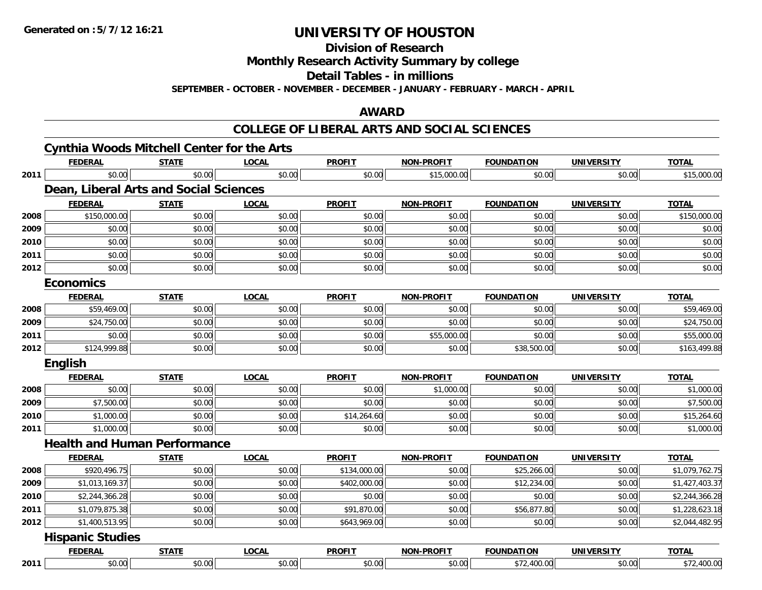**Division of Research**

**Monthly Research Activity Summary by college**

**Detail Tables - in millions**

**SEPTEMBER - OCTOBER - NOVEMBER - DECEMBER - JANUARY - FEBRUARY - MARCH - APRIL**

#### **AWARD**

|      | <b>FEDERAL</b>                         | <b>STATE</b> | <b>LOCAL</b> | <b>PROFIT</b> | <b>NON-PROFIT</b> | <b>FOUNDATION</b> | <b>UNIVERSITY</b> | <b>TOTAL</b>   |
|------|----------------------------------------|--------------|--------------|---------------|-------------------|-------------------|-------------------|----------------|
| 2011 | \$0.00                                 | \$0.00       | \$0.00       | \$0.00        | \$15,000.00       | \$0.00            | \$0.00            | \$15,000.00    |
|      | Dean, Liberal Arts and Social Sciences |              |              |               |                   |                   |                   |                |
|      | <b>FEDERAL</b>                         | <b>STATE</b> | <b>LOCAL</b> | <b>PROFIT</b> | <b>NON-PROFIT</b> | <b>FOUNDATION</b> | <b>UNIVERSITY</b> | <b>TOTAL</b>   |
| 2008 | \$150,000.00                           | \$0.00       | \$0.00       | \$0.00        | \$0.00            | \$0.00            | \$0.00            | \$150,000.00   |
| 2009 | \$0.00                                 | \$0.00       | \$0.00       | \$0.00        | \$0.00            | \$0.00            | \$0.00            | \$0.00         |
| 2010 | \$0.00                                 | \$0.00       | \$0.00       | \$0.00        | \$0.00            | \$0.00            | \$0.00            | \$0.00         |
| 2011 | \$0.00                                 | \$0.00       | \$0.00       | \$0.00        | \$0.00            | \$0.00            | \$0.00            | \$0.00         |
| 2012 | \$0.00                                 | \$0.00       | \$0.00       | \$0.00        | \$0.00            | \$0.00            | \$0.00            | \$0.00         |
|      | <b>Economics</b>                       |              |              |               |                   |                   |                   |                |
|      | <b>FEDERAL</b>                         | <b>STATE</b> | <b>LOCAL</b> | <b>PROFIT</b> | <b>NON-PROFIT</b> | <b>FOUNDATION</b> | <b>UNIVERSITY</b> | <b>TOTAL</b>   |
| 2008 | \$59,469.00                            | \$0.00       | \$0.00       | \$0.00        | \$0.00            | \$0.00            | \$0.00            | \$59,469.00    |
| 2009 | \$24,750.00                            | \$0.00       | \$0.00       | \$0.00        | \$0.00            | \$0.00            | \$0.00            | \$24,750.00    |
| 2011 | \$0.00                                 | \$0.00       | \$0.00       | \$0.00        | \$55,000.00       | \$0.00            | \$0.00            | \$55,000.00    |
| 2012 | \$124,999.88                           | \$0.00       | \$0.00       | \$0.00        | \$0.00            | \$38,500.00       | \$0.00            | \$163,499.88   |
|      | <b>English</b>                         |              |              |               |                   |                   |                   |                |
|      | <b>FEDERAL</b>                         | <b>STATE</b> | <b>LOCAL</b> | <b>PROFIT</b> | <b>NON-PROFIT</b> | <b>FOUNDATION</b> | <b>UNIVERSITY</b> | <b>TOTAL</b>   |
| 2008 | \$0.00                                 | \$0.00       | \$0.00       | \$0.00        | \$1,000.00        | \$0.00            | \$0.00            | \$1,000.00     |
| 2009 | \$7,500.00                             | \$0.00       | \$0.00       | \$0.00        | \$0.00            | \$0.00            | \$0.00            | \$7,500.00     |
| 2010 | \$1,000.00                             | \$0.00       | \$0.00       | \$14,264.60   | \$0.00            | \$0.00            | \$0.00            | \$15,264.60    |
| 2011 | \$1,000.00                             | \$0.00       | \$0.00       | \$0.00        | \$0.00            | \$0.00            | \$0.00            | \$1,000.00     |
|      | <b>Health and Human Performance</b>    |              |              |               |                   |                   |                   |                |
|      | <b>FEDERAL</b>                         | <b>STATE</b> | <b>LOCAL</b> | <b>PROFIT</b> | <b>NON-PROFIT</b> | <b>FOUNDATION</b> | <b>UNIVERSITY</b> | <b>TOTAL</b>   |
| 2008 | \$920,496.75                           | \$0.00       | \$0.00       | \$134,000.00  | \$0.00            | \$25,266.00       | \$0.00            | \$1,079,762.75 |
| 2009 | \$1,013,169.37                         | \$0.00       | \$0.00       | \$402,000.00  | \$0.00            | \$12,234.00       | \$0.00            | \$1,427,403.37 |
| 2010 | \$2,244,366.28                         | \$0.00       | \$0.00       | \$0.00        | \$0.00            | \$0.00            | \$0.00            | \$2,244,366.28 |
| 2011 | \$1,079,875.38                         | \$0.00       | \$0.00       | \$91,870.00   | \$0.00            | \$56,877.80       | \$0.00            | \$1,228,623.18 |
| 2012 | \$1,400,513.95                         | \$0.00       | \$0.00       | \$643,969.00  | \$0.00            | \$0.00            | \$0.00            | \$2,044,482.95 |
|      | <b>Hispanic Studies</b>                |              |              |               |                   |                   |                   |                |
|      | <u>FEDERAL</u>                         | <b>STATE</b> | <b>LOCAL</b> | <b>PROFIT</b> | <b>NON-PROFIT</b> | <b>FOUNDATION</b> | <b>UNIVERSITY</b> | <b>TOTAL</b>   |
|      | \$0.00                                 | \$0.00       | \$0.00       | \$0.00        | \$0.00            | \$72,400.00       | \$0.00            | \$72,400.00    |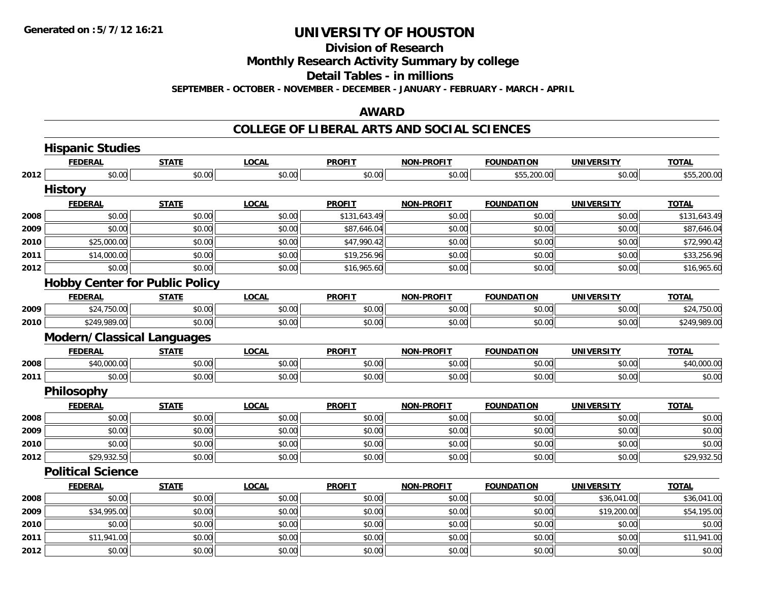**Division of Research**

**Monthly Research Activity Summary by college**

**Detail Tables - in millions**

**SEPTEMBER - OCTOBER - NOVEMBER - DECEMBER - JANUARY - FEBRUARY - MARCH - APRIL**

#### **AWARD**

|      | <b>Hispanic Studies</b>               |              |              |               |                   |                   |                   |              |
|------|---------------------------------------|--------------|--------------|---------------|-------------------|-------------------|-------------------|--------------|
|      | <b>FEDERAL</b>                        | <b>STATE</b> | <b>LOCAL</b> | <b>PROFIT</b> | NON-PROFIT        | <b>FOUNDATION</b> | <b>UNIVERSITY</b> | <b>TOTAL</b> |
| 2012 | \$0.00                                | \$0.00       | \$0.00       | \$0.00        | \$0.00            | \$55,200.00       | \$0.00            | \$55,200.00  |
|      | <b>History</b>                        |              |              |               |                   |                   |                   |              |
|      | <b>FEDERAL</b>                        | <b>STATE</b> | <b>LOCAL</b> | <b>PROFIT</b> | NON-PROFIT        | <b>FOUNDATION</b> | <b>UNIVERSITY</b> | <b>TOTAL</b> |
| 2008 | \$0.00                                | \$0.00       | \$0.00       | \$131,643.49  | \$0.00            | \$0.00            | \$0.00            | \$131,643.49 |
| 2009 | \$0.00                                | \$0.00       | \$0.00       | \$87,646.04   | \$0.00            | \$0.00            | \$0.00            | \$87,646.04  |
| 2010 | \$25,000.00                           | \$0.00       | \$0.00       | \$47,990.42   | \$0.00            | \$0.00            | \$0.00            | \$72,990.42  |
| 2011 | \$14,000.00                           | \$0.00       | \$0.00       | \$19,256.96   | \$0.00            | \$0.00            | \$0.00            | \$33,256.96  |
| 2012 | \$0.00                                | \$0.00       | \$0.00       | \$16,965.60   | \$0.00            | \$0.00            | \$0.00            | \$16,965.60  |
|      | <b>Hobby Center for Public Policy</b> |              |              |               |                   |                   |                   |              |
|      | <b>FEDERAL</b>                        | <b>STATE</b> | <b>LOCAL</b> | <b>PROFIT</b> | <b>NON-PROFIT</b> | <b>FOUNDATION</b> | <b>UNIVERSITY</b> | <b>TOTAL</b> |
| 2009 | \$24,750.00                           | \$0.00       | \$0.00       | \$0.00        | \$0.00            | \$0.00            | \$0.00            | \$24,750.00  |
| 2010 | \$249,989.00                          | \$0.00       | \$0.00       | \$0.00        | \$0.00            | \$0.00            | \$0.00            | \$249,989.00 |
|      | <b>Modern/Classical Languages</b>     |              |              |               |                   |                   |                   |              |
|      | <b>FEDERAL</b>                        | <b>STATE</b> | <b>LOCAL</b> | <b>PROFIT</b> | <b>NON-PROFIT</b> | <b>FOUNDATION</b> | <b>UNIVERSITY</b> | <b>TOTAL</b> |
| 2008 | \$40,000.00                           | \$0.00       | \$0.00       | \$0.00        | \$0.00            | \$0.00            | \$0.00            | \$40,000.00  |
| 2011 | \$0.00                                | \$0.00       | \$0.00       | \$0.00        | \$0.00            | \$0.00            | \$0.00            | \$0.00       |
|      | Philosophy                            |              |              |               |                   |                   |                   |              |
|      | <b>FEDERAL</b>                        | <b>STATE</b> | <b>LOCAL</b> | <b>PROFIT</b> | <b>NON-PROFIT</b> | <b>FOUNDATION</b> | <b>UNIVERSITY</b> | <b>TOTAL</b> |
| 2008 | \$0.00                                | \$0.00       | \$0.00       | \$0.00        | \$0.00            | \$0.00            | \$0.00            | \$0.00       |
| 2009 | \$0.00                                | \$0.00       | \$0.00       | \$0.00        | \$0.00            | \$0.00            | \$0.00            | \$0.00       |
| 2010 | \$0.00                                | \$0.00       | \$0.00       | \$0.00        | \$0.00            | \$0.00            | \$0.00            | \$0.00       |
| 2012 | \$29,932.50                           | \$0.00       | \$0.00       | \$0.00        | \$0.00            | \$0.00            | \$0.00            | \$29,932.50  |
|      | <b>Political Science</b>              |              |              |               |                   |                   |                   |              |
|      | <b>FEDERAL</b>                        | <b>STATE</b> | <b>LOCAL</b> | <b>PROFIT</b> | <b>NON-PROFIT</b> | <b>FOUNDATION</b> | <b>UNIVERSITY</b> | <b>TOTAL</b> |
| 2008 | \$0.00                                | \$0.00       | \$0.00       | \$0.00        | \$0.00            | \$0.00            | \$36,041.00       | \$36,041.00  |
| 2009 | \$34,995.00                           | \$0.00       | \$0.00       | \$0.00        | \$0.00            | \$0.00            | \$19,200.00       | \$54,195.00  |
| 2010 | \$0.00                                | \$0.00       | \$0.00       | \$0.00        | \$0.00            | \$0.00            | \$0.00            | \$0.00       |
| 2011 | \$11,941.00                           | \$0.00       | \$0.00       | \$0.00        | \$0.00            | \$0.00            | \$0.00            | \$11,941.00  |
| 2012 | \$0.00                                | \$0.00       | \$0.00       | \$0.00        | \$0.00            | \$0.00            | \$0.00            | \$0.00       |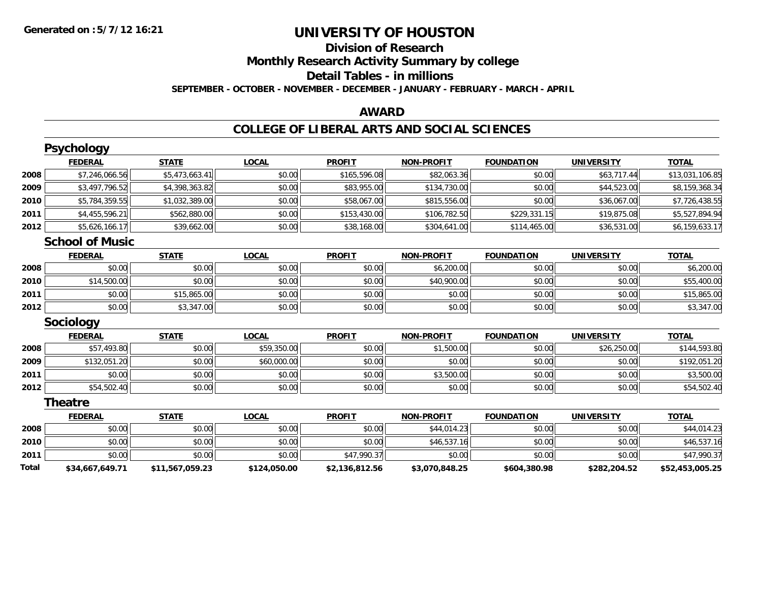# **Division of ResearchMonthly Research Activity Summary by college**

#### **Detail Tables - in millions**

**SEPTEMBER - OCTOBER - NOVEMBER - DECEMBER - JANUARY - FEBRUARY - MARCH - APRIL**

### **AWARD**

|       | <b>Psychology</b>      |                 |              |                |                   |                   |                   |                 |
|-------|------------------------|-----------------|--------------|----------------|-------------------|-------------------|-------------------|-----------------|
|       | <b>FEDERAL</b>         | <b>STATE</b>    | <b>LOCAL</b> | <b>PROFIT</b>  | <b>NON-PROFIT</b> | <b>FOUNDATION</b> | <b>UNIVERSITY</b> | <b>TOTAL</b>    |
| 2008  | \$7,246,066.56         | \$5,473,663.41  | \$0.00       | \$165,596.08   | \$82,063.36       | \$0.00            | \$63,717.44       | \$13,031,106.85 |
| 2009  | \$3,497,796.52         | \$4,398,363.82  | \$0.00       | \$83,955.00    | \$134,730.00      | \$0.00            | \$44,523.00       | \$8,159,368.34  |
| 2010  | \$5,784,359.55         | \$1,032,389.00  | \$0.00       | \$58,067.00    | \$815,556.00      | \$0.00            | \$36,067.00       | \$7,726,438.55  |
| 2011  | \$4,455,596.21         | \$562,880.00    | \$0.00       | \$153,430.00   | \$106,782.50      | \$229,331.15      | \$19,875.08       | \$5,527,894.94  |
| 2012  | \$5,626,166.17         | \$39,662.00     | \$0.00       | \$38,168.00    | \$304,641.00      | \$114,465.00      | \$36,531.00       | \$6,159,633.17  |
|       | <b>School of Music</b> |                 |              |                |                   |                   |                   |                 |
|       | <b>FEDERAL</b>         | <b>STATE</b>    | <b>LOCAL</b> | <b>PROFIT</b>  | <b>NON-PROFIT</b> | <b>FOUNDATION</b> | <b>UNIVERSITY</b> | <b>TOTAL</b>    |
| 2008  | \$0.00                 | \$0.00          | \$0.00       | \$0.00         | \$6,200.00        | \$0.00            | \$0.00            | \$6,200.00      |
| 2010  | \$14,500.00            | \$0.00          | \$0.00       | \$0.00         | \$40,900.00       | \$0.00            | \$0.00            | \$55,400.00     |
| 2011  | \$0.00                 | \$15,865.00     | \$0.00       | \$0.00         | \$0.00            | \$0.00            | \$0.00            | \$15,865.00     |
| 2012  | \$0.00                 | \$3,347.00      | \$0.00       | \$0.00         | \$0.00            | \$0.00            | \$0.00            | \$3,347.00      |
|       | Sociology              |                 |              |                |                   |                   |                   |                 |
|       | <b>FEDERAL</b>         | <b>STATE</b>    | <b>LOCAL</b> | <b>PROFIT</b>  | <b>NON-PROFIT</b> | <b>FOUNDATION</b> | <b>UNIVERSITY</b> | <b>TOTAL</b>    |
| 2008  | \$57,493.80            | \$0.00          | \$59,350.00  | \$0.00         | \$1,500.00        | \$0.00            | \$26,250.00       | \$144,593.80    |
| 2009  | \$132,051.20           | \$0.00          | \$60,000.00  | \$0.00         | \$0.00            | \$0.00            | \$0.00            | \$192,051.20    |
| 2011  | \$0.00                 | \$0.00          | \$0.00       | \$0.00         | \$3,500.00        | \$0.00            | \$0.00            | \$3,500.00      |
| 2012  | \$54,502.40            | \$0.00          | \$0.00       | \$0.00         | \$0.00            | \$0.00            | \$0.00            | \$54,502.40     |
|       | <b>Theatre</b>         |                 |              |                |                   |                   |                   |                 |
|       | <b>FEDERAL</b>         | <b>STATE</b>    | <b>LOCAL</b> | <b>PROFIT</b>  | <b>NON-PROFIT</b> | <b>FOUNDATION</b> | <b>UNIVERSITY</b> | <b>TOTAL</b>    |
| 2008  | \$0.00                 | \$0.00          | \$0.00       | \$0.00         | \$44,014.23       | \$0.00            | \$0.00            | \$44,014.23     |
| 2010  | \$0.00                 | \$0.00          | \$0.00       | \$0.00         | \$46,537.16       | \$0.00            | \$0.00            | \$46,537.16     |
| 2011  | \$0.00                 | \$0.00          | \$0.00       | \$47,990.37    | \$0.00            | \$0.00            | \$0.00            | \$47,990.37     |
| Total | \$34,667,649.71        | \$11,567,059.23 | \$124,050.00 | \$2,136,812.56 | \$3,070,848.25    | \$604,380.98      | \$282,204.52      | \$52,453,005.25 |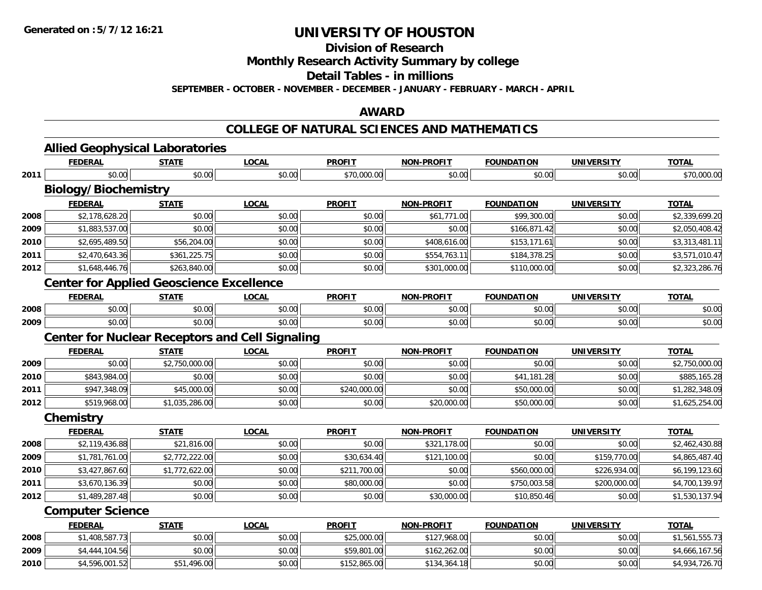**Division of Research**

**Monthly Research Activity Summary by college**

**Detail Tables - in millions**

**SEPTEMBER - OCTOBER - NOVEMBER - DECEMBER - JANUARY - FEBRUARY - MARCH - APRIL**

### **AWARD**

#### **COLLEGE OF NATURAL SCIENCES AND MATHEMATICS**

|      | <b>FEDERAL</b>                                         | <b>STATE</b>   | <b>LOCAL</b> | <b>PROFIT</b> | <b>NON-PROFIT</b> | <b>FOUNDATION</b> | <b>UNIVERSITY</b> | <b>TOTAL</b>   |
|------|--------------------------------------------------------|----------------|--------------|---------------|-------------------|-------------------|-------------------|----------------|
| 2011 | \$0.00                                                 | \$0.00         | \$0.00       | \$70,000.00   | \$0.00            | \$0.00            | \$0.00            | \$70,000.00    |
|      | <b>Biology/Biochemistry</b>                            |                |              |               |                   |                   |                   |                |
|      | <b>FEDERAL</b>                                         | <b>STATE</b>   | <b>LOCAL</b> | <b>PROFIT</b> | <b>NON-PROFIT</b> | <b>FOUNDATION</b> | <b>UNIVERSITY</b> | <b>TOTAL</b>   |
| 2008 | \$2,178,628.20                                         | \$0.00         | \$0.00       | \$0.00        | \$61,771.00       | \$99,300.00       | \$0.00            | \$2,339,699.20 |
| 2009 | \$1,883,537.00                                         | \$0.00         | \$0.00       | \$0.00        | \$0.00            | \$166,871.42      | \$0.00            | \$2,050,408.42 |
| 2010 | \$2,695,489.50                                         | \$56,204.00    | \$0.00       | \$0.00        | \$408,616.00      | \$153,171.61      | \$0.00            | \$3,313,481.11 |
| 2011 | \$2,470,643.36                                         | \$361,225.75   | \$0.00       | \$0.00        | \$554,763.11      | \$184,378.25      | \$0.00            | \$3,571,010.47 |
| 2012 | \$1,648,446.76                                         | \$263,840.00   | \$0.00       | \$0.00        | \$301,000.00      | \$110,000.00      | \$0.00            | \$2,323,286.76 |
|      | <b>Center for Applied Geoscience Excellence</b>        |                |              |               |                   |                   |                   |                |
|      | <b>FEDERAL</b>                                         | <b>STATE</b>   | <b>LOCAL</b> | <b>PROFIT</b> | <b>NON-PROFIT</b> | <b>FOUNDATION</b> | <b>UNIVERSITY</b> | <b>TOTAL</b>   |
| 2008 | \$0.00                                                 | \$0.00         | \$0.00       | \$0.00        | \$0.00            | \$0.00            | \$0.00            | \$0.00         |
| 2009 | \$0.00                                                 | \$0.00         | \$0.00       | \$0.00        | \$0.00            | \$0.00            | \$0.00            | \$0.00         |
|      | <b>Center for Nuclear Receptors and Cell Signaling</b> |                |              |               |                   |                   |                   |                |
|      | <b>FEDERAL</b>                                         | <b>STATE</b>   | <b>LOCAL</b> | <b>PROFIT</b> | <b>NON-PROFIT</b> | <b>FOUNDATION</b> | <b>UNIVERSITY</b> | <b>TOTAL</b>   |
| 2009 | \$0.00                                                 | \$2,750,000.00 | \$0.00       | \$0.00        | \$0.00            | \$0.00            | \$0.00            | \$2,750,000.00 |
| 2010 | \$843,984.00                                           | \$0.00         | \$0.00       | \$0.00        | \$0.00            | \$41,181.28       | \$0.00            | \$885,165.28   |
| 2011 | \$947,348.09                                           | \$45,000.00    | \$0.00       | \$240,000.00  | \$0.00            | \$50,000.00       | \$0.00            | \$1,282,348.09 |
| 2012 | \$519,968.00                                           | \$1,035,286.00 | \$0.00       | \$0.00        | \$20,000.00       | \$50,000.00       | \$0.00            | \$1,625,254.00 |
|      | Chemistry                                              |                |              |               |                   |                   |                   |                |
|      | <b>FEDERAL</b>                                         | <b>STATE</b>   | <b>LOCAL</b> | <b>PROFIT</b> | <b>NON-PROFIT</b> | <b>FOUNDATION</b> | <b>UNIVERSITY</b> | <b>TOTAL</b>   |
| 2008 | \$2,119,436.88                                         | \$21,816.00    | \$0.00       | \$0.00        | \$321,178.00      | \$0.00            | \$0.00            | \$2,462,430.88 |
| 2009 | \$1,781,761.00                                         | \$2,772,222.00 | \$0.00       | \$30,634.40   | \$121,100.00      | \$0.00            | \$159,770.00      | \$4,865,487.40 |
| 2010 | \$3,427,867.60                                         | \$1,772,622.00 | \$0.00       | \$211,700.00  | \$0.00            | \$560,000.00      | \$226,934.00      | \$6,199,123.60 |
| 2011 | \$3,670,136.39                                         | \$0.00         | \$0.00       | \$80,000.00   | \$0.00            | \$750,003.58      | \$200,000.00      | \$4,700,139.97 |
| 2012 | \$1,489,287.48                                         | \$0.00         | \$0.00       | \$0.00        | \$30,000.00       | \$10,850.46       | \$0.00            | \$1,530,137.94 |
|      | <b>Computer Science</b>                                |                |              |               |                   |                   |                   |                |
|      | <b>FEDERAL</b>                                         | <b>STATE</b>   | <b>LOCAL</b> | <b>PROFIT</b> | <b>NON-PROFIT</b> | <b>FOUNDATION</b> | <b>UNIVERSITY</b> | <b>TOTAL</b>   |
| 2008 | \$1,408,587.73                                         | \$0.00         | \$0.00       | \$25,000.00   | \$127,968.00      | \$0.00            | \$0.00            | \$1,561,555.73 |
| 2009 | \$4,444,104.56                                         | \$0.00         | \$0.00       | \$59,801.00   | \$162,262.00      | \$0.00            | \$0.00            | \$4,666,167.56 |
| 2010 | \$4,596,001.52                                         | \$51,496.00    | \$0.00       | \$152,865.00  | \$134,364.18      | \$0.00            | \$0.00            | \$4,934,726.70 |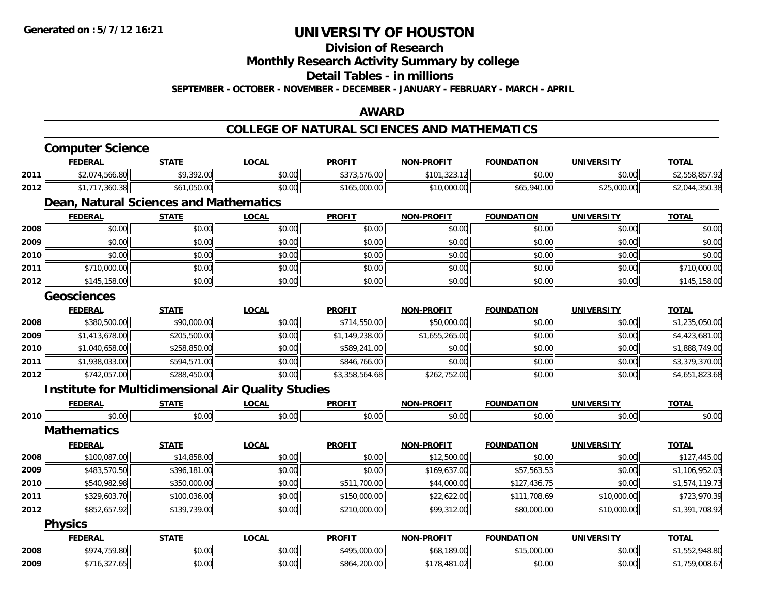### **Division of Research**

**Monthly Research Activity Summary by college**

#### **Detail Tables - in millions**

**SEPTEMBER - OCTOBER - NOVEMBER - DECEMBER - JANUARY - FEBRUARY - MARCH - APRIL**

### **AWARD**

#### **COLLEGE OF NATURAL SCIENCES AND MATHEMATICS**

|      | <b>Computer Science</b> |                                                           |              |                |                   |                   |                   |                |
|------|-------------------------|-----------------------------------------------------------|--------------|----------------|-------------------|-------------------|-------------------|----------------|
|      | <b>FEDERAL</b>          | <b>STATE</b>                                              | <b>LOCAL</b> | <b>PROFIT</b>  | <b>NON-PROFIT</b> | <b>FOUNDATION</b> | <b>UNIVERSITY</b> | <b>TOTAL</b>   |
| 2011 | \$2,074,566.80          | \$9,392.00                                                | \$0.00       | \$373,576.00   | \$101,323.12      | \$0.00            | \$0.00            | \$2,558,857.92 |
| 2012 | \$1,717,360.38          | \$61,050.00                                               | \$0.00       | \$165,000.00   | \$10,000.00       | \$65,940.00       | \$25,000.00       | \$2,044,350.38 |
|      |                         | Dean, Natural Sciences and Mathematics                    |              |                |                   |                   |                   |                |
|      | <b>FEDERAL</b>          | <b>STATE</b>                                              | <b>LOCAL</b> | <b>PROFIT</b>  | <b>NON-PROFIT</b> | <b>FOUNDATION</b> | <b>UNIVERSITY</b> | <b>TOTAL</b>   |
| 2008 | \$0.00                  | \$0.00                                                    | \$0.00       | \$0.00         | \$0.00            | \$0.00            | \$0.00            | \$0.00         |
| 2009 | \$0.00                  | \$0.00                                                    | \$0.00       | \$0.00         | \$0.00            | \$0.00            | \$0.00            | \$0.00         |
| 2010 | \$0.00                  | \$0.00                                                    | \$0.00       | \$0.00         | \$0.00            | \$0.00            | \$0.00            | \$0.00         |
| 2011 | \$710,000.00            | \$0.00                                                    | \$0.00       | \$0.00         | \$0.00            | \$0.00            | \$0.00            | \$710,000.00   |
| 2012 | \$145,158.00            | \$0.00                                                    | \$0.00       | \$0.00         | \$0.00            | \$0.00            | \$0.00            | \$145,158.00   |
|      | <b>Geosciences</b>      |                                                           |              |                |                   |                   |                   |                |
|      | <b>FEDERAL</b>          | <b>STATE</b>                                              | <b>LOCAL</b> | <b>PROFIT</b>  | <b>NON-PROFIT</b> | <b>FOUNDATION</b> | <b>UNIVERSITY</b> | <b>TOTAL</b>   |
| 2008 | \$380,500.00            | \$90,000.00                                               | \$0.00       | \$714,550.00   | \$50,000.00       | \$0.00            | \$0.00            | \$1,235,050.00 |
| 2009 | \$1,413,678.00          | \$205,500.00                                              | \$0.00       | \$1,149,238.00 | \$1,655,265.00    | \$0.00            | \$0.00            | \$4,423,681.00 |
| 2010 | \$1,040,658.00          | \$258,850.00                                              | \$0.00       | \$589,241.00   | \$0.00            | \$0.00            | \$0.00            | \$1,888,749.00 |
| 2011 | \$1,938,033,00          | \$594,571.00                                              | \$0.00       | \$846,766.00   | \$0.00            | \$0.00            | \$0.00            | \$3,379,370.00 |
| 2012 | \$742,057.00            | \$288,450.00                                              | \$0.00       | \$3,358,564.68 | \$262,752.00      | \$0.00            | \$0.00            | \$4,651,823.68 |
|      |                         | <b>Institute for Multidimensional Air Quality Studies</b> |              |                |                   |                   |                   |                |
|      | <b>FEDERAL</b>          | <b>STATE</b>                                              | <b>LOCAL</b> | <b>PROFIT</b>  | <b>NON-PROFIT</b> | <b>FOUNDATION</b> | <b>UNIVERSITY</b> | <b>TOTAL</b>   |
| 2010 | \$0.00                  | \$0.00                                                    | \$0.00       | \$0.00         | \$0.00            | \$0.00            | \$0.00            | \$0.00         |
|      | <b>Mathematics</b>      |                                                           |              |                |                   |                   |                   |                |
|      | <b>FEDERAL</b>          | <b>STATE</b>                                              | <b>LOCAL</b> | <b>PROFIT</b>  | <b>NON-PROFIT</b> | <b>FOUNDATION</b> | <b>UNIVERSITY</b> | <b>TOTAL</b>   |
| 2008 | \$100,087.00            | \$14,858.00                                               | \$0.00       | \$0.00         | \$12,500.00       | \$0.00            | \$0.00            | \$127,445.00   |
| 2009 | \$483,570.50            | \$396,181.00                                              | \$0.00       | \$0.00         | \$169,637.00      | \$57,563.53       | \$0.00            | \$1,106,952.03 |
| 2010 | \$540,982.98            | \$350,000.00                                              | \$0.00       | \$511,700.00   | \$44,000.00       | \$127,436.75      | \$0.00            | \$1,574,119.73 |
| 2011 | \$329,603.70            | \$100,036.00                                              | \$0.00       | \$150,000.00   | \$22,622.00       | \$111,708.69      | \$10,000.00       | \$723,970.39   |
| 2012 | \$852,657.92            | \$139,739.00                                              | \$0.00       | \$210,000.00   | \$99,312.00       | \$80,000.00       | \$10,000.00       | \$1,391,708.92 |
|      | <b>Physics</b>          |                                                           |              |                |                   |                   |                   |                |
|      | <b>FEDERAL</b>          | <b>STATE</b>                                              | <b>LOCAL</b> | <b>PROFIT</b>  | <b>NON-PROFIT</b> | <b>FOUNDATION</b> | <b>UNIVERSITY</b> | <b>TOTAL</b>   |
| 2008 | \$974,759.80            | \$0.00                                                    | \$0.00       | \$495,000.00   | \$68,189.00       | \$15,000.00       | \$0.00            | \$1,552,948.80 |
| 2009 | \$716,327.65            | \$0.00                                                    | \$0.00       | \$864,200.00   | \$178,481.02      | \$0.00            | \$0.00            | \$1,759,008.67 |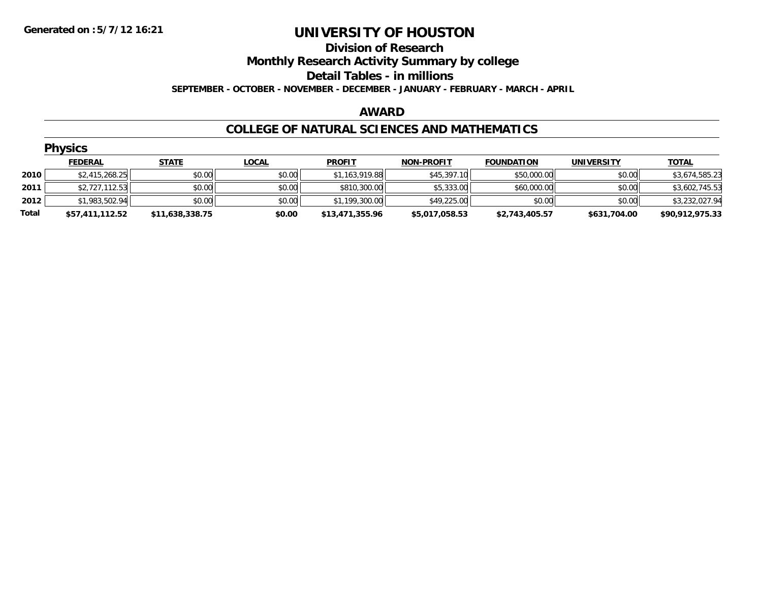#### **Division of Research**

**Monthly Research Activity Summary by college**

**Detail Tables - in millions**

**SEPTEMBER - OCTOBER - NOVEMBER - DECEMBER - JANUARY - FEBRUARY - MARCH - APRIL**

#### **AWARD**

#### **COLLEGE OF NATURAL SCIENCES AND MATHEMATICS**

|       | <b>Physics</b>  |                 |              |                 |                   |                   |                   |                 |
|-------|-----------------|-----------------|--------------|-----------------|-------------------|-------------------|-------------------|-----------------|
|       | <b>FEDERAL</b>  | <b>STATE</b>    | <b>LOCAL</b> | <b>PROFIT</b>   | <b>NON-PROFIT</b> | <b>FOUNDATION</b> | <b>UNIVERSITY</b> | <b>TOTAL</b>    |
| 2010  | \$2,415,268.25  | \$0.00          | \$0.00       | \$1,163,919.88  | \$45,397.10       | \$50,000.00       | \$0.00            | \$3,674,585.23  |
| 2011  | \$2,727,112.53  | \$0.00          | \$0.00       | \$810,300.00    | \$5,333.00        | \$60,000.00       | \$0.00            | \$3,602,745.53  |
| 2012  | \$1,983,502.94  | \$0.00          | \$0.00       | \$1,199,300.00  | \$49,225.00       | \$0.00            | \$0.00            | \$3,232,027.94  |
| Total | \$57,411,112.52 | \$11,638,338.75 | \$0.00       | \$13,471,355.96 | \$5,017,058.53    | \$2,743,405.57    | \$631,704.00      | \$90,912,975.33 |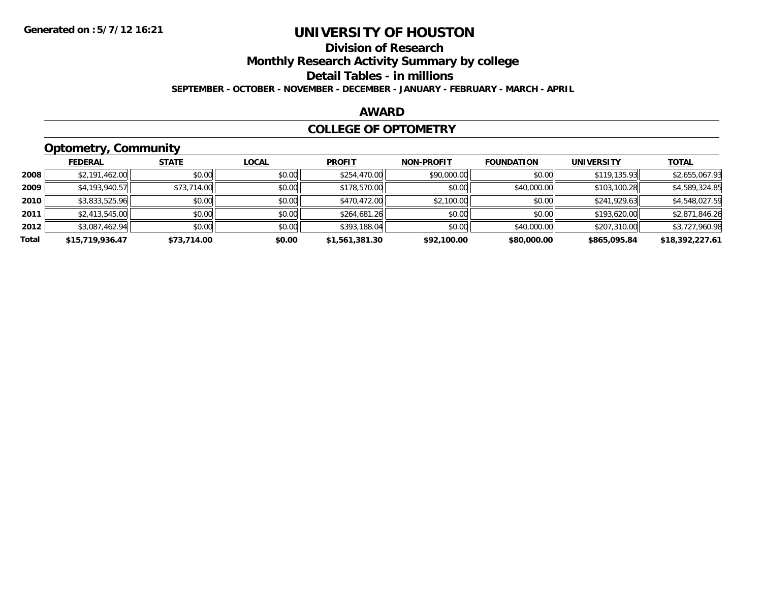### **Division of Research**

**Monthly Research Activity Summary by college**

**Detail Tables - in millions**

**SEPTEMBER - OCTOBER - NOVEMBER - DECEMBER - JANUARY - FEBRUARY - MARCH - APRIL**

#### **AWARD**

#### **COLLEGE OF OPTOMETRY**

### **Optometry, Community**

|       | .               |              |              |                |                   |                   |                   |                 |
|-------|-----------------|--------------|--------------|----------------|-------------------|-------------------|-------------------|-----------------|
|       | <b>FEDERAL</b>  | <b>STATE</b> | <b>LOCAL</b> | <b>PROFIT</b>  | <b>NON-PROFIT</b> | <b>FOUNDATION</b> | <b>UNIVERSITY</b> | <b>TOTAL</b>    |
| 2008  | \$2,191,462.00  | \$0.00       | \$0.00       | \$254,470.00   | \$90,000.00       | \$0.00            | \$119,135.93      | \$2,655,067.93  |
| 2009  | \$4,193,940.57  | \$73,714.00  | \$0.00       | \$178,570.00   | \$0.00            | \$40,000.00       | \$103,100.28      | \$4,589,324.85  |
| 2010  | \$3,833,525.96  | \$0.00       | \$0.00       | \$470,472.00   | \$2,100.00        | \$0.00            | \$241,929.63      | \$4,548,027.59  |
| 2011  | \$2,413,545.00  | \$0.00       | \$0.00       | \$264,681.26   | \$0.00            | \$0.00            | \$193,620.00      | \$2,871,846.26  |
| 2012  | \$3,087,462.94  | \$0.00       | \$0.00       | \$393,188.04   | \$0.00            | \$40,000.00       | \$207,310.00      | \$3,727,960.98  |
| Total | \$15,719,936.47 | \$73,714.00  | \$0.00       | \$1,561,381.30 | \$92,100.00       | \$80,000.00       | \$865,095.84      | \$18,392,227.61 |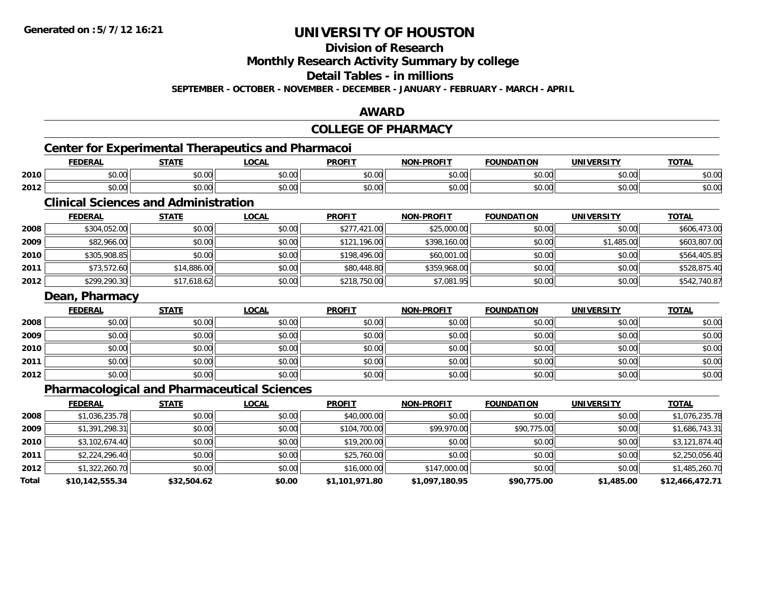**Division of Research**

**Monthly Research Activity Summary by college**

**Detail Tables - in millions**

**SEPTEMBER - OCTOBER - NOVEMBER - DECEMBER - JANUARY - FEBRUARY - MARCH - APRIL**

### **AWARD**

|       |                                                           |              |              | <b>COLLEGE OF PHARMACY</b> |                   |                   |                   |                 |
|-------|-----------------------------------------------------------|--------------|--------------|----------------------------|-------------------|-------------------|-------------------|-----------------|
|       | <b>Center for Experimental Therapeutics and Pharmacoi</b> |              |              |                            |                   |                   |                   |                 |
|       | <b>FEDERAL</b>                                            | <b>STATE</b> | <b>LOCAL</b> | <b>PROFIT</b>              | <b>NON-PROFIT</b> | <b>FOUNDATION</b> | <b>UNIVERSITY</b> | <b>TOTAL</b>    |
| 2010  | \$0.00                                                    | \$0.00       | \$0.00       | \$0.00                     | \$0.00            | \$0.00            | \$0.00            | \$0.00          |
| 2012  | \$0.00                                                    | \$0.00       | \$0.00       | \$0.00                     | \$0.00            | \$0.00            | \$0.00            | \$0.00          |
|       | <b>Clinical Sciences and Administration</b>               |              |              |                            |                   |                   |                   |                 |
|       | <b>FEDERAL</b>                                            | <b>STATE</b> | <b>LOCAL</b> | <b>PROFIT</b>              | <b>NON-PROFIT</b> | <b>FOUNDATION</b> | <b>UNIVERSITY</b> | <b>TOTAL</b>    |
| 2008  | \$304,052.00                                              | \$0.00       | \$0.00       | \$277,421.00               | \$25,000.00       | \$0.00            | \$0.00            | \$606,473.00    |
| 2009  | \$82,966.00                                               | \$0.00       | \$0.00       | \$121,196.00               | \$398,160.00      | \$0.00            | \$1,485.00        | \$603,807.00    |
| 2010  | \$305,908.85                                              | \$0.00       | \$0.00       | \$198,496.00               | \$60,001.00       | \$0.00            | \$0.00            | \$564,405.85    |
| 2011  | \$73,572.60                                               | \$14,886.00  | \$0.00       | \$80,448.80                | \$359,968.00      | \$0.00            | \$0.00            | \$528,875.40    |
| 2012  | \$299,290.30                                              | \$17,618.62  | \$0.00       | \$218,750.00               | \$7,081.95        | \$0.00            | \$0.00            | \$542,740.87    |
|       | Dean, Pharmacy                                            |              |              |                            |                   |                   |                   |                 |
|       | <b>FEDERAL</b>                                            | <b>STATE</b> | <b>LOCAL</b> | <b>PROFIT</b>              | <b>NON-PROFIT</b> | <b>FOUNDATION</b> | <b>UNIVERSITY</b> | <b>TOTAL</b>    |
| 2008  | \$0.00                                                    | \$0.00       | \$0.00       | \$0.00                     | \$0.00            | \$0.00            | \$0.00            | \$0.00          |
| 2009  | \$0.00                                                    | \$0.00       | \$0.00       | \$0.00                     | \$0.00            | \$0.00            | \$0.00            | \$0.00          |
| 2010  | \$0.00                                                    | \$0.00       | \$0.00       | \$0.00                     | \$0.00            | \$0.00            | \$0.00            | \$0.00          |
| 2011  | \$0.00                                                    | \$0.00       | \$0.00       | \$0.00                     | \$0.00            | \$0.00            | \$0.00            | \$0.00          |
| 2012  | \$0.00                                                    | \$0.00       | \$0.00       | \$0.00                     | \$0.00            | \$0.00            | \$0.00            | \$0.00          |
|       | <b>Pharmacological and Pharmaceutical Sciences</b>        |              |              |                            |                   |                   |                   |                 |
|       | <b>FEDERAL</b>                                            | <b>STATE</b> | <b>LOCAL</b> | <b>PROFIT</b>              | <b>NON-PROFIT</b> | <b>FOUNDATION</b> | <b>UNIVERSITY</b> | <b>TOTAL</b>    |
| 2008  | \$1,036,235.78                                            | \$0.00       | \$0.00       | \$40,000.00                | \$0.00            | \$0.00            | \$0.00            | \$1,076,235.78  |
| 2009  | \$1,391,298.31                                            | \$0.00       | \$0.00       | \$104,700.00               | \$99,970.00       | \$90,775.00       | \$0.00            | \$1,686,743.31  |
| 2010  | \$3,102,674.40                                            | \$0.00       | \$0.00       | \$19,200.00                | \$0.00            | \$0.00            | \$0.00            | \$3,121,874.40  |
| 2011  | \$2,224,296.40                                            | \$0.00       | \$0.00       | \$25,760.00                | \$0.00            | \$0.00            | \$0.00            | \$2,250,056.40  |
| 2012  | \$1,322,260.70                                            | \$0.00       | \$0.00       | \$16,000.00                | \$147,000.00      | \$0.00            | \$0.00            | \$1,485,260.70  |
| Total | \$10,142,555.34                                           | \$32,504.62  | \$0.00       | \$1,101,971.80             | \$1,097,180.95    | \$90,775.00       | \$1,485.00        | \$12,466,472.71 |
|       |                                                           |              |              |                            |                   |                   |                   |                 |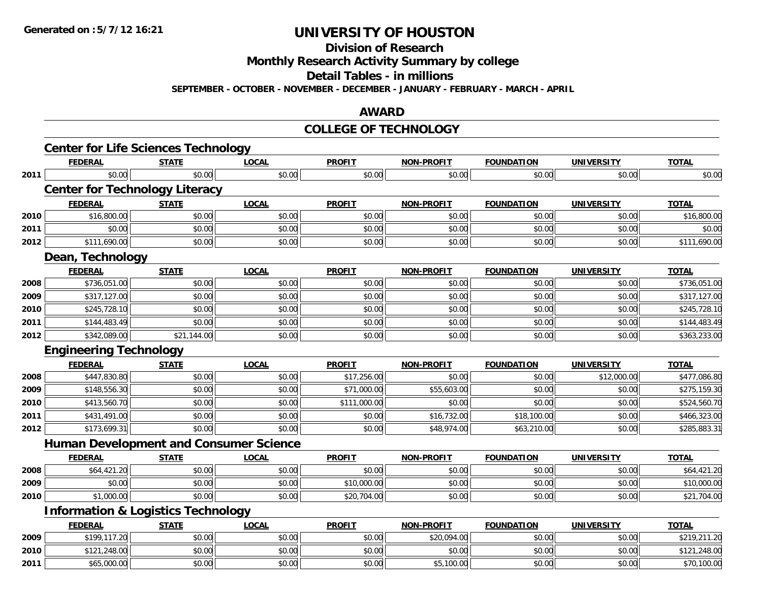**Division of Research**

**Monthly Research Activity Summary by college**

**Detail Tables - in millions**

**SEPTEMBER - OCTOBER - NOVEMBER - DECEMBER - JANUARY - FEBRUARY - MARCH - APRIL**

#### **AWARD**

#### **COLLEGE OF TECHNOLOGY**

|      | <b>Center for Life Sciences Technology</b>    |              |              |               |                   |                   |                   |              |
|------|-----------------------------------------------|--------------|--------------|---------------|-------------------|-------------------|-------------------|--------------|
|      | <b>FEDERAL</b>                                | <b>STATE</b> | <b>LOCAL</b> | <b>PROFIT</b> | <b>NON-PROFIT</b> | <b>FOUNDATION</b> | <b>UNIVERSITY</b> | <b>TOTAL</b> |
| 2011 | \$0.00                                        | \$0.00       | \$0.00       | \$0.00        | \$0.00            | \$0.00            | \$0.00            | \$0.00       |
|      | <b>Center for Technology Literacy</b>         |              |              |               |                   |                   |                   |              |
|      | <b>FEDERAL</b>                                | <b>STATE</b> | <b>LOCAL</b> | <b>PROFIT</b> | <b>NON-PROFIT</b> | <b>FOUNDATION</b> | <b>UNIVERSITY</b> | <b>TOTAL</b> |
| 2010 | \$16,800.00                                   | \$0.00       | \$0.00       | \$0.00        | \$0.00            | \$0.00            | \$0.00            | \$16,800.00  |
| 2011 | \$0.00                                        | \$0.00       | \$0.00       | \$0.00        | \$0.00            | \$0.00            | \$0.00            | \$0.00       |
| 2012 | \$111,690.00                                  | \$0.00       | \$0.00       | \$0.00        | \$0.00            | \$0.00            | \$0.00            | \$111,690.00 |
|      | Dean, Technology                              |              |              |               |                   |                   |                   |              |
|      | <b>FEDERAL</b>                                | <b>STATE</b> | <b>LOCAL</b> | <b>PROFIT</b> | <b>NON-PROFIT</b> | <b>FOUNDATION</b> | <b>UNIVERSITY</b> | <b>TOTAL</b> |
| 2008 | \$736,051.00                                  | \$0.00       | \$0.00       | \$0.00        | \$0.00            | \$0.00            | \$0.00            | \$736,051.00 |
| 2009 | \$317,127.00                                  | \$0.00       | \$0.00       | \$0.00        | \$0.00            | \$0.00            | \$0.00            | \$317,127.00 |
| 2010 | \$245,728.10                                  | \$0.00       | \$0.00       | \$0.00        | \$0.00            | \$0.00            | \$0.00            | \$245,728.10 |
| 2011 | \$144,483.49                                  | \$0.00       | \$0.00       | \$0.00        | \$0.00            | \$0.00            | \$0.00            | \$144,483.49 |
| 2012 | \$342,089.00                                  | \$21,144.00  | \$0.00       | \$0.00        | \$0.00            | \$0.00            | \$0.00            | \$363,233.00 |
|      | <b>Engineering Technology</b>                 |              |              |               |                   |                   |                   |              |
|      | <b>FEDERAL</b>                                | <b>STATE</b> | <b>LOCAL</b> | <b>PROFIT</b> | <b>NON-PROFIT</b> | <b>FOUNDATION</b> | <b>UNIVERSITY</b> | <b>TOTAL</b> |
| 2008 | \$447,830.80                                  | \$0.00       | \$0.00       | \$17,256.00   | \$0.00            | \$0.00            | \$12,000.00       | \$477,086.80 |
| 2009 | \$148,556.30                                  | \$0.00       | \$0.00       | \$71,000.00   | \$55,603.00       | \$0.00            | \$0.00            | \$275,159.30 |
| 2010 | \$413,560.70                                  | \$0.00       | \$0.00       | \$111,000.00  | \$0.00            | \$0.00            | \$0.00            | \$524,560.70 |
| 2011 | \$431,491.00                                  | \$0.00       | \$0.00       | \$0.00        | \$16,732.00       | \$18,100.00       | \$0.00            | \$466,323.00 |
| 2012 | \$173,699.31                                  | \$0.00       | \$0.00       | \$0.00        | \$48,974.00       | \$63,210.00       | \$0.00            | \$285,883.31 |
|      | <b>Human Development and Consumer Science</b> |              |              |               |                   |                   |                   |              |
|      | <b>FEDERAL</b>                                | <b>STATE</b> | <b>LOCAL</b> | <b>PROFIT</b> | <b>NON-PROFIT</b> | <b>FOUNDATION</b> | <b>UNIVERSITY</b> | <b>TOTAL</b> |
| 2008 | \$64,421.20                                   | \$0.00       | \$0.00       | \$0.00        | \$0.00            | \$0.00            | \$0.00            | \$64,421.20  |
| 2009 | \$0.00                                        | \$0.00       | \$0.00       | \$10,000.00   | \$0.00            | \$0.00            | \$0.00            | \$10,000.00  |
| 2010 | \$1,000.00                                    | \$0.00       | \$0.00       | \$20,704.00   | \$0.00            | \$0.00            | \$0.00            | \$21,704.00  |
|      | <b>Information &amp; Logistics Technology</b> |              |              |               |                   |                   |                   |              |
|      | <b>FEDERAL</b>                                | <b>STATE</b> | <b>LOCAL</b> | <b>PROFIT</b> | NON-PROFIT        | <b>FOUNDATION</b> | <b>UNIVERSITY</b> | <b>TOTAL</b> |
| 2009 | \$199,117.20                                  | \$0.00       | \$0.00       | \$0.00        | \$20,094.00       | \$0.00            | \$0.00            | \$219,211.20 |
| 2010 | \$121,248.00                                  | \$0.00       | \$0.00       | \$0.00        | \$0.00            | \$0.00            | \$0.00            | \$121,248.00 |
| 2011 | \$65,000.00                                   | \$0.00       | \$0.00       | \$0.00        | \$5,100.00        | \$0.00            | \$0.00            | \$70,100.00  |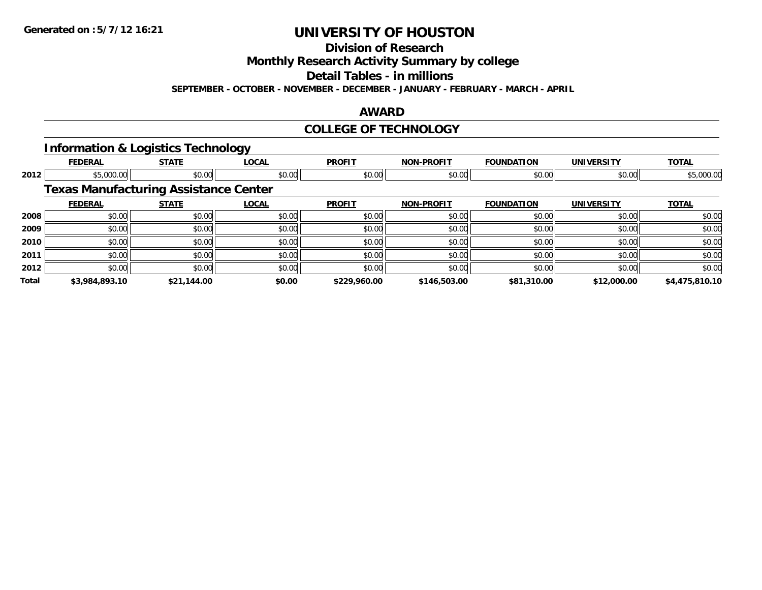**Division of Research**

**Monthly Research Activity Summary by college**

**Detail Tables - in millions**

**SEPTEMBER - OCTOBER - NOVEMBER - DECEMBER - JANUARY - FEBRUARY - MARCH - APRIL**

### **AWARD**

### **COLLEGE OF TECHNOLOGY**

#### **Information & Logistics Technology**

|       | <b>FEDERAL</b> | <b>STATE</b>                                 | <b>LOCAL</b> | <b>PROFIT</b> | <b>NON-PROFIT</b> | <b>FOUNDATION</b> | <b>UNIVERSITY</b> | <b>TOTAL</b>   |
|-------|----------------|----------------------------------------------|--------------|---------------|-------------------|-------------------|-------------------|----------------|
| 2012  | \$5,000.00     | \$0.00                                       | \$0.00       | \$0.00        | \$0.00            | \$0.00            | \$0.00            | \$5,000.00     |
|       |                | <b>Texas Manufacturing Assistance Center</b> |              |               |                   |                   |                   |                |
|       | <b>FEDERAL</b> | <b>STATE</b>                                 | <b>LOCAL</b> | <b>PROFIT</b> | <b>NON-PROFIT</b> | <b>FOUNDATION</b> | <b>UNIVERSITY</b> | <b>TOTAL</b>   |
| 2008  | \$0.00         | \$0.00                                       | \$0.00       | \$0.00        | \$0.00            | \$0.00            | \$0.00            | \$0.00         |
| 2009  | \$0.00         | \$0.00                                       | \$0.00       | \$0.00        | \$0.00            | \$0.00            | \$0.00            | \$0.00         |
| 2010  | \$0.00         | \$0.00                                       | \$0.00       | \$0.00        | \$0.00            | \$0.00            | \$0.00            | \$0.00         |
| 2011  | \$0.00         | \$0.00                                       | \$0.00       | \$0.00        | \$0.00            | \$0.00            | \$0.00            | \$0.00         |
| 2012  | \$0.00         | \$0.00                                       | \$0.00       | \$0.00        | \$0.00            | \$0.00            | \$0.00            | \$0.00         |
| Total | \$3,984,893.10 | \$21,144.00                                  | \$0.00       | \$229,960.00  | \$146,503.00      | \$81,310.00       | \$12,000.00       | \$4,475,810.10 |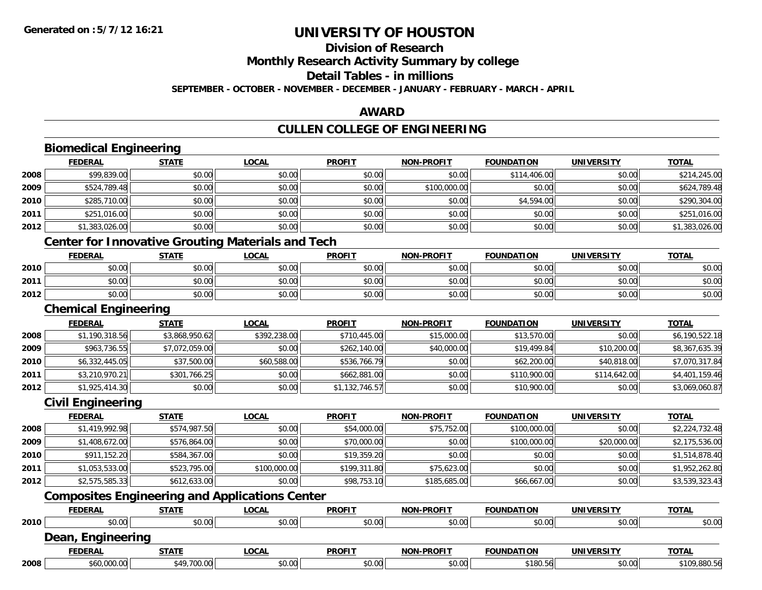**Division of Research**

**Monthly Research Activity Summary by college**

**Detail Tables - in millions**

**SEPTEMBER - OCTOBER - NOVEMBER - DECEMBER - JANUARY - FEBRUARY - MARCH - APRIL**

### **AWARD**

# **CULLEN COLLEGE OF ENGINEERING**

|      | <b>Biomedical Engineering</b>                            |                |              |                |                   |                   |                   |                |
|------|----------------------------------------------------------|----------------|--------------|----------------|-------------------|-------------------|-------------------|----------------|
|      | <b>FEDERAL</b>                                           | <b>STATE</b>   | <b>LOCAL</b> | <b>PROFIT</b>  | <b>NON-PROFIT</b> | <b>FOUNDATION</b> | <b>UNIVERSITY</b> | <b>TOTAL</b>   |
| 2008 | \$99,839.00                                              | \$0.00         | \$0.00       | \$0.00         | \$0.00            | \$114,406.00      | \$0.00            | \$214,245.00   |
| 2009 | \$524,789.48                                             | \$0.00         | \$0.00       | \$0.00         | \$100,000.00      | \$0.00            | \$0.00            | \$624,789.48   |
| 2010 | \$285,710.00                                             | \$0.00         | \$0.00       | \$0.00         | \$0.00            | \$4,594.00        | \$0.00            | \$290,304.00   |
| 2011 | \$251,016.00                                             | \$0.00         | \$0.00       | \$0.00         | \$0.00            | \$0.00            | \$0.00            | \$251,016.00   |
| 2012 | \$1,383,026.00                                           | \$0.00         | \$0.00       | \$0.00         | \$0.00            | \$0.00            | \$0.00            | \$1,383,026.00 |
|      | <b>Center for Innovative Grouting Materials and Tech</b> |                |              |                |                   |                   |                   |                |
|      | <b>FEDERAL</b>                                           | <b>STATE</b>   | <b>LOCAL</b> | <b>PROFIT</b>  | <b>NON-PROFIT</b> | <b>FOUNDATION</b> | <b>UNIVERSITY</b> | <b>TOTAL</b>   |
| 2010 | \$0.00                                                   | \$0.00         | \$0.00       | \$0.00         | \$0.00            | \$0.00            | \$0.00            | \$0.00         |
| 2011 | \$0.00                                                   | \$0.00         | \$0.00       | \$0.00         | \$0.00            | \$0.00            | \$0.00            | \$0.00         |
| 2012 | \$0.00                                                   | \$0.00         | \$0.00       | \$0.00         | \$0.00            | \$0.00            | \$0.00            | \$0.00         |
|      | <b>Chemical Engineering</b>                              |                |              |                |                   |                   |                   |                |
|      | <b>FEDERAL</b>                                           | <b>STATE</b>   | <b>LOCAL</b> | <b>PROFIT</b>  | <b>NON-PROFIT</b> | <b>FOUNDATION</b> | <b>UNIVERSITY</b> | <b>TOTAL</b>   |
| 2008 | \$1,190,318.56                                           | \$3,868,950.62 | \$392,238.00 | \$710,445.00   | \$15,000.00       | \$13,570.00       | \$0.00            | \$6,190,522.18 |
| 2009 | \$963,736.55                                             | \$7,072,059.00 | \$0.00       | \$262,140.00   | \$40,000.00       | \$19,499.84       | \$10,200.00       | \$8,367,635.39 |
| 2010 | \$6,332,445.05                                           | \$37,500.00    | \$60,588.00  | \$536,766.79   | \$0.00            | \$62,200.00       | \$40,818.00       | \$7,070,317.84 |
| 2011 | \$3,210,970.21                                           | \$301,766.25   | \$0.00       | \$662,881.00   | \$0.00            | \$110,900.00      | \$114,642.00      | \$4,401,159.46 |
| 2012 | \$1,925,414.30                                           | \$0.00         | \$0.00       | \$1,132,746.57 | \$0.00            | \$10,900.00       | \$0.00            | \$3,069,060.87 |
|      | <b>Civil Engineering</b>                                 |                |              |                |                   |                   |                   |                |
|      | <b>FEDERAL</b>                                           | <b>STATE</b>   | <b>LOCAL</b> | <b>PROFIT</b>  | <b>NON-PROFIT</b> | <b>FOUNDATION</b> | <b>UNIVERSITY</b> | <b>TOTAL</b>   |
| 2008 | \$1,419,992.98                                           | \$574,987.50   | \$0.00       | \$54,000.00    | \$75,752.00       | \$100,000.00      | \$0.00            | \$2,224,732.48 |
| 2009 | \$1,408,672.00                                           | \$576,864.00   | \$0.00       | \$70,000.00    | \$0.00            | \$100,000.00      | \$20,000.00       | \$2,175,536.00 |
| 2010 | \$911,152.20                                             | \$584,367.00   | \$0.00       | \$19,359.20    | \$0.00            | \$0.00            | \$0.00            | \$1,514,878.40 |
| 2011 | \$1,053,533.00                                           | \$523,795.00   | \$100,000.00 | \$199,311.80   | \$75,623.00       | \$0.00            | \$0.00            | \$1,952,262.80 |
| 2012 | \$2,575,585.33                                           | \$612,633.00   | \$0.00       | \$98,753.10    | \$185,685.00      | \$66,667.00       | \$0.00            | \$3,539,323.43 |
|      | <b>Composites Engineering and Applications Center</b>    |                |              |                |                   |                   |                   |                |
|      | <b>FEDERAL</b>                                           | <b>STATE</b>   | <b>LOCAL</b> | <b>PROFIT</b>  | <b>NON-PROFIT</b> | <b>FOUNDATION</b> | <b>UNIVERSITY</b> | <b>TOTAL</b>   |
| 2010 | \$0.00                                                   | \$0.00         | \$0.00       | \$0.00         | \$0.00            | \$0.00            | \$0.00            | \$0.00         |
|      | Dean, Engineering                                        |                |              |                |                   |                   |                   |                |
|      | <b>FEDERAL</b>                                           | <b>STATE</b>   | <b>LOCAL</b> | <b>PROFIT</b>  | <b>NON-PROFIT</b> | <b>FOUNDATION</b> | <b>UNIVERSITY</b> | <b>TOTAL</b>   |
| 2008 | \$60,000.00                                              | \$49,700.00    | \$0.00       | \$0.00         | \$0.00            | \$180.56          | \$0.00            | \$109,880.56   |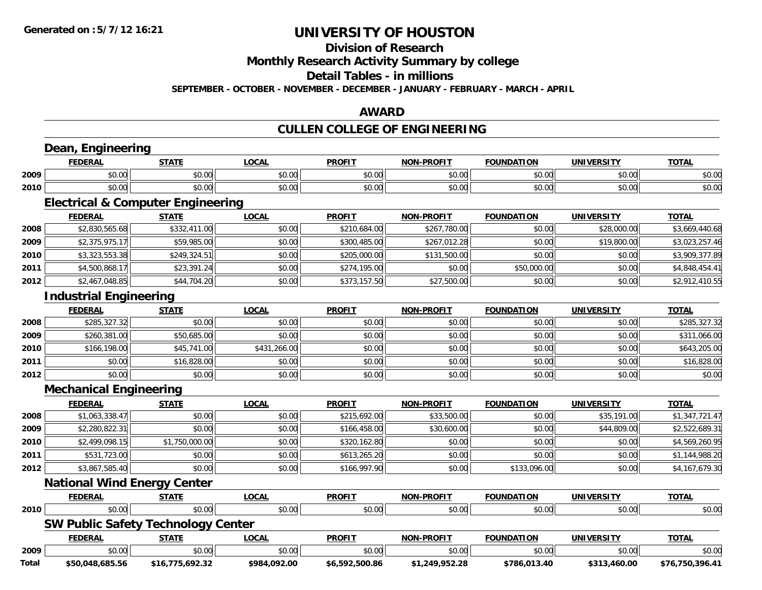**Division of Research**

**Monthly Research Activity Summary by college**

**Detail Tables - in millions**

**SEPTEMBER - OCTOBER - NOVEMBER - DECEMBER - JANUARY - FEBRUARY - MARCH - APRIL**

### **AWARD**

## **CULLEN COLLEGE OF ENGINEERING**

|              | <b>FEDERAL</b>                               | <b>STATE</b>    | <b>LOCAL</b> | <b>PROFIT</b>  | <b>NON-PROFIT</b> | <b>FOUNDATION</b> | <b>UNIVERSITY</b> | <b>TOTAL</b>    |
|--------------|----------------------------------------------|-----------------|--------------|----------------|-------------------|-------------------|-------------------|-----------------|
| 2009         | \$0.00                                       | \$0.00          | \$0.00       | \$0.00         | \$0.00            | \$0.00            | \$0.00            | \$0.00          |
| 2010         | \$0.00                                       | \$0.00          | \$0.00       | \$0.00         | \$0.00            | \$0.00            | \$0.00            | \$0.00          |
|              | <b>Electrical &amp; Computer Engineering</b> |                 |              |                |                   |                   |                   |                 |
|              | <b>FEDERAL</b>                               | <b>STATE</b>    | <b>LOCAL</b> | <b>PROFIT</b>  | <b>NON-PROFIT</b> | <b>FOUNDATION</b> | <b>UNIVERSITY</b> | <b>TOTAL</b>    |
| 2008         | \$2,830,565.68                               | \$332,411.00    | \$0.00       | \$210,684.00   | \$267,780.00      | \$0.00            | \$28,000.00       | \$3,669,440.68  |
| 2009         | \$2,375,975.17                               | \$59,985.00     | \$0.00       | \$300,485.00   | \$267,012.28      | \$0.00            | \$19,800.00       | \$3,023,257.46  |
| 2010         | \$3,323,553.38                               | \$249,324.51    | \$0.00       | \$205,000.00   | \$131,500.00      | \$0.00            | \$0.00            | \$3,909,377.89  |
| 2011         | \$4,500,868.17                               | \$23,391.24     | \$0.00       | \$274,195.00   | \$0.00            | \$50,000.00       | \$0.00            | \$4,848,454.41  |
| 2012         | \$2,467,048.85                               | \$44,704.20     | \$0.00       | \$373,157.50   | \$27,500.00       | \$0.00            | \$0.00            | \$2,912,410.55  |
|              | <b>Industrial Engineering</b>                |                 |              |                |                   |                   |                   |                 |
|              | <b>FEDERAL</b>                               | <b>STATE</b>    | <b>LOCAL</b> | <b>PROFIT</b>  | <b>NON-PROFIT</b> | <b>FOUNDATION</b> | <b>UNIVERSITY</b> | <b>TOTAL</b>    |
| 2008         | \$285,327.32                                 | \$0.00          | \$0.00       | \$0.00         | \$0.00            | \$0.00            | \$0.00            | \$285,327.32    |
| 2009         | \$260,381.00                                 | \$50,685.00     | \$0.00       | \$0.00         | \$0.00            | \$0.00            | \$0.00            | \$311,066.00    |
| 2010         | \$166,198.00                                 | \$45,741.00     | \$431,266.00 | \$0.00         | \$0.00            | \$0.00            | \$0.00            | \$643,205.00    |
| 2011         | \$0.00                                       | \$16,828.00     | \$0.00       | \$0.00         | \$0.00            | \$0.00            | \$0.00            | \$16,828.00     |
| 2012         | \$0.00                                       | \$0.00          | \$0.00       | \$0.00         | \$0.00            | \$0.00            | \$0.00            | \$0.00          |
|              | <b>Mechanical Engineering</b>                |                 |              |                |                   |                   |                   |                 |
|              | <b>FEDERAL</b>                               | <b>STATE</b>    | <b>LOCAL</b> | <b>PROFIT</b>  | <b>NON-PROFIT</b> | <b>FOUNDATION</b> | <b>UNIVERSITY</b> | <b>TOTAL</b>    |
| 2008         | \$1,063,338.47                               | \$0.00          | \$0.00       | \$215,692.00   | \$33,500.00       | \$0.00            | \$35,191.00       | \$1,347,721.47  |
| 2009         | \$2,280,822.31                               | \$0.00          | \$0.00       | \$166,458.00   | \$30,600.00       | \$0.00            | \$44,809.00       | \$2,522,689.31  |
| 2010         | \$2,499,098.15                               | \$1,750,000.00  | \$0.00       | \$320,162.80   | \$0.00            | \$0.00            | \$0.00            | \$4,569,260.95  |
| 2011         | \$531,723.00                                 | \$0.00          | \$0.00       | \$613,265.20   | \$0.00            | \$0.00            | \$0.00            | \$1,144,988.20  |
| 2012         | \$3,867,585.40                               | \$0.00          | \$0.00       | \$166,997.90   | \$0.00            | \$133,096.00      | \$0.00            | \$4,167,679.30  |
|              | <b>National Wind Energy Center</b>           |                 |              |                |                   |                   |                   |                 |
|              | <b>FEDERAL</b>                               | <b>STATE</b>    | <b>LOCAL</b> | <b>PROFIT</b>  | <b>NON-PROFIT</b> | <b>FOUNDATION</b> | <b>UNIVERSITY</b> | <b>TOTAL</b>    |
| 2010         | \$0.00                                       | \$0.00          | \$0.00       | \$0.00         | \$0.00            | \$0.00            | \$0.00            | \$0.00          |
|              | <b>SW Public Safety Technology Center</b>    |                 |              |                |                   |                   |                   |                 |
|              | <b>FEDERAL</b>                               | <b>STATE</b>    | <b>LOCAL</b> | <b>PROFIT</b>  | <b>NON-PROFIT</b> | <b>FOUNDATION</b> | <b>UNIVERSITY</b> | <b>TOTAL</b>    |
| 2009         | \$0.00                                       | \$0.00          | \$0.00       | \$0.00         | \$0.00            | \$0.00            | \$0.00            | \$0.00          |
| <b>Total</b> | \$50,048,685.56                              | \$16,775,692.32 | \$984,092.00 | \$6,592,500.86 | \$1,249,952.28    | \$786,013.40      | \$313,460.00      | \$76,750,396.41 |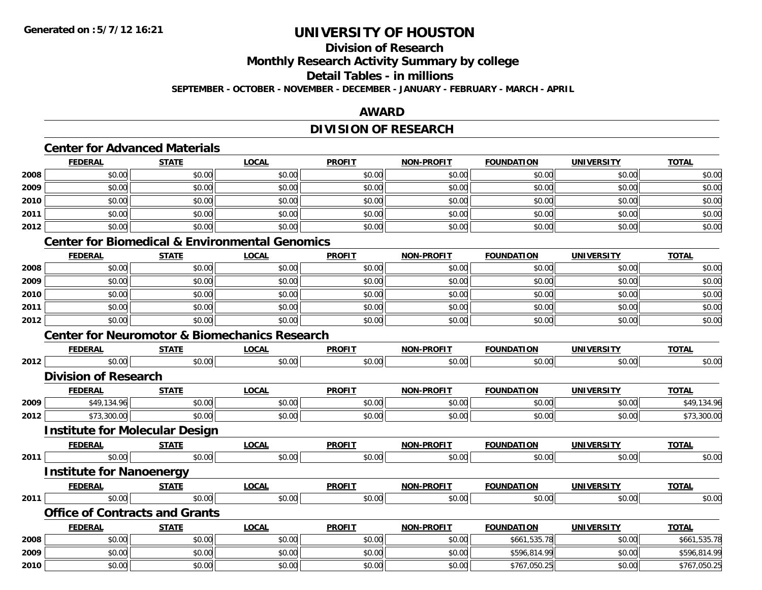### **Division of Research**

**Monthly Research Activity Summary by college**

### **Detail Tables - in millions**

**SEPTEMBER - OCTOBER - NOVEMBER - DECEMBER - JANUARY - FEBRUARY - MARCH - APRIL**

### **AWARD**

### **DIVISION OF RESEARCH**

### **Center for Advanced Materials**

|      | <b>FEDERAL</b> | <b>STATE</b> | <u>LOCAL</u> | <b>PROFIT</b> | <b>NON-PROFIT</b> | <b>FOUNDATION</b> | <b>UNIVERSITY</b> | <b>TOTAL</b> |
|------|----------------|--------------|--------------|---------------|-------------------|-------------------|-------------------|--------------|
| 2008 | \$0.00         | \$0.00       | \$0.00       | \$0.00        | \$0.00            | \$0.00            | \$0.00            | \$0.00       |
| 2009 | \$0.00         | \$0.00       | \$0.00       | \$0.00        | \$0.00            | \$0.00            | \$0.00            | \$0.00       |
| 2010 | \$0.00         | \$0.00       | \$0.00       | \$0.00        | \$0.00            | \$0.00            | \$0.00            | \$0.00       |
| 2011 | \$0.00         | \$0.00       | \$0.00       | \$0.00        | \$0.00            | \$0.00            | \$0.00            | \$0.00       |
| 2012 | \$0.00         | \$0.00       | \$0.00       | \$0.00        | \$0.00            | \$0.00            | \$0.00            | \$0.00       |

#### **Center for Biomedical & Environmental Genomics**

|      | <b>FEDERAL</b> | <b>STATE</b> | <u>LOCAL</u> | <b>PROFIT</b> | <b>NON-PROFIT</b> | <b>FOUNDATION</b> | <b>UNIVERSITY</b> | <b>TOTAL</b> |
|------|----------------|--------------|--------------|---------------|-------------------|-------------------|-------------------|--------------|
| 2008 | \$0.00         | \$0.00       | \$0.00       | \$0.00        | \$0.00            | \$0.00            | \$0.00            | \$0.00       |
| 2009 | \$0.00         | \$0.00       | \$0.00       | \$0.00        | \$0.00            | \$0.00            | \$0.00            | \$0.00       |
| 2010 | \$0.00         | \$0.00       | \$0.00       | \$0.00        | \$0.00            | \$0.00            | \$0.00            | \$0.00       |
| 2011 | \$0.00         | \$0.00       | \$0.00       | \$0.00        | \$0.00            | \$0.00            | \$0.00            | \$0.00       |
| 2012 | \$0.00         | \$0.00       | \$0.00       | \$0.00        | \$0.00            | \$0.00            | \$0.00            | \$0.00       |

#### **Center for Neuromotor & Biomechanics Research**

|      | <b>FEDERAL</b>                        | <b>STATE</b> | LOCAL        | <b>PROFIT</b> | <b>NON-PROFIT</b> | <b>FOUNDATION</b> | <b>UNIVERSITY</b> | <b>TOTAL</b> |
|------|---------------------------------------|--------------|--------------|---------------|-------------------|-------------------|-------------------|--------------|
| 2012 | \$0.00                                | \$0.00       | \$0.00       | \$0.00        | \$0.00            | \$0.00            | \$0.00            | \$0.00       |
|      | <b>Division of Research</b>           |              |              |               |                   |                   |                   |              |
|      | <b>FEDERAL</b>                        | <b>STATE</b> | <b>LOCAL</b> | <b>PROFIT</b> | <b>NON-PROFIT</b> | <b>FOUNDATION</b> | <b>UNIVERSITY</b> | <b>TOTAL</b> |
| 2009 | \$49,134.96                           | \$0.00       | \$0.00       | \$0.00        | \$0.00            | \$0.00            | \$0.00            | \$49,134.96  |
| 2012 | \$73,300.00                           | \$0.00       | \$0.00       | \$0.00        | \$0.00            | \$0.00            | \$0.00            | \$73,300.00  |
|      | <b>Institute for Molecular Design</b> |              |              |               |                   |                   |                   |              |
|      | <b>FEDERAL</b>                        | <b>STATE</b> | <b>LOCAL</b> | <b>PROFIT</b> | <b>NON-PROFIT</b> | <b>FOUNDATION</b> | <b>UNIVERSITY</b> | <b>TOTAL</b> |
| 2011 | \$0.00                                | \$0.00       | \$0.00       | \$0.00        | \$0.00            | \$0.00            | \$0.00            | \$0.00       |
|      | <b>Institute for Nanoenergy</b>       |              |              |               |                   |                   |                   |              |
|      | <b>FEDERAL</b>                        | <b>STATE</b> | <b>LOCAL</b> | <b>PROFIT</b> | <b>NON-PROFIT</b> | <b>FOUNDATION</b> | <b>UNIVERSITY</b> | <b>TOTAL</b> |
| 2011 | \$0.00                                | \$0.00       | \$0.00       | \$0.00        | \$0.00            | \$0.00            | \$0.00            | \$0.00       |
|      | <b>Office of Contracts and Grants</b> |              |              |               |                   |                   |                   |              |
|      | <b>FEDERAL</b>                        | <b>STATE</b> | <b>LOCAL</b> | <b>PROFIT</b> | <b>NON-PROFIT</b> | <b>FOUNDATION</b> | <b>UNIVERSITY</b> | <b>TOTAL</b> |
| 2008 | \$0.00                                | \$0.00       | \$0.00       | \$0.00        | \$0.00            | \$661,535.78      | \$0.00            | \$661,535.78 |
| 2009 | \$0.00                                | \$0.00       | \$0.00       | \$0.00        | \$0.00            | \$596,814.99      | \$0.00            | \$596,814.99 |
| 2010 | \$0.00                                | \$0.00       | \$0.00       | \$0.00        | \$0.00            | \$767,050.25      | \$0.00            | \$767,050.25 |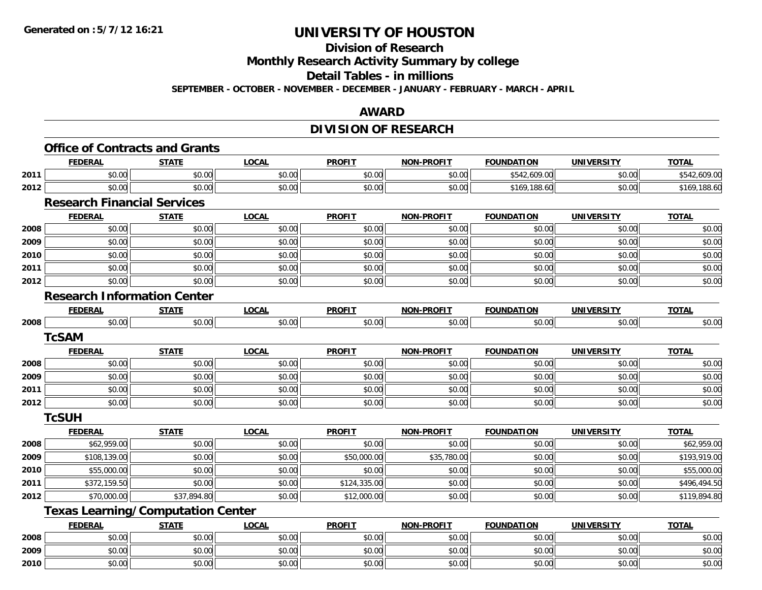**Division of Research**

**Monthly Research Activity Summary by college**

**Detail Tables - in millions**

**SEPTEMBER - OCTOBER - NOVEMBER - DECEMBER - JANUARY - FEBRUARY - MARCH - APRIL**

### **AWARD**

### **DIVISION OF RESEARCH**

|      | <b>FEDERAL</b>                           | <b>STATE</b> | <b>LOCAL</b> | <b>PROFIT</b> | <b>NON-PROFIT</b> | <b>FOUNDATION</b> | <b>UNIVERSITY</b> | <b>TOTAL</b> |
|------|------------------------------------------|--------------|--------------|---------------|-------------------|-------------------|-------------------|--------------|
| 2011 | \$0.00                                   | \$0.00       | \$0.00       | \$0.00        | \$0.00            | \$542,609.00      | \$0.00            | \$542,609.00 |
| 2012 | \$0.00                                   | \$0.00       | \$0.00       | \$0.00        | \$0.00            | \$169,188.60      | \$0.00            | \$169,188.60 |
|      | <b>Research Financial Services</b>       |              |              |               |                   |                   |                   |              |
|      | <b>FEDERAL</b>                           | <b>STATE</b> | <b>LOCAL</b> | <b>PROFIT</b> | <b>NON-PROFIT</b> | <b>FOUNDATION</b> | <b>UNIVERSITY</b> | <b>TOTAL</b> |
| 2008 | \$0.00                                   | \$0.00       | \$0.00       | \$0.00        | \$0.00            | \$0.00            | \$0.00            | \$0.00       |
| 2009 | \$0.00                                   | \$0.00       | \$0.00       | \$0.00        | \$0.00            | \$0.00            | \$0.00            | \$0.00       |
| 2010 | \$0.00                                   | \$0.00       | \$0.00       | \$0.00        | \$0.00            | \$0.00            | \$0.00            | \$0.00       |
| 2011 | \$0.00                                   | \$0.00       | \$0.00       | \$0.00        | \$0.00            | \$0.00            | \$0.00            | \$0.00       |
| 2012 | \$0.00                                   | \$0.00       | \$0.00       | \$0.00        | \$0.00            | \$0.00            | \$0.00            | \$0.00       |
|      | <b>Research Information Center</b>       |              |              |               |                   |                   |                   |              |
|      | <b>FEDERAL</b>                           | <b>STATE</b> | <b>LOCAL</b> | <b>PROFIT</b> | <b>NON-PROFIT</b> | <b>FOUNDATION</b> | <b>UNIVERSITY</b> | <b>TOTAL</b> |
| 2008 | \$0.00                                   | \$0.00       | \$0.00       | \$0.00        | \$0.00            | \$0.00            | \$0.00            | \$0.00       |
|      | <b>TcSAM</b>                             |              |              |               |                   |                   |                   |              |
|      | <b>FEDERAL</b>                           | <b>STATE</b> | <b>LOCAL</b> | <b>PROFIT</b> | <b>NON-PROFIT</b> | <b>FOUNDATION</b> | <b>UNIVERSITY</b> | <b>TOTAL</b> |
| 2008 | \$0.00                                   | \$0.00       | \$0.00       | \$0.00        | \$0.00            | \$0.00            | \$0.00            | \$0.00       |
| 2009 | \$0.00                                   | \$0.00       | \$0.00       | \$0.00        | \$0.00            | \$0.00            | \$0.00            | \$0.00       |
| 2011 | \$0.00                                   | \$0.00       | \$0.00       | \$0.00        | \$0.00            | \$0.00            | \$0.00            | \$0.00       |
| 2012 | \$0.00                                   | \$0.00       | \$0.00       | \$0.00        | \$0.00            | \$0.00            | \$0.00            | \$0.00       |
|      | <b>TcSUH</b>                             |              |              |               |                   |                   |                   |              |
|      | <b>FEDERAL</b>                           | <b>STATE</b> | <b>LOCAL</b> | <b>PROFIT</b> | <b>NON-PROFIT</b> | <b>FOUNDATION</b> | <b>UNIVERSITY</b> | <b>TOTAL</b> |
| 2008 | \$62,959.00                              | \$0.00       | \$0.00       | \$0.00        | \$0.00            | \$0.00            | \$0.00            | \$62,959.00  |
| 2009 | \$108,139.00                             | \$0.00       | \$0.00       | \$50,000.00   | \$35,780.00       | \$0.00            | \$0.00            | \$193,919.00 |
| 2010 | \$55,000.00                              | \$0.00       | \$0.00       | \$0.00        | \$0.00            | \$0.00            | \$0.00            | \$55,000.00  |
| 2011 | \$372,159.50                             | \$0.00       | \$0.00       | \$124,335.00  | \$0.00            | \$0.00            | \$0.00            | \$496,494.50 |
| 2012 | \$70,000.00                              | \$37,894.80  | \$0.00       | \$12,000.00   | \$0.00            | \$0.00            | \$0.00            | \$119,894.80 |
|      | <b>Texas Learning/Computation Center</b> |              |              |               |                   |                   |                   |              |
|      | <b>FEDERAL</b>                           | <b>STATE</b> | <b>LOCAL</b> | <b>PROFIT</b> | <b>NON-PROFIT</b> | <b>FOUNDATION</b> | <b>UNIVERSITY</b> | <b>TOTAL</b> |
| 2008 | \$0.00                                   | \$0.00       | \$0.00       | \$0.00        | \$0.00            | \$0.00            | \$0.00            | \$0.00       |
| 2009 | \$0.00                                   | \$0.00       | \$0.00       | \$0.00        | \$0.00            | \$0.00            | \$0.00            | \$0.00       |
| 2010 | \$0.00                                   | \$0.00       | \$0.00       | \$0.00        | \$0.00            | \$0.00            | \$0.00            | \$0.00       |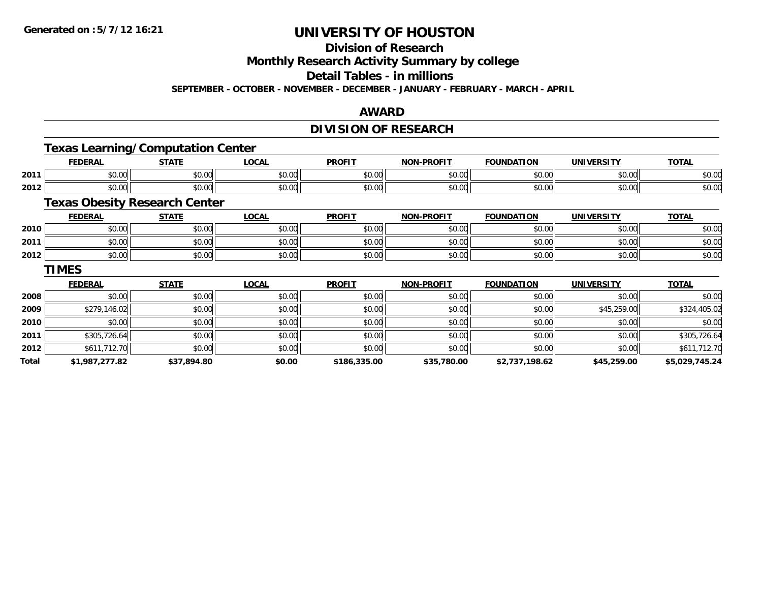**Division of Research**

**Monthly Research Activity Summary by college**

**Detail Tables - in millions**

**SEPTEMBER - OCTOBER - NOVEMBER - DECEMBER - JANUARY - FEBRUARY - MARCH - APRIL**

### **AWARD**

### **DIVISION OF RESEARCH**

### **Texas Learning/Computation Center**

|      | <b>FEDERAL</b> | <b>STATE</b>    | LOCAI              | <b>PROFIT</b>        | <b>M-PROFIT</b><br>៱៲កស | <b>FOUNDATION</b> | UNIVERSITY    | <b>TOTAL</b> |
|------|----------------|-----------------|--------------------|----------------------|-------------------------|-------------------|---------------|--------------|
| 2011 | 0000<br>DU.UU  | ሶስ<br>JU.UU     | 0.00<br>PU.UU      | 0.00<br><b>DU.UU</b> | $\sim$ $\sim$<br>vu.vu  | \$0.00            | 0000<br>ง∪.∪บ | \$0.00       |
| 2012 | 0000<br>DU.UG  | $\sim$<br>JU.UU | $\sim$ 00<br>JU.UU | \$0.00               | JU.UU                   | \$0.00            | \$0.00        | \$0.00       |

### **Texas Obesity Research Center**

|      | <b>FEDERAL</b> | <b>STATE</b> | <b>OCAL</b> | <b>PROFIT</b> | <b>NON-PROFIT</b> | <b>FOUNDATION</b> | <b>UNIVERSITY</b> | <b>TOTAL</b> |
|------|----------------|--------------|-------------|---------------|-------------------|-------------------|-------------------|--------------|
| 2010 | \$0.00         | \$0.00       | \$0.00      | \$0.00        | \$0.00            | \$0.00            | \$0.00            | \$0.00       |
| 2011 | \$0.00         | \$0.00       | \$0.00      | \$0.00        | \$0.00            | \$0.00            | \$0.00            | \$0.00       |
| 2012 | \$0.00         | \$0.00       | \$0.00      | \$0.00        | \$0.00            | \$0.00            | \$0.00            | \$0.00       |

#### **TIMES**

|       | <b>FEDERAL</b> | <b>STATE</b> | <b>LOCAL</b> | <b>PROFIT</b> | <b>NON-PROFIT</b> | <b>FOUNDATION</b> | <b>UNIVERSITY</b> | <b>TOTAL</b>   |
|-------|----------------|--------------|--------------|---------------|-------------------|-------------------|-------------------|----------------|
| 2008  | \$0.00         | \$0.00       | \$0.00       | \$0.00        | \$0.00            | \$0.00            | \$0.00            | \$0.00         |
| 2009  | \$279,146.02   | \$0.00       | \$0.00       | \$0.00        | \$0.00            | \$0.00            | \$45,259.00       | \$324,405.02   |
| 2010  | \$0.00         | \$0.00       | \$0.00       | \$0.00        | \$0.00            | \$0.00            | \$0.00            | \$0.00         |
| 2011  | \$305,726.64   | \$0.00       | \$0.00       | \$0.00        | \$0.00            | \$0.00            | \$0.00            | \$305,726.64   |
| 2012  | \$611,712.70   | \$0.00       | \$0.00       | \$0.00        | \$0.00            | \$0.00            | \$0.00            | \$611,712.70   |
| Total | \$1,987,277.82 | \$37,894.80  | \$0.00       | \$186,335.00  | \$35,780.00       | \$2,737,198.62    | \$45,259.00       | \$5,029,745,24 |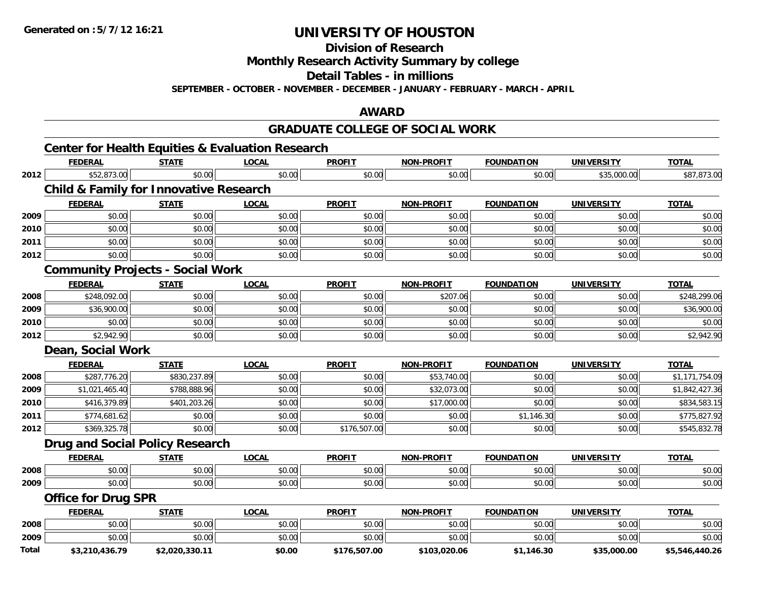**Division of Research**

**Monthly Research Activity Summary by college**

**Detail Tables - in millions**

**SEPTEMBER - OCTOBER - NOVEMBER - DECEMBER - JANUARY - FEBRUARY - MARCH - APRIL**

### **AWARD**

#### **GRADUATE COLLEGE OF SOCIAL WORK**

|              | <b>Center for Health Equities &amp; Evaluation Research</b> |                |              |               |                   |                   |                   |                |
|--------------|-------------------------------------------------------------|----------------|--------------|---------------|-------------------|-------------------|-------------------|----------------|
|              | <b>FEDERAL</b>                                              | <b>STATE</b>   | <b>LOCAL</b> | <b>PROFIT</b> | <b>NON-PROFIT</b> | <b>FOUNDATION</b> | <b>UNIVERSITY</b> | <b>TOTAL</b>   |
| 2012         | \$52,873.00                                                 | \$0.00         | \$0.00       | \$0.00        | \$0.00            | \$0.00            | \$35,000.00       | \$87,873.00    |
|              | <b>Child &amp; Family for Innovative Research</b>           |                |              |               |                   |                   |                   |                |
|              | <b>FEDERAL</b>                                              | <b>STATE</b>   | <b>LOCAL</b> | <b>PROFIT</b> | <b>NON-PROFIT</b> | <b>FOUNDATION</b> | <b>UNIVERSITY</b> | <b>TOTAL</b>   |
| 2009         | \$0.00                                                      | \$0.00         | \$0.00       | \$0.00        | \$0.00            | \$0.00            | \$0.00            | \$0.00         |
| 2010         | \$0.00                                                      | \$0.00         | \$0.00       | \$0.00        | \$0.00            | \$0.00            | \$0.00            | \$0.00         |
| 2011         | \$0.00                                                      | \$0.00         | \$0.00       | \$0.00        | \$0.00            | \$0.00            | \$0.00            | \$0.00         |
| 2012         | \$0.00                                                      | \$0.00         | \$0.00       | \$0.00        | \$0.00            | \$0.00            | \$0.00            | \$0.00         |
|              | <b>Community Projects - Social Work</b>                     |                |              |               |                   |                   |                   |                |
|              | <b>FEDERAL</b>                                              | <b>STATE</b>   | <b>LOCAL</b> | <b>PROFIT</b> | <b>NON-PROFIT</b> | <b>FOUNDATION</b> | <b>UNIVERSITY</b> | <b>TOTAL</b>   |
| 2008         | \$248,092.00                                                | \$0.00         | \$0.00       | \$0.00        | \$207.06          | \$0.00            | \$0.00            | \$248,299.06   |
| 2009         | \$36,900.00                                                 | \$0.00         | \$0.00       | \$0.00        | \$0.00            | \$0.00            | \$0.00            | \$36,900.00    |
| 2010         | \$0.00                                                      | \$0.00         | \$0.00       | \$0.00        | \$0.00            | \$0.00            | \$0.00            | \$0.00         |
| 2012         | \$2,942.90                                                  | \$0.00         | \$0.00       | \$0.00        | \$0.00            | \$0.00            | \$0.00            | \$2,942.90     |
|              | Dean, Social Work                                           |                |              |               |                   |                   |                   |                |
|              | <b>FEDERAL</b>                                              | <b>STATE</b>   | <b>LOCAL</b> | <b>PROFIT</b> | <b>NON-PROFIT</b> | <b>FOUNDATION</b> | <b>UNIVERSITY</b> | <b>TOTAL</b>   |
| 2008         | \$287,776.20                                                | \$830,237.89   | \$0.00       | \$0.00        | \$53,740.00       | \$0.00            | \$0.00            | \$1,171,754.09 |
| 2009         | \$1,021,465.40                                              | \$788,888.96   | \$0.00       | \$0.00        | \$32,073.00       | \$0.00            | \$0.00            | \$1,842,427.36 |
| 2010         | \$416,379.89                                                | \$401,203.26   | \$0.00       | \$0.00        | \$17,000.00       | \$0.00            | \$0.00            | \$834,583.15   |
| 2011         | \$774,681.62                                                | \$0.00         | \$0.00       | \$0.00        | \$0.00            | \$1,146.30        | \$0.00            | \$775,827.92   |
| 2012         | \$369,325.78                                                | \$0.00         | \$0.00       | \$176,507.00  | \$0.00            | \$0.00            | \$0.00            | \$545,832.78   |
|              | <b>Drug and Social Policy Research</b>                      |                |              |               |                   |                   |                   |                |
|              | <b>FEDERAL</b>                                              | <b>STATE</b>   | <b>LOCAL</b> | <b>PROFIT</b> | NON-PROFIT        | <b>FOUNDATION</b> | <b>UNIVERSITY</b> | <b>TOTAL</b>   |
| 2008         | \$0.00                                                      | \$0.00         | \$0.00       | \$0.00        | \$0.00            | \$0.00            | \$0.00            | \$0.00         |
| 2009         | \$0.00                                                      | \$0.00         | \$0.00       | \$0.00        | \$0.00            | \$0.00            | \$0.00            | \$0.00         |
|              | <b>Office for Drug SPR</b>                                  |                |              |               |                   |                   |                   |                |
|              | <b>FEDERAL</b>                                              | <b>STATE</b>   | <b>LOCAL</b> | <b>PROFIT</b> | <b>NON-PROFIT</b> | <b>FOUNDATION</b> | <b>UNIVERSITY</b> | <b>TOTAL</b>   |
| 2008         | \$0.00                                                      | \$0.00         | \$0.00       | \$0.00        | \$0.00            | \$0.00            | \$0.00            | \$0.00         |
| 2009         | \$0.00                                                      | \$0.00         | \$0.00       | \$0.00        | \$0.00            | \$0.00            | \$0.00            | \$0.00         |
| <b>Total</b> | \$3,210,436.79                                              | \$2,020,330.11 | \$0.00       | \$176,507.00  | \$103,020.06      | \$1,146.30        | \$35,000.00       | \$5,546,440.26 |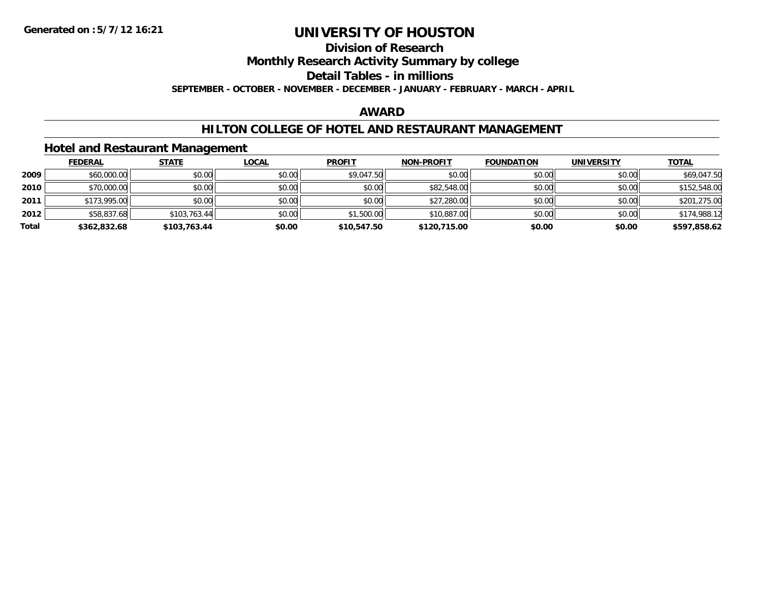### **Division of Research**

**Monthly Research Activity Summary by college**

**Detail Tables - in millions**

**SEPTEMBER - OCTOBER - NOVEMBER - DECEMBER - JANUARY - FEBRUARY - MARCH - APRIL**

#### **AWARD**

### **HILTON COLLEGE OF HOTEL AND RESTAURANT MANAGEMENT**

#### **Hotel and Restaurant Management**

|       | <b>FEDERAL</b> | <u>STATE</u> | <b>LOCAL</b> | <b>PROFIT</b> | <b>NON-PROFIT</b> | <b>FOUNDATION</b> | <b>UNIVERSITY</b> | <u>TOTAL</u> |
|-------|----------------|--------------|--------------|---------------|-------------------|-------------------|-------------------|--------------|
| 2009  | \$60,000.00    | \$0.00       | \$0.00       | \$9,047.50    | \$0.00            | \$0.00            | \$0.00            | \$69,047.50  |
| 2010  | \$70,000.00    | \$0.00       | \$0.00       | \$0.00        | \$82,548.00       | \$0.00            | \$0.00            | \$152,548.00 |
| 2011  | \$173,995.00   | \$0.00       | \$0.00       | \$0.00        | \$27,280.00       | \$0.00            | \$0.00            | \$201,275.00 |
| 2012  | \$58,837.68    | \$103,763.44 | \$0.00       | \$1,500.00    | \$10,887.00       | \$0.00            | \$0.00            | \$174,988.12 |
| Total | \$362,832.68   | \$103,763.44 | \$0.00       | \$10,547.50   | \$120,715.00      | \$0.00            | \$0.00            | \$597,858.62 |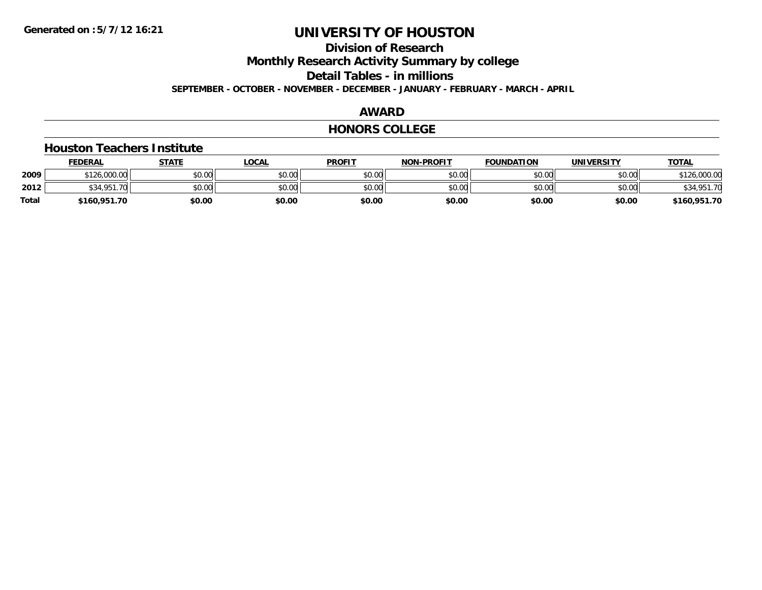**Division of Research**

**Monthly Research Activity Summary by college**

**Detail Tables - in millions**

**SEPTEMBER - OCTOBER - NOVEMBER - DECEMBER - JANUARY - FEBRUARY - MARCH - APRIL**

#### **AWARD**

#### **HONORS COLLEGE**

#### **Houston Teachers Institute**

|       | <b>FEDERAL</b> | STATE  | LOCAL  | <b>PROFIT</b> | <b>NON-PROFIT</b> | <b>FOUNDATION</b> | <b>UNIVERSITY</b> | <u>TOTAL</u> |
|-------|----------------|--------|--------|---------------|-------------------|-------------------|-------------------|--------------|
| 2009  | \$126,000.00   | \$0.00 | \$0.00 | \$0.00        | \$0.00            | \$0.00            | \$0.00            | 126,000.00   |
| 2012  | \$34,951.70    | \$0.00 | \$0.00 | \$0.00        | \$0.00            | \$0.00            | \$0.00            | \$34,951.70  |
| Total | \$160,951.70   | \$0.00 | \$0.00 | \$0.00        | \$0.00            | \$0.00            | \$0.00            | \$160,951.70 |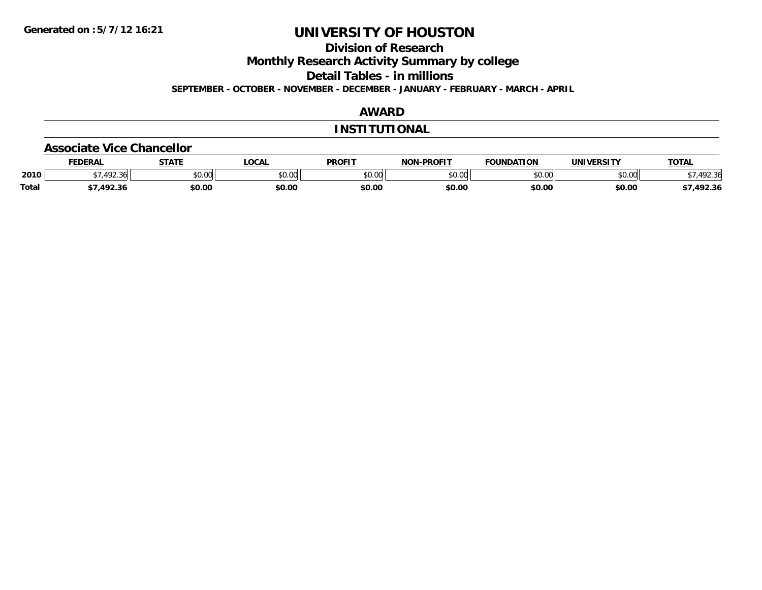**Division of Research**

**Monthly Research Activity Summary by college**

**Detail Tables - in millions**

**SEPTEMBER - OCTOBER - NOVEMBER - DECEMBER - JANUARY - FEBRUARY - MARCH - APRIL**

### **AWARD**

#### **INSTITUTIONAL**

#### **Associate Vice Chancellor**

|              | <b>FEDERA</b>       | -----                | <b>OCAL</b>   | <b>PROFIT</b> | -PROFIT<br>NON. | 71 A N<br><b>OLINIDA</b> | <b>INIVE</b>  | <b>TOTAL</b>    |
|--------------|---------------------|----------------------|---------------|---------------|-----------------|--------------------------|---------------|-----------------|
| 2010         | $\sqrt{2}$<br>72.30 | 0000<br><b>JU.UU</b> | 0.00<br>JU.UU | 40M<br>JU.U   | 0000<br>งบ.บบ   | ልስ ሰሰ<br>טע.טע           | 0000<br>PU.UU | $\sim$<br>92.3t |
| <b>Total</b> | ר רם א              | \$0.00               | \$0.00        | \$0.00        | \$0.00          | \$0.00                   | \$0.00        | 492.36          |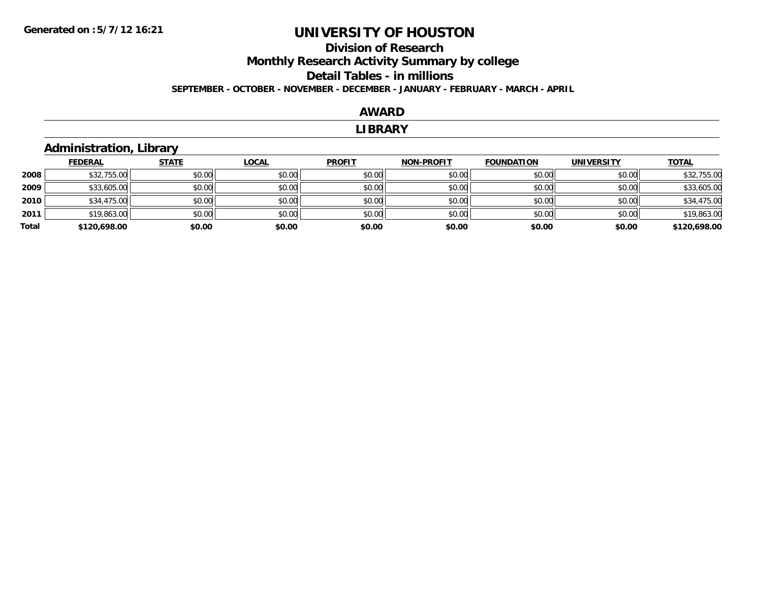### **Division of Research Monthly Research Activity Summary by college Detail Tables - in millions SEPTEMBER - OCTOBER - NOVEMBER - DECEMBER - JANUARY - FEBRUARY - MARCH - APRIL**

#### **AWARD**

#### **LIBRARY**

### **Administration, Library**

|       | <b>FEDERAL</b> | <b>STATE</b> | <u>LOCAL</u> | <b>PROFIT</b> | <b>NON-PROFIT</b> | <b>FOUNDATION</b> | <b>UNIVERSITY</b> | <b>TOTAL</b> |
|-------|----------------|--------------|--------------|---------------|-------------------|-------------------|-------------------|--------------|
| 2008  | \$32,755.00    | \$0.00       | \$0.00       | \$0.00        | \$0.00            | \$0.00            | \$0.00            | \$32,755.00  |
| 2009  | \$33,605.00    | \$0.00       | \$0.00       | \$0.00        | \$0.00            | \$0.00            | \$0.00            | \$33,605.00  |
| 2010  | \$34,475.00    | \$0.00       | \$0.00       | \$0.00        | \$0.00            | \$0.00            | \$0.00            | \$34,475.00  |
| 2011  | \$19,863.00    | \$0.00       | \$0.00       | \$0.00        | \$0.00            | \$0.00            | \$0.00            | \$19,863.00  |
| Total | \$120,698.00   | \$0.00       | \$0.00       | \$0.00        | \$0.00            | \$0.00            | \$0.00            | \$120,698.00 |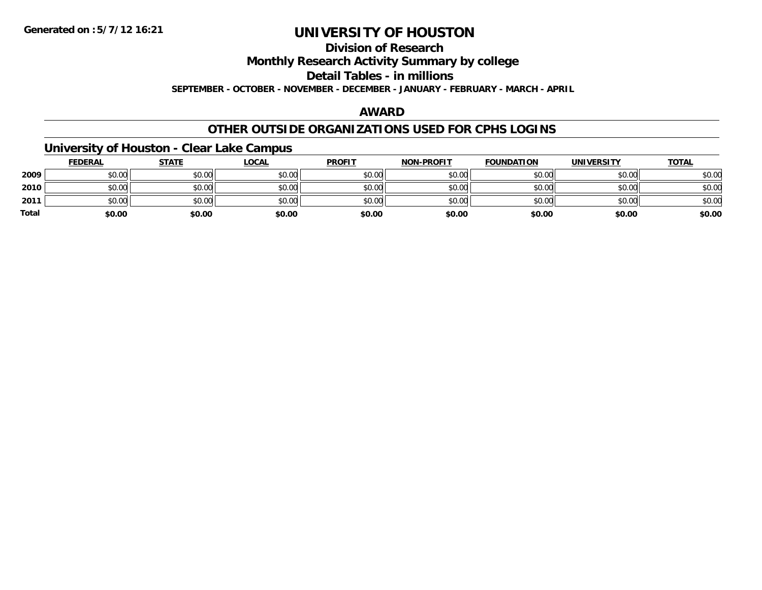**Division of Research**

**Monthly Research Activity Summary by college**

**Detail Tables - in millions**

**SEPTEMBER - OCTOBER - NOVEMBER - DECEMBER - JANUARY - FEBRUARY - MARCH - APRIL**

### **AWARD**

### **OTHER OUTSIDE ORGANIZATIONS USED FOR CPHS LOGINS**

### **University of Houston - Clear Lake Campus**

|              | <b>FEDERAL</b> | <b>STATE</b> | <b>LOCAL</b> | <b>PROFIT</b> | <b>NON-PROFIT</b> | <b>FOUNDATION</b> | UNIVERSITY | <b>TOTAL</b> |
|--------------|----------------|--------------|--------------|---------------|-------------------|-------------------|------------|--------------|
| 2009         | \$0.00         | \$0.00       | \$0.00       | \$0.00        | \$0.00            | \$0.00            | \$0.00     | \$0.00       |
| 2010         | \$0.00         | \$0.00       | \$0.00       | \$0.00        | \$0.00            | \$0.00            | \$0.00     | \$0.00       |
| 2011         | \$0.00         | \$0.00       | \$0.00       | \$0.00        | \$0.00            | \$0.00            | \$0.00     | \$0.00       |
| <b>Total</b> | \$0.00         | \$0.00       | \$0.00       | \$0.00        | \$0.00            | \$0.00            | \$0.00     | \$0.00       |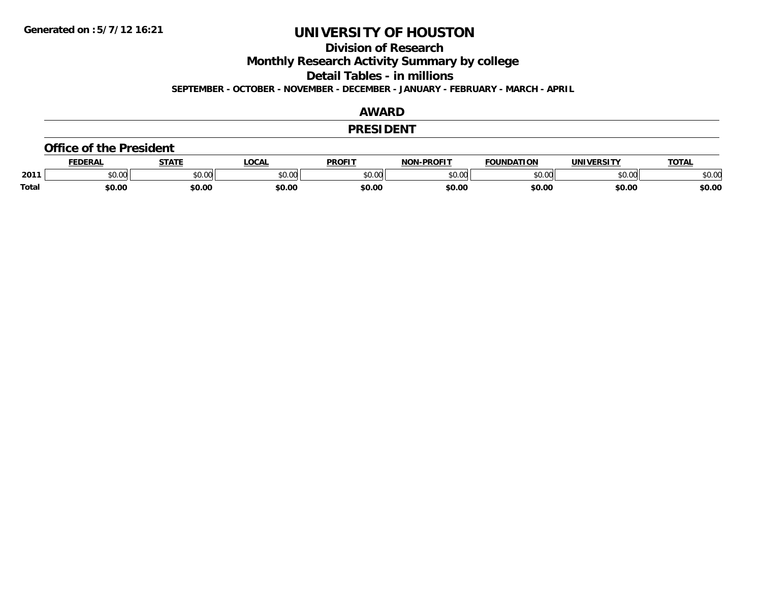**Division of Research**

**Monthly Research Activity Summary by college**

**Detail Tables - in millions**

**SEPTEMBER - OCTOBER - NOVEMBER - DECEMBER - JANUARY - FEBRUARY - MARCH - APRIL**

### **AWARD**

#### **PRESIDENT**

#### **Office of the President**

|              | <b>DERAI</b>  | <b>STATE</b> | LOCAI              | PROFIT          | <b>DDOEIT</b><br>NAN | <b>FOUNDATION</b> | UNIVERSITY | <b>TOTAL</b>   |
|--------------|---------------|--------------|--------------------|-----------------|----------------------|-------------------|------------|----------------|
| 2011         | n vu<br>,u.uu | JU.UU        | $\sim$ 00<br>DU.UL | $\sim$<br>JU.UU | 20M<br>JU.UU         |                   | \$0.00     | ቀስ ስር<br>⊋∪.∪⊌ |
| <b>Total</b> | \$0.00        | \$0.00       | \$0.00             | en nr<br>JU.UL  | \$0.00               | \$0.00            | \$0.00     | \$0.00         |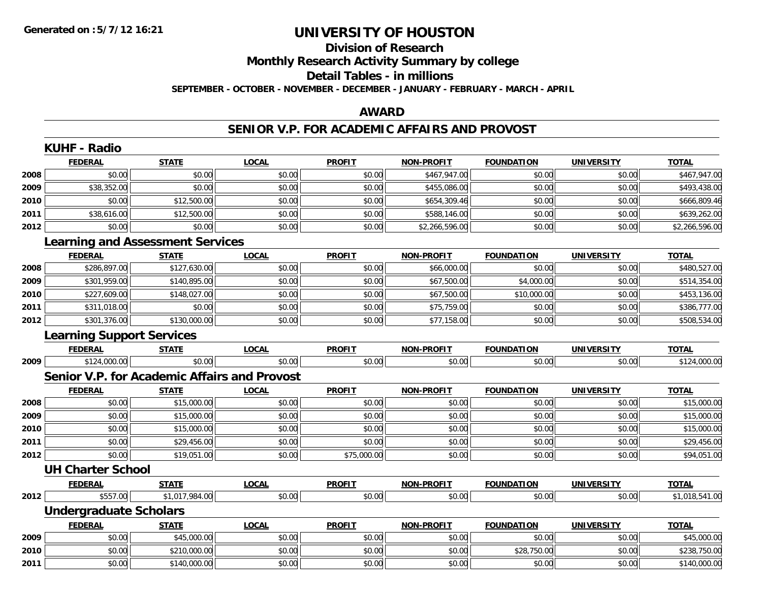# **Division of Research**

**Monthly Research Activity Summary by college**

#### **Detail Tables - in millions**

**SEPTEMBER - OCTOBER - NOVEMBER - DECEMBER - JANUARY - FEBRUARY - MARCH - APRIL**

### **AWARD**

#### **SENIOR V.P. FOR ACADEMIC AFFAIRS AND PROVOST**

|      | <b>KUHF - Radio</b>              |                                                     |              |               |                   |                   |                   |                |
|------|----------------------------------|-----------------------------------------------------|--------------|---------------|-------------------|-------------------|-------------------|----------------|
|      | <b>FEDERAL</b>                   | <b>STATE</b>                                        | <b>LOCAL</b> | <b>PROFIT</b> | <b>NON-PROFIT</b> | <b>FOUNDATION</b> | UNIVERSITY        | <b>TOTAL</b>   |
| 2008 | \$0.00                           | \$0.00                                              | \$0.00       | \$0.00        | \$467,947.00      | \$0.00            | \$0.00            | \$467,947.00   |
| 2009 | \$38,352.00                      | \$0.00                                              | \$0.00       | \$0.00        | \$455,086.00      | \$0.00            | \$0.00            | \$493,438.00   |
| 2010 | \$0.00                           | \$12,500.00                                         | \$0.00       | \$0.00        | \$654,309.46      | \$0.00            | \$0.00            | \$666,809.46   |
| 2011 | \$38,616.00                      | \$12,500.00                                         | \$0.00       | \$0.00        | \$588,146.00      | \$0.00            | \$0.00            | \$639,262.00   |
| 2012 | \$0.00                           | \$0.00                                              | \$0.00       | \$0.00        | \$2,266,596.00    | \$0.00            | \$0.00            | \$2,266,596.00 |
|      |                                  | <b>Learning and Assessment Services</b>             |              |               |                   |                   |                   |                |
|      | <b>FEDERAL</b>                   | <b>STATE</b>                                        | <b>LOCAL</b> | <b>PROFIT</b> | <b>NON-PROFIT</b> | <b>FOUNDATION</b> | <b>UNIVERSITY</b> | <b>TOTAL</b>   |
| 2008 | \$286,897.00                     | \$127,630.00                                        | \$0.00       | \$0.00        | \$66,000.00       | \$0.00            | \$0.00            | \$480,527.00   |
| 2009 | \$301,959.00                     | \$140,895.00                                        | \$0.00       | \$0.00        | \$67,500.00       | \$4,000.00        | \$0.00            | \$514,354.00   |
| 2010 | \$227,609.00                     | \$148,027.00                                        | \$0.00       | \$0.00        | \$67,500.00       | \$10,000.00       | \$0.00            | \$453,136.00   |
| 2011 | \$311,018.00                     | \$0.00                                              | \$0.00       | \$0.00        | \$75,759.00       | \$0.00            | \$0.00            | \$386,777.00   |
| 2012 | \$301,376.00                     | \$130,000.00                                        | \$0.00       | \$0.00        | \$77,158.00       | \$0.00            | \$0.00            | \$508,534.00   |
|      | <b>Learning Support Services</b> |                                                     |              |               |                   |                   |                   |                |
|      | <b>FEDERAL</b>                   | <b>STATE</b>                                        | <b>LOCAL</b> | <b>PROFIT</b> | <b>NON-PROFIT</b> | <b>FOUNDATION</b> | <b>UNIVERSITY</b> | <b>TOTAL</b>   |
| 2009 | \$124,000.00                     | \$0.00                                              | \$0.00       | \$0.00        | \$0.00            | \$0.00            | \$0.00            | \$124,000.00   |
|      |                                  | <b>Senior V.P. for Academic Affairs and Provost</b> |              |               |                   |                   |                   |                |
|      | <b>FEDERAL</b>                   | <b>STATE</b>                                        | <b>LOCAL</b> | <b>PROFIT</b> | <b>NON-PROFIT</b> | <b>FOUNDATION</b> | <b>UNIVERSITY</b> | <b>TOTAL</b>   |
| 2008 | \$0.00                           | \$15,000.00                                         | \$0.00       | \$0.00        | \$0.00            | \$0.00            | \$0.00            | \$15,000.00    |
| 2009 | \$0.00                           | \$15,000.00                                         | \$0.00       | \$0.00        | \$0.00            | \$0.00            | \$0.00            | \$15,000.00    |
| 2010 | \$0.00                           | \$15,000.00                                         | \$0.00       | \$0.00        | \$0.00            | \$0.00            | \$0.00            | \$15,000.00    |
| 2011 | \$0.00                           | \$29,456.00                                         | \$0.00       | \$0.00        | \$0.00            | \$0.00            | \$0.00            | \$29,456.00    |
| 2012 | \$0.00                           | \$19,051.00                                         | \$0.00       | \$75,000.00   | \$0.00            | \$0.00            | \$0.00            | \$94,051.00    |
|      | <b>UH Charter School</b>         |                                                     |              |               |                   |                   |                   |                |
|      | <b>FEDERAL</b>                   | <b>STATE</b>                                        | <b>LOCAL</b> | <b>PROFIT</b> | <b>NON-PROFIT</b> | <b>FOUNDATION</b> | <b>UNIVERSITY</b> | <b>TOTAL</b>   |
| 2012 | \$557.00                         | \$1,017,984.00                                      | \$0.00       | \$0.00        | \$0.00            | \$0.00            | \$0.00            | \$1,018,541.00 |
|      | <b>Undergraduate Scholars</b>    |                                                     |              |               |                   |                   |                   |                |
|      | <b>FEDERAL</b>                   | <b>STATE</b>                                        | <b>LOCAL</b> | <b>PROFIT</b> | NON-PROFIT        | <b>FOUNDATION</b> | <b>UNIVERSITY</b> | <b>TOTAL</b>   |
| 2009 | \$0.00                           | \$45,000.00                                         | \$0.00       | \$0.00        | \$0.00            | \$0.00            | \$0.00            | \$45,000.00    |
| 2010 | \$0.00                           | \$210,000.00                                        | \$0.00       | \$0.00        | \$0.00            | \$28,750.00       | \$0.00            | \$238,750.00   |
| 2011 | \$0.00                           | \$140,000.00                                        | \$0.00       | \$0.00        | \$0.00            | \$0.00            | \$0.00            | \$140,000.00   |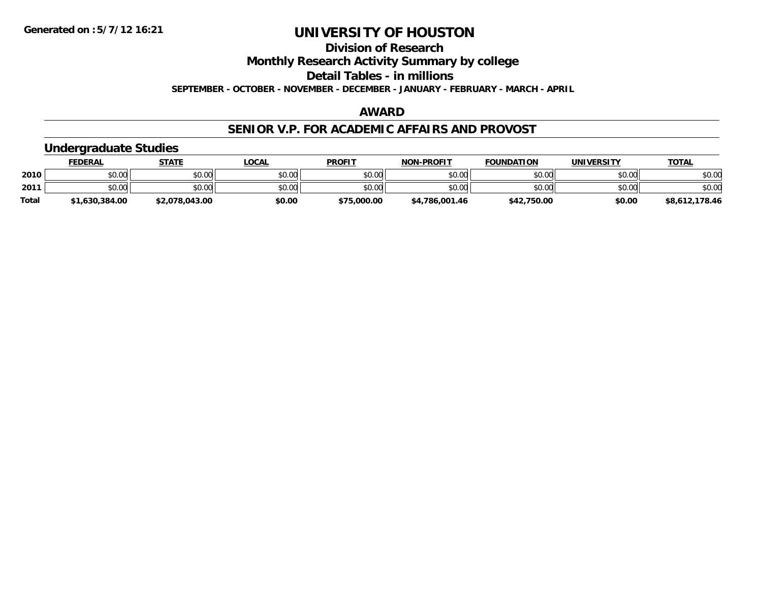**Division of Research**

**Monthly Research Activity Summary by college**

**Detail Tables - in millions**

**SEPTEMBER - OCTOBER - NOVEMBER - DECEMBER - JANUARY - FEBRUARY - MARCH - APRIL**

### **AWARD**

#### **SENIOR V.P. FOR ACADEMIC AFFAIRS AND PROVOST**

### **Undergraduate Studies**

|              | FEDERAL        | <b>STATE</b>   | <u>LOCAL</u> | <b>PROFIT</b> | <b>NON-PROFIT</b> | <b>FOUNDATION</b> | UNIVERSITY | <b>TOTAL</b>   |
|--------------|----------------|----------------|--------------|---------------|-------------------|-------------------|------------|----------------|
| 2010         | \$0.00         | \$0.00         | \$0.00       | \$0.00        | \$0.00            | \$0.00            | \$0.00     | \$0.00         |
| 2011         | \$0.00         | \$0.00         | \$0.00       | \$0.00        | \$0.00            | \$0.00            | \$0.00     | \$0.00         |
| <b>Total</b> | \$1,630,384.00 | \$2,078,043.00 | \$0.00       | \$75,000.00   | \$4,786,001.46    | \$42,750.00       | \$0.00     | \$8,612,178.46 |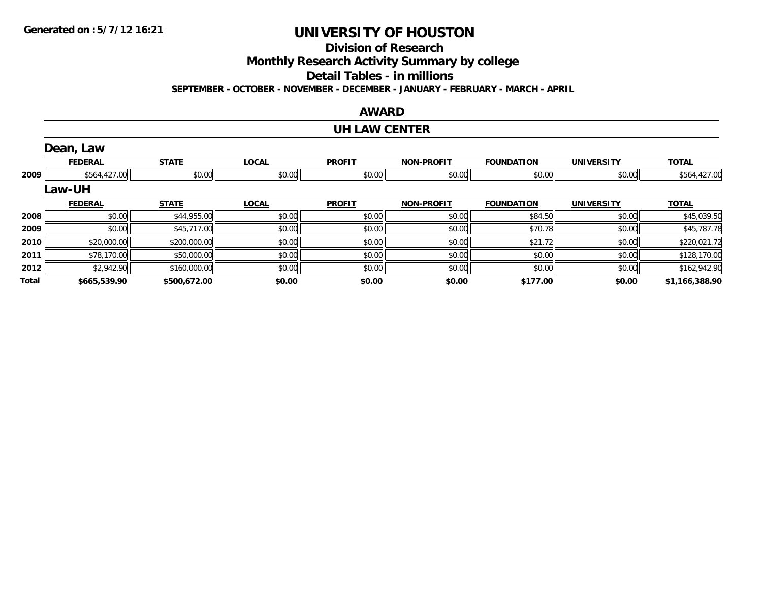**Division of Research**

**Monthly Research Activity Summary by college**

**Detail Tables - in millions**

**SEPTEMBER - OCTOBER - NOVEMBER - DECEMBER - JANUARY - FEBRUARY - MARCH - APRIL**

#### **AWARD**

#### **UH LAW CENTER**

|       | Dean, Law      |              |              |               |                   |                   |                   |                |
|-------|----------------|--------------|--------------|---------------|-------------------|-------------------|-------------------|----------------|
|       | <b>FEDERAL</b> | <b>STATE</b> | <b>LOCAL</b> | <b>PROFIT</b> | <b>NON-PROFIT</b> | <b>FOUNDATION</b> | <b>UNIVERSITY</b> | <b>TOTAL</b>   |
| 2009  | \$564,427.00   | \$0.00       | \$0.00       | \$0.00        | \$0.00            | \$0.00            | \$0.00            | \$564,427.00   |
|       | <b>Law-UH</b>  |              |              |               |                   |                   |                   |                |
|       | <b>FEDERAL</b> | <b>STATE</b> | <b>LOCAL</b> | <b>PROFIT</b> | <b>NON-PROFIT</b> | <b>FOUNDATION</b> | <b>UNIVERSITY</b> | <b>TOTAL</b>   |
| 2008  | \$0.00         | \$44,955.00  | \$0.00       | \$0.00        | \$0.00            | \$84.50           | \$0.00            | \$45,039.50    |
| 2009  | \$0.00         | \$45,717.00  | \$0.00       | \$0.00        | \$0.00            | \$70.78           | \$0.00            | \$45,787.78    |
| 2010  | \$20,000.00    | \$200,000.00 | \$0.00       | \$0.00        | \$0.00            | \$21.72           | \$0.00            | \$220,021.72   |
| 2011  | \$78,170.00    | \$50,000.00  | \$0.00       | \$0.00        | \$0.00            | \$0.00            | \$0.00            | \$128,170.00   |
| 2012  | \$2,942.90     | \$160,000.00 | \$0.00       | \$0.00        | \$0.00            | \$0.00            | \$0.00            | \$162,942.90   |
| Total | \$665,539.90   | \$500,672.00 | \$0.00       | \$0.00        | \$0.00            | \$177.00          | \$0.00            | \$1,166,388.90 |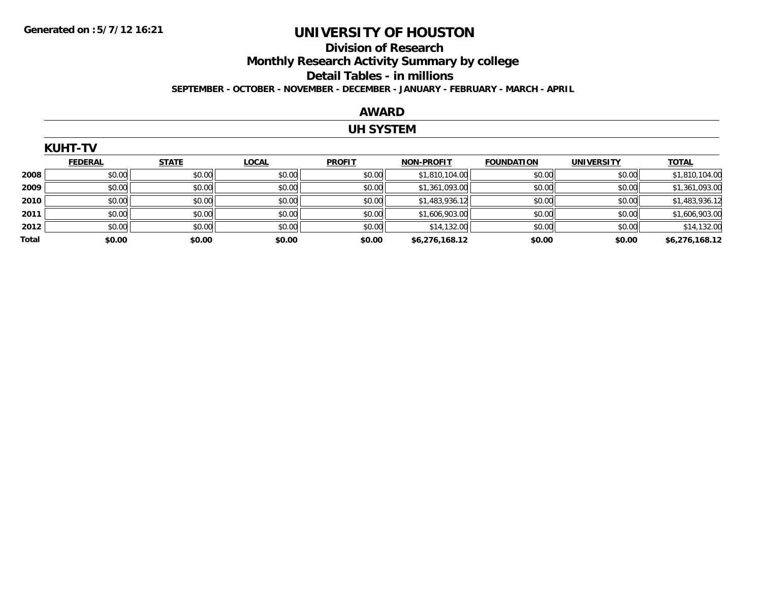# **Division of Research**

**Monthly Research Activity Summary by college**

#### **Detail Tables - in millions**

**SEPTEMBER - OCTOBER - NOVEMBER - DECEMBER - JANUARY - FEBRUARY - MARCH - APRIL**

#### **AWARD**

### **UH SYSTEM**

|       | <b>KUHT-TV</b> |              |              |               |                   |                   |                   |                |
|-------|----------------|--------------|--------------|---------------|-------------------|-------------------|-------------------|----------------|
|       | <b>FEDERAL</b> | <b>STATE</b> | <b>LOCAL</b> | <b>PROFIT</b> | <b>NON-PROFIT</b> | <b>FOUNDATION</b> | <b>UNIVERSITY</b> | <b>TOTAL</b>   |
| 2008  | \$0.00         | \$0.00       | \$0.00       | \$0.00        | \$1,810,104.00    | \$0.00            | \$0.00            | \$1,810,104.00 |
| 2009  | \$0.00         | \$0.00       | \$0.00       | \$0.00        | \$1,361,093.00    | \$0.00            | \$0.00            | \$1,361,093.00 |
| 2010  | \$0.00         | \$0.00       | \$0.00       | \$0.00        | \$1,483,936.12    | \$0.00            | \$0.00            | \$1,483,936.12 |
| 2011  | \$0.00         | \$0.00       | \$0.00       | \$0.00        | \$1,606,903.00    | \$0.00            | \$0.00            | \$1,606,903.00 |
| 2012  | \$0.00         | \$0.00       | \$0.00       | \$0.00        | \$14,132.00       | \$0.00            | \$0.00            | \$14,132.00    |
| Total | \$0.00         | \$0.00       | \$0.00       | \$0.00        | \$6,276,168.12    | \$0.00            | \$0.00            | \$6,276,168.12 |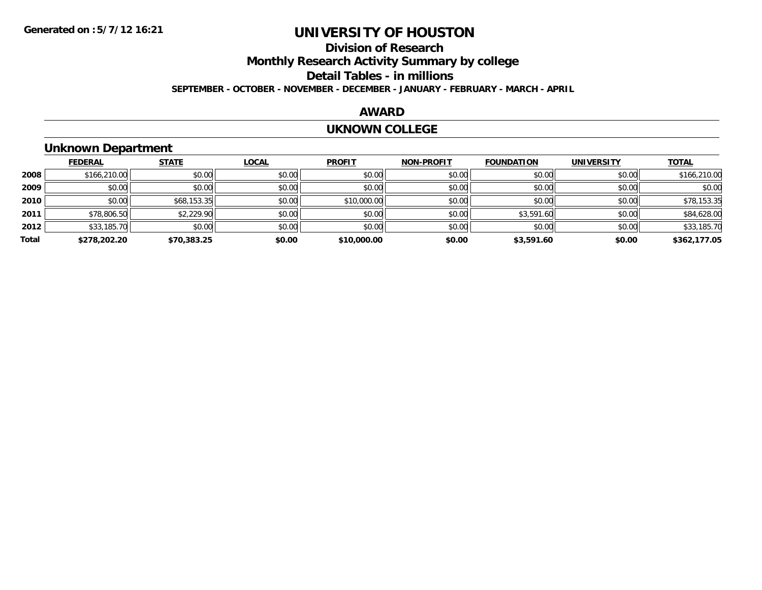### **Division of ResearchMonthly Research Activity Summary by college Detail Tables - in millions**

**SEPTEMBER - OCTOBER - NOVEMBER - DECEMBER - JANUARY - FEBRUARY - MARCH - APRIL**

#### **AWARD**

#### **UKNOWN COLLEGE**

### **Unknown Department**

|       | <b>FEDERAL</b> | <b>STATE</b> | <b>LOCAL</b> | <b>PROFIT</b> | <b>NON-PROFIT</b> | <b>FOUNDATION</b> | <b>UNIVERSITY</b> | <b>TOTAL</b> |
|-------|----------------|--------------|--------------|---------------|-------------------|-------------------|-------------------|--------------|
| 2008  | \$166,210.00   | \$0.00       | \$0.00       | \$0.00        | \$0.00            | \$0.00            | \$0.00            | \$166,210.00 |
| 2009  | \$0.00         | \$0.00       | \$0.00       | \$0.00        | \$0.00            | \$0.00            | \$0.00            | \$0.00       |
| 2010  | \$0.00         | \$68,153.35  | \$0.00       | \$10,000.00   | \$0.00            | \$0.00            | \$0.00            | \$78,153.35  |
| 2011  | \$78,806.50    | \$2,229.90   | \$0.00       | \$0.00        | \$0.00            | \$3,591.60        | \$0.00            | \$84,628.00  |
| 2012  | \$33,185.70    | \$0.00       | \$0.00       | \$0.00        | \$0.00            | \$0.00            | \$0.00            | \$33,185.70  |
| Total | \$278,202.20   | \$70,383.25  | \$0.00       | \$10,000.00   | \$0.00            | \$3,591.60        | \$0.00            | \$362,177.05 |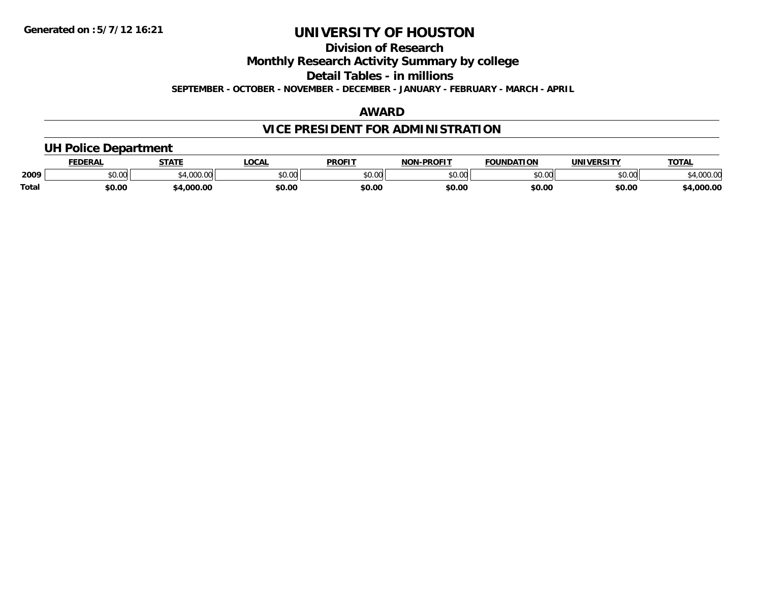**Division of Research**

**Monthly Research Activity Summary by college**

**Detail Tables - in millions**

**SEPTEMBER - OCTOBER - NOVEMBER - DECEMBER - JANUARY - FEBRUARY - MARCH - APRIL**

### **AWARD**

## **VICE PRESIDENT FOR ADMINISTRATION**

### **UH Police Department**

|              | <b>FEDERAL</b>                   | <b>STATE</b><br>171 | <b>LOCAL</b> | <b>PROFIT</b>  | -PROFIT<br><b>NON</b>      | <b>FOUNDATION</b> | <b>UNIVERSITY</b> | <b>TOTAL</b> |
|--------------|----------------------------------|---------------------|--------------|----------------|----------------------------|-------------------|-------------------|--------------|
| 2009         | $\circ$ $\circ$ $\circ$<br>JU.UU | 0.000<br>www.       | \$0.00       | 40.00<br>PO.OO | $*$ $\cap$ $\cap$<br>JU.UU | \$0.00            | 0000<br>JU.UU     | uuu.uu       |
| <b>Total</b> | \$0.00                           | .000.00             | \$0.00       | \$0.00         | \$0.00                     | \$0.00            | \$0.00            | ,000.00      |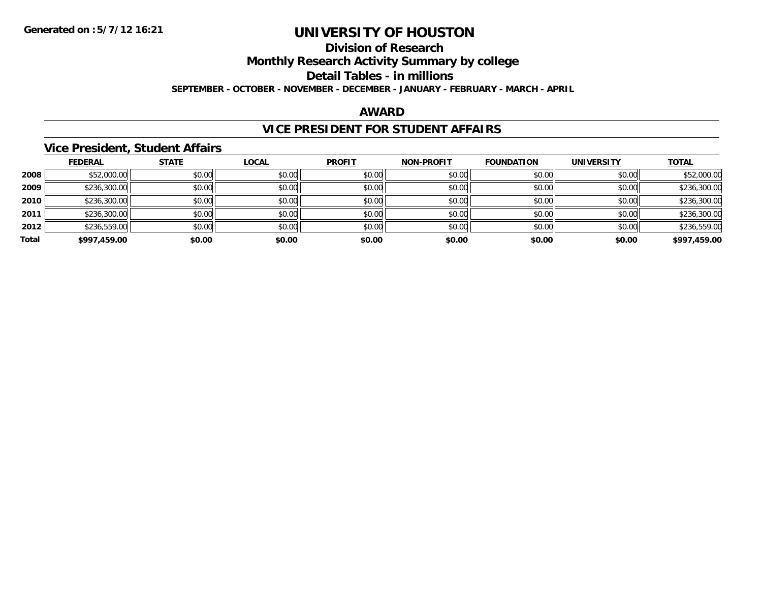**Division of Research**

**Monthly Research Activity Summary by college**

**Detail Tables - in millions**

**SEPTEMBER - OCTOBER - NOVEMBER - DECEMBER - JANUARY - FEBRUARY - MARCH - APRIL**

#### **AWARD**

### **VICE PRESIDENT FOR STUDENT AFFAIRS**

#### **Vice President, Student Affairs**

|       | <b>FEDERAL</b> | <b>STATE</b> | <b>LOCAL</b> | <b>PROFIT</b> | <b>NON-PROFIT</b> | <b>FOUNDATION</b> | <b>UNIVERSITY</b> | <b>TOTAL</b> |
|-------|----------------|--------------|--------------|---------------|-------------------|-------------------|-------------------|--------------|
| 2008  | \$52,000.00    | \$0.00       | \$0.00       | \$0.00        | \$0.00            | \$0.00            | \$0.00            | \$52,000.00  |
| 2009  | \$236,300.00   | \$0.00       | \$0.00       | \$0.00        | \$0.00            | \$0.00            | \$0.00            | \$236,300.00 |
| 2010  | \$236,300.00   | \$0.00       | \$0.00       | \$0.00        | \$0.00            | \$0.00            | \$0.00            | \$236,300.00 |
| 2011  | \$236,300.00   | \$0.00       | \$0.00       | \$0.00        | \$0.00            | \$0.00            | \$0.00            | \$236,300.00 |
| 2012  | \$236,559.00   | \$0.00       | \$0.00       | \$0.00        | \$0.00            | \$0.00            | \$0.00            | \$236,559.00 |
| Total | \$997,459.00   | \$0.00       | \$0.00       | \$0.00        | \$0.00            | \$0.00            | \$0.00            | \$997,459.00 |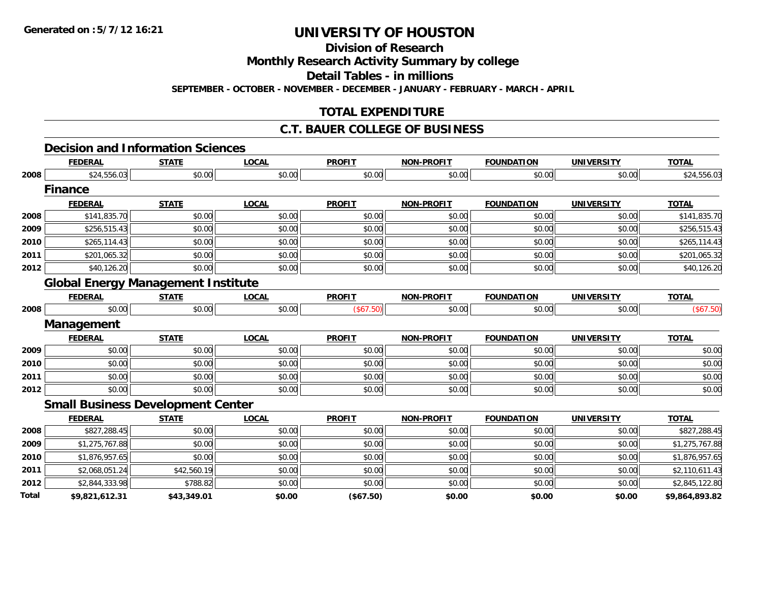**Total**

# **UNIVERSITY OF HOUSTON**

**Division of Research**

**Monthly Research Activity Summary by college**

**Detail Tables - in millions**

**SEPTEMBER - OCTOBER - NOVEMBER - DECEMBER - JANUARY - FEBRUARY - MARCH - APRIL**

### **TOTAL EXPENDITURE**

#### **C.T. BAUER COLLEGE OF BUSINESS**

### **Decision and Information Sciences**

|      | <b>FEDERAL</b>                            | <b>STATE</b> | <b>LOCAL</b> | <b>PROFIT</b> | <b>NON-PROFIT</b> | <b>FOUNDATION</b> | <b>UNIVERSITY</b> | <b>TOTAL</b>   |
|------|-------------------------------------------|--------------|--------------|---------------|-------------------|-------------------|-------------------|----------------|
| 2008 | \$24,556.03                               | \$0.00       | \$0.00       | \$0.00        | \$0.00            | \$0.00            | \$0.00            | \$24,556.03    |
|      | <b>Finance</b>                            |              |              |               |                   |                   |                   |                |
|      | <b>FEDERAL</b>                            | <b>STATE</b> | <b>LOCAL</b> | <b>PROFIT</b> | <b>NON-PROFIT</b> | <b>FOUNDATION</b> | <b>UNIVERSITY</b> | <b>TOTAL</b>   |
| 2008 | \$141,835.70                              | \$0.00       | \$0.00       | \$0.00        | \$0.00            | \$0.00            | \$0.00            | \$141,835.70   |
| 2009 | \$256,515.43                              | \$0.00       | \$0.00       | \$0.00        | \$0.00            | \$0.00            | \$0.00            | \$256,515.43   |
| 2010 | \$265,114.43                              | \$0.00       | \$0.00       | \$0.00        | \$0.00            | \$0.00            | \$0.00            | \$265,114.43   |
| 2011 | \$201,065.32                              | \$0.00       | \$0.00       | \$0.00        | \$0.00            | \$0.00            | \$0.00            | \$201,065.32   |
| 2012 | \$40,126.20                               | \$0.00       | \$0.00       | \$0.00        | \$0.00            | \$0.00            | \$0.00            | \$40,126.20    |
|      | <b>Global Energy Management Institute</b> |              |              |               |                   |                   |                   |                |
|      | <b>FEDERAL</b>                            | <b>STATE</b> | <b>LOCAL</b> | <b>PROFIT</b> | <b>NON-PROFIT</b> | <b>FOUNDATION</b> | <b>UNIVERSITY</b> | <b>TOTAL</b>   |
| 2008 | \$0.00                                    | \$0.00       | \$0.00       | (\$67.50)     | \$0.00            | \$0.00            | \$0.00            | (\$67.50)      |
|      | Management                                |              |              |               |                   |                   |                   |                |
|      | <b>FEDERAL</b>                            | <b>STATE</b> | <b>LOCAL</b> | <b>PROFIT</b> | <b>NON-PROFIT</b> | <b>FOUNDATION</b> | <b>UNIVERSITY</b> | <b>TOTAL</b>   |
| 2009 | \$0.00                                    | \$0.00       | \$0.00       | \$0.00        | \$0.00            | \$0.00            | \$0.00            | \$0.00         |
| 2010 | \$0.00                                    | \$0.00       | \$0.00       | \$0.00        | \$0.00            | \$0.00            | \$0.00            | \$0.00         |
| 2011 | \$0.00                                    | \$0.00       | \$0.00       | \$0.00        | \$0.00            | \$0.00            | \$0.00            | \$0.00         |
| 2012 | \$0.00                                    | \$0.00       | \$0.00       | \$0.00        | \$0.00            | \$0.00            | \$0.00            | \$0.00         |
|      | <b>Small Business Development Center</b>  |              |              |               |                   |                   |                   |                |
|      | <b>FEDERAL</b>                            | <b>STATE</b> | <b>LOCAL</b> | <b>PROFIT</b> | <b>NON-PROFIT</b> | <b>FOUNDATION</b> | <b>UNIVERSITY</b> | <b>TOTAL</b>   |
| 2008 | \$827,288.45                              | \$0.00       | \$0.00       | \$0.00        | \$0.00            | \$0.00            | \$0.00            | \$827,288.45   |
| 2009 | \$1,275,767.88                            | \$0.00       | \$0.00       | \$0.00        | \$0.00            | \$0.00            | \$0.00            | \$1,275,767.88 |
| 2010 | \$1,876,957.65                            | \$0.00       | \$0.00       | \$0.00        | \$0.00            | \$0.00            | \$0.00            | \$1,876,957.65 |
| 2011 | \$2,068,051.24                            | \$42,560.19  | \$0.00       | \$0.00        | \$0.00            | \$0.00            | \$0.00            | \$2,110,611.43 |
| 2012 | \$2,844,333.98                            | \$788.82     | \$0.00       | \$0.00        | \$0.00            | \$0.00            | \$0.00            | \$2,845,122.80 |

**\$9,821,612.31 \$43,349.01 \$0.00 (\$67.50) \$0.00 \$0.00 \$0.00 \$9,864,893.82**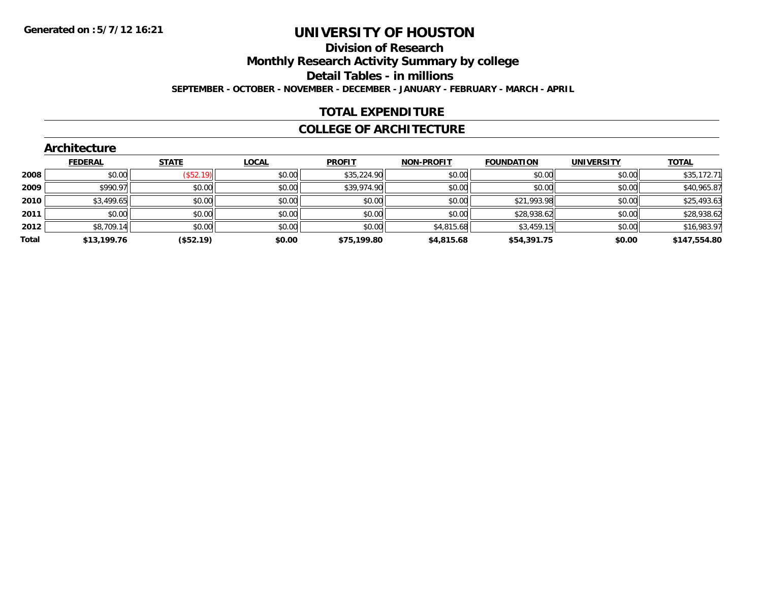#### **Division of Research**

**Monthly Research Activity Summary by college**

**Detail Tables - in millions**

**SEPTEMBER - OCTOBER - NOVEMBER - DECEMBER - JANUARY - FEBRUARY - MARCH - APRIL**

### **TOTAL EXPENDITURE**

#### **COLLEGE OF ARCHITECTURE**

|       | ALCHILECTULE   |                          |              |               |                   |                   |                   |              |
|-------|----------------|--------------------------|--------------|---------------|-------------------|-------------------|-------------------|--------------|
|       | <b>FEDERAL</b> | <b>STATE</b>             | <b>LOCAL</b> | <b>PROFIT</b> | <b>NON-PROFIT</b> | <b>FOUNDATION</b> | <b>UNIVERSITY</b> | <b>TOTAL</b> |
| 2008  | \$0.00         | $($ \$52.19) $\parallel$ | \$0.00       | \$35,224.90   | \$0.00            | \$0.00            | \$0.00            | \$35,172.71  |
| 2009  | \$990.97       | \$0.00                   | \$0.00       | \$39,974.90   | \$0.00            | \$0.00            | \$0.00            | \$40,965.87  |
| 2010  | \$3,499.65     | \$0.00                   | \$0.00       | \$0.00        | \$0.00            | \$21,993.98       | \$0.00            | \$25,493.63  |
| 2011  | \$0.00         | \$0.00                   | \$0.00       | \$0.00        | \$0.00            | \$28,938.62       | \$0.00            | \$28,938.62  |
| 2012  | \$8,709.14     | \$0.00                   | \$0.00       | \$0.00        | \$4,815.68        | \$3,459.15        | \$0.00            | \$16,983.97  |
| Total | \$13,199.76    | (\$52.19)                | \$0.00       | \$75,199.80   | \$4,815.68        | \$54,391.75       | \$0.00            | \$147,554.80 |
|       |                |                          |              |               |                   |                   |                   |              |

#### **Architecture**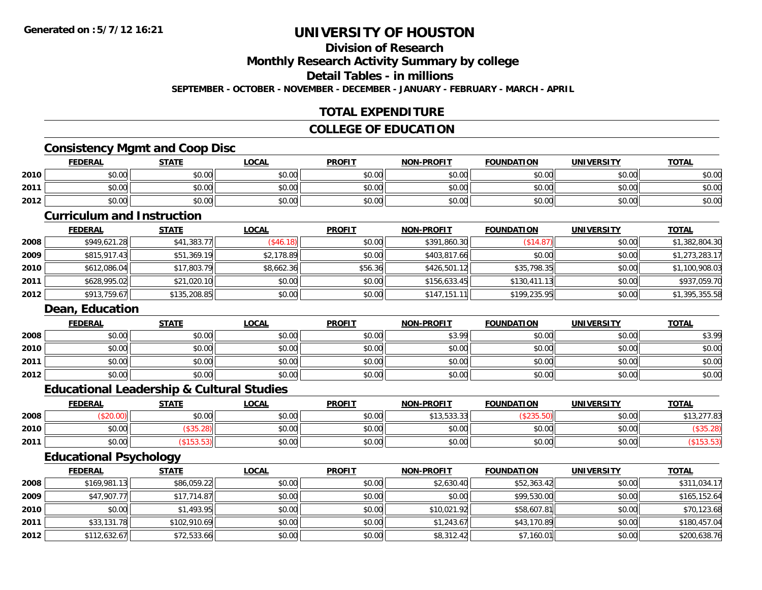### **Division of Research**

**Monthly Research Activity Summary by college**

**Detail Tables - in millions**

**SEPTEMBER - OCTOBER - NOVEMBER - DECEMBER - JANUARY - FEBRUARY - MARCH - APRIL**

### **TOTAL EXPENDITURE**

#### **COLLEGE OF EDUCATION**

### **Consistency Mgmt and Coop Disc**

|      | <b>FEDERAL</b> | <b>STATE</b> | <b>LOCAL</b> | <b>PROFIT</b> | <b>NON-PROFIT</b> | <b>FOUNDATION</b> | UNIVERSITY | <b>TOTAL</b> |
|------|----------------|--------------|--------------|---------------|-------------------|-------------------|------------|--------------|
| 2010 | \$0.00         | \$0.00       | \$0.00       | \$0.00        | \$0.00            | \$0.00            | \$0.00     | \$0.OC       |
| 2011 | \$0.00         | \$0.00       | \$0.00       | \$0.00        | \$0.00            | \$0.00            | \$0.00     | \$0.00       |
| 2012 | \$0.00         | \$0.00       | \$0.00       | \$0.00        | \$0.00            | \$0.00            | \$0.00     | \$0.00       |

#### **Curriculum and Instruction**

|      | <b>FEDERAL</b> | <u>STATE</u> | <u>LOCAL</u> | <b>PROFIT</b> | <b>NON-PROFIT</b> | <b>FOUNDATION</b> | <b>UNIVERSITY</b> | <b>TOTAL</b>   |
|------|----------------|--------------|--------------|---------------|-------------------|-------------------|-------------------|----------------|
| 2008 | \$949,621.28   | \$41,383.77  | (S46.18)     | \$0.00        | \$391,860.30      | (\$14.87)         | \$0.00            | \$1,382,804.30 |
| 2009 | \$815,917.43   | \$51,369.19  | \$2,178.89   | \$0.00        | \$403,817.66      | \$0.00            | \$0.00            | \$1,273,283.17 |
| 2010 | \$612,086.04   | \$17,803.79  | \$8,662.36   | \$56.36       | \$426,501.12      | \$35,798.35       | \$0.00            | \$1,100,908.03 |
| 2011 | \$628,995.02   | \$21,020.10  | \$0.00       | \$0.00        | \$156,633.45      | \$130,411.13      | \$0.00            | \$937,059.70   |
| 2012 | \$913,759.67   | \$135,208.85 | \$0.00       | \$0.00        | \$147,151.11      | \$199,235.95      | \$0.00            | \$1,395,355.58 |

#### **Dean, Education**

|      | <b>FEDERAL</b> | <b>STATE</b> | <u>LOCAL</u> | <b>PROFIT</b> | <b>NON-PROFIT</b> | <b>FOUNDATION</b> | <b>UNIVERSITY</b> | <u>TOTAL</u> |
|------|----------------|--------------|--------------|---------------|-------------------|-------------------|-------------------|--------------|
| 2008 | \$0.00         | \$0.00       | \$0.00       | \$0.00        | \$3.99            | \$0.00            | \$0.00            | \$3.99       |
| 2010 | \$0.00         | \$0.00       | \$0.00       | \$0.00        | \$0.00            | \$0.00            | \$0.00            | \$0.00       |
| 2011 | \$0.00         | \$0.00       | \$0.00       | \$0.00        | \$0.00            | \$0.00            | \$0.00            | \$0.00       |
| 2012 | \$0.00         | \$0.00       | \$0.00       | \$0.00        | \$0.00            | \$0.00            | \$0.00            | \$0.00       |

### **Educational Leadership & Cultural Studies**

|      | <b>FEDERAL</b> | <b>STATE</b> | <b>LOCAL</b>         | <b>PROFIT</b> | <b>NON-PROFIT</b>      | <b>FOUNDATION</b> | <b>UNIVERSITY</b> | <b>TOTAL</b> |
|------|----------------|--------------|----------------------|---------------|------------------------|-------------------|-------------------|--------------|
| 2008 |                | \$0.00       | 0000<br><b>DU.UU</b> | \$0.00        | 0.125222<br>, סטיסיפון |                   | en uu<br>JU.UU    | .277.83      |
| 2010 | \$0.00         |              | \$0.00               | \$0.00        | \$0.00                 | \$0.00            | \$0.00            |              |
| 2011 | \$0.00         |              | \$0.00               | \$0.00        | \$0.00                 | \$0.00            | \$0.00            |              |

### **Educational Psychology**

|      | <b>FEDERAL</b> | <u>STATE</u> | <u>LOCAL</u> | <b>PROFIT</b> | <b>NON-PROFIT</b> | <b>FOUNDATION</b> | UNIVERSITY | <b>TOTAL</b> |
|------|----------------|--------------|--------------|---------------|-------------------|-------------------|------------|--------------|
| 2008 | \$169,981.13   | \$86,059.22  | \$0.00       | \$0.00        | \$2,630.40        | \$52,363.42       | \$0.00     | \$311,034.17 |
| 2009 | \$47,907.77    | \$17,714.87  | \$0.00       | \$0.00        | \$0.00            | \$99,530.00       | \$0.00     | \$165,152.64 |
| 2010 | \$0.00         | \$1,493.95   | \$0.00       | \$0.00        | \$10,021.92       | \$58,607.81       | \$0.00     | \$70,123.68  |
| 2011 | \$33,131.78    | \$102,910.69 | \$0.00       | \$0.00        | \$1,243.67        | \$43,170.89       | \$0.00     | \$180,457.04 |
| 2012 | \$112,632.67   | \$72,533.66  | \$0.00       | \$0.00        | \$8,312.42        | \$7,160.01        | \$0.00     | \$200,638.76 |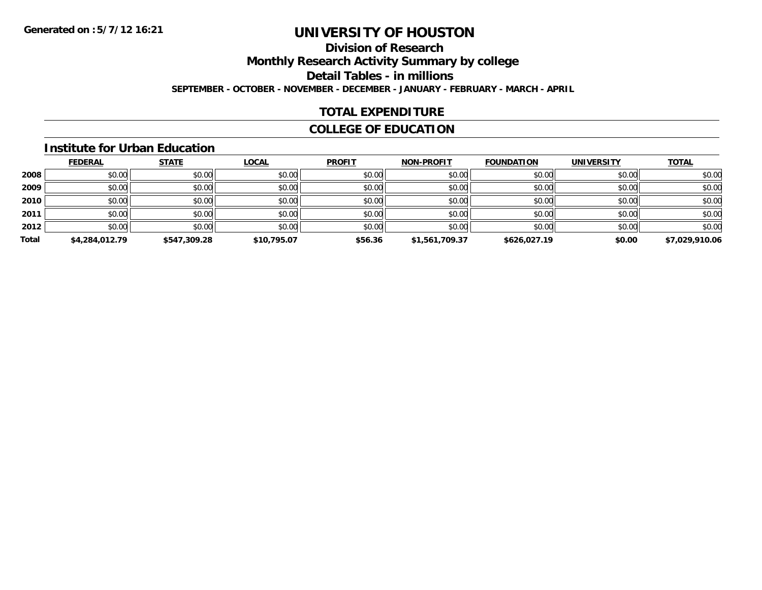### **Division of Research**

**Monthly Research Activity Summary by college**

**Detail Tables - in millions**

**SEPTEMBER - OCTOBER - NOVEMBER - DECEMBER - JANUARY - FEBRUARY - MARCH - APRIL**

### **TOTAL EXPENDITURE**

### **COLLEGE OF EDUCATION**

#### **Institute for Urban Education**

|       | <b>FEDERAL</b> | <b>STATE</b> | <b>LOCAL</b> | <b>PROFIT</b> | <b>NON-PROFIT</b> | <b>FOUNDATION</b> | <b>UNIVERSITY</b> | <b>TOTAL</b>   |
|-------|----------------|--------------|--------------|---------------|-------------------|-------------------|-------------------|----------------|
| 2008  | \$0.00         | \$0.00       | \$0.00       | \$0.00        | \$0.00            | \$0.00            | \$0.00            | \$0.00         |
| 2009  | \$0.00         | \$0.00       | \$0.00       | \$0.00        | \$0.00            | \$0.00            | \$0.00            | \$0.00         |
| 2010  | \$0.00         | \$0.00       | \$0.00       | \$0.00        | \$0.00            | \$0.00            | \$0.00            | \$0.00         |
| 2011  | \$0.00         | \$0.00       | \$0.00       | \$0.00        | \$0.00            | \$0.00            | \$0.00            | \$0.00         |
| 2012  | \$0.00         | \$0.00       | \$0.00       | \$0.00        | \$0.00            | \$0.00            | \$0.00            | \$0.00         |
| Total | \$4,284,012.79 | \$547,309.28 | \$10,795.07  | \$56.36       | \$1,561,709.37    | \$626,027.19      | \$0.00            | \$7,029,910.06 |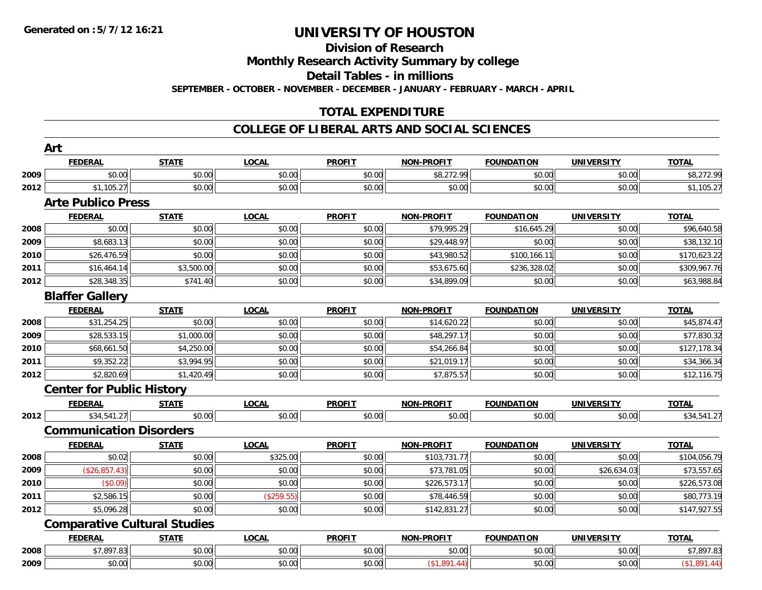### **Division of Research**

**Monthly Research Activity Summary by college**

**Detail Tables - in millions**

**SEPTEMBER - OCTOBER - NOVEMBER - DECEMBER - JANUARY - FEBRUARY - MARCH - APRIL**

### **TOTAL EXPENDITURE**

|      | <b>FEDERAL</b>                   | <b>STATE</b>                        | <b>LOCAL</b> | <b>PROFIT</b> | <b>NON-PROFIT</b> | <b>FOUNDATION</b> | <b>UNIVERSITY</b> | <b>TOTAL</b> |
|------|----------------------------------|-------------------------------------|--------------|---------------|-------------------|-------------------|-------------------|--------------|
| 2009 | \$0.00                           | \$0.00                              | \$0.00       | \$0.00        | \$8,272.99        | \$0.00            | \$0.00            | \$8,272.99   |
| 2012 | \$1,105.27                       | \$0.00                              | \$0.00       | \$0.00        | \$0.00            | \$0.00            | \$0.00            | \$1,105.27   |
|      | <b>Arte Publico Press</b>        |                                     |              |               |                   |                   |                   |              |
|      | <b>FEDERAL</b>                   | <b>STATE</b>                        | <b>LOCAL</b> | <b>PROFIT</b> | <b>NON-PROFIT</b> | <b>FOUNDATION</b> | <b>UNIVERSITY</b> | <b>TOTAL</b> |
| 2008 | \$0.00                           | \$0.00                              | \$0.00       | \$0.00        | \$79,995.29       | \$16,645.29       | \$0.00            | \$96,640.58  |
| 2009 | \$8,683.13                       | \$0.00                              | \$0.00       | \$0.00        | \$29,448.97       | \$0.00            | \$0.00            | \$38,132.10  |
| 2010 | \$26,476.59                      | \$0.00                              | \$0.00       | \$0.00        | \$43,980.52       | \$100,166.11      | \$0.00            | \$170,623.22 |
| 2011 | \$16,464.14                      | \$3,500.00                          | \$0.00       | \$0.00        | \$53,675.60       | \$236,328.02      | \$0.00            | \$309,967.76 |
| 2012 | \$28,348.35                      | \$741.40                            | \$0.00       | \$0.00        | \$34,899.09       | \$0.00            | \$0.00            | \$63,988.84  |
|      | <b>Blaffer Gallery</b>           |                                     |              |               |                   |                   |                   |              |
|      | <b>FEDERAL</b>                   | <b>STATE</b>                        | <b>LOCAL</b> | <b>PROFIT</b> | <b>NON-PROFIT</b> | <b>FOUNDATION</b> | <b>UNIVERSITY</b> | <b>TOTAL</b> |
| 2008 | \$31,254.25                      | \$0.00                              | \$0.00       | \$0.00        | \$14,620.22       | \$0.00            | \$0.00            | \$45,874.47  |
| 2009 | \$28,533.15                      | \$1,000.00                          | \$0.00       | \$0.00        | \$48,297.17       | \$0.00            | \$0.00            | \$77,830.32  |
| 2010 | \$68,661.50                      | \$4,250.00                          | \$0.00       | \$0.00        | \$54,266.84       | \$0.00            | \$0.00            | \$127,178.34 |
| 2011 | \$9,352.22                       | \$3,994.95                          | \$0.00       | \$0.00        | \$21,019.17       | \$0.00            | \$0.00            | \$34,366.34  |
| 2012 | \$2,820.69                       | \$1,420.49                          | \$0.00       | \$0.00        | \$7,875.57        | \$0.00            | \$0.00            | \$12,116.75  |
|      | <b>Center for Public History</b> |                                     |              |               |                   |                   |                   |              |
|      | <b>FEDERAL</b>                   | <b>STATE</b>                        | <b>LOCAL</b> | <b>PROFIT</b> | <b>NON-PROFIT</b> | <b>FOUNDATION</b> | <b>UNIVERSITY</b> | <b>TOTAL</b> |
| 2012 | \$34,541.27                      | \$0.00                              | \$0.00       | \$0.00        | \$0.00            | \$0.00            | \$0.00            | \$34,541.27  |
|      | <b>Communication Disorders</b>   |                                     |              |               |                   |                   |                   |              |
|      | <b>FEDERAL</b>                   | <b>STATE</b>                        | <b>LOCAL</b> | <b>PROFIT</b> | <b>NON-PROFIT</b> | <b>FOUNDATION</b> | <b>UNIVERSITY</b> | <b>TOTAL</b> |
| 2008 | \$0.02                           | \$0.00                              | \$325.00     | \$0.00        | \$103,731.77      | \$0.00            | \$0.00            | \$104,056.79 |
| 2009 | (\$26,857.43)                    | \$0.00                              | \$0.00       | \$0.00        | \$73,781.05       | \$0.00            | \$26,634.03       | \$73,557.65  |
| 2010 | (\$0.09)                         | \$0.00                              | \$0.00       | \$0.00        | \$226,573.17      | \$0.00            | \$0.00            | \$226,573.08 |
| 2011 | \$2,586.15                       | \$0.00                              | (\$259.55)   | \$0.00        | \$78,446.59       | \$0.00            | \$0.00            | \$80,773.19  |
| 2012 | \$5,096.28                       | \$0.00                              | \$0.00       | \$0.00        | \$142,831.27      | \$0.00            | \$0.00            | \$147,927.55 |
|      |                                  | <b>Comparative Cultural Studies</b> |              |               |                   |                   |                   |              |
|      | <b>FEDERAL</b>                   | <b>STATE</b>                        | <b>LOCAL</b> | <b>PROFIT</b> | <b>NON-PROFIT</b> | <b>FOUNDATION</b> | <b>UNIVERSITY</b> | <b>TOTAL</b> |
| 2008 | \$7,897.83                       | \$0.00                              | \$0.00       | \$0.00        | \$0.00            | \$0.00            | \$0.00            | \$7,897.83   |
| 2009 | \$0.00                           | \$0.00                              | \$0.00       | \$0.00        | (\$1,891.44)      | \$0.00            | \$0.00            | (\$1,891.44) |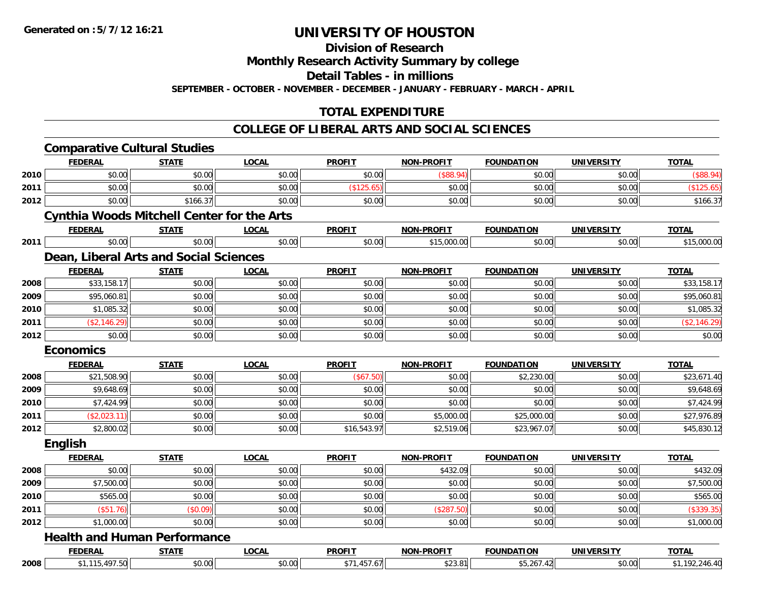**Division of Research**

**Monthly Research Activity Summary by college**

**Detail Tables - in millions**

**SEPTEMBER - OCTOBER - NOVEMBER - DECEMBER - JANUARY - FEBRUARY - MARCH - APRIL**

### **TOTAL EXPENDITURE**

|      | <b>Comparative Cultural Studies</b>               |              |              |               |                   |                   |                   |                |
|------|---------------------------------------------------|--------------|--------------|---------------|-------------------|-------------------|-------------------|----------------|
|      | <b>FEDERAL</b>                                    | <b>STATE</b> | <b>LOCAL</b> | <b>PROFIT</b> | <b>NON-PROFIT</b> | <b>FOUNDATION</b> | <b>UNIVERSITY</b> | <b>TOTAL</b>   |
| 2010 | \$0.00                                            | \$0.00       | \$0.00       | \$0.00        | (\$88.94)         | \$0.00            | \$0.00            | (\$88.94)      |
| 2011 | \$0.00                                            | \$0.00       | \$0.00       | (\$125.65)    | \$0.00            | \$0.00            | \$0.00            | (\$125.65)     |
| 2012 | \$0.00                                            | \$166.37     | \$0.00       | \$0.00        | \$0.00            | \$0.00            | \$0.00            | \$166.37       |
|      | <b>Cynthia Woods Mitchell Center for the Arts</b> |              |              |               |                   |                   |                   |                |
|      | <b>FEDERAL</b>                                    | <b>STATE</b> | <b>LOCAL</b> | <b>PROFIT</b> | <b>NON-PROFIT</b> | <b>FOUNDATION</b> | <b>UNIVERSITY</b> | <b>TOTAL</b>   |
| 2011 | \$0.00                                            | \$0.00       | \$0.00       | \$0.00        | \$15,000.00       | \$0.00            | \$0.00            | \$15,000.00    |
|      | Dean, Liberal Arts and Social Sciences            |              |              |               |                   |                   |                   |                |
|      | <b>FEDERAL</b>                                    | <b>STATE</b> | <b>LOCAL</b> | <b>PROFIT</b> | <b>NON-PROFIT</b> | <b>FOUNDATION</b> | <b>UNIVERSITY</b> | <b>TOTAL</b>   |
| 2008 | \$33,158.17                                       | \$0.00       | \$0.00       | \$0.00        | \$0.00            | \$0.00            | \$0.00            | \$33,158.17    |
| 2009 | \$95,060.81                                       | \$0.00       | \$0.00       | \$0.00        | \$0.00            | \$0.00            | \$0.00            | \$95,060.81    |
| 2010 | \$1,085.32                                        | \$0.00       | \$0.00       | \$0.00        | \$0.00            | \$0.00            | \$0.00            | \$1,085.32     |
| 2011 | (\$2,146.29)                                      | \$0.00       | \$0.00       | \$0.00        | \$0.00            | \$0.00            | \$0.00            | (\$2,146.29)   |
| 2012 | \$0.00                                            | \$0.00       | \$0.00       | \$0.00        | \$0.00            | \$0.00            | \$0.00            | \$0.00         |
|      | <b>Economics</b>                                  |              |              |               |                   |                   |                   |                |
|      | <b>FEDERAL</b>                                    | <b>STATE</b> | <b>LOCAL</b> | <b>PROFIT</b> | <b>NON-PROFIT</b> | <b>FOUNDATION</b> | <b>UNIVERSITY</b> | <b>TOTAL</b>   |
| 2008 | \$21,508.90                                       | \$0.00       | \$0.00       | (\$67.50)     | \$0.00            | \$2,230.00        | \$0.00            | \$23,671.40    |
| 2009 | \$9,648.69                                        | \$0.00       | \$0.00       | \$0.00        | \$0.00            | \$0.00            | \$0.00            | \$9,648.69     |
| 2010 | \$7,424.99                                        | \$0.00       | \$0.00       | \$0.00        | \$0.00            | \$0.00            | \$0.00            | \$7,424.99     |
| 2011 | (\$2,023.11)                                      | \$0.00       | \$0.00       | \$0.00        | \$5,000.00        | \$25,000.00       | \$0.00            | \$27,976.89    |
| 2012 | \$2,800.02                                        | \$0.00       | \$0.00       | \$16,543.97   | \$2,519.06        | \$23,967.07       | \$0.00            | \$45,830.12    |
|      | <b>English</b>                                    |              |              |               |                   |                   |                   |                |
|      | <b>FEDERAL</b>                                    | <b>STATE</b> | <b>LOCAL</b> | <b>PROFIT</b> | <b>NON-PROFIT</b> | <b>FOUNDATION</b> | <b>UNIVERSITY</b> | <b>TOTAL</b>   |
| 2008 | \$0.00                                            | \$0.00       | \$0.00       | \$0.00        | \$432.09          | \$0.00            | \$0.00            | \$432.09       |
| 2009 | \$7,500.00                                        | \$0.00       | \$0.00       | \$0.00        | \$0.00            | \$0.00            | \$0.00            | \$7,500.00     |
| 2010 | \$565.00                                          | \$0.00       | \$0.00       | \$0.00        | \$0.00            | \$0.00            | \$0.00            | \$565.00       |
| 2011 | (\$51.76)                                         | (\$0.09)     | \$0.00       | \$0.00        | (\$287.50)        | \$0.00            | \$0.00            | (\$339.35)     |
| 2012 | \$1,000.00                                        | \$0.00       | \$0.00       | \$0.00        | \$0.00            | \$0.00            | \$0.00            | \$1,000.00     |
|      | <b>Health and Human Performance</b>               |              |              |               |                   |                   |                   |                |
|      | <b>FEDERAL</b>                                    | <b>STATE</b> | <b>LOCAL</b> | <b>PROFIT</b> | <b>NON-PROFIT</b> | <b>FOUNDATION</b> | <b>UNIVERSITY</b> | <b>TOTAL</b>   |
| 2008 | \$1,115,497.50                                    | \$0.00       | \$0.00       | \$71,457.67   | \$23.81           | \$5,267.42        | \$0.00            | \$1,192,246.40 |
|      |                                                   |              |              |               |                   |                   |                   |                |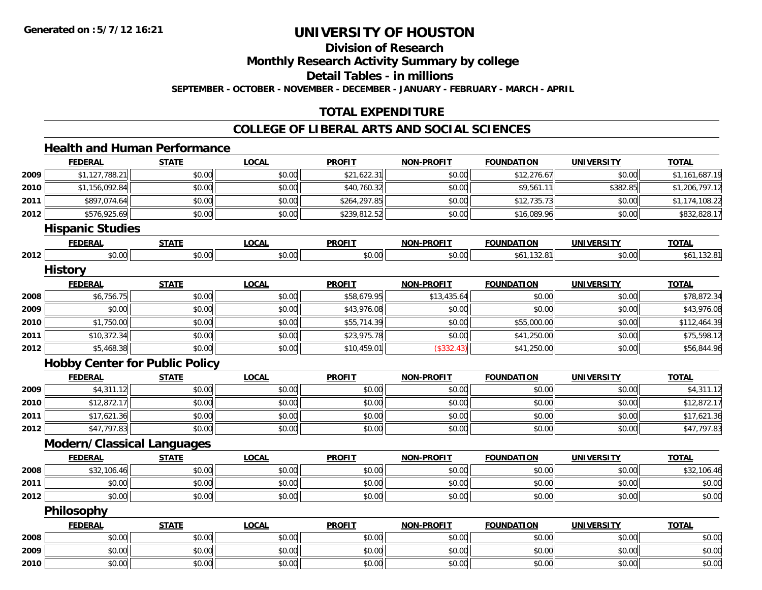**2009**

**2010**

# **UNIVERSITY OF HOUSTON**

**Division of Research**

**Monthly Research Activity Summary by college**

**Detail Tables - in millions**

**SEPTEMBER - OCTOBER - NOVEMBER - DECEMBER - JANUARY - FEBRUARY - MARCH - APRIL**

### **TOTAL EXPENDITURE**

#### **COLLEGE OF LIBERAL ARTS AND SOCIAL SCIENCES**

#### **Health and Human PerformanceFEDERAL STATE LOCAL PROFIT NON-PROFIT FOUNDATION UNIVERSITY TOTALTOTAL 20099** \$1,127,788.21 \$0.00 \$0.00 \$0.00 \$0.00 \$21,622.31 \$0.00 \$0.00 \$12,276.67 \$0.00 \$1,161,687.19 **2010** $\textsf{0} \parallel \textsf{1},156,092.84$   $\textsf{0},206,797.12$   $\textsf{0},00$   $\textsf{0},00$   $\textsf{0},00$   $\textsf{0},00$   $\textsf{0},00$   $\textsf{0},00$   $\textsf{0},00$   $\textsf{0},00$   $\textsf{0},00$   $\textsf{0},00$   $\textsf{0},00$   $\textsf{0},00$   $\textsf{0},00$ **2011** \$897,074.64 \$0.00 \$0.00 \$264,297.85 \$0.00 \$12,735.73 \$0.00 \$1,174,108.22 **2012** \$576,925.69 \$0.00 \$0.00 \$239,812.52 \$0.00 \$16,089.96 \$0.00 \$832,828.17 **Hispanic Studies FEDERAL STATE LOCAL PROFIT NON-PROFIT FOUNDATION UNIVERSITY TOTAL2012**2 \$0.00 \$0.00 \$0.00 \$0.00 \$0.00 \$0.00 \$0.00 \$0.00 \$0.00 \$0.00 \$61,132.81 \$0.00 \$60.00 \$61,132.81 **History FEDERAL STATE LOCAL PROFIT NON-PROFIT FOUNDATION UNIVERSITY TOTAL2008**8 \$6,756.75 \$0.00 \$0.00 \$0.00 \$0.00 \$58,679.95 \$13,435.64 \$13,435.64 \$0.00 \$0.00 \$78,872.34 **2009** \$0.00 \$0.00 \$0.00 \$43,976.08 \$0.00 \$0.00 \$0.00 \$43,976.08 **2010**0 \$1,750.00| \$0.00| \$0.00| \$55,714.39| \$0.00| \$55,000.00| \$0.00| \$112,464.39 **2011** \$10,372.34 \$0.00 \$0.00 \$23,975.78 \$0.00 \$41,250.00 \$0.00 \$75,598.12 **2012** \$5,468.38 \$0.00 \$0.00 \$10,459.01 (\$332.43) \$41,250.00 \$0.00 \$56,844.96 **Hobby Center for Public Policy FEDERAL STATE LOCAL PROFIT NON-PROFIT FOUNDATION UNIVERSITY TOTAL2009** \$4,311.12 \$0.00 \$0.00 \$0.00 \$0.00 \$0.00 \$0.00 \$4,311.12 **2010** \$12,872.17 \$0.00 \$0.00 \$0.00 \$0.00 \$0.00 \$0.00 \$12,872.17 **2011**1 \$17,621.36 \$0.00 \$0.00 \$0.00 \$0.00 \$0.00 \$0.00 \$0.00 \$0.00 \$0.00 \$0.00 \$0.00 \$0.00 \$17,621.36 **2012**2 \$47,797.83 \$0.00 \$0.00 \$0.00 \$0.00 \$0.00 \$0.00 \$0.00 \$0.00 \$0.00 \$0.00 \$0.00 \$0.00 \$0.00 \$47,797.83 **Modern/Classical Languages FEDERAL STATE LOCAL PROFIT NON-PROFIT FOUNDATION UNIVERSITY TOTALTOTAL 2008**8 \$32,106.46 \$0.00 \$0.00 \$0.00 \$0.00 \$0.00 \$0.00 \$0.00 \$0.00 \$0.00 \$0.00 \$0.00 \$0.00 \$12,106.46 **2011** \$0.00 \$0.00 \$0.00 \$0.00 \$0.00 \$0.00 \$0.00 \$0.00 **2012**2 | \$0.00 \$0.00 \$0.00 \$0.00 \$0.00 \$0.00 \$0.00 \$0.00 \$0.00 \$0.00 \$0.00 \$0.00 \$0.00 \$0.00 \$0.00 \$0.00 \$0.00 **Philosophy FEDERAL STATE LOCAL PROFIT NON-PROFIT FOUNDATION UNIVERSITY TOTALTOTAL 2008**\$0.00 \$0.00 \$0.00 \$0.00 \$0.00 \$0.00 \$0.00 \$0.00

\$0.00 \$0.00 \$0.00 \$0.00 \$0.00 \$0.00 \$0.00 \$0.00

0 \$0.00 \$0.00 \$0.00 \$0.00 \$0.00 \$0.00 \$0.00 \$0.00 \$0.00 \$0.00 \$0.00 \$0.00 \$0.00 \$0.00 \$0.00 \$0.00 \$0.00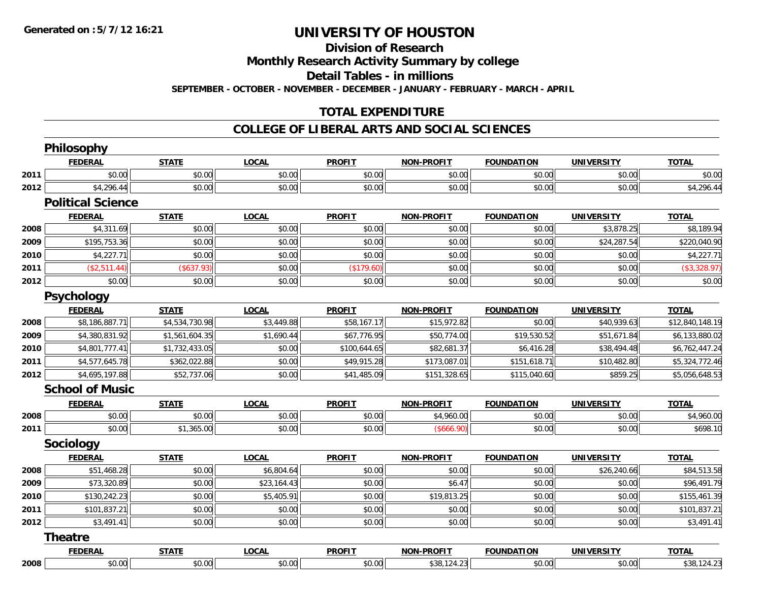**Division of Research**

**Monthly Research Activity Summary by college**

**Detail Tables - in millions**

**SEPTEMBER - OCTOBER - NOVEMBER - DECEMBER - JANUARY - FEBRUARY - MARCH - APRIL**

### **TOTAL EXPENDITURE**

#### **COLLEGE OF LIBERAL ARTS AND SOCIAL SCIENCES**

|      | <b>Philosophy</b>        |                |              |               |                   |                   |                   |                 |
|------|--------------------------|----------------|--------------|---------------|-------------------|-------------------|-------------------|-----------------|
|      | <b>FEDERAL</b>           | <b>STATE</b>   | <b>LOCAL</b> | <b>PROFIT</b> | <b>NON-PROFIT</b> | <b>FOUNDATION</b> | <b>UNIVERSITY</b> | <b>TOTAL</b>    |
| 2011 | \$0.00                   | \$0.00         | \$0.00       | \$0.00        | \$0.00            | \$0.00            | \$0.00            | \$0.00          |
| 2012 | \$4,296.44               | \$0.00         | \$0.00       | \$0.00        | \$0.00            | \$0.00            | \$0.00            | \$4,296.44      |
|      | <b>Political Science</b> |                |              |               |                   |                   |                   |                 |
|      | <b>FEDERAL</b>           | <b>STATE</b>   | <b>LOCAL</b> | <b>PROFIT</b> | <b>NON-PROFIT</b> | <b>FOUNDATION</b> | <b>UNIVERSITY</b> | <b>TOTAL</b>    |
| 2008 | \$4,311.69               | \$0.00         | \$0.00       | \$0.00        | \$0.00            | \$0.00            | \$3,878.25        | \$8,189.94      |
| 2009 | \$195,753.36             | \$0.00         | \$0.00       | \$0.00        | \$0.00            | \$0.00            | \$24,287.54       | \$220,040.90    |
| 2010 | \$4,227.71               | \$0.00         | \$0.00       | \$0.00        | \$0.00            | \$0.00            | \$0.00            | \$4,227.71      |
| 2011 | (\$2,511.44)             | (\$637.93)     | \$0.00       | (\$179.60)    | \$0.00            | \$0.00            | \$0.00            | (\$3,328.97)    |
| 2012 | \$0.00                   | \$0.00         | \$0.00       | \$0.00        | \$0.00            | \$0.00            | \$0.00            | \$0.00          |
|      | <b>Psychology</b>        |                |              |               |                   |                   |                   |                 |
|      | <b>FEDERAL</b>           | <b>STATE</b>   | <b>LOCAL</b> | <b>PROFIT</b> | <b>NON-PROFIT</b> | <b>FOUNDATION</b> | <b>UNIVERSITY</b> | <b>TOTAL</b>    |
| 2008 | \$8,186,887.71           | \$4,534,730.98 | \$3,449.88   | \$58,167.17   | \$15,972.82       | \$0.00            | \$40,939.63       | \$12,840,148.19 |
| 2009 | \$4,380,831.92           | \$1,561,604.35 | \$1,690.44   | \$67,776.95   | \$50,774.00       | \$19,530.52       | \$51,671.84       | \$6,133,880.02  |
| 2010 | \$4,801,777.41           | \$1,732,433.05 | \$0.00       | \$100,644.65  | \$82,681.37       | \$6,416.28        | \$38,494.48       | \$6,762,447.24  |
| 2011 | \$4,577,645.78           | \$362,022.88   | \$0.00       | \$49,915.28   | \$173,087.01      | \$151,618.71      | \$10,482.80       | \$5,324,772.46  |
| 2012 | \$4,695,197.88           | \$52,737.06    | \$0.00       | \$41,485.09   | \$151,328.65      | \$115,040.60      | \$859.25          | \$5,056,648.53  |
|      | <b>School of Music</b>   |                |              |               |                   |                   |                   |                 |
|      | <b>FEDERAL</b>           | <b>STATE</b>   | <b>LOCAL</b> | <b>PROFIT</b> | <b>NON-PROFIT</b> | <b>FOUNDATION</b> | <b>UNIVERSITY</b> | <b>TOTAL</b>    |
| 2008 | \$0.00                   | \$0.00         | \$0.00       | \$0.00        | \$4,960.00        | \$0.00            | \$0.00            | \$4,960.00      |
| 2011 | \$0.00                   | \$1,365.00     | \$0.00       | \$0.00        | (\$666.90)        | \$0.00            | \$0.00            | \$698.10        |
|      | Sociology                |                |              |               |                   |                   |                   |                 |
|      | <b>FEDERAL</b>           | <b>STATE</b>   | <b>LOCAL</b> | <b>PROFIT</b> | <b>NON-PROFIT</b> | <b>FOUNDATION</b> | <b>UNIVERSITY</b> | <b>TOTAL</b>    |
| 2008 | \$51,468.28              | \$0.00         | \$6,804.64   | \$0.00        | \$0.00            | \$0.00            | \$26,240.66       | \$84,513.58     |
| 2009 | \$73,320.89              | \$0.00         | \$23,164.43  | \$0.00        | \$6.47            | \$0.00            | \$0.00            | \$96,491.79     |
| 2010 | \$130,242.23             | \$0.00         | \$5,405.91   | \$0.00        | \$19,813.25       | \$0.00            | \$0.00            | \$155,461.39    |
| 2011 | \$101,837.21             | \$0.00         | \$0.00       | \$0.00        | \$0.00            | \$0.00            | \$0.00            | \$101,837.21    |
| 2012 | \$3,491.41               | \$0.00         | \$0.00       | \$0.00        | \$0.00            | \$0.00            | \$0.00            | \$3,491.41      |
|      | <b>Theatre</b>           |                |              |               |                   |                   |                   |                 |
|      | <b>FEDERAL</b>           | <b>STATE</b>   | <b>LOCAL</b> | <b>PROFIT</b> | <b>NON-PROFIT</b> | <b>FOUNDATION</b> | <b>UNIVERSITY</b> | <b>TOTAL</b>    |
| 2008 | \$0.00                   | \$0.00         | \$0.00       | \$0.00        | \$38,124.23       | \$0.00            | \$0.00            | \$38,124.23     |
|      |                          |                |              |               |                   |                   |                   |                 |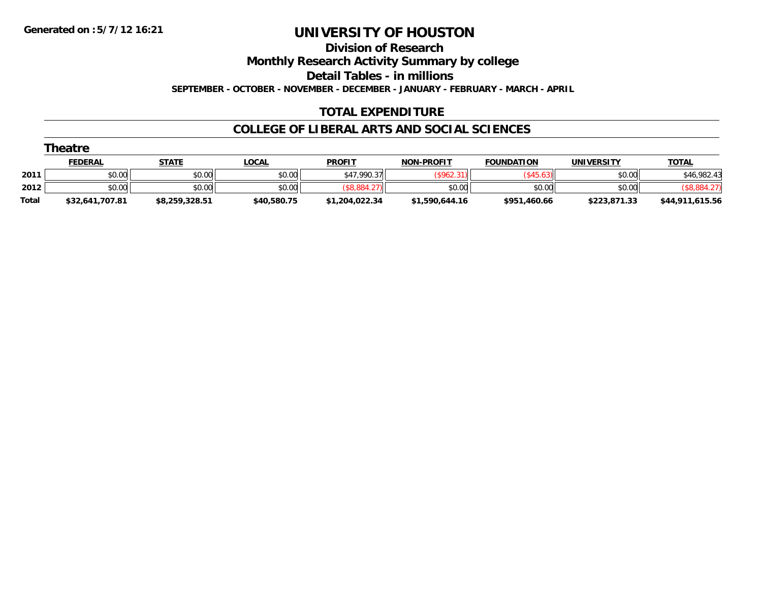**Division of Research**

**Monthly Research Activity Summary by college**

**Detail Tables - in millions**

**SEPTEMBER - OCTOBER - NOVEMBER - DECEMBER - JANUARY - FEBRUARY - MARCH - APRIL**

### **TOTAL EXPENDITURE**

#### **COLLEGE OF LIBERAL ARTS AND SOCIAL SCIENCES**

|              | Theatre         |                |              |                |                   |                   |              |                 |
|--------------|-----------------|----------------|--------------|----------------|-------------------|-------------------|--------------|-----------------|
|              | <b>FEDERAL</b>  | <b>STATE</b>   | <b>LOCAL</b> | <b>PROFIT</b>  | <b>NON-PROFIT</b> | <b>FOUNDATION</b> | UNIVERSITY   | <b>TOTAL</b>    |
| 2011         | \$0.00          | \$0.00         | \$0.00       | \$47,990.37    | (\$962.3"         | $($ \$45.63)      | \$0.00       | \$46,982.43     |
| 2012         | \$0.00          | \$0.00         | \$0.00       | \$8.884.2      | \$0.00            | \$0.00            | \$0.00       | (\$8,884.27)    |
| <b>Total</b> | \$32,641,707.81 | \$8,259,328.51 | \$40,580.75  | \$1,204,022.34 | \$1,590,644.16    | \$951,460.66      | \$223,871.33 | \$44,911,615.56 |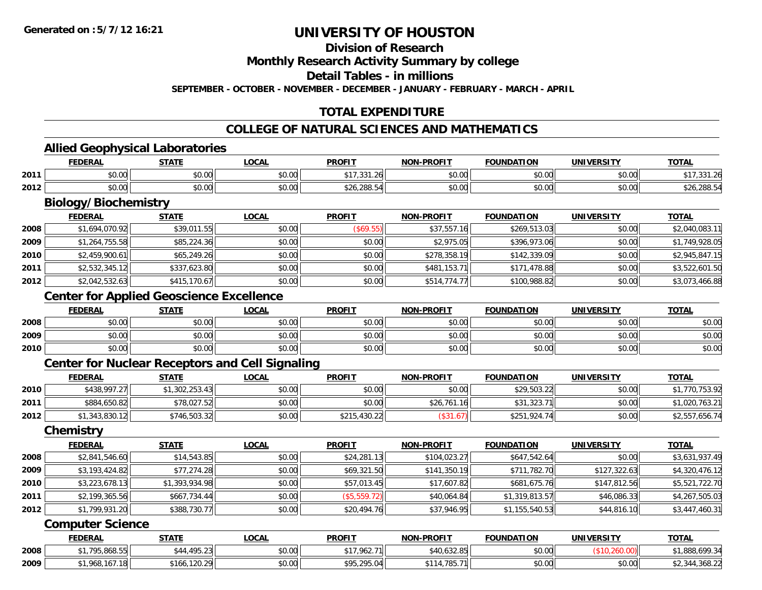**Division of Research**

**Monthly Research Activity Summary by college**

**Detail Tables - in millions**

**SEPTEMBER - OCTOBER - NOVEMBER - DECEMBER - JANUARY - FEBRUARY - MARCH - APRIL**

### **TOTAL EXPENDITURE**

#### **COLLEGE OF NATURAL SCIENCES AND MATHEMATICS**

<u> 1989 - Johann Stoff, amerikansk politiker (d. 1989)</u>

#### **Allied Geophysical Laboratories**

|      | <b>EEDEDA</b><br>-n.e        | $C = A + C$                                           | $\sim$<br>.uun         | <b>PROFIT</b>        | <b>DDAEIT</b><br>חחו<br>. | .<br>"             | INI            | TOTA.                              |
|------|------------------------------|-------------------------------------------------------|------------------------|----------------------|---------------------------|--------------------|----------------|------------------------------------|
| 2011 | 0 t<br>ט.ט                   | ሐሴ ሰሰ<br>JU.UU                                        | $\sim$ $\sim$<br>vu.vu | $\sim$ $\sim$ $\sim$ | 0000<br>vu.ou             | $\sim$ 00<br>וט.טי | ልስ ለለ<br>pu.uu |                                    |
| 2012 | $\uparrow$ $\uparrow$<br>ט.ט | $\mathsf{A} \cap \mathsf{A} \cap \mathsf{A}$<br>PU.UU | 0.00<br>vu.vu          | $\Omega$<br>20.200.  | 0000<br>vu.vu             | 0.00<br>ט.טי       | nn nn<br>pu.uu | . <b>ـــــــــــــــــــــــــ</b> |

# **Biology/Biochemistry**

|      | <b>FEDERAL</b> | <b>STATE</b> | <b>LOCAL</b> | <b>PROFIT</b> | <b>NON-PROFIT</b> | <b>FOUNDATION</b> | <b>UNIVERSITY</b> | <b>TOTAL</b>   |
|------|----------------|--------------|--------------|---------------|-------------------|-------------------|-------------------|----------------|
| 2008 | \$1,694,070.92 | \$39,011.55  | \$0.00       | (S69.55)      | \$37,557.16       | \$269,513.03      | \$0.00            | \$2,040,083.11 |
| 2009 | \$1,264,755.58 | \$85,224.36  | \$0.00       | \$0.00        | \$2,975.05        | \$396,973.06      | \$0.00            | \$1,749,928.05 |
| 2010 | \$2,459,900.61 | \$65,249.26  | \$0.00       | \$0.00        | \$278,358.19      | \$142,339.09      | \$0.00            | \$2,945,847.15 |
| 2011 | \$2,532,345.12 | \$337,623.80 | \$0.00       | \$0.00        | \$481,153.71      | \$171,478.88      | \$0.00            | \$3,522,601.50 |
| 2012 | \$2,042,532.63 | \$415,170.67 | \$0.00       | \$0.00        | \$514,774.77      | \$100,988.82      | \$0.00            | \$3,073,466.88 |

### **Center for Applied Geoscience Excellence**

|      | <b>FEDERAL</b> | <b>STATE</b> | <u>_OCAL</u> | <b>PROFIT</b> | <b>NON-PROFIT</b> | <b>FOUNDATION</b> | <b>UNIVERSITY</b> | <b>TOTAL</b> |
|------|----------------|--------------|--------------|---------------|-------------------|-------------------|-------------------|--------------|
| 2008 | \$0.00         | \$0.00       | \$0.00       | \$0.00        | \$0.00            | \$0.00            | \$0.00            | \$0.00       |
| 2009 | \$0.00         | \$0.00       | \$0.00       | \$0.00        | \$0.00            | \$0.00            | \$0.00            | \$0.00       |
| 2010 | \$0.00         | \$0.00       | \$0.00       | \$0.00        | \$0.00            | \$0.00            | \$0.00            | \$0.00       |

### **Center for Nuclear Receptors and Cell Signaling**

|      | <b>FEDERAL</b> | <u>STATE</u>   | <u>LOCAL</u> | <b>PROFIT</b> | <b>NON-PROFIT</b> | <b>FOUNDATION</b> | <b>UNIVERSITY</b> | <b>TOTAL</b>   |
|------|----------------|----------------|--------------|---------------|-------------------|-------------------|-------------------|----------------|
| 2010 | \$438,997.27   | \$1,302,253.43 | \$0.00       | \$0.00        | \$0.00            | \$29,503.22       | \$0.00            | 1,770,753.92   |
| 2011 | \$884,650.82   | \$78,027.52    | \$0.00       | \$0.00        | \$26,761.16       | \$31,323.71       | \$0.00            | \$1,020,763.21 |
| 2012 | \$1,343,830.12 | \$746,503.32   | \$0.00       | \$215,430.22  | \$31.67           | \$251,924.74      | \$0.00            | \$2,557,656.74 |

#### **Chemistry**

|      | <b>FEDERAL</b> | <b>STATE</b>   | <b>LOCAL</b> | <b>PROFIT</b> | <b>NON-PROFIT</b> | <b>FOUNDATION</b> | UNIVERSITY   | <b>TOTAL</b>   |
|------|----------------|----------------|--------------|---------------|-------------------|-------------------|--------------|----------------|
| 2008 | \$2,841,546.60 | \$14,543.85    | \$0.00       | \$24,281.13   | \$104,023.27      | \$647,542.64      | \$0.00       | \$3,631,937.49 |
| 2009 | \$3,193,424.82 | \$77,274.28    | \$0.00       | \$69,321.50   | \$141,350.19      | \$711,782.70      | \$127,322.63 | \$4,320,476.12 |
| 2010 | \$3,223,678.13 | \$1,393,934.98 | \$0.00       | \$57,013.45   | \$17,607.82       | \$681,675.76      | \$147,812.56 | \$5,521,722.70 |
| 2011 | \$2,199,365.56 | \$667,734.44   | \$0.00       | (\$5,559.72)  | \$40,064.84       | \$1,319,813.57    | \$46,086.33  | \$4,267,505.03 |
| 2012 | \$1,799,931.20 | \$388,730.77   | \$0.00       | \$20,494.76   | \$37,946.95       | \$1,155,540.53    | \$44,816.10  | \$3,447,460.31 |

#### **Computer Science**

|      | <b>FEDERAL</b>     | <b>STATE</b>                                          | <b>LOCAL</b>   | <b>PROFIT</b> | <b>NON-PROFIT</b>   | <b>FOUNDATION</b> | <b>UNIVERSITY</b> | TOTAL                  |
|------|--------------------|-------------------------------------------------------|----------------|---------------|---------------------|-------------------|-------------------|------------------------|
| 2008 | .795.868.55<br>**  | 105 23<br>$^{\circ}$ $^{\prime}$ $^{\prime}$<br>1.2.2 | ቀስ ስስ<br>PU.UU | \$17,962.71   | *40.632.85          | \$0.00            |                   | 1.888.699.34           |
| 2009 | $+1$<br>80ט<br>10/ | 120.20<br>$*166$<br>. . 20. 271                       | ቀስ ሰስ<br>JU.UU | \$95.295.04   | $\cdots$<br>. 185., | \$0.00            | \$0.00            | $\sqrt{2}$<br>22.ة108. |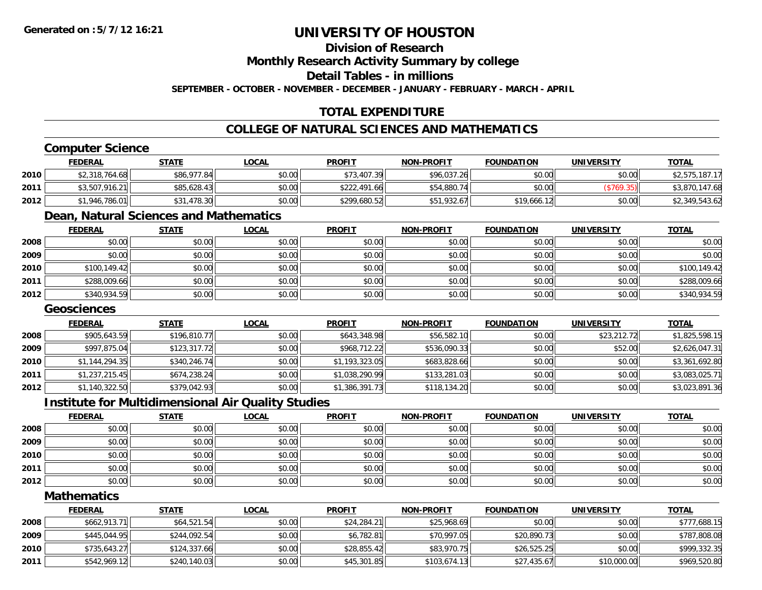### **Division of Research**

**Monthly Research Activity Summary by college**

**Detail Tables - in millions**

**SEPTEMBER - OCTOBER - NOVEMBER - DECEMBER - JANUARY - FEBRUARY - MARCH - APRIL**

### **TOTAL EXPENDITURE**

### **COLLEGE OF NATURAL SCIENCES AND MATHEMATICS**

### **Computer Science**

|      | <b>FEDERAL</b> | <u>STATE</u> | <u>LOCAL</u> | <b>PROFIT</b> | <b>NON-PROFIT</b> | <b>FOUNDATION</b> | UNIVERSITY | <b>TOTAL</b>   |
|------|----------------|--------------|--------------|---------------|-------------------|-------------------|------------|----------------|
| 2010 | \$2,318,764.68 | \$86,977.84  | \$0.00       | \$73,407.39   | \$96,037.26       | \$0.00            | \$0.00     | \$2,575,187.17 |
| 2011 | \$3,507,916.21 | \$85,628.43  | \$0.00       | \$222,491.66  | \$54,880.74       | \$0.00            |            | \$3,870,147.68 |
| 2012 | \$1,946,786.01 | 1.478.30     | \$0.00       | \$299,680.52  | \$51,932.67       | \$19,666.12       | \$0.00     | \$2,349,543.62 |

### **Dean, Natural Sciences and Mathematics**

|      | <u>FEDERAL</u> | <b>STATE</b> | <u>LOCAL</u> | <b>PROFIT</b> | <b>NON-PROFIT</b> | <b>FOUNDATION</b> | <b>UNIVERSITY</b> | <b>TOTAL</b> |
|------|----------------|--------------|--------------|---------------|-------------------|-------------------|-------------------|--------------|
| 2008 | \$0.00         | \$0.00       | \$0.00       | \$0.00        | \$0.00            | \$0.00            | \$0.00            | \$0.00       |
| 2009 | \$0.00         | \$0.00       | \$0.00       | \$0.00        | \$0.00            | \$0.00            | \$0.00            | \$0.00       |
| 2010 | \$100,149.42   | \$0.00       | \$0.00       | \$0.00        | \$0.00            | \$0.00            | \$0.00            | \$100,149.42 |
| 2011 | \$288,009.66   | \$0.00       | \$0.00       | \$0.00        | \$0.00            | \$0.00            | \$0.00            | \$288,009.66 |
| 2012 | \$340,934.59   | \$0.00       | \$0.00       | \$0.00        | \$0.00            | \$0.00            | \$0.00            | \$340,934.59 |

#### **Geosciences**

|      | <b>FEDERAL</b> | <b>STATE</b> | <b>LOCAL</b> | <b>PROFIT</b>  | <b>NON-PROFIT</b> | <b>FOUNDATION</b> | <b>UNIVERSITY</b> | <b>TOTAL</b>   |
|------|----------------|--------------|--------------|----------------|-------------------|-------------------|-------------------|----------------|
| 2008 | \$905,643.59   | \$196,810.77 | \$0.00       | \$643,348.98   | \$56,582.10       | \$0.00            | \$23,212.72       | \$1,825,598.15 |
| 2009 | \$997,875.04   | \$123,317.72 | \$0.00       | \$968,712.22   | \$536,090.33      | \$0.00            | \$52.00           | \$2,626,047.31 |
| 2010 | \$1,144,294.35 | \$340,246.74 | \$0.00       | \$1,193,323.05 | \$683,828.66      | \$0.00            | \$0.00            | \$3,361,692.80 |
| 2011 | \$1,237,215.45 | \$674,238.24 | \$0.00       | \$1,038,290.99 | \$133,281.03      | \$0.00            | \$0.00            | \$3,083,025.71 |
| 2012 | \$1,140,322.50 | \$379,042.93 | \$0.00       | \$1,386,391.73 | \$118,134.20      | \$0.00            | \$0.00            | \$3,023,891.36 |

#### **Institute for Multidimensional Air Quality Studies**

|      | <u>FEDERAL</u> | <b>STATE</b> | <b>LOCAL</b> | <b>PROFIT</b> | <b>NON-PROFIT</b> | <b>FOUNDATION</b> | <b>UNIVERSITY</b> | <b>TOTAL</b> |
|------|----------------|--------------|--------------|---------------|-------------------|-------------------|-------------------|--------------|
| 2008 | \$0.00         | \$0.00       | \$0.00       | \$0.00        | \$0.00            | \$0.00            | \$0.00            | \$0.00       |
| 2009 | \$0.00         | \$0.00       | \$0.00       | \$0.00        | \$0.00            | \$0.00            | \$0.00            | \$0.00       |
| 2010 | \$0.00         | \$0.00       | \$0.00       | \$0.00        | \$0.00            | \$0.00            | \$0.00            | \$0.00       |
| 2011 | \$0.00         | \$0.00       | \$0.00       | \$0.00        | \$0.00            | \$0.00            | \$0.00            | \$0.00       |
| 2012 | \$0.00         | \$0.00       | \$0.00       | \$0.00        | \$0.00            | \$0.00            | \$0.00            | \$0.00       |

#### **Mathematics**

|      | <b>FEDERAL</b> | STATE        | <u>LOCAL</u> | <b>PROFIT</b> | <b>NON-PROFIT</b> | <b>FOUNDATION</b> | UNIVERSITY  | <b>TOTAL</b> |
|------|----------------|--------------|--------------|---------------|-------------------|-------------------|-------------|--------------|
| 2008 | \$662,913.71   | \$64,521.54  | \$0.00       | \$24,284.21   | \$25,968.69       | \$0.00            | \$0.00      | \$777,688.15 |
| 2009 | \$445,044.95   | \$244,092.54 | \$0.00       | \$6,782.81    | \$70,997.05       | \$20,890.73       | \$0.00      | \$787,808.08 |
| 2010 | \$735,643.27   | \$124,337.66 | \$0.00       | \$28,855.42   | \$83,970.75       | \$26.525.25       | \$0.00      | \$999,332.35 |
| 2011 | \$542,969.12   | \$240,140.03 | \$0.00       | \$45,301.85   | \$103.674.13      | \$27,435.67       | \$10,000.00 | \$969,520.80 |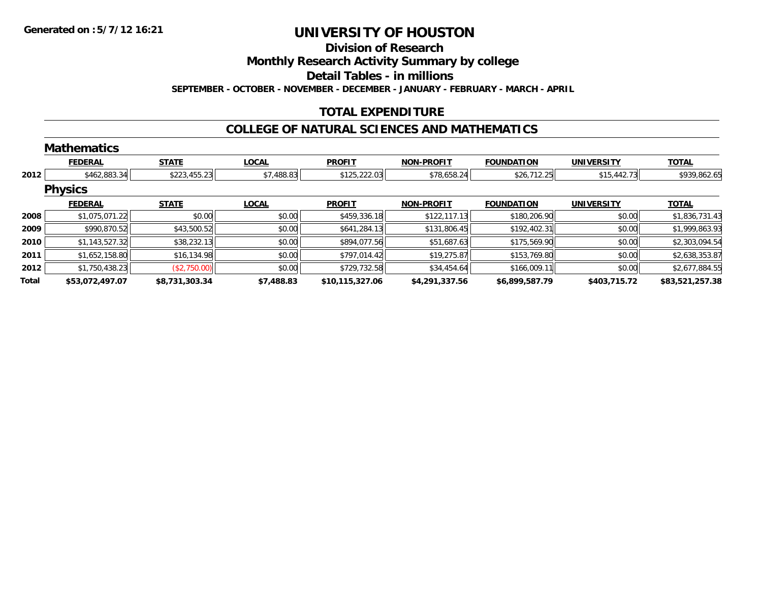#### **Division of Research**

**Monthly Research Activity Summary by college**

**Detail Tables - in millions**

**SEPTEMBER - OCTOBER - NOVEMBER - DECEMBER - JANUARY - FEBRUARY - MARCH - APRIL**

### **TOTAL EXPENDITURE**

#### **COLLEGE OF NATURAL SCIENCES AND MATHEMATICS**

|       | <b>Mathematics</b> |                |              |                 |                   |                   |                   |                 |
|-------|--------------------|----------------|--------------|-----------------|-------------------|-------------------|-------------------|-----------------|
|       | <b>FEDERAL</b>     | <b>STATE</b>   | <b>LOCAL</b> | <b>PROFIT</b>   | <b>NON-PROFIT</b> | <b>FOUNDATION</b> | <b>UNIVERSITY</b> | <b>TOTAL</b>    |
| 2012  | \$462,883.34       | \$223,455.23   | \$7,488.83   | \$125,222.03    | \$78,658.24       | \$26,712.25       | \$15,442.73       | \$939,862.65    |
|       | <b>Physics</b>     |                |              |                 |                   |                   |                   |                 |
|       | <b>FEDERAL</b>     | <b>STATE</b>   | <b>LOCAL</b> | <b>PROFIT</b>   | <b>NON-PROFIT</b> | <b>FOUNDATION</b> | <b>UNIVERSITY</b> | <b>TOTAL</b>    |
| 2008  | \$1,075,071.22     | \$0.00         | \$0.00       | \$459,336.18    | \$122,117.13      | \$180,206.90      | \$0.00            | \$1,836,731.43  |
| 2009  | \$990,870.52       | \$43,500.52    | \$0.00       | \$641,284.13    | \$131,806.45      | \$192,402.31      | \$0.00            | \$1,999,863.93  |
| 2010  | \$1,143,527.32     | \$38,232.13    | \$0.00       | \$894,077.56    | \$51,687.63       | \$175,569.90      | \$0.00            | \$2,303,094.54  |
| 2011  | \$1,652,158.80     | \$16,134.98    | \$0.00       | \$797,014.42    | \$19,275.87       | \$153,769.80      | \$0.00            | \$2,638,353.87  |
| 2012  | \$1,750,438.23     | (\$2,750.00)   | \$0.00       | \$729,732.58    | \$34,454.64       | \$166,009.11      | \$0.00            | \$2,677,884.55  |
| Total | \$53,072,497.07    | \$8,731,303.34 | \$7,488.83   | \$10,115,327.06 | \$4,291,337.56    | \$6,899,587.79    | \$403,715.72      | \$83,521,257.38 |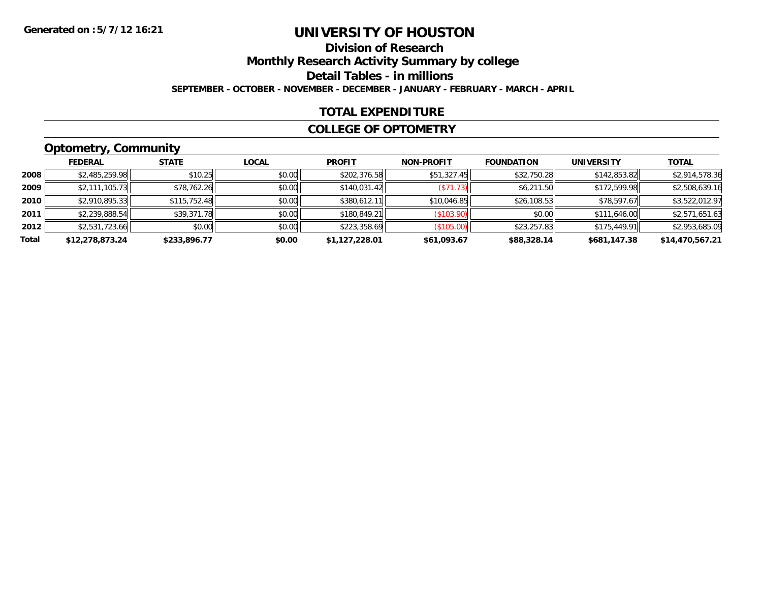# **Division of Research**

**Monthly Research Activity Summary by college**

**Detail Tables - in millions**

**SEPTEMBER - OCTOBER - NOVEMBER - DECEMBER - JANUARY - FEBRUARY - MARCH - APRIL**

### **TOTAL EXPENDITURE**

#### **COLLEGE OF OPTOMETRY**

### **Optometry, Community**

|       | <b>FEDERAL</b>  | <b>STATE</b> | <u>LOCAL</u> | <b>PROFIT</b>  | <b>NON-PROFIT</b> | <b>FOUNDATION</b> | <b>UNIVERSITY</b> | <b>TOTAL</b>    |
|-------|-----------------|--------------|--------------|----------------|-------------------|-------------------|-------------------|-----------------|
| 2008  | \$2,485,259.98  | \$10.25      | \$0.00       | \$202,376.58   | \$51,327.45       | \$32,750.28       | \$142,853.82      | \$2,914,578.36  |
| 2009  | \$2.111.105.73  | \$78,762.26  | \$0.00       | \$140,031.42   | (S71.73)          | \$6,211.50        | \$172,599.98      | \$2,508,639.16  |
| 2010  | \$2,910,895.33  | \$115,752.48 | \$0.00       | \$380,612.11   | \$10,046.85       | \$26,108.53       | \$78,597.67       | \$3,522,012.97  |
| 2011  | \$2,239,888.54  | \$39,371.78  | \$0.00       | \$180,849.21   | (\$103.90)        | \$0.00            | \$111,646.00      | \$2,571,651.63  |
| 2012  | \$2,531,723.66  | \$0.00       | \$0.00       | \$223,358.69   | (\$105.00)        | \$23,257.83       | \$175,449.91      | \$2,953,685.09  |
| Total | \$12,278,873.24 | \$233,896.77 | \$0.00       | \$1,127,228.01 | \$61,093.67       | \$88,328.14       | \$681,147.38      | \$14,470,567.21 |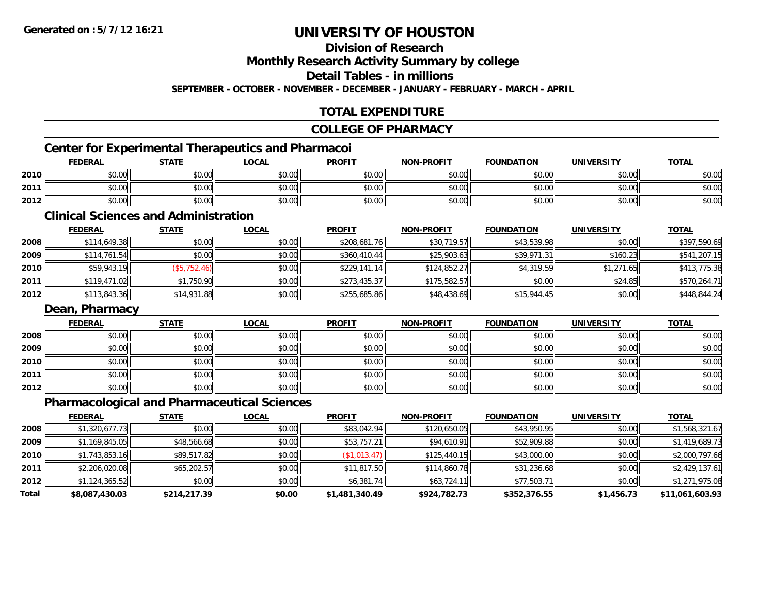**Division of Research**

**Monthly Research Activity Summary by college**

**Detail Tables - in millions**

**SEPTEMBER - OCTOBER - NOVEMBER - DECEMBER - JANUARY - FEBRUARY - MARCH - APRIL**

### **TOTAL EXPENDITURE**

#### **COLLEGE OF PHARMACY**

### **Center for Experimental Therapeutics and Pharmacoi**

|      | <b>FEDERAL</b> | <b>STATE</b>                                | <b>_OCAL</b>         | <b>PROFIT</b> | <b>NON-PROFIT</b> | <b>FOUNDATION</b> | <b>UNIVERSITY</b> | <b>TOTAL</b> |
|------|----------------|---------------------------------------------|----------------------|---------------|-------------------|-------------------|-------------------|--------------|
| 2010 | 0000<br>,u.uu  | $\mathfrak{e}\cap\mathfrak{e}\cap$<br>JU.UL | \$0.00               | \$0.00        | \$0.00            | \$0.00            | \$0.00            | \$0.00       |
| 2011 | 0000<br>,u.uu  | ≮n nn<br>JU.UL                              | 0000<br><b>DU.UU</b> | \$0.00        | \$0.00            | \$0.00            | \$0.00            | \$0.00       |
| 2012 | \$0.00         | \$0.00                                      | \$0.00               | \$0.00        | \$0.00            | \$0.00            | \$0.00            | \$0.00       |

### **Clinical Sciences and Administration**

|      | <b>FEDERAL</b> | <u>STATE</u> | <b>LOCAL</b> | <b>PROFIT</b> | <b>NON-PROFIT</b> | <b>FOUNDATION</b> | <b>UNIVERSITY</b> | <b>TOTAL</b> |
|------|----------------|--------------|--------------|---------------|-------------------|-------------------|-------------------|--------------|
| 2008 | \$114,649.38   | \$0.00       | \$0.00       | \$208,681.76  | \$30,719.57       | \$43,539.98       | \$0.00            | \$397,590.69 |
| 2009 | \$114,761.54   | \$0.00       | \$0.00       | \$360,410.44  | \$25,903.63       | \$39,971.31       | \$160.23          | \$541,207.15 |
| 2010 | \$59,943.19    | (\$5,752.46) | \$0.00       | \$229,141.14  | \$124,852.27      | \$4,319.59        | \$1,271.65        | \$413,775.38 |
| 2011 | \$119,471.02   | \$1,750.90   | \$0.00       | \$273,435.37  | \$175,582.57      | \$0.00            | \$24.85           | \$570,264.71 |
| 2012 | \$113,843.36   | \$14,931.88  | \$0.00       | \$255,685.86  | \$48,438.69       | \$15,944.45       | \$0.00            | \$448,844.24 |

#### **Dean, Pharmacy**

|      | <b>FEDERAL</b> | <b>STATE</b> | <b>LOCAL</b> | <b>PROFIT</b> | <b>NON-PROFIT</b> | <b>FOUNDATION</b> | <b>UNIVERSITY</b> | <b>TOTAL</b> |
|------|----------------|--------------|--------------|---------------|-------------------|-------------------|-------------------|--------------|
| 2008 | \$0.00         | \$0.00       | \$0.00       | \$0.00        | \$0.00            | \$0.00            | \$0.00            | \$0.00       |
| 2009 | \$0.00         | \$0.00       | \$0.00       | \$0.00        | \$0.00            | \$0.00            | \$0.00            | \$0.00       |
| 2010 | \$0.00         | \$0.00       | \$0.00       | \$0.00        | \$0.00            | \$0.00            | \$0.00            | \$0.00       |
| 2011 | \$0.00         | \$0.00       | \$0.00       | \$0.00        | \$0.00            | \$0.00            | \$0.00            | \$0.00       |
| 2012 | \$0.00         | \$0.00       | \$0.00       | \$0.00        | \$0.00            | \$0.00            | \$0.00            | \$0.00       |

### **Pharmacological and Pharmaceutical Sciences**

|       | <b>FEDERAL</b> | <b>STATE</b> | <b>LOCAL</b> | <b>PROFIT</b>  | <b>NON-PROFIT</b> | <b>FOUNDATION</b> | <b>UNIVERSITY</b> | <b>TOTAL</b>    |
|-------|----------------|--------------|--------------|----------------|-------------------|-------------------|-------------------|-----------------|
| 2008  | \$1.320.677.73 | \$0.00       | \$0.00       | \$83,042.94    | \$120,650.05      | \$43,950.95       | \$0.00            | \$1,568,321.67  |
| 2009  | \$1,169,845.05 | \$48,566.68  | \$0.00       | \$53,757.21    | \$94,610.91       | \$52,909.88       | \$0.00            | \$1,419,689.73  |
| 2010  | \$1,743,853.16 | \$89,517.82  | \$0.00       | \$1,013.47     | \$125,440.15      | \$43,000.00       | \$0.00            | \$2,000,797.66  |
| 2011  | \$2,206,020.08 | \$65,202.57  | \$0.00       | \$11,817.50    | \$114,860.78      | \$31,236.68       | \$0.00            | \$2,429,137.61  |
| 2012  | \$1,124,365.52 | \$0.00       | \$0.00       | \$6,381.74     | \$63,724.11       | \$77,503.71       | \$0.00            | \$1,271,975.08  |
| Total | \$8,087,430.03 | \$214,217.39 | \$0.00       | \$1,481,340.49 | \$924,782.73      | \$352,376.55      | \$1,456.73        | \$11,061,603.93 |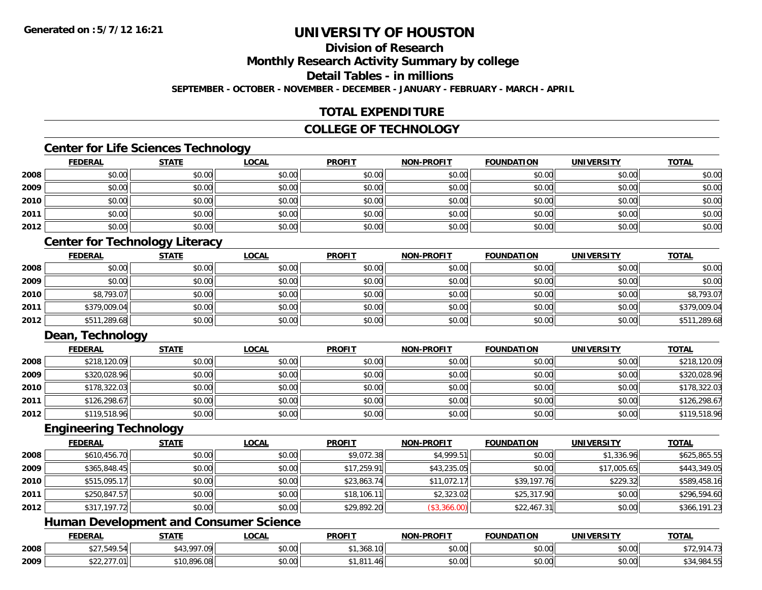### **Division of Research**

**Monthly Research Activity Summary by college**

**Detail Tables - in millions**

**SEPTEMBER - OCTOBER - NOVEMBER - DECEMBER - JANUARY - FEBRUARY - MARCH - APRIL**

### **TOTAL EXPENDITURE**

### **COLLEGE OF TECHNOLOGY**

### **Center for Life Sciences Technology**

|      | <b>FEDERAL</b> | <b>STATE</b> | <b>LOCAL</b> | <b>PROFIT</b> | <b>NON-PROFIT</b> | <b>FOUNDATION</b> | <b>UNIVERSITY</b> | <b>TOTAL</b> |
|------|----------------|--------------|--------------|---------------|-------------------|-------------------|-------------------|--------------|
| 2008 | \$0.00         | \$0.00       | \$0.00       | \$0.00        | \$0.00            | \$0.00            | \$0.00            | \$0.00       |
| 2009 | \$0.00         | \$0.00       | \$0.00       | \$0.00        | \$0.00            | \$0.00            | \$0.00            | \$0.00       |
| 2010 | \$0.00         | \$0.00       | \$0.00       | \$0.00        | \$0.00            | \$0.00            | \$0.00            | \$0.00       |
| 2011 | \$0.00         | \$0.00       | \$0.00       | \$0.00        | \$0.00            | \$0.00            | \$0.00            | \$0.00       |
| 2012 | \$0.00         | \$0.00       | \$0.00       | \$0.00        | \$0.00            | \$0.00            | \$0.00            | \$0.00       |

### **Center for Technology Literacy**

|      | <b>FEDERAL</b> | <u>STATE</u> | <u>LOCAL</u> | <b>PROFIT</b> | <b>NON-PROFIT</b> | <b>FOUNDATION</b> | <b>UNIVERSITY</b> | <b>TOTAL</b> |
|------|----------------|--------------|--------------|---------------|-------------------|-------------------|-------------------|--------------|
| 2008 | \$0.00         | \$0.00       | \$0.00       | \$0.00        | \$0.00            | \$0.00            | \$0.00            | \$0.00       |
| 2009 | \$0.00         | \$0.00       | \$0.00       | \$0.00        | \$0.00            | \$0.00            | \$0.00            | \$0.00       |
| 2010 | \$8,793.07     | \$0.00       | \$0.00       | \$0.00        | \$0.00            | \$0.00            | \$0.00            | \$8,793.07   |
| 2011 | \$379,009.04   | \$0.00       | \$0.00       | \$0.00        | \$0.00            | \$0.00            | \$0.00            | \$379,009.04 |
| 2012 | \$511,289.68   | \$0.00       | \$0.00       | \$0.00        | \$0.00            | \$0.00            | \$0.00            | \$511,289.68 |

### **Dean, Technology**

|      | <u>FEDERAL</u> | <b>STATE</b> | <u>LOCAL</u> | <b>PROFIT</b> | <b>NON-PROFIT</b> | <b>FOUNDATION</b> | <b>UNIVERSITY</b> | <b>TOTAL</b> |
|------|----------------|--------------|--------------|---------------|-------------------|-------------------|-------------------|--------------|
| 2008 | \$218,120.09   | \$0.00       | \$0.00       | \$0.00        | \$0.00            | \$0.00            | \$0.00            | \$218,120.09 |
| 2009 | \$320,028.96   | \$0.00       | \$0.00       | \$0.00        | \$0.00            | \$0.00            | \$0.00            | \$320,028.96 |
| 2010 | \$178,322.03   | \$0.00       | \$0.00       | \$0.00        | \$0.00            | \$0.00            | \$0.00            | \$178,322.03 |
| 2011 | \$126,298.67   | \$0.00       | \$0.00       | \$0.00        | \$0.00            | \$0.00            | \$0.00            | \$126,298.67 |
| 2012 | \$119,518.96   | \$0.00       | \$0.00       | \$0.00        | \$0.00            | \$0.00            | \$0.00            | \$119,518.96 |

#### **Engineering Technology**

|      | <b>FEDERAL</b> | <b>STATE</b> | <b>LOCAL</b> | <b>PROFIT</b> | <b>NON-PROFIT</b> | <b>FOUNDATION</b> | <b>UNIVERSITY</b> | <b>TOTAL</b> |
|------|----------------|--------------|--------------|---------------|-------------------|-------------------|-------------------|--------------|
| 2008 | \$610,456.70   | \$0.00       | \$0.00       | \$9,072.38    | \$4,999.51        | \$0.00            | \$1,336.96        | \$625,865.55 |
| 2009 | \$365,848.45   | \$0.00       | \$0.00       | \$17,259.91   | \$43,235.05       | \$0.00            | \$17,005.65       | \$443,349.05 |
| 2010 | \$515,095.17   | \$0.00       | \$0.00       | \$23,863.74   | \$11,072.17       | \$39,197.76       | \$229.32          | \$589,458.16 |
| 2011 | \$250,847.57   | \$0.00       | \$0.00       | \$18,106.11   | \$2,323.02        | \$25,317.90       | \$0.00            | \$296,594.60 |
| 2012 | \$317,197.72   | \$0.00       | \$0.00       | \$29,892.20   | (\$3,366.00)      | \$22,467.31       | \$0.00            | \$366,191.23 |

### **Human Development and Consumer Science**

|      | <b>FEDERAL</b>          | <b>STATE</b>                | <b>_OCAL</b>       | <b>PROFIT</b>      | <b>NON-PROFIT</b>                          | <b>FOUNDATION</b> | <b>UNIVERSITY</b>    | <b>TOTAL</b>                  |
|------|-------------------------|-----------------------------|--------------------|--------------------|--------------------------------------------|-------------------|----------------------|-------------------------------|
| 2008 | $10T - 1$<br>.549.54    | oo z ool<br>៱ រ へ<br>7.U 71 | $\sim$ 00<br>vv.vv | 3.0035<br>1,368.10 | $\theta$ $\theta$ $\theta$<br>DU.UU        | \$0.00            | 0000<br>\$U.UU       | 17 01<br>7.2,714.75           |
| 2009 | 0.277.01<br>922, 211.01 | 10.896.08                   | $\sim$ 00<br>vv.vv | .40                | $\theta$ $\theta$ $\theta$<br><b>DU.UU</b> | \$0.00            | 0000<br><b>DU.UG</b> | $\sqrt{24094}$<br>\$94,704.99 |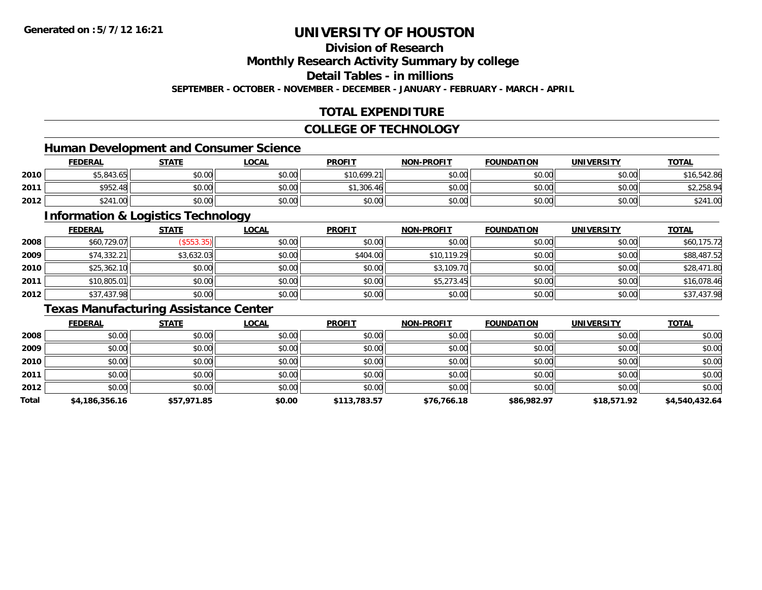### **Division of Research**

**Monthly Research Activity Summary by college**

**Detail Tables - in millions**

**SEPTEMBER - OCTOBER - NOVEMBER - DECEMBER - JANUARY - FEBRUARY - MARCH - APRIL**

### **TOTAL EXPENDITURE**

### **COLLEGE OF TECHNOLOGY**

### **Human Development and Consumer Science**

|      | <b>FEDERAL</b> | <b>STATE</b> | <b>_OCAL</b>  | <b>PROFIT</b> | <b>NON-PROFIT</b> | <b>FOUNDATION</b> | <b>UNIVERSITY</b> | <b>TOTAL</b> |
|------|----------------|--------------|---------------|---------------|-------------------|-------------------|-------------------|--------------|
| 2010 | \$5,843.65     | \$0.00       | \$0.00        | \$10.699.21   | \$0.00            | \$0.00            | \$0.00            | \$16,542.86  |
| 2011 | \$952.48       | \$0.00       | 0.00<br>DU.UU | \$1,306.46    | \$0.00            | \$0.00            | \$0.00 l          | 2,258.94     |
| 2012 | \$241.00       | \$0.00       | \$0.00        | \$0.00        | \$0.00            | \$0.00            | \$0.00            | \$241.00     |

<u> 1989 - Johann Stoff, deutscher Stoffen und der Stoffen und der Stoffen und der Stoffen und der Stoffen und de</u>

### **Information & Logistics Technology**

|      | <b>FEDERAL</b> | <b>STATE</b> | <b>LOCAL</b> | <b>PROFIT</b> | <b>NON-PROFIT</b> | <b>FOUNDATION</b> | <b>UNIVERSITY</b> | <b>TOTAL</b> |
|------|----------------|--------------|--------------|---------------|-------------------|-------------------|-------------------|--------------|
| 2008 | \$60,729.07    | (\$553.35)   | \$0.00       | \$0.00        | \$0.00            | \$0.00            | \$0.00            | \$60,175.72  |
| 2009 | \$74,332.21    | \$3,632.03   | \$0.00       | \$404.00      | \$10,119.29       | \$0.00            | \$0.00            | \$88,487.52  |
| 2010 | \$25,362.10    | \$0.00       | \$0.00       | \$0.00        | \$3,109.70        | \$0.00            | \$0.00            | \$28,471.80  |
| 2011 | \$10,805.01    | \$0.00       | \$0.00       | \$0.00        | \$5,273.45        | \$0.00            | \$0.00            | \$16,078.46  |
| 2012 | \$37,437.98    | \$0.00       | \$0.00       | \$0.00        | \$0.00            | \$0.00            | \$0.00            | \$37,437.98  |

### **Texas Manufacturing Assistance Center**

|       | <b>FEDERAL</b> | <b>STATE</b> | <u>LOCAL</u> | <b>PROFIT</b> | <b>NON-PROFIT</b> | <b>FOUNDATION</b> | <b>UNIVERSITY</b> | <b>TOTAL</b>   |
|-------|----------------|--------------|--------------|---------------|-------------------|-------------------|-------------------|----------------|
| 2008  | \$0.00         | \$0.00       | \$0.00       | \$0.00        | \$0.00            | \$0.00            | \$0.00            | \$0.00         |
| 2009  | \$0.00         | \$0.00       | \$0.00       | \$0.00        | \$0.00            | \$0.00            | \$0.00            | \$0.00         |
| 2010  | \$0.00         | \$0.00       | \$0.00       | \$0.00        | \$0.00            | \$0.00            | \$0.00            | \$0.00         |
| 2011  | \$0.00         | \$0.00       | \$0.00       | \$0.00        | \$0.00            | \$0.00            | \$0.00            | \$0.00         |
| 2012  | \$0.00         | \$0.00       | \$0.00       | \$0.00        | \$0.00            | \$0.00            | \$0.00            | \$0.00         |
| Total | \$4,186,356.16 | \$57,971.85  | \$0.00       | \$113,783.57  | \$76,766.18       | \$86,982.97       | \$18,571.92       | \$4,540,432.64 |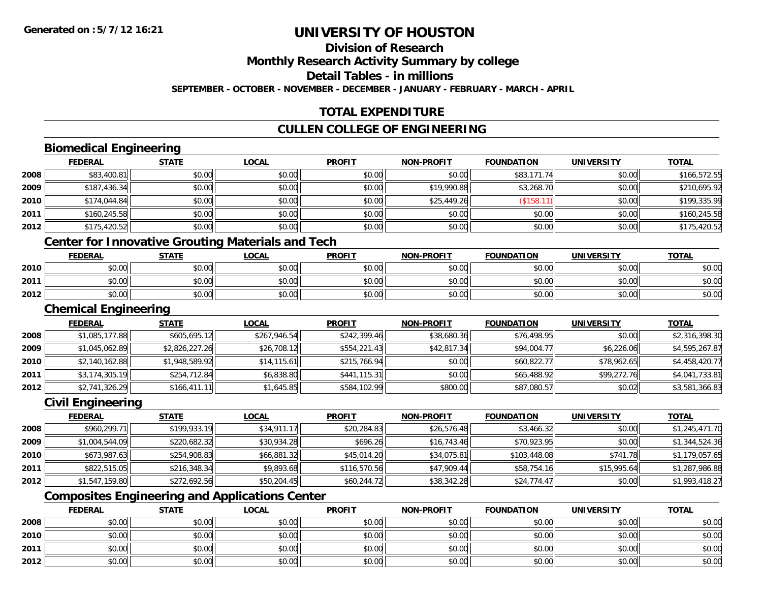### **Division of Research**

**Monthly Research Activity Summary by college**

**Detail Tables - in millions**

**SEPTEMBER - OCTOBER - NOVEMBER - DECEMBER - JANUARY - FEBRUARY - MARCH - APRIL**

### **TOTAL EXPENDITURE**

### **CULLEN COLLEGE OF ENGINEERING**

### **Biomedical Engineering**

|      | <b>FEDERAL</b> | <b>STATE</b> | <b>LOCAL</b> | <b>PROFIT</b> | NON-PROFIT  | <b>FOUNDATION</b> | <b>UNIVERSITY</b> | <b>TOTAL</b> |
|------|----------------|--------------|--------------|---------------|-------------|-------------------|-------------------|--------------|
| 2008 | \$83,400.81    | \$0.00       | \$0.00       | \$0.00        | \$0.00      | \$83,171.74       | \$0.00            | \$166,572.55 |
| 2009 | \$187,436.34   | \$0.00       | \$0.00       | \$0.00        | \$19,990.88 | \$3,268.70        | \$0.00            | \$210.695.92 |
| 2010 | \$174,044.84   | \$0.00       | \$0.00       | \$0.00        | \$25,449.26 | \$158.            | \$0.00            | \$199,335.99 |
| 2011 | \$160,245.58   | \$0.00       | \$0.00       | \$0.00        | \$0.00      | \$0.00            | \$0.00            | \$160,245.58 |
| 2012 | \$175,420.52   | \$0.00       | \$0.00       | \$0.00        | \$0.00      | \$0.00            | \$0.00            | \$175,420.52 |

### **Center for Innovative Grouting Materials and Tech**

|      | <b>FEDERAL</b> | <b>STATE</b>   | <u>LOCAL</u>   | <b>PROFIT</b> | <b>NON-PROFIT</b> | <b>FOUNDATION</b>     | <b>UNIVERSITY</b> | <b>TOTAL</b> |
|------|----------------|----------------|----------------|---------------|-------------------|-----------------------|-------------------|--------------|
| 2010 | 0000<br>DU.UU  | 40.00<br>JU.UU | nn na<br>ง∪.∪บ | \$0.00        | \$0.00            | \$0.00                | \$0.00            | \$0.00       |
| 2011 | \$0.00         | 40.00<br>JU.UV | \$0.00         | \$0.00        | \$0.00            | <b>AO OP</b><br>JU.UU | \$0.00            | \$0.00       |
| 2012 | \$0.00         | 40.00<br>งบ.บบ | \$0.00         | \$0.00        | \$0.00            | \$0.00                | \$0.00            | \$0.00       |

#### **Chemical Engineering**

|      | <b>FEDERAL</b> | <b>STATE</b>   | <b>LOCAL</b> | <b>PROFIT</b> | <b>NON-PROFIT</b> | <b>FOUNDATION</b> | <b>UNIVERSITY</b> | <b>TOTAL</b>   |
|------|----------------|----------------|--------------|---------------|-------------------|-------------------|-------------------|----------------|
| 2008 | \$1,085,177.88 | \$605,695.12   | \$267,946.54 | \$242,399.46  | \$38,680.36       | \$76,498.95       | \$0.00            | \$2,316,398.30 |
| 2009 | \$1,045,062.89 | \$2,826,227.26 | \$26,708.12  | \$554,221.43  | \$42,817.34       | \$94,004.77       | \$6,226.06        | \$4,595,267.87 |
| 2010 | \$2,140,162.88 | \$1,948,589.92 | \$14, 115.61 | \$215,766.94  | \$0.00            | \$60,822.77       | \$78,962.65       | \$4,458,420.77 |
| 2011 | \$3,174,305.19 | \$254,712.84   | \$6,838.80   | \$441,115.31  | \$0.00            | \$65,488.92       | \$99,272.76       | \$4,041,733.81 |
| 2012 | \$2,741,326.29 | \$166,411.11   | \$1,645.85   | \$584,102.99  | \$800.00          | \$87,080.57       | \$0.02            | \$3,581,366.83 |

### **Civil Engineering**

|      | <b>FEDERAL</b> | <u>STATE</u> | <b>LOCAL</b> | <b>PROFIT</b> | <b>NON-PROFIT</b> | <b>FOUNDATION</b> | <b>UNIVERSITY</b> | <b>TOTAL</b>   |
|------|----------------|--------------|--------------|---------------|-------------------|-------------------|-------------------|----------------|
| 2008 | \$960,299.71   | \$199,933.19 | \$34.911.17  | \$20,284.83   | \$26,576.48       | \$3,466.32        | \$0.00            | \$1,245,471.70 |
| 2009 | \$1,004,544.09 | \$220,682.32 | \$30,934.28  | \$696.26      | \$16,743.46       | \$70,923.95       | \$0.00            | \$1,344,524.36 |
| 2010 | \$673,987.63   | \$254,908.83 | \$66,881.32  | \$45,014.20   | \$34,075.81       | \$103,448.08      | \$741.78          | \$1,179,057.65 |
| 2011 | \$822,515.05   | \$216,348.34 | \$9,893.68   | \$116,570.56  | \$47,909.44       | \$58,754.16       | \$15,995.64       | \$1,287,986.88 |
| 2012 | \$1,547,159.80 | \$272,692.56 | \$50,204.45  | \$60,244.72   | \$38,342.28       | \$24,774.47       | \$0.00            | \$1,993,418.27 |

### **Composites Engineering and Applications Center**

|      | <b>FEDERAL</b> | <b>STATE</b> | <u>LOCAL</u> | <b>PROFIT</b> | <b>NON-PROFIT</b> | <b>FOUNDATION</b> | <b>UNIVERSITY</b> | <b>TOTAL</b> |
|------|----------------|--------------|--------------|---------------|-------------------|-------------------|-------------------|--------------|
| 2008 | \$0.00         | \$0.00       | \$0.00       | \$0.00        | \$0.00            | \$0.00            | \$0.00            | \$0.00       |
| 2010 | \$0.00         | \$0.00       | \$0.00       | \$0.00        | \$0.00            | \$0.00            | \$0.00            | \$0.00       |
| 2011 | \$0.00         | \$0.00       | \$0.00       | \$0.00        | \$0.00            | \$0.00            | \$0.00            | \$0.00       |
| 2012 | \$0.00         | \$0.00       | \$0.00       | \$0.00        | \$0.00            | \$0.00            | \$0.00            | \$0.00       |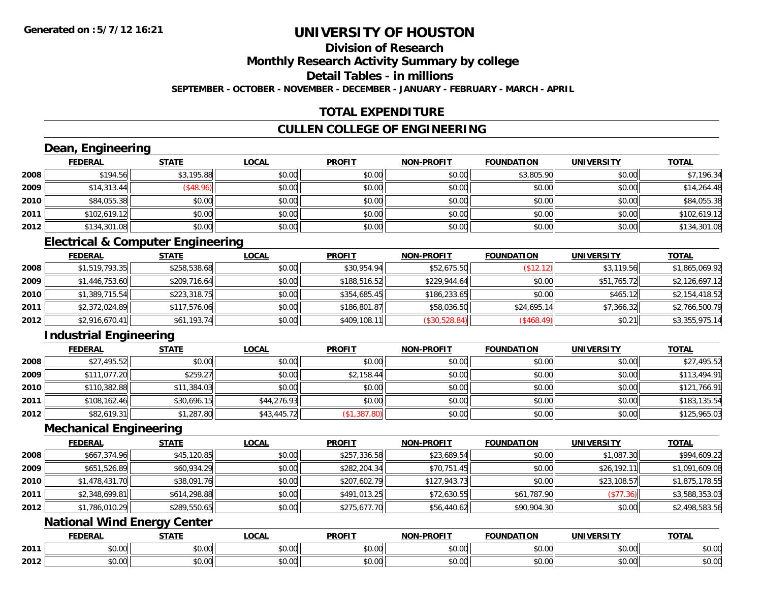### **Division of Research**

**Monthly Research Activity Summary by college**

**Detail Tables - in millions**

**SEPTEMBER - OCTOBER - NOVEMBER - DECEMBER - JANUARY - FEBRUARY - MARCH - APRIL**

### **TOTAL EXPENDITURE**

### **CULLEN COLLEGE OF ENGINEERING**

### **Dean, Engineering**

|      | <b>FEDERAL</b> | <b>STATE</b> | <b>LOCAL</b> | <b>PROFIT</b> | NON-PROFIT | <b>FOUNDATION</b> | <b>UNIVERSITY</b> | <b>TOTAL</b> |
|------|----------------|--------------|--------------|---------------|------------|-------------------|-------------------|--------------|
| 2008 | \$194.56       | \$3,195.88   | \$0.00       | \$0.00        | \$0.00     | \$3,805.90        | \$0.00            | \$7,196.34   |
| 2009 | \$14,313.44    | \$48.96      | \$0.00       | \$0.00        | \$0.00     | \$0.00            | \$0.00            | \$14,264.48  |
| 2010 | \$84,055.38    | \$0.00       | \$0.00       | \$0.00        | \$0.00     | \$0.00            | \$0.00            | \$84,055.38  |
| 2011 | \$102,619.12   | \$0.00       | \$0.00       | \$0.00        | \$0.00     | \$0.00            | \$0.00            | \$102,619.12 |
| 2012 | \$134,301.08   | \$0.00       | \$0.00       | \$0.00        | \$0.00     | \$0.00            | \$0.00            | \$134,301.08 |

### **Electrical & Computer Engineering**

|      | <b>FEDERAL</b> | <b>STATE</b> | <b>LOCAL</b> | <b>PROFIT</b> | <b>NON-PROFIT</b> | <b>FOUNDATION</b> | <b>UNIVERSITY</b> | <b>TOTAL</b>   |
|------|----------------|--------------|--------------|---------------|-------------------|-------------------|-------------------|----------------|
| 2008 | \$1,519,793.35 | \$258,538.68 | \$0.00       | \$30,954.94   | \$52,675.50       | (\$12.12)         | \$3,119.56        | \$1,865,069.92 |
| 2009 | \$1,446,753.60 | \$209,716.64 | \$0.00       | \$188,516.52  | \$229.944.64      | \$0.00            | \$51,765.72       | \$2,126,697.12 |
| 2010 | \$1,389,715.54 | \$223,318.75 | \$0.00       | \$354,685.45  | \$186,233.65      | \$0.00            | \$465.12          | \$2,154,418.52 |
| 2011 | \$2,372,024.89 | \$117,576.06 | \$0.00       | \$186,801.87  | \$58,036.50       | \$24,695.14       | \$7,366.32        | \$2,766,500.79 |
| 2012 | \$2,916,670.41 | \$61,193.74  | \$0.00       | \$409,108.11  | (\$30,528.84)     | (\$468.49)        | \$0.21            | \$3,355,975.14 |

### **Industrial Engineering**

|      | <b>FEDERAL</b> | <u>STATE</u> | <u>LOCAL</u> | <b>PROFIT</b> | <b>NON-PROFIT</b> | <b>FOUNDATION</b> | <b>UNIVERSITY</b> | <b>TOTAL</b> |
|------|----------------|--------------|--------------|---------------|-------------------|-------------------|-------------------|--------------|
| 2008 | \$27,495.52    | \$0.00       | \$0.00       | \$0.00        | \$0.00            | \$0.00            | \$0.00            | \$27,495.52  |
| 2009 | \$111,077.20   | \$259.27     | \$0.00       | \$2,158.44    | \$0.00            | \$0.00            | \$0.00            | \$113,494.91 |
| 2010 | \$110,382.88   | \$11,384.03  | \$0.00       | \$0.00        | \$0.00            | \$0.00            | \$0.00            | \$121,766.91 |
| 2011 | \$108,162.46   | \$30,696.15  | \$44,276.93  | \$0.00        | \$0.00            | \$0.00            | \$0.00            | \$183,135.54 |
| 2012 | \$82,619.31    | \$1,287.80   | \$43,445.72  | (\$1,387.80)  | \$0.00            | \$0.00            | \$0.00            | \$125,965.03 |

### **Mechanical Engineering**

|      | <b>FEDERAL</b> | <b>STATE</b> | <u>LOCAL</u> | <b>PROFIT</b> | <b>NON-PROFIT</b> | <b>FOUNDATION</b> | <b>UNIVERSITY</b> | <b>TOTAL</b>   |
|------|----------------|--------------|--------------|---------------|-------------------|-------------------|-------------------|----------------|
| 2008 | \$667,374.96   | \$45,120.85  | \$0.00       | \$257,336.58  | \$23,689.54       | \$0.00            | \$1,087.30        | \$994,609.22   |
| 2009 | \$651,526.89   | \$60,934.29  | \$0.00       | \$282,204.34  | \$70,751.45       | \$0.00            | \$26,192.11       | \$1,091,609.08 |
| 2010 | \$1,478,431.70 | \$38,091.76  | \$0.00       | \$207,602.79  | \$127,943.73      | \$0.00            | \$23,108.57       | \$1,875,178.55 |
| 2011 | \$2,348,699.81 | \$614,298.88 | \$0.00       | \$491,013.25  | \$72,630.55       | \$61,787.90       | (\$77.36)         | \$3,588,353.03 |
| 2012 | \$1,786,010.29 | \$289,550.65 | \$0.00       | \$275,677.70  | \$56,440.62       | \$90,904.30       | \$0.00            | \$2,498,583.56 |

### **National Wind Energy Center**

|      | <b>FEDERAL</b> | 27.77              | 0 <sub>n</sub><br>.UGAI | <b>PROFIT</b> | <b>DDOFIT</b><br><b>NON</b> | <b>FOUNDATION</b> | UNIVERSITY<br>ERJI            | <b>TOTAL</b>                              |
|------|----------------|--------------------|-------------------------|---------------|-----------------------------|-------------------|-------------------------------|-------------------------------------------|
| 2011 | ሖጣ<br>טט.      | $\sim$ 00<br>JU.UU | 0000<br>vv.vv           | 0.00<br>DU.UU | 0000<br>JU.UU               | vv.vv             | \$0.00                        | JU.UU                                     |
| 2012 | vv.vv          | $\sim$ 00<br>ט.טע  | $\sim$ 00<br>PO.OO      | 0.00<br>JU.UU | 0000<br>PO.OO               | JU.UU             | $n \cap \neg$<br><b>JU.UU</b> | $\uparrow$ $\uparrow$ $\uparrow$<br>JU.UU |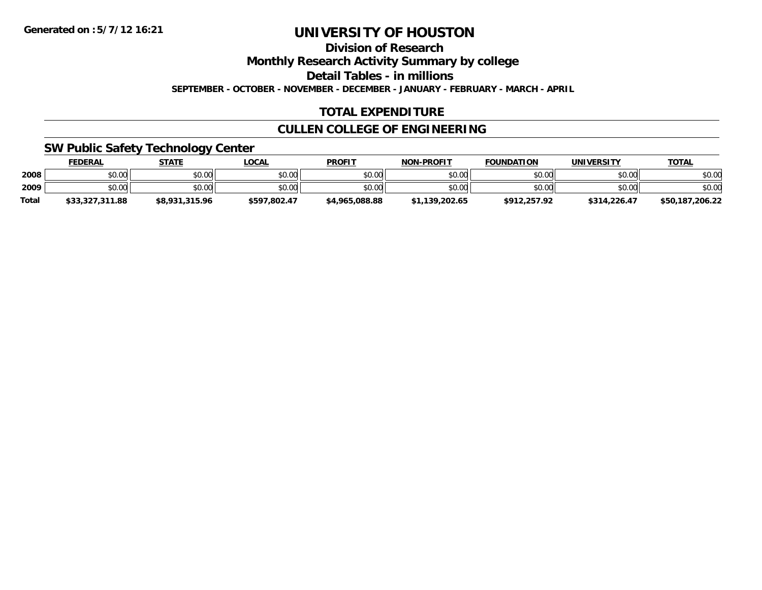**Division of Research**

**Monthly Research Activity Summary by college**

**Detail Tables - in millions**

**SEPTEMBER - OCTOBER - NOVEMBER - DECEMBER - JANUARY - FEBRUARY - MARCH - APRIL**

### **TOTAL EXPENDITURE**

### **CULLEN COLLEGE OF ENGINEERING**

### **SW Public Safety Technology Center**

|              | <b>FEDERAL</b>  | <b>STATE</b>   | <b>LOCAL</b> | <b>PROFIT</b>  | <b>NON-PROFIT</b> | <b>FOUNDATION</b> | UNIVERSITY   | <b>TOTAL</b>    |
|--------------|-----------------|----------------|--------------|----------------|-------------------|-------------------|--------------|-----------------|
| 2008         | \$0.00          | \$0.00         | \$0.00       | \$0.00         | \$0.00            | \$0.00            | \$0.00       | \$0.00          |
| 2009         | \$0.00          | \$0.00         | \$0.00       | \$0.00         | \$0.00            | \$0.00            | \$0.00       | \$0.00          |
| <b>Total</b> | \$33,327,311.88 | \$8,931,315.96 | \$597.802.47 | \$4,965,088.88 | \$1,139,202.65    | \$912,257.92      | \$314,226.47 | \$50,187,206.22 |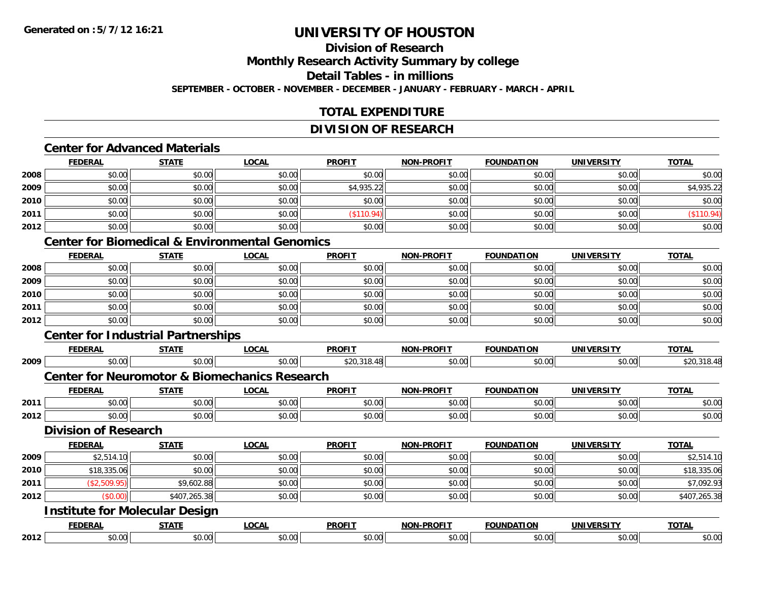### **Division of Research**

**Monthly Research Activity Summary by college**

**Detail Tables - in millions**

**SEPTEMBER - OCTOBER - NOVEMBER - DECEMBER - JANUARY - FEBRUARY - MARCH - APRIL**

### **TOTAL EXPENDITURE**

### **DIVISION OF RESEARCH**

### **Center for Advanced Materials**

|      | <b>FEDERAL</b> | <b>STATE</b> | <b>LOCAL</b> | <b>PROFIT</b> | <b>NON-PROFIT</b> | <b>FOUNDATION</b> | <b>UNIVERSITY</b> | <b>TOTAL</b> |
|------|----------------|--------------|--------------|---------------|-------------------|-------------------|-------------------|--------------|
| 2008 | \$0.00         | \$0.00       | \$0.00       | \$0.00        | \$0.00            | \$0.00            | \$0.00            | \$0.00       |
| 2009 | \$0.00         | \$0.00       | \$0.00       | \$4,935.22    | \$0.00            | \$0.00            | \$0.00            | \$4,935.22   |
| 2010 | \$0.00         | \$0.00       | \$0.00       | \$0.00        | \$0.00            | \$0.00            | \$0.00            | \$0.00       |
| 2011 | \$0.00         | \$0.00       | \$0.00       | (\$110.94)    | \$0.00            | \$0.00            | \$0.00            | (\$110.94)   |
| 2012 | \$0.00         | \$0.00       | \$0.00       | \$0.00        | \$0.00            | \$0.00            | \$0.00            | \$0.00       |

#### **Center for Biomedical & Environmental Genomics**

|      | <b>FEDERAL</b> | <b>STATE</b> | <u>LOCAL</u> | <b>PROFIT</b> | <b>NON-PROFIT</b> | <b>FOUNDATION</b> | <b>UNIVERSITY</b> | <b>TOTAL</b> |
|------|----------------|--------------|--------------|---------------|-------------------|-------------------|-------------------|--------------|
| 2008 | \$0.00         | \$0.00       | \$0.00       | \$0.00        | \$0.00            | \$0.00            | \$0.00            | \$0.00       |
| 2009 | \$0.00         | \$0.00       | \$0.00       | \$0.00        | \$0.00            | \$0.00            | \$0.00            | \$0.00       |
| 2010 | \$0.00         | \$0.00       | \$0.00       | \$0.00        | \$0.00            | \$0.00            | \$0.00            | \$0.00       |
| 2011 | \$0.00         | \$0.00       | \$0.00       | \$0.00        | \$0.00            | \$0.00            | \$0.00            | \$0.00       |
| 2012 | \$0.00         | \$0.00       | \$0.00       | \$0.00        | \$0.00            | \$0.00            | \$0.00            | \$0.00       |

### **Center for Industrial Partnerships**

|      | <b>FEDERAL</b>                                           | <b>STATE</b> | <b>LOCAL</b> | <b>PROFIT</b> | <b>NON-PROFIT</b> | <b>FOUNDATION</b> | <b>UNIVERSITY</b> | <b>TOTAL</b> |  |  |  |
|------|----------------------------------------------------------|--------------|--------------|---------------|-------------------|-------------------|-------------------|--------------|--|--|--|
| 2009 | \$0.00                                                   | \$0.00       | \$0.00       | \$20,318.48   | \$0.00            | \$0.00            | \$0.00            | \$20,318.48  |  |  |  |
|      | <b>Center for Neuromotor &amp; Biomechanics Research</b> |              |              |               |                   |                   |                   |              |  |  |  |
|      | <b>FEDERAL</b>                                           | <b>STATE</b> | <b>LOCAL</b> | <b>PROFIT</b> | <b>NON-PROFIT</b> | <b>FOUNDATION</b> | <b>UNIVERSITY</b> | <b>TOTAL</b> |  |  |  |
| 2011 | \$0.00                                                   | \$0.00       | \$0.00       | \$0.00        | \$0.00            | \$0.00            | \$0.00            | \$0.00       |  |  |  |
| 2012 | \$0.00                                                   | \$0.00       | \$0.00       | \$0.00        | \$0.00            | \$0.00            | \$0.00            | \$0.00       |  |  |  |
|      | <b>Division of Research</b>                              |              |              |               |                   |                   |                   |              |  |  |  |
|      | <b>FEDERAL</b>                                           | <b>STATE</b> | <b>LOCAL</b> | <b>PROFIT</b> | <b>NON-PROFIT</b> | <b>FOUNDATION</b> | <b>UNIVERSITY</b> | <b>TOTAL</b> |  |  |  |
| 2009 | \$2,514.10                                               | \$0.00       | \$0.00       | \$0.00        | \$0.00            | \$0.00            | \$0.00            | \$2,514.10   |  |  |  |
| 2010 | \$18,335.06                                              | \$0.00       | \$0.00       | \$0.00        | \$0.00            | \$0.00            | \$0.00            | \$18,335.06  |  |  |  |
| 2011 | (\$2,509.95)                                             | \$9,602.88   | \$0.00       | \$0.00        | \$0.00            | \$0.00            | \$0.00            | \$7,092.93   |  |  |  |
| 2012 | (\$0.00)                                                 | \$407,265.38 | \$0.00       | \$0.00        | \$0.00            | \$0.00            | \$0.00            | \$407,265.38 |  |  |  |
|      | <b>Institute for Molecular Design</b>                    |              |              |               |                   |                   |                   |              |  |  |  |
|      | <b>FEDERAL</b>                                           | <b>STATE</b> | <b>LOCAL</b> | <b>PROFIT</b> | <b>NON-PROFIT</b> | <b>FOUNDATION</b> | <b>UNIVERSITY</b> | <b>TOTAL</b> |  |  |  |
| 2012 | \$0.00                                                   | \$0.00       | \$0.00       | \$0.00        | \$0.00            | \$0.00            | \$0.00            | \$0.00       |  |  |  |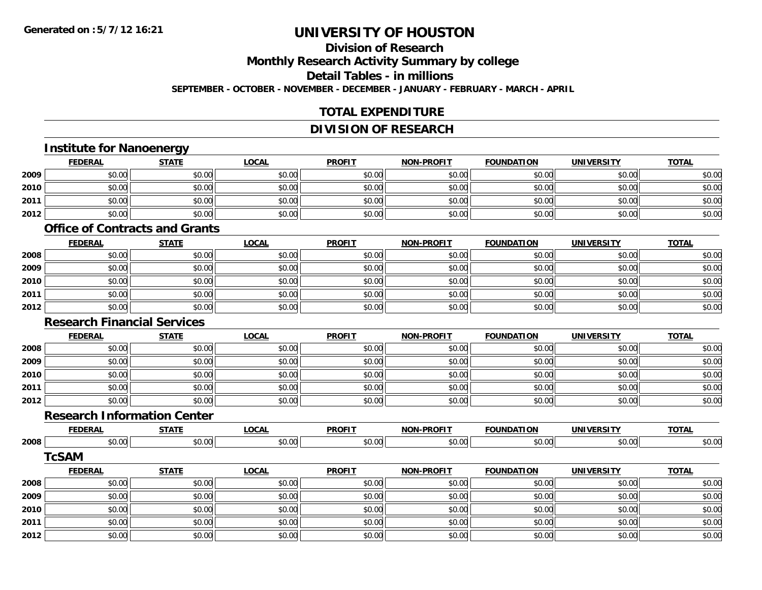**2012**

# **UNIVERSITY OF HOUSTON**

#### **Division of Research**

**Monthly Research Activity Summary by college**

**Detail Tables - in millions**

**SEPTEMBER - OCTOBER - NOVEMBER - DECEMBER - JANUARY - FEBRUARY - MARCH - APRIL**

### **TOTAL EXPENDITURE**

#### **DIVISION OF RESEARCH**

#### **Institute for Nanoenergy FEDERAL STATE LOCAL PROFIT NON-PROFIT FOUNDATION UNIVERSITY TOTALTOTAL 2009** \$0.00 \$0.00 \$0.00 \$0.00 \$0.00 \$0.00 \$0.00 \$0.00 **2010** $\, \mathsf{D} \, | \,$   $\qquad \qquad \mathsf{80.00} | \,$   $\qquad \qquad \mathsf{80.00} | \,$   $\qquad \qquad \mathsf{80.00} | \,$   $\qquad \qquad \mathsf{80.00} | \,$   $\qquad \qquad \mathsf{80.00} | \,$   $\qquad \qquad \mathsf{80.00} | \,$   $\qquad \qquad \mathsf{80.00} |$ **2011** \$0.00 \$0.00 \$0.00 \$0.00 \$0.00 \$0.00 \$0.00 \$0.00 **2012**2 | \$0.00 \$0.00 \$0.00 \$0.00 \$0.00 \$0.00 \$0.00 \$0.00 \$0.00 \$0.00 \$0.00 \$0.00 \$0.00 \$0.00 \$0.00 \$0.00 \$0.00 \$0.0 **Office of Contracts and GrantsFEDERAL STATE LOCAL PROFIT NON-PROFIT FOUNDATION UNIVERSITY TOTALTOTAL 2008**8 \$0.00 \$0.00 \$0.00 \$0.00 \$0.00 \$0.00 \$0.00 \$0.00 \$0.00 \$0.00 \$0.00 \$0.00 \$0.00 \$0.00 \$0.00 \$0.00 \$0.00 \$0.00 **2009** \$0.00 \$0.00 \$0.00 \$0.00 \$0.00 \$0.00 \$0.00 \$0.00 **2010**0 \$0.00 \$0.00 \$0.00 \$0.00 \$0.00 \$0.00 \$0.00 \$0.00 \$0.00 \$0.00 \$0.00 \$0.00 \$0.00 \$0.00 \$0.00 \$0.00 \$0.00 \$0.00 **2011** \$0.00 \$0.00 \$0.00 \$0.00 \$0.00 \$0.00 \$0.00 \$0.00 **2012**2 | \$0.00 \$0.00 \$0.00 \$0.00 \$0.00 \$0.00 \$0.00 \$0.00 \$0.00 \$0.00 \$0.00 \$0.00 \$0.00 \$0.00 \$0.00 \$0.00 \$0.00 \$0.0 **Research Financial ServicesFEDERAL STATE LOCAL PROFIT NON-PROFIT FOUNDATION UNIVERSITY TOTAL2008**8 \$0.00 \$0.00 \$0.00 \$0.00 \$0.00 \$0.00 \$0.00 \$0.00 \$0.00 \$0.00 \$0.00 \$0.00 \$0.00 \$0.00 \$0.00 \$0.00 \$0.00 \$0.00 **2009** \$0.00 \$0.00 \$0.00 \$0.00 \$0.00 \$0.00 \$0.00 \$0.00 **2010**0 \$0.00 \$0.00 \$0.00 \$0.00 \$0.00 \$0.00 \$0.00 \$0.00 \$0.00 \$0.00 \$0.00 \$0.00 \$0.00 \$0.00 \$0.00 \$0.00 \$0.00 **2011** \$0.00 \$0.00 \$0.00 \$0.00 \$0.00 \$0.00 \$0.00 \$0.00 **2012**2 | \$0.00 \$0.00 \$0.00 \$0.00 \$0.00 \$0.00 \$0.00 \$0.00 \$0.00 \$0.00 \$0.00 \$0.00 \$0.00 \$0.00 \$0.00 \$0.00 \$0.00 \$0.0 **Research Information CenterFEDERAL STATE LOCAL PROFIT NON-PROFIT FOUNDATION UNIVERSITY TOTAL2008**8 \$0.00 \$0.00 \$0.00 \$0.00 \$0.00 \$0.00 \$0.00 \$0.00 \$0.00 \$0.00 \$0.00 \$0.00 \$0.00 \$0.00 \$0.00 \$0.00 \$0.00 \$0.00 **TcSAMFEDERAL STATE LOCAL PROFIT NON-PROFIT FOUNDATION UNIVERSITY TOTAL2008**8 \$0.00 \$0.00 \$0.00 \$0.00 \$0.00 \$0.00 \$0.00 \$0.00 \$0.00 \$0.00 \$0.00 \$0.00 \$0.00 \$0.00 \$0.00 \$0.00 \$0.00 \$0.00 **2009** \$0.00 \$0.00 \$0.00 \$0.00 \$0.00 \$0.00 \$0.00 \$0.00 **2010** $\, \mathsf{D} \, | \,$   $\qquad \qquad \mathsf{80.00} | \,$   $\qquad \qquad \mathsf{80.00} | \,$   $\qquad \qquad \mathsf{80.00} | \,$   $\qquad \qquad \mathsf{80.00} | \,$   $\qquad \qquad \mathsf{80.00} | \,$   $\qquad \qquad \mathsf{80.00} | \,$   $\qquad \qquad \mathsf{80.00} |$ **2011**\$0.00 \$0.00 \$0.00 \$0.00 \$0.00 \$0.00 \$0.00 \$0.00

2 | \$0.00 \$0.00 \$0.00 \$0.00 \$0.00 \$0.00 \$0.00 \$0.00 \$0.00 \$0.00 \$0.00 \$0.00 \$0.00 \$0.00 \$0.00 \$0.00 \$0.00 \$0.0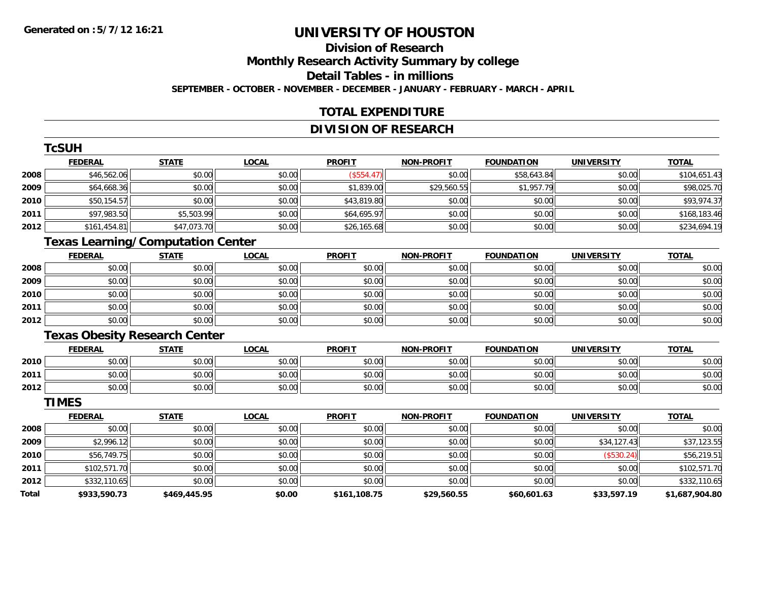**Total**

# **UNIVERSITY OF HOUSTON**

### **Division of Research**

**Monthly Research Activity Summary by college**

**Detail Tables - in millions**

**SEPTEMBER - OCTOBER - NOVEMBER - DECEMBER - JANUARY - FEBRUARY - MARCH - APRIL**

### **TOTAL EXPENDITURE**

### **DIVISION OF RESEARCH**

|      | <b>TcSUH</b>   |                                          |              |               |                   |                   |                   |              |
|------|----------------|------------------------------------------|--------------|---------------|-------------------|-------------------|-------------------|--------------|
|      | <b>FEDERAL</b> | <b>STATE</b>                             | <b>LOCAL</b> | <b>PROFIT</b> | <b>NON-PROFIT</b> | <b>FOUNDATION</b> | <b>UNIVERSITY</b> | <b>TOTAL</b> |
| 2008 | \$46,562.06    | \$0.00                                   | \$0.00       | $($ \$554.47) | \$0.00            | \$58,643.84       | \$0.00            | \$104,651.43 |
| 2009 | \$64,668.36    | \$0.00                                   | \$0.00       | \$1,839.00    | \$29,560.55       | \$1,957.79        | \$0.00            | \$98,025.70  |
| 2010 | \$50,154.57    | \$0.00                                   | \$0.00       | \$43,819.80   | \$0.00            | \$0.00            | \$0.00            | \$93,974.37  |
| 2011 | \$97,983.50    | \$5,503.99                               | \$0.00       | \$64,695.97   | \$0.00            | \$0.00            | \$0.00            | \$168,183.46 |
| 2012 | \$161,454.81   | \$47,073.70                              | \$0.00       | \$26,165.68   | \$0.00            | \$0.00            | \$0.00            | \$234,694.19 |
|      |                | <b>Texas Learning/Computation Center</b> |              |               |                   |                   |                   |              |
|      | <b>FEDERAL</b> | <b>STATE</b>                             | <b>LOCAL</b> | <b>PROFIT</b> | <b>NON-PROFIT</b> | <b>FOUNDATION</b> | <b>UNIVERSITY</b> | <b>TOTAL</b> |
| 2008 | \$0.00         | \$0.00                                   | \$0.00       | \$0.00        | \$0.00            | \$0.00            | \$0.00            | \$0.00       |
| 2009 | \$0.00         | \$0.00                                   | \$0.00       | \$0.00        | \$0.00            | \$0.00            | \$0.00            | \$0.00       |
| 2010 | \$0.00         | \$0.00                                   | \$0.00       | \$0.00        | \$0.00            | \$0.00            | \$0.00            | \$0.00       |
| 2011 | \$0.00         | \$0.00                                   | \$0.00       | \$0.00        | \$0.00            | \$0.00            | \$0.00            | \$0.00       |
| 2012 | \$0.00         | \$0.00                                   | \$0.00       | \$0.00        | \$0.00            | \$0.00            | \$0.00            | \$0.00       |
|      |                | <b>Texas Obesity Research Center</b>     |              |               |                   |                   |                   |              |
|      | <b>FEDERAL</b> | <b>STATE</b>                             | <b>LOCAL</b> | <b>PROFIT</b> | <b>NON-PROFIT</b> | <b>FOUNDATION</b> | <b>UNIVERSITY</b> | <b>TOTAL</b> |
| 2010 | \$0.00         | \$0.00                                   | \$0.00       | \$0.00        | \$0.00            | \$0.00            | \$0.00            | \$0.00       |
| 2011 | \$0.00         | \$0.00                                   | \$0.00       | \$0.00        | \$0.00            | \$0.00            | \$0.00            | \$0.00       |
| 2012 | \$0.00         | \$0.00                                   | \$0.00       | \$0.00        | \$0.00            | \$0.00            | \$0.00            | \$0.00       |
|      | <b>TIMES</b>   |                                          |              |               |                   |                   |                   |              |
|      | <b>FEDERAL</b> | <b>STATE</b>                             | <b>LOCAL</b> | <b>PROFIT</b> | <b>NON-PROFIT</b> | <b>FOUNDATION</b> | <b>UNIVERSITY</b> | <b>TOTAL</b> |
| 2008 | \$0.00         | \$0.00                                   | \$0.00       | \$0.00        | \$0.00            | \$0.00            | \$0.00            | \$0.00       |
| 2009 | \$2,996.12     | \$0.00                                   | \$0.00       | \$0.00        | \$0.00            | \$0.00            | \$34,127.43       | \$37,123.55  |
| 2010 | \$56,749.75    | \$0.00                                   | \$0.00       | \$0.00        | \$0.00            | \$0.00            | (\$530.24)        | \$56,219.51  |
| 2011 | \$102,571.70   | \$0.00                                   | \$0.00       | \$0.00        | \$0.00            | \$0.00            | \$0.00            | \$102,571.70 |
| 2012 | \$332,110.65   | \$0.00                                   | \$0.00       | \$0.00        | \$0.00            | \$0.00            | \$0.00            | \$332,110.65 |

**\$933,590.73 \$469,445.95 \$0.00 \$161,108.75 \$29,560.55 \$60,601.63 \$33,597.19 \$1,687,904.80**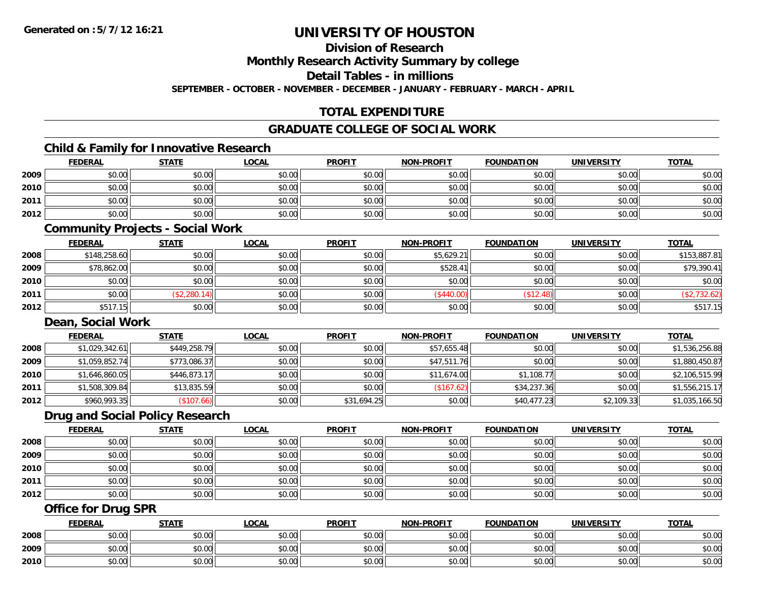**Division of Research**

**Monthly Research Activity Summary by college**

**Detail Tables - in millions**

**SEPTEMBER - OCTOBER - NOVEMBER - DECEMBER - JANUARY - FEBRUARY - MARCH - APRIL**

### **TOTAL EXPENDITURE**

### **GRADUATE COLLEGE OF SOCIAL WORK**

### **Child & Family for Innovative Research**

|      | <b>FEDERAL</b> | <b>STATE</b> | <u>LOCAL</u> | <b>PROFIT</b> | <b>NON-PROFIT</b> | <b>FOUNDATION</b> | <b>UNIVERSITY</b> | <b>TOTAL</b> |
|------|----------------|--------------|--------------|---------------|-------------------|-------------------|-------------------|--------------|
| 2009 | \$0.00         | \$0.00       | \$0.00       | \$0.00        | \$0.00            | \$0.00            | \$0.00            | \$0.00       |
| 2010 | \$0.00         | \$0.00       | \$0.00       | \$0.00        | \$0.00            | \$0.00            | \$0.00            | \$0.00       |
| 2011 | \$0.00         | \$0.00       | \$0.00       | \$0.00        | \$0.00            | \$0.00            | \$0.00            | \$0.00       |
| 2012 | \$0.00         | \$0.00       | \$0.00       | \$0.00        | \$0.00            | \$0.00            | \$0.00            | \$0.00       |
|      |                |              |              |               |                   |                   |                   |              |

### **Community Projects - Social Work**

|      | <u>FEDERAL</u> | <u>STATE</u> | <u>LOCAL</u> | <b>PROFIT</b> | <b>NON-PROFIT</b> | <b>FOUNDATION</b> | <b>UNIVERSITY</b> | <b>TOTAL</b> |
|------|----------------|--------------|--------------|---------------|-------------------|-------------------|-------------------|--------------|
| 2008 | \$148,258.60   | \$0.00       | \$0.00       | \$0.00        | \$5,629.21        | \$0.00            | \$0.00            | \$153,887.81 |
| 2009 | \$78,862.00    | \$0.00       | \$0.00       | \$0.00        | \$528.41          | \$0.00            | \$0.00            | \$79,390.41  |
| 2010 | \$0.00         | \$0.00       | \$0.00       | \$0.00        | \$0.00            | \$0.00            | \$0.00            | \$0.00       |
| 2011 | \$0.00         | (\$2,280.14) | \$0.00       | \$0.00        | (\$440.00)        | \$12.48           | \$0.00            | \$2,732.62)  |
| 2012 | \$517.15       | \$0.00       | \$0.00       | \$0.00        | \$0.00            | \$0.00            | \$0.00            | \$517.15     |

#### **Dean, Social Work**

|      | <b>FEDERAL</b> | <u>STATE</u> | <b>LOCAL</b> | <b>PROFIT</b> | <b>NON-PROFIT</b> | <b>FOUNDATION</b> | <b>UNIVERSITY</b> | <b>TOTAL</b>   |
|------|----------------|--------------|--------------|---------------|-------------------|-------------------|-------------------|----------------|
| 2008 | \$1,029,342.61 | \$449,258.79 | \$0.00       | \$0.00        | \$57,655.48       | \$0.00            | \$0.00            | \$1,536,256.88 |
| 2009 | \$1,059,852.74 | \$773,086.37 | \$0.00       | \$0.00        | \$47,511.76       | \$0.00            | \$0.00            | \$1,880,450.87 |
| 2010 | \$1,646,860.05 | \$446,873.17 | \$0.00       | \$0.00        | \$11,674.00       | \$1,108.77        | \$0.00            | \$2,106,515.99 |
| 2011 | \$1,508,309.84 | \$13,835.59  | \$0.00       | \$0.00        | (\$167.62)        | \$34,237.36       | \$0.00            | \$1,556,215.17 |
| 2012 | \$960,993.35   | (\$107.66)   | \$0.00       | \$31,694.25   | \$0.00            | \$40,477.23       | \$2,109.33        | \$1,035,166.50 |

#### **Drug and Social Policy Research**

|      | <b>FEDERAL</b> | <u>STATE</u> | <b>LOCAL</b> | <b>PROFIT</b> | <b>NON-PROFIT</b> | <b>FOUNDATION</b> | <b>UNIVERSITY</b> | <b>TOTAL</b> |
|------|----------------|--------------|--------------|---------------|-------------------|-------------------|-------------------|--------------|
| 2008 | \$0.00         | \$0.00       | \$0.00       | \$0.00        | \$0.00            | \$0.00            | \$0.00            | \$0.00       |
| 2009 | \$0.00         | \$0.00       | \$0.00       | \$0.00        | \$0.00            | \$0.00            | \$0.00            | \$0.00       |
| 2010 | \$0.00         | \$0.00       | \$0.00       | \$0.00        | \$0.00            | \$0.00            | \$0.00            | \$0.00       |
| 2011 | \$0.00         | \$0.00       | \$0.00       | \$0.00        | \$0.00            | \$0.00            | \$0.00            | \$0.00       |
| 2012 | \$0.00         | \$0.00       | \$0.00       | \$0.00        | \$0.00            | \$0.00            | \$0.00            | \$0.00       |

### **Office for Drug SPR**

|      | <b>FEDERAL</b>     | <b>STATE</b> | <u>LOCAL</u>  | <b>PROFIT</b> | <b>I-PROFIT</b><br>NON- | <b>FOUNDATION</b> | <b>UNIVERSITY</b> | <b>TOTAL</b> |
|------|--------------------|--------------|---------------|---------------|-------------------------|-------------------|-------------------|--------------|
| 2008 | <b>00</b><br>JU.UU | \$0.00       | \$0.00        | \$0.00        | \$0.00                  | \$0.00            | \$0.00            | \$0.00       |
| 2009 | ሶስ ሰሰ<br>PU.UU     | \$0.00       | 0.00<br>ง∪.∪บ | \$0.00        | \$0.00                  | \$0.00            | \$0.00            | \$0.00       |
| 2010 | 0000<br>JU.UU      | \$0.00       | \$0.00        | \$0.00        | \$0.00                  | \$0.00            | \$0.00            | \$0.00       |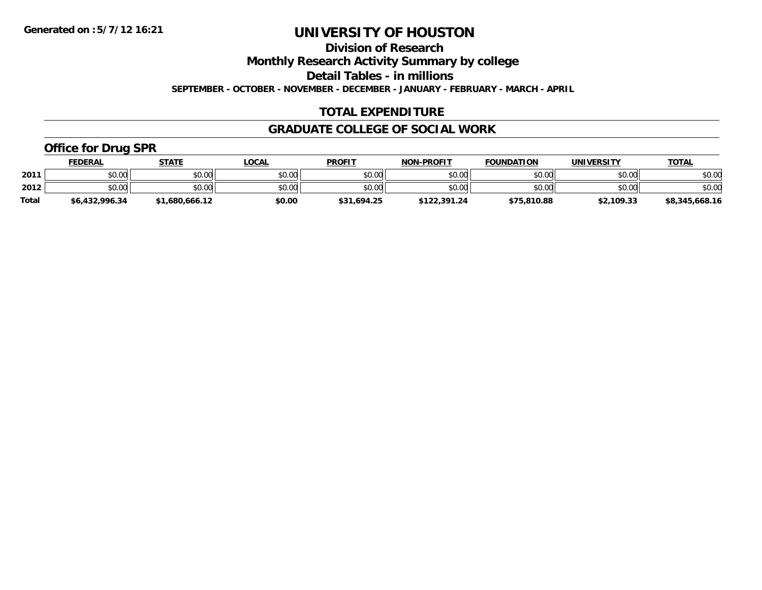**Division of Research**

**Monthly Research Activity Summary by college**

**Detail Tables - in millions**

**SEPTEMBER - OCTOBER - NOVEMBER - DECEMBER - JANUARY - FEBRUARY - MARCH - APRIL**

### **TOTAL EXPENDITURE**

### **GRADUATE COLLEGE OF SOCIAL WORK**

### **Office for Drug SPR**

|              | <b>FEDERAL</b> | <b>STATE</b>   | <b>OCAL</b> | <b>PROFIT</b> | <b>NON-PROFIT</b> | <b>FOUNDATION</b> | UNIVERSITY | <b>TOTAL</b>   |
|--------------|----------------|----------------|-------------|---------------|-------------------|-------------------|------------|----------------|
| 2011         | \$0.00         | \$0.00         | \$0.00      | \$0.00        | \$0.00            | \$0.00            | \$0.00     | \$0.00         |
| 2012         | \$0.00         | \$0.00         | \$0.00      | \$0.00        | \$0.00            | \$0.00            | \$0.00     | \$0.00         |
| <b>Total</b> | \$6,432,996.34 | \$1,680,666.12 | \$0.00      | \$31,694.25   | \$122,391.24      | \$75,810.88       | \$2,109.33 | \$8,345,668.16 |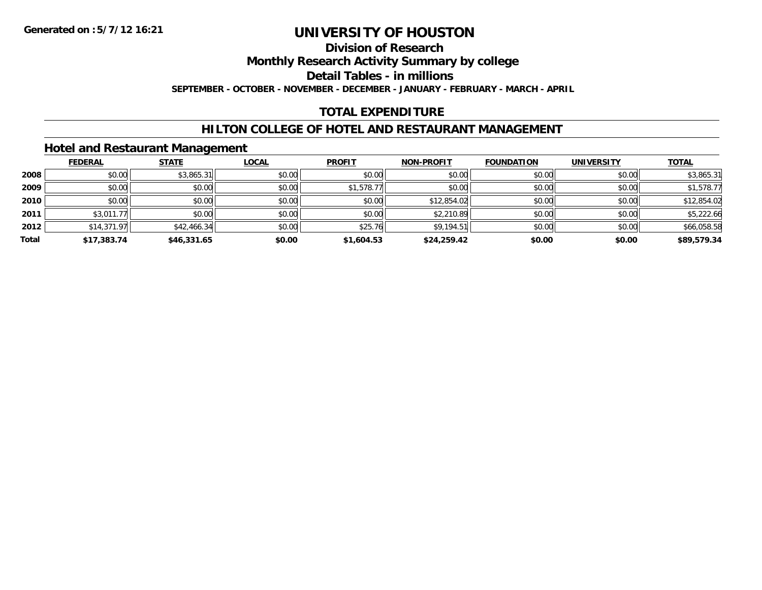### **Division of Research**

**Monthly Research Activity Summary by college**

**Detail Tables - in millions**

**SEPTEMBER - OCTOBER - NOVEMBER - DECEMBER - JANUARY - FEBRUARY - MARCH - APRIL**

### **TOTAL EXPENDITURE**

### **HILTON COLLEGE OF HOTEL AND RESTAURANT MANAGEMENT**

### **Hotel and Restaurant Management**

|       | <b>FEDERAL</b> | <b>STATE</b> | <u>LOCAL</u> | <b>PROFIT</b> | <b>NON-PROFIT</b> | <b>FOUNDATION</b> | <b>UNIVERSITY</b> | <b>TOTAL</b> |
|-------|----------------|--------------|--------------|---------------|-------------------|-------------------|-------------------|--------------|
| 2008  | \$0.00         | \$3,865.31   | \$0.00       | \$0.00        | \$0.00            | \$0.00            | \$0.00            | \$3,865.31   |
| 2009  | \$0.00         | \$0.00       | \$0.00       | \$1,578.77    | \$0.00            | \$0.00            | \$0.00            | \$1,578.77   |
| 2010  | \$0.00         | \$0.00       | \$0.00       | \$0.00        | \$12,854.02       | \$0.00            | \$0.00            | \$12,854.02  |
| 2011  | \$3,011.77     | \$0.00       | \$0.00       | \$0.00        | \$2,210.89        | \$0.00            | \$0.00            | \$5,222.66   |
| 2012  | \$14,371.97    | \$42,466.34  | \$0.00       | \$25.76       | \$9,194.51        | \$0.00            | \$0.00            | \$66,058.58  |
| Total | \$17,383.74    | \$46,331.65  | \$0.00       | \$1,604.53    | \$24,259.42       | \$0.00            | \$0.00            | \$89,579.34  |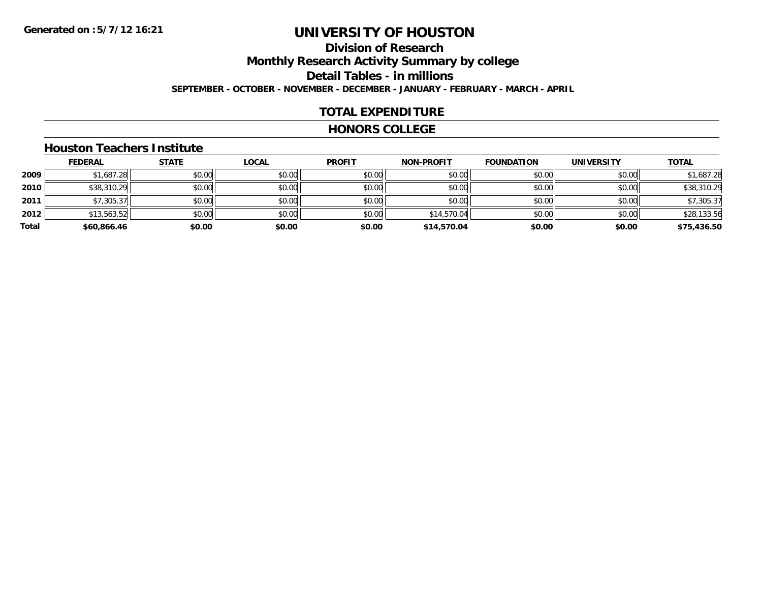# **Division of Research**

**Monthly Research Activity Summary by college**

**Detail Tables - in millions**

**SEPTEMBER - OCTOBER - NOVEMBER - DECEMBER - JANUARY - FEBRUARY - MARCH - APRIL**

### **TOTAL EXPENDITURE**

#### **HONORS COLLEGE**

#### **Houston Teachers Institute**

|       | <b>FEDERAL</b> | <b>STATE</b> | <u>LOCAL</u> | <b>PROFIT</b> | <b>NON-PROFIT</b> | <b>FOUNDATION</b> | <b>UNIVERSITY</b> | <b>TOTAL</b> |
|-------|----------------|--------------|--------------|---------------|-------------------|-------------------|-------------------|--------------|
| 2009  | \$1,687.28     | \$0.00       | \$0.00       | \$0.00        | \$0.00            | \$0.00            | \$0.00            | \$1,687.28   |
| 2010  | \$38,310.29    | \$0.00       | \$0.00       | \$0.00        | \$0.00            | \$0.00            | \$0.00            | \$38,310.29  |
| 2011  | \$7,305.37     | \$0.00       | \$0.00       | \$0.00        | \$0.00            | \$0.00            | \$0.00            | \$7,305.37   |
| 2012  | \$13,563.52    | \$0.00       | \$0.00       | \$0.00        | \$14,570.04       | \$0.00            | \$0.00            | \$28,133.56  |
| Total | \$60,866.46    | \$0.00       | \$0.00       | \$0.00        | \$14,570.04       | \$0.00            | \$0.00            | \$75,436.50  |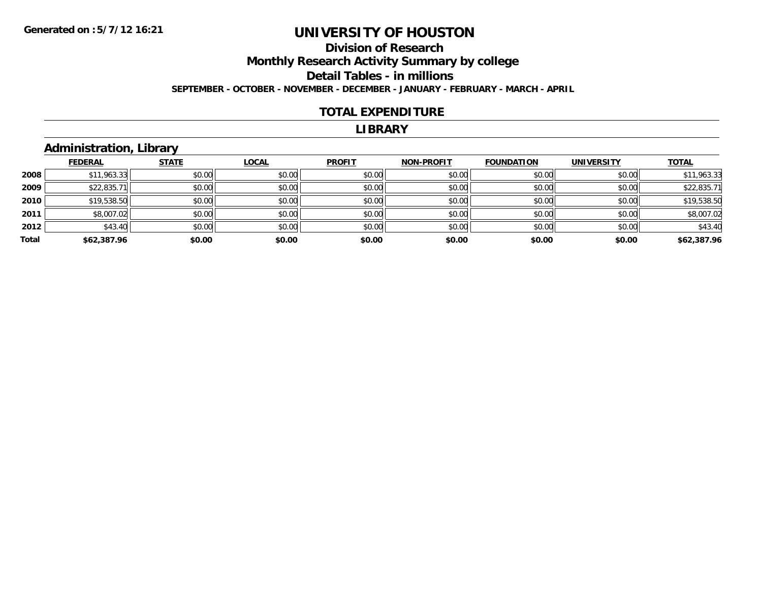#### **Division of Research Monthly Research Activity Summary by college Detail Tables - in millions SEPTEMBER - OCTOBER - NOVEMBER - DECEMBER - JANUARY - FEBRUARY - MARCH - APRIL**

#### **TOTAL EXPENDITURE**

#### **LIBRARY**

### **Administration, Library**

|       | <b>FEDERAL</b> | <b>STATE</b> | <b>LOCAL</b> | <b>PROFIT</b> | <b>NON-PROFIT</b> | <b>FOUNDATION</b> | <b>UNIVERSITY</b> | <b>TOTAL</b> |
|-------|----------------|--------------|--------------|---------------|-------------------|-------------------|-------------------|--------------|
| 2008  | \$11,963.33    | \$0.00       | \$0.00       | \$0.00        | \$0.00            | \$0.00            | \$0.00            | \$11,963.33  |
| 2009  | \$22,835.71    | \$0.00       | \$0.00       | \$0.00        | \$0.00            | \$0.00            | \$0.00            | \$22,835.71  |
| 2010  | \$19,538.50    | \$0.00       | \$0.00       | \$0.00        | \$0.00            | \$0.00            | \$0.00            | \$19,538.50  |
| 2011  | \$8,007.02     | \$0.00       | \$0.00       | \$0.00        | \$0.00            | \$0.00            | \$0.00            | \$8,007.02   |
| 2012  | \$43.40        | \$0.00       | \$0.00       | \$0.00        | \$0.00            | \$0.00            | \$0.00            | \$43.40      |
| Total | \$62,387.96    | \$0.00       | \$0.00       | \$0.00        | \$0.00            | \$0.00            | \$0.00            | \$62,387.96  |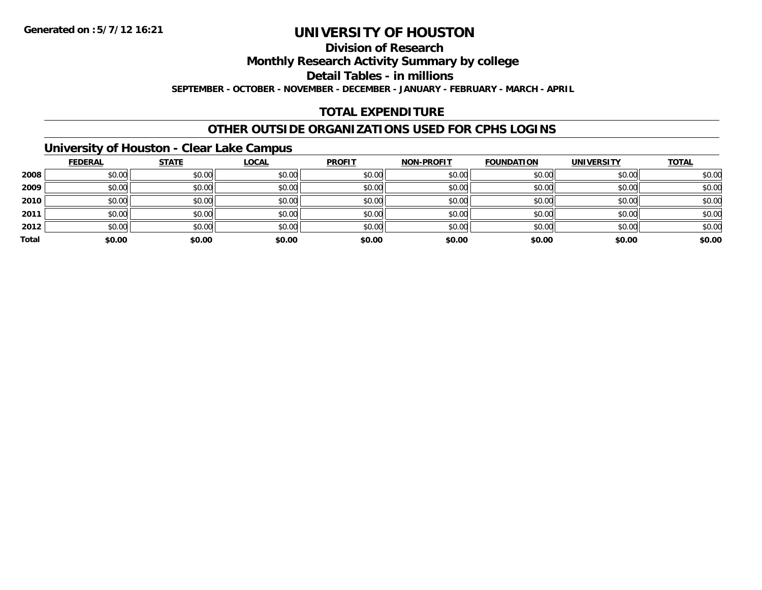### **Division of Research**

**Monthly Research Activity Summary by college**

**Detail Tables - in millions**

**SEPTEMBER - OCTOBER - NOVEMBER - DECEMBER - JANUARY - FEBRUARY - MARCH - APRIL**

### **TOTAL EXPENDITURE**

### **OTHER OUTSIDE ORGANIZATIONS USED FOR CPHS LOGINS**

### **University of Houston - Clear Lake Campus**

|       | <b>FEDERAL</b> | <b>STATE</b> | <u>LOCAL</u> | <b>PROFIT</b> | NON-PROFIT | <b>FOUNDATION</b> | <b>UNIVERSITY</b> | <b>TOTAL</b> |
|-------|----------------|--------------|--------------|---------------|------------|-------------------|-------------------|--------------|
| 2008  | \$0.00         | \$0.00       | \$0.00       | \$0.00        | \$0.00     | \$0.00            | \$0.00            | \$0.00       |
| 2009  | \$0.00         | \$0.00       | \$0.00       | \$0.00        | \$0.00     | \$0.00            | \$0.00            | \$0.00       |
| 2010  | \$0.00         | \$0.00       | \$0.00       | \$0.00        | \$0.00     | \$0.00            | \$0.00            | \$0.00       |
| 2011  | \$0.00         | \$0.00       | \$0.00       | \$0.00        | \$0.00     | \$0.00            | \$0.00            | \$0.00       |
| 2012  | \$0.00         | \$0.00       | \$0.00       | \$0.00        | \$0.00     | \$0.00            | \$0.00            | \$0.00       |
| Total | \$0.00         | \$0.00       | \$0.00       | \$0.00        | \$0.00     | \$0.00            | \$0.00            | \$0.00       |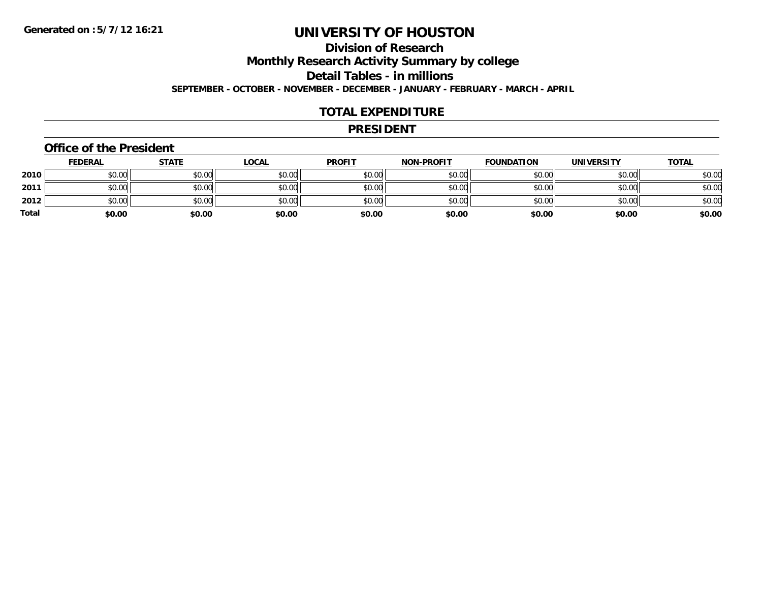# **Division of Research**

**Monthly Research Activity Summary by college**

**Detail Tables - in millions**

**SEPTEMBER - OCTOBER - NOVEMBER - DECEMBER - JANUARY - FEBRUARY - MARCH - APRIL**

### **TOTAL EXPENDITURE**

#### **PRESIDENT**

#### **Office of the President**

|       | <b>FEDERAL</b> | <u>STATE</u> | <b>LOCAL</b> | <b>PROFIT</b> | <b>NON-PROFIT</b> | <b>FOUNDATION</b> | <b>UNIVERSITY</b> | <u>TOTAL</u> |
|-------|----------------|--------------|--------------|---------------|-------------------|-------------------|-------------------|--------------|
| 2010  | \$0.00         | \$0.00       | \$0.00       | \$0.00        | \$0.00            | \$0.00            | \$0.00            | \$0.00       |
| 2011  | \$0.00         | \$0.00       | \$0.00       | \$0.00        | \$0.00            | \$0.00            | \$0.00            | \$0.00       |
| 2012  | \$0.00         | \$0.00       | \$0.00       | \$0.00        | \$0.00            | \$0.00            | \$0.00            | \$0.00       |
| Total | \$0.00         | \$0.00       | \$0.00       | \$0.00        | \$0.00            | \$0.00            | \$0.00            | \$0.00       |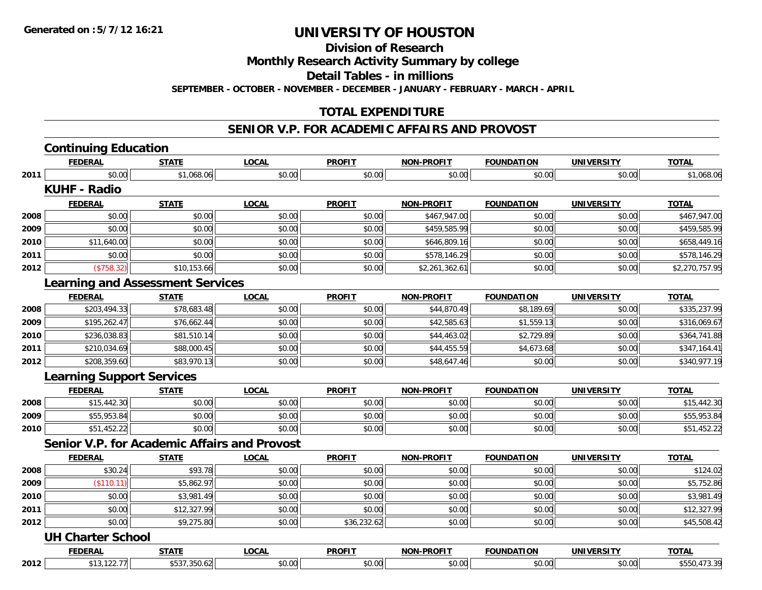**Division of Research**

**Monthly Research Activity Summary by college**

**Detail Tables - in millions**

**SEPTEMBER - OCTOBER - NOVEMBER - DECEMBER - JANUARY - FEBRUARY - MARCH - APRIL**

### **TOTAL EXPENDITURE**

#### **SENIOR V.P. FOR ACADEMIC AFFAIRS AND PROVOST**

|      | <b>Continuing Education</b>                         |              |              |               |                   |                   |                   |                |
|------|-----------------------------------------------------|--------------|--------------|---------------|-------------------|-------------------|-------------------|----------------|
|      | <b>FEDERAL</b>                                      | <b>STATE</b> | <b>LOCAL</b> | <b>PROFIT</b> | <b>NON-PROFIT</b> | <b>FOUNDATION</b> | <b>UNIVERSITY</b> | <b>TOTAL</b>   |
| 2011 | \$0.00                                              | \$1,068.06   | \$0.00       | \$0.00        | \$0.00            | \$0.00            | \$0.00            | \$1,068.06     |
|      | <b>KUHF - Radio</b>                                 |              |              |               |                   |                   |                   |                |
|      | <b>FEDERAL</b>                                      | <b>STATE</b> | <b>LOCAL</b> | <b>PROFIT</b> | <b>NON-PROFIT</b> | <b>FOUNDATION</b> | <b>UNIVERSITY</b> | <b>TOTAL</b>   |
| 2008 | \$0.00                                              | \$0.00       | \$0.00       | \$0.00        | \$467,947.00      | \$0.00            | \$0.00            | \$467,947.00   |
| 2009 | \$0.00                                              | \$0.00       | \$0.00       | \$0.00        | \$459,585.99      | \$0.00            | \$0.00            | \$459,585.99   |
| 2010 | \$11,640.00                                         | \$0.00       | \$0.00       | \$0.00        | \$646,809.16      | \$0.00            | \$0.00            | \$658,449.16   |
| 2011 | \$0.00                                              | \$0.00       | \$0.00       | \$0.00        | \$578,146.29      | \$0.00            | \$0.00            | \$578,146.29   |
| 2012 | (\$758.32)                                          | \$10,153.66  | \$0.00       | \$0.00        | \$2,261,362.61    | \$0.00            | \$0.00            | \$2,270,757.95 |
|      | <b>Learning and Assessment Services</b>             |              |              |               |                   |                   |                   |                |
|      | <b>FEDERAL</b>                                      | <b>STATE</b> | <b>LOCAL</b> | <b>PROFIT</b> | NON-PROFIT        | <b>FOUNDATION</b> | <b>UNIVERSITY</b> | <b>TOTAL</b>   |
| 2008 | \$203,494.33                                        | \$78,683.48  | \$0.00       | \$0.00        | \$44,870.49       | \$8,189.69        | \$0.00            | \$335,237.99   |
| 2009 | \$195,262.47                                        | \$76,662.44  | \$0.00       | \$0.00        | \$42,585.63       | \$1,559.13        | \$0.00            | \$316,069.67   |
| 2010 | \$236,038.83                                        | \$81,510.14  | \$0.00       | \$0.00        | \$44,463.02       | \$2,729.89        | \$0.00            | \$364,741.88   |
| 2011 | \$210,034.69                                        | \$88,000.45  | \$0.00       | \$0.00        | \$44,455.59       | \$4,673.68        | \$0.00            | \$347,164.41   |
| 2012 | \$208,359.60                                        | \$83,970.13  | \$0.00       | \$0.00        | \$48,647.46       | \$0.00            | \$0.00            | \$340,977.19   |
|      | <b>Learning Support Services</b>                    |              |              |               |                   |                   |                   |                |
|      | <b>FEDERAL</b>                                      | <b>STATE</b> | <b>LOCAL</b> | <b>PROFIT</b> | <b>NON-PROFIT</b> | <b>FOUNDATION</b> | <b>UNIVERSITY</b> | <b>TOTAL</b>   |
| 2008 | \$15,442.30                                         | \$0.00       | \$0.00       | \$0.00        | \$0.00            | \$0.00            | \$0.00            | \$15,442.30    |
| 2009 | \$55,953.84                                         | \$0.00       | \$0.00       | \$0.00        | \$0.00            | \$0.00            | \$0.00            | \$55,953.84    |
| 2010 | \$51,452.22                                         | \$0.00       | \$0.00       | \$0.00        | \$0.00            | \$0.00            | \$0.00            | \$51,452.22    |
|      | <b>Senior V.P. for Academic Affairs and Provost</b> |              |              |               |                   |                   |                   |                |
|      | <b>FEDERAL</b>                                      | <b>STATE</b> | <b>LOCAL</b> | <b>PROFIT</b> | <b>NON-PROFIT</b> | <b>FOUNDATION</b> | <b>UNIVERSITY</b> | <b>TOTAL</b>   |
| 2008 | \$30.24                                             | \$93.78      | \$0.00       | \$0.00        | \$0.00            | \$0.00            | \$0.00            | \$124.02       |
| 2009 | (\$110.11)                                          | \$5,862.97   | \$0.00       | \$0.00        | \$0.00            | \$0.00            | \$0.00            | \$5,752.86     |
| 2010 | \$0.00                                              | \$3,981.49   | \$0.00       | \$0.00        | \$0.00            | \$0.00            | \$0.00            | \$3,981.49     |
| 2011 | \$0.00                                              | \$12,327.99  | \$0.00       | \$0.00        | \$0.00            | \$0.00            | \$0.00            | \$12,327.99    |
| 2012 | \$0.00                                              | \$9,275.80   | \$0.00       | \$36,232.62   | \$0.00            | \$0.00            | \$0.00            | \$45,508.42    |
|      | <b>UH Charter School</b>                            |              |              |               |                   |                   |                   |                |
|      | <b>FEDERAL</b>                                      | <b>STATE</b> | <b>LOCAL</b> | <b>PROFIT</b> | <b>NON-PROFIT</b> | <b>FOUNDATION</b> | <b>UNIVERSITY</b> | <b>TOTAL</b>   |
| 2012 | \$13,122.77                                         | \$537,350.62 | \$0.00       | \$0.00        | \$0.00            | \$0.00            | \$0.00            | \$550,473.39   |
|      |                                                     |              |              |               |                   |                   |                   |                |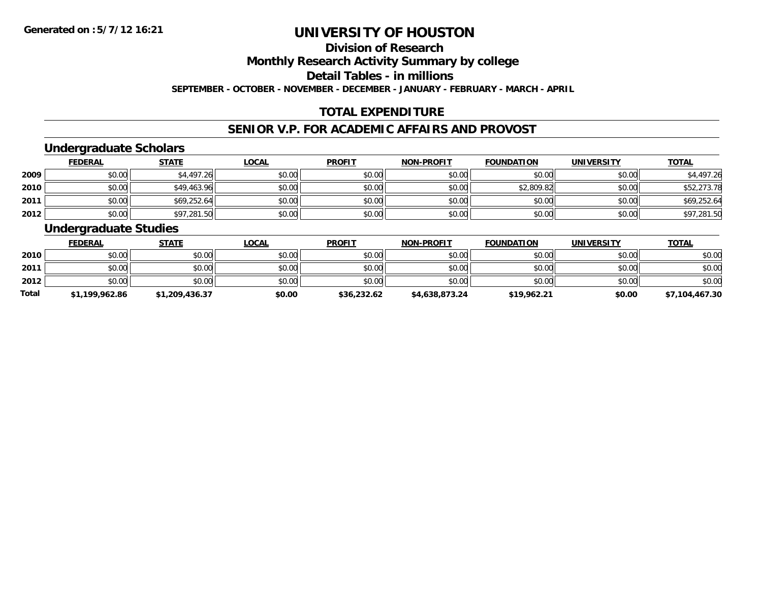### **Division of Research**

**Monthly Research Activity Summary by college**

**Detail Tables - in millions**

**SEPTEMBER - OCTOBER - NOVEMBER - DECEMBER - JANUARY - FEBRUARY - MARCH - APRIL**

### **TOTAL EXPENDITURE**

### **SENIOR V.P. FOR ACADEMIC AFFAIRS AND PROVOST**

### **Undergraduate Scholars**

|      | <b>FEDERAL</b> | <u>STATE</u> | <u>LOCAL</u> | <b>PROFIT</b> | <b>NON-PROFIT</b> | <b>FOUNDATION</b> | <b>UNIVERSITY</b> | <b>TOTAL</b> |
|------|----------------|--------------|--------------|---------------|-------------------|-------------------|-------------------|--------------|
| 2009 | \$0.00         | \$4,497.26   | \$0.00       | \$0.00        | \$0.00            | \$0.00            | \$0.00            | \$4,497.26   |
| 2010 | \$0.00         | \$49,463.96  | \$0.00       | \$0.00        | \$0.00            | \$2,809.82        | \$0.00            | \$52,273.78  |
| 2011 | \$0.00         | \$69,252.64  | \$0.00       | \$0.00        | \$0.00            | \$0.00            | \$0.00            | \$69,252.64  |
| 2012 | \$0.00         | \$97,281.50  | \$0.00       | \$0.00        | \$0.00            | \$0.00            | \$0.00            | \$97,281.50  |

### **Undergraduate Studies**

|              | <b>FEDERAL</b> | <b>STATE</b>   | <u>LOCAL</u> | <b>PROFIT</b> | <b>NON-PROFIT</b> | <b>FOUNDATION</b> | <b>UNIVERSITY</b> | <b>TOTAL</b>   |
|--------------|----------------|----------------|--------------|---------------|-------------------|-------------------|-------------------|----------------|
| 2010         | \$0.00         | \$0.00         | \$0.00       | \$0.00        | \$0.00            | \$0.00            | \$0.00            | \$0.00         |
| 2011         | \$0.00         | \$0.00         | \$0.00       | \$0.00        | \$0.00            | \$0.00            | \$0.00            | \$0.00         |
| 2012         | \$0.00         | \$0.00         | \$0.00       | \$0.00        | \$0.00            | \$0.00            | \$0.00            | \$0.00         |
| <b>Total</b> | \$1,199,962.86 | \$1,209,436.37 | \$0.00       | \$36,232.62   | \$4,638,873.24    | \$19,962.21       | \$0.00            | \$7,104,467.30 |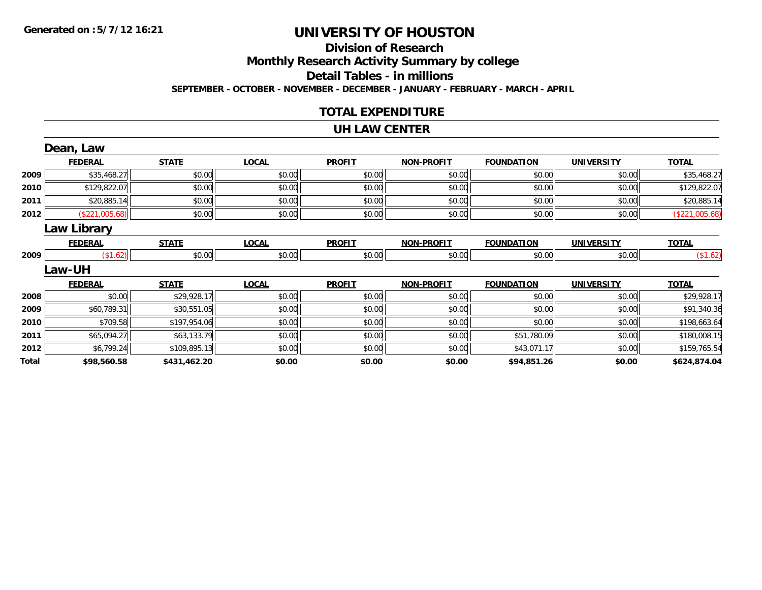# **Division of Research**

**Monthly Research Activity Summary by college**

**Detail Tables - in millions**

**SEPTEMBER - OCTOBER - NOVEMBER - DECEMBER - JANUARY - FEBRUARY - MARCH - APRIL**

### **TOTAL EXPENDITURE**

#### **UH LAW CENTER**

|       | Dean, Law          |              |              |               |                   |                   |                   |                |
|-------|--------------------|--------------|--------------|---------------|-------------------|-------------------|-------------------|----------------|
|       | <b>FEDERAL</b>     | <b>STATE</b> | <b>LOCAL</b> | <b>PROFIT</b> | <b>NON-PROFIT</b> | <b>FOUNDATION</b> | <b>UNIVERSITY</b> | <b>TOTAL</b>   |
| 2009  | \$35,468.27        | \$0.00       | \$0.00       | \$0.00        | \$0.00            | \$0.00            | \$0.00            | \$35,468.27    |
| 2010  | \$129,822.07       | \$0.00       | \$0.00       | \$0.00        | \$0.00            | \$0.00            | \$0.00            | \$129,822.07   |
| 2011  | \$20,885.14        | \$0.00       | \$0.00       | \$0.00        | \$0.00            | \$0.00            | \$0.00            | \$20,885.14    |
| 2012  | (\$221,005.68)     | \$0.00       | \$0.00       | \$0.00        | \$0.00            | \$0.00            | \$0.00            | (\$221,005.68) |
|       | <b>Law Library</b> |              |              |               |                   |                   |                   |                |
|       | <b>FEDERAL</b>     | <b>STATE</b> | <b>LOCAL</b> | <b>PROFIT</b> | <b>NON-PROFIT</b> | <b>FOUNDATION</b> | <b>UNIVERSITY</b> | <b>TOTAL</b>   |
| 2009  | (\$1.62)           | \$0.00       | \$0.00       | \$0.00        | \$0.00            | \$0.00            | \$0.00            | (\$1.62)       |
|       | <b>Law-UH</b>      |              |              |               |                   |                   |                   |                |
|       | <b>FEDERAL</b>     | <b>STATE</b> | <b>LOCAL</b> | <b>PROFIT</b> | <b>NON-PROFIT</b> | <b>FOUNDATION</b> | <b>UNIVERSITY</b> | <b>TOTAL</b>   |
| 2008  | \$0.00             | \$29,928.17  | \$0.00       | \$0.00        | \$0.00            | \$0.00            | \$0.00            | \$29,928.17    |
| 2009  | \$60,789.31        | \$30,551.05  | \$0.00       | \$0.00        | \$0.00            | \$0.00            | \$0.00            | \$91,340.36    |
| 2010  | \$709.58           | \$197,954.06 | \$0.00       | \$0.00        | \$0.00            | \$0.00            | \$0.00            | \$198,663.64   |
| 2011  | \$65,094.27        | \$63,133.79  | \$0.00       | \$0.00        | \$0.00            | \$51,780.09       | \$0.00            | \$180,008.15   |
| 2012  | \$6,799.24         | \$109,895.13 | \$0.00       | \$0.00        | \$0.00            | \$43,071.17       | \$0.00            | \$159,765.54   |
| Total | \$98,560.58        | \$431,462.20 | \$0.00       | \$0.00        | \$0.00            | \$94,851.26       | \$0.00            | \$624,874.04   |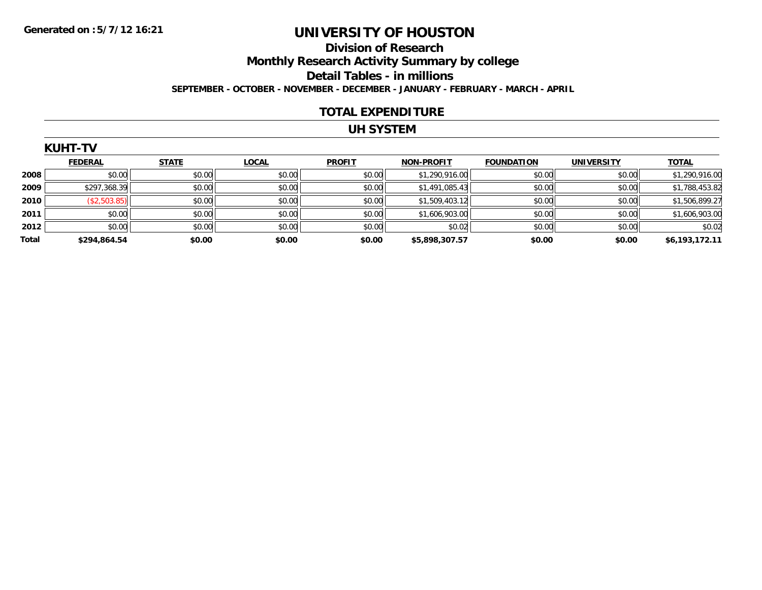# **Division of Research Monthly Research Activity Summary by college**

**Detail Tables - in millions**

**SEPTEMBER - OCTOBER - NOVEMBER - DECEMBER - JANUARY - FEBRUARY - MARCH - APRIL**

### **TOTAL EXPENDITURE**

### **UH SYSTEM**

|  | . . |  |  |  |
|--|-----|--|--|--|
|  |     |  |  |  |

|              | <b>FEDERAL</b> | <b>STATE</b> | <b>LOCAL</b> | <b>PROFIT</b> | <b>NON-PROFIT</b> | <b>FOUNDATION</b> | <b>UNIVERSITY</b> | <b>TOTAL</b>   |
|--------------|----------------|--------------|--------------|---------------|-------------------|-------------------|-------------------|----------------|
| 2008         | \$0.00         | \$0.00       | \$0.00       | \$0.00        | \$1,290,916.00    | \$0.00            | \$0.00            | \$1,290,916.00 |
| 2009         | \$297,368.39   | \$0.00       | \$0.00       | \$0.00        | \$1,491,085.43    | \$0.00            | \$0.00            | \$1,788,453.82 |
| 2010         | \$2,503.85     | \$0.00       | \$0.00       | \$0.00        | \$1,509,403.12    | \$0.00            | \$0.00            | \$1,506,899.27 |
| 2011         | \$0.00         | \$0.00       | \$0.00       | \$0.00        | \$1,606,903.00    | \$0.00            | \$0.00            | \$1,606,903.00 |
| 2012         | \$0.00         | \$0.00       | \$0.00       | \$0.00        | \$0.02            | \$0.00            | \$0.00            | \$0.02         |
| <b>Total</b> | \$294,864.54   | \$0.00       | \$0.00       | \$0.00        | \$5,898,307.57    | \$0.00            | \$0.00            | \$6,193,172.11 |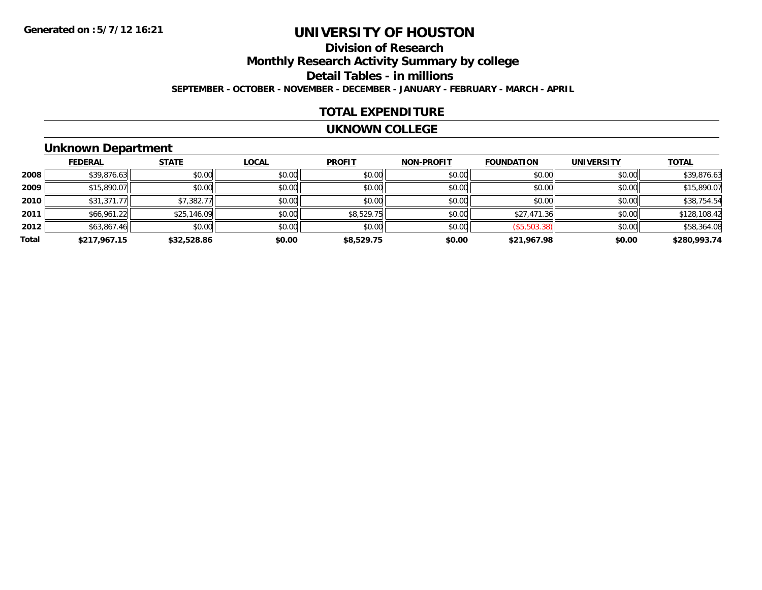# **Division of Research**

**Monthly Research Activity Summary by college**

**Detail Tables - in millions**

**SEPTEMBER - OCTOBER - NOVEMBER - DECEMBER - JANUARY - FEBRUARY - MARCH - APRIL**

### **TOTAL EXPENDITURE**

#### **UKNOWN COLLEGE**

### **Unknown Department**

|       | <b>FEDERAL</b> | <b>STATE</b> | <b>LOCAL</b> | <b>PROFIT</b> | <b>NON-PROFIT</b> | <b>FOUNDATION</b> | <b>UNIVERSITY</b> | <b>TOTAL</b> |
|-------|----------------|--------------|--------------|---------------|-------------------|-------------------|-------------------|--------------|
| 2008  | \$39,876.63    | \$0.00       | \$0.00       | \$0.00        | \$0.00            | \$0.00            | \$0.00            | \$39,876.63  |
| 2009  | \$15,890.07    | \$0.00       | \$0.00       | \$0.00        | \$0.00            | \$0.00            | \$0.00            | \$15,890.07  |
| 2010  | \$31,371.77    | \$7,382.77   | \$0.00       | \$0.00        | \$0.00            | \$0.00            | \$0.00            | \$38,754.54  |
| 2011  | \$66,961.22    | \$25,146.09  | \$0.00       | \$8,529.75    | \$0.00            | \$27,471.36       | \$0.00            | \$128,108.42 |
| 2012  | \$63,867.46    | \$0.00       | \$0.00       | \$0.00        | \$0.00            | ( \$5,503.38)     | \$0.00            | \$58,364.08  |
| Total | \$217,967.15   | \$32,528.86  | \$0.00       | \$8,529.75    | \$0.00            | \$21,967.98       | \$0.00            | \$280,993.74 |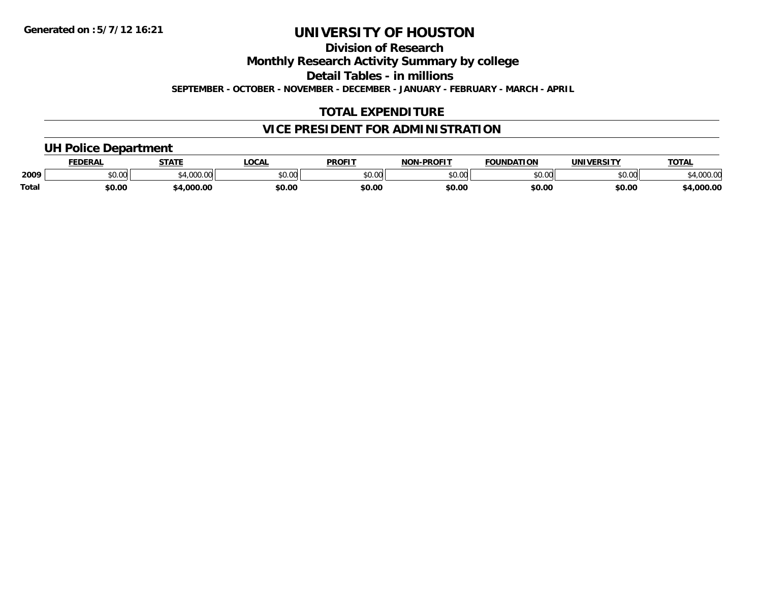**Division of Research**

**Monthly Research Activity Summary by college**

**Detail Tables - in millions**

**SEPTEMBER - OCTOBER - NOVEMBER - DECEMBER - JANUARY - FEBRUARY - MARCH - APRIL**

### **TOTAL EXPENDITURE**

### **VICE PRESIDENT FOR ADMINISTRATION**

### **UH Police Department**

|       | <b>FEDERAL</b> | <b>CTATE</b>         | LOCA                       | <b>PROFIT</b>                   | -PROFIT<br><b>NON</b> | <b>FOUNDATION</b> | UNIVERSITY    | <b>TOTAL</b>      |
|-------|----------------|----------------------|----------------------------|---------------------------------|-----------------------|-------------------|---------------|-------------------|
| 2009  | 0000<br>vv.vv  | $\sim$ 0.00<br>uuu.u | $*$ $\cap$ $\cap$<br>PU.UU | $\circ$ $\circ$ $\circ$<br>ט.טע | \$0.00                | \$0.00            | 0000<br>JU.UU | 00000<br>4,000.00 |
| Total | \$0.00         | .000.00              | \$0.00                     | \$0.00                          | \$0.00                | \$0.00            | \$0.00        | 4,000.00          |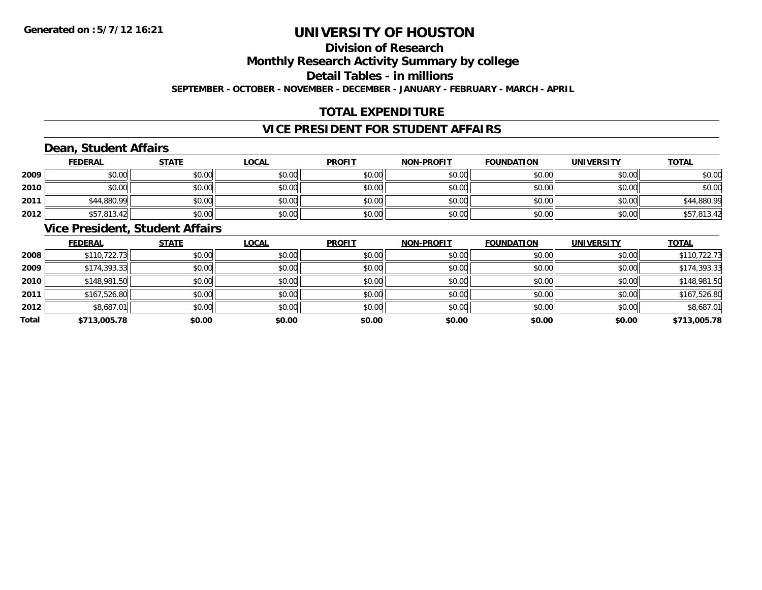### **Division of Research**

**Monthly Research Activity Summary by college**

**Detail Tables - in millions**

**SEPTEMBER - OCTOBER - NOVEMBER - DECEMBER - JANUARY - FEBRUARY - MARCH - APRIL**

### **TOTAL EXPENDITURE**

### **VICE PRESIDENT FOR STUDENT AFFAIRS**

### **Dean, Student Affairs**

|      | <b>FEDERAL</b> | <b>STATE</b> | <u>LOCAL</u> | <b>PROFIT</b> | <b>NON-PROFIT</b> | <b>FOUNDATION</b> | <b>UNIVERSITY</b> | <b>TOTAL</b> |
|------|----------------|--------------|--------------|---------------|-------------------|-------------------|-------------------|--------------|
| 2009 | \$0.00         | \$0.00       | \$0.00       | \$0.00        | \$0.00            | \$0.00            | \$0.00            | \$0.00       |
| 2010 | \$0.00         | \$0.00       | \$0.00       | \$0.00        | \$0.00            | \$0.00            | \$0.00            | \$0.00       |
| 2011 | \$44,880.99    | \$0.00       | \$0.00       | \$0.00        | \$0.00            | \$0.00            | \$0.00            | \$44,880.99  |
| 2012 | \$57,813.42    | \$0.00       | \$0.00       | \$0.00        | \$0.00            | \$0.00            | \$0.00            | \$57,813.42  |

### **Vice President, Student Affairs**

|       | <b>FEDERAL</b> | <b>STATE</b> | LOCAL  | <b>PROFIT</b> | <b>NON-PROFIT</b> | <b>FOUNDATION</b> | <b>UNIVERSITY</b> | <b>TOTAL</b> |
|-------|----------------|--------------|--------|---------------|-------------------|-------------------|-------------------|--------------|
| 2008  | \$110,722.73   | \$0.00       | \$0.00 | \$0.00        | \$0.00            | \$0.00            | \$0.00            | \$110,722.73 |
| 2009  | \$174,393.33   | \$0.00       | \$0.00 | \$0.00        | \$0.00            | \$0.00            | \$0.00            | \$174,393.33 |
| 2010  | \$148,981.50   | \$0.00       | \$0.00 | \$0.00        | \$0.00            | \$0.00            | \$0.00            | \$148,981.50 |
| 2011  | \$167,526.80   | \$0.00       | \$0.00 | \$0.00        | \$0.00            | \$0.00            | \$0.00            | \$167,526.80 |
| 2012  | \$8,687.01     | \$0.00       | \$0.00 | \$0.00        | \$0.00            | \$0.00            | \$0.00            | \$8,687.01   |
| Total | \$713,005.78   | \$0.00       | \$0.00 | \$0.00        | \$0.00            | \$0.00            | \$0.00            | \$713,005.78 |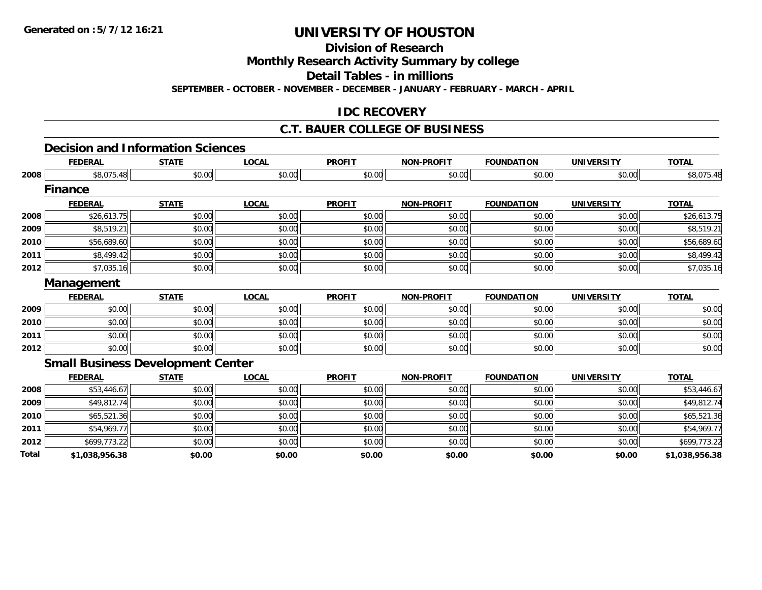**Division of Research**

**Monthly Research Activity Summary by college**

**Detail Tables - in millions**

**SEPTEMBER - OCTOBER - NOVEMBER - DECEMBER - JANUARY - FEBRUARY - MARCH - APRIL**

### **IDC RECOVERY**

#### **C.T. BAUER COLLEGE OF BUSINESS**

#### **Decision and Information Sciences**

|       | <b>FEDERAL</b>    | <b>STATE</b>                             | <b>LOCAL</b> | <b>PROFIT</b> | <b>NON-PROFIT</b> | <b>FOUNDATION</b> | <b>UNIVERSITY</b> | <b>TOTAL</b>   |
|-------|-------------------|------------------------------------------|--------------|---------------|-------------------|-------------------|-------------------|----------------|
| 2008  | \$8,075.48        | \$0.00                                   | \$0.00       | \$0.00        | \$0.00            | \$0.00            | \$0.00            | \$8,075.48     |
|       | <b>Finance</b>    |                                          |              |               |                   |                   |                   |                |
|       | <b>FEDERAL</b>    | <b>STATE</b>                             | <b>LOCAL</b> | <b>PROFIT</b> | <b>NON-PROFIT</b> | <b>FOUNDATION</b> | <b>UNIVERSITY</b> | <b>TOTAL</b>   |
| 2008  | \$26,613.75       | \$0.00                                   | \$0.00       | \$0.00        | \$0.00            | \$0.00            | \$0.00            | \$26,613.75    |
| 2009  | \$8,519.21        | \$0.00                                   | \$0.00       | \$0.00        | \$0.00            | \$0.00            | \$0.00            | \$8,519.21     |
| 2010  | \$56,689.60       | \$0.00                                   | \$0.00       | \$0.00        | \$0.00            | \$0.00            | \$0.00            | \$56,689.60    |
| 2011  | \$8,499.42        | \$0.00                                   | \$0.00       | \$0.00        | \$0.00            | \$0.00            | \$0.00            | \$8,499.42     |
| 2012  | \$7,035.16        | \$0.00                                   | \$0.00       | \$0.00        | \$0.00            | \$0.00            | \$0.00            | \$7,035.16     |
|       | <b>Management</b> |                                          |              |               |                   |                   |                   |                |
|       | <b>FEDERAL</b>    | <b>STATE</b>                             | <b>LOCAL</b> | <b>PROFIT</b> | <b>NON-PROFIT</b> | <b>FOUNDATION</b> | <b>UNIVERSITY</b> | <b>TOTAL</b>   |
| 2009  | \$0.00            | \$0.00                                   | \$0.00       | \$0.00        | \$0.00            | \$0.00            | \$0.00            | \$0.00         |
| 2010  | \$0.00            | \$0.00                                   | \$0.00       | \$0.00        | \$0.00            | \$0.00            | \$0.00            | \$0.00         |
| 2011  | \$0.00            | \$0.00                                   | \$0.00       | \$0.00        | \$0.00            | \$0.00            | \$0.00            | \$0.00         |
| 2012  | \$0.00            | \$0.00                                   | \$0.00       | \$0.00        | \$0.00            | \$0.00            | \$0.00            | \$0.00         |
|       |                   | <b>Small Business Development Center</b> |              |               |                   |                   |                   |                |
|       | <b>FEDERAL</b>    | <b>STATE</b>                             | <b>LOCAL</b> | <b>PROFIT</b> | <b>NON-PROFIT</b> | <b>FOUNDATION</b> | <b>UNIVERSITY</b> | <b>TOTAL</b>   |
| 2008  | \$53,446.67       | \$0.00                                   | \$0.00       | \$0.00        | \$0.00            | \$0.00            | \$0.00            | \$53,446.67    |
| 2009  | \$49,812.74       | \$0.00                                   | \$0.00       | \$0.00        | \$0.00            | \$0.00            | \$0.00            | \$49,812.74    |
| 2010  | \$65,521.36       | \$0.00                                   | \$0.00       | \$0.00        | \$0.00            | \$0.00            | \$0.00            | \$65,521.36    |
| 2011  | \$54,969.77       | \$0.00                                   | \$0.00       | \$0.00        | \$0.00            | \$0.00            | \$0.00            | \$54,969.77    |
| 2012  | \$699,773.22      | \$0.00                                   | \$0.00       | \$0.00        | \$0.00            | \$0.00            | \$0.00            | \$699,773.22   |
| Total | \$1,038,956.38    | \$0.00                                   | \$0.00       | \$0.00        | \$0.00            | \$0.00            | \$0.00            | \$1,038,956.38 |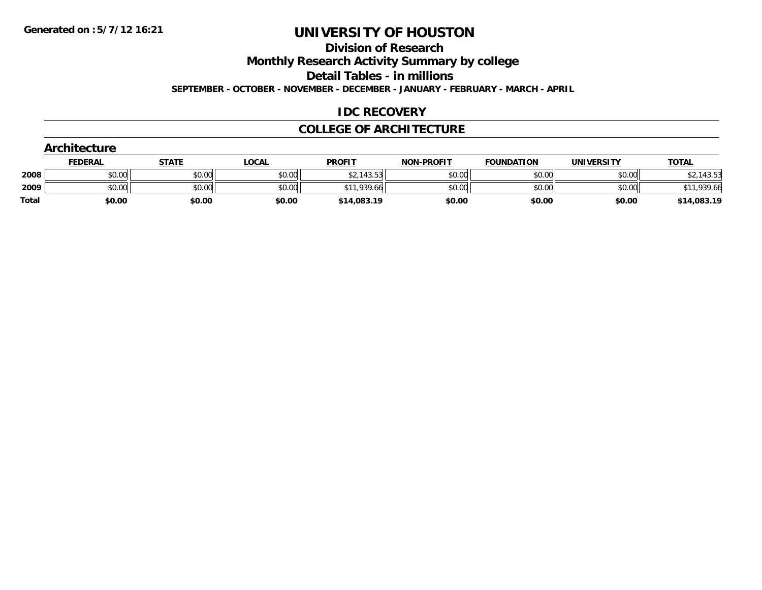**Division of Research**

**Monthly Research Activity Summary by college**

**Detail Tables - in millions**

**SEPTEMBER - OCTOBER - NOVEMBER - DECEMBER - JANUARY - FEBRUARY - MARCH - APRIL**

### **IDC RECOVERY**

#### **COLLEGE OF ARCHITECTURE**

|              | Architecture   |              |              |               |                   |                   |                   |              |  |  |  |
|--------------|----------------|--------------|--------------|---------------|-------------------|-------------------|-------------------|--------------|--|--|--|
|              | <b>FEDERAL</b> | <b>STATE</b> | <u>LOCAL</u> | <b>PROFIT</b> | <b>NON-PROFIT</b> | <b>FOUNDATION</b> | <b>UNIVERSITY</b> | <b>TOTAL</b> |  |  |  |
| 2008         | \$0.00         | \$0.00       | \$0.00       | \$2,143.53    | \$0.00            | \$0.00            | \$0.00            | \$2,143.53   |  |  |  |
| 2009         | \$0.00         | \$0.00       | \$0.00       | \$11,939.66   | \$0.00            | \$0.00            | \$0.00            | \$11,939.66  |  |  |  |
| <b>Total</b> | \$0.00         | \$0.00       | \$0.00       | \$14,083.19   | \$0.00            | \$0.00            | \$0.00            | \$14,083.19  |  |  |  |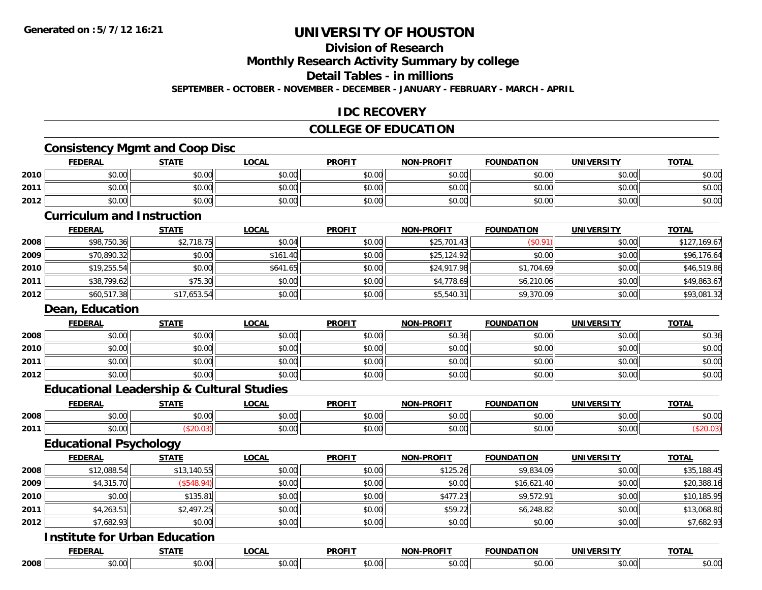### **Division of Research**

**Monthly Research Activity Summary by college**

#### **Detail Tables - in millions**

**SEPTEMBER - OCTOBER - NOVEMBER - DECEMBER - JANUARY - FEBRUARY - MARCH - APRIL**

### **IDC RECOVERY**

### **COLLEGE OF EDUCATION**

### **Consistency Mgmt and Coop Disc**

|      | <b>FEDERAL</b>                    | <b>STATE</b> | <b>LOCAL</b> | <b>PROFIT</b> | <b>NON-PROFIT</b> | <b>FOUNDATION</b> | <b>UNIVERSITY</b> | <b>TOTAL</b> |
|------|-----------------------------------|--------------|--------------|---------------|-------------------|-------------------|-------------------|--------------|
| 2010 | \$0.00                            | \$0.00       | \$0.00       | \$0.00        | \$0.00            | \$0.00            | \$0.00            | \$0.00       |
| 2011 | \$0.00                            | \$0.00       | \$0.00       | \$0.00        | \$0.00            | \$0.00            | \$0.00            | \$0.00       |
| 2012 | \$0.00                            | \$0.00       | \$0.00       | \$0.00        | \$0.00            | \$0.00            | \$0.00            | \$0.00       |
|      | <b>Curriculum and Instruction</b> |              |              |               |                   |                   |                   |              |
|      | <b>FEDERAL</b>                    | <b>STATE</b> | <b>LOCAL</b> | <b>PROFIT</b> | <b>NON-PROFIT</b> | <b>FOUNDATION</b> | <b>UNIVERSITY</b> | <b>TOTAL</b> |
| 2008 | \$98,750.36                       | \$2,718.75   | \$0.04       | \$0.00        | \$25,701.43       | (\$0.91)          | \$0.00            | \$127,169.67 |
| 2009 | \$70,890.32                       | \$0.00       | \$161.40     | \$0.00        | \$25,124.92       | \$0.00            | \$0.00            | \$96,176.64  |
| 2010 | \$19,255.54                       | \$0.00       | \$641.65     | \$0.00        | \$24,917.98       | \$1,704.69        | \$0.00            | \$46,519.86  |
| 2011 | \$38,799.62                       | \$75.30      | \$0.00       | \$0.00        | \$4,778.69        | \$6,210.06        | \$0.00            | \$49,863.67  |
| 2012 | \$60,517.38                       | \$17,653.54  | \$0.00       | \$0.00        | \$5,540.31        | \$9,370.09        | \$0.00            | \$93,081.32  |
|      | Dean, Education                   |              |              |               |                   |                   |                   |              |
|      | <b>FEDERAL</b>                    | <b>STATE</b> | <b>LOCAL</b> | <b>PROFIT</b> | <b>NON-PROFIT</b> | <b>FOUNDATION</b> | <b>UNIVERSITY</b> | <b>TOTAL</b> |
| 2008 | \$0.00                            | \$0.00       | \$0.00       | \$0.00        | \$0.36            | \$0.00            | \$0.00            | \$0.36       |

| וטטב | vv.vvii | <b>JU.UUI</b>  | JU.UU          | JU.UU I | JU.JU              | JU.UUI | JU.UUI         | vo.oo                  |
|------|---------|----------------|----------------|---------|--------------------|--------|----------------|------------------------|
| 2010 | \$0.00  | 40.00<br>vv.vv | 0000<br>PU.UU  | \$0.00  | 0.00<br>ง∪.∪บ      | \$0.00 | 0000<br>PO.OO  | $\sim$ $\sim$<br>JU.UU |
| 2011 | \$0.00  | 0000<br>vu.vu  | 0000<br>JU.UU  | \$0.00  | $\sim$ 00<br>vu.vu | \$0.00 | 0000<br>\$U.UU | $\sim$ $\sim$<br>ง∪.∪บ |
| 2012 | \$0.00  | \$0.00         | 0000<br>\$U.UU | \$0.00  | $\sim$ 00<br>JU.UU | \$0.00 | \$0.00         | $\sim$ $\sim$<br>ง∪.∪บ |

### **Educational Leadership & Cultural Studies**

|      | <b>FEDERA</b>     | 27.77<br>1 M  | <b>OCAI</b>        | <b>PROFIT</b>                                | <b>ABALLE</b><br><b>AIAI</b> | τιον          | $100 - 171$<br>INIVE | <b>TOT</b>    |
|------|-------------------|---------------|--------------------|----------------------------------------------|------------------------------|---------------|----------------------|---------------|
| 2008 | 0000<br>PU.UU     | 0000<br>DU.UU | ሶስ ሰሰ<br>PU.UU     | 0000<br>PO.OO                                | 0 <sup>n</sup><br>vu.u       | 0000<br>JU.UU | 0000<br>PO.OO        | 0000<br>PU.UU |
| 2011 | 0000<br>vu.uu     |               | $\sim$ 00<br>₽U.UU | $\triangle$ $\triangle$ $\triangle$<br>vv.vv | $\sim$ 0.00<br>vu.vu         | 0000<br>vu.vu | 0000<br>PO.OO        |               |
|      | — —<br>- -<br>- - |               |                    |                                              |                              |               |                      |               |

### **Educational Psychology**

|      | <b>FEDERAL</b> | <b>STATE</b> | LOCAL  | <b>PROFIT</b> | <b>NON-PROFIT</b> | <b>FOUNDATION</b> | UNIVERSITY | <b>TOTAL</b> |
|------|----------------|--------------|--------|---------------|-------------------|-------------------|------------|--------------|
| 2008 | \$12,088.54    | \$13,140.55  | \$0.00 | \$0.00        | \$125.26          | \$9,834.09        | \$0.00     | \$35,188.45  |
| 2009 | \$4,315.70     | (\$548.94)   | \$0.00 | \$0.00        | \$0.00            | \$16,621.40       | \$0.00     | \$20,388.16  |
| 2010 | \$0.00         | \$135.81     | \$0.00 | \$0.00        | \$477.23          | \$9,572.91        | \$0.00     | \$10,185.95  |
| 2011 | \$4,263.51     | \$2,497.25   | \$0.00 | \$0.00        | \$59.22           | \$6,248.82        | \$0.00     | \$13,068.80  |
| 2012 | \$7,682.93     | \$0.00       | \$0.00 | \$0.00        | \$0.00            | \$0.00            | \$0.00     | \$7,682.93   |

#### **Institute for Urban Education**

|      | <b>FEDED!</b>    | $\sim$ $\sim$ $\sim$ $\sim$        | $\sim$ $\sim$ $\sim$ | <b>DDAEIT</b><br>Ξπι. | - - - - -<br>. | .<br>10N | <b>JNIVE</b> '<br>---- | <b>TOTAL</b><br>UINI |
|------|------------------|------------------------------------|----------------------|-----------------------|----------------|----------|------------------------|----------------------|
| 2008 | $\cdots$<br>.v.v | $\sim$ $\sim$<br>$\cdot\cdot\cdot$ |                      | $\sim$<br>יש.ש        |                | $\sim$   | $\sim$                 | $\sim$<br>.U.U       |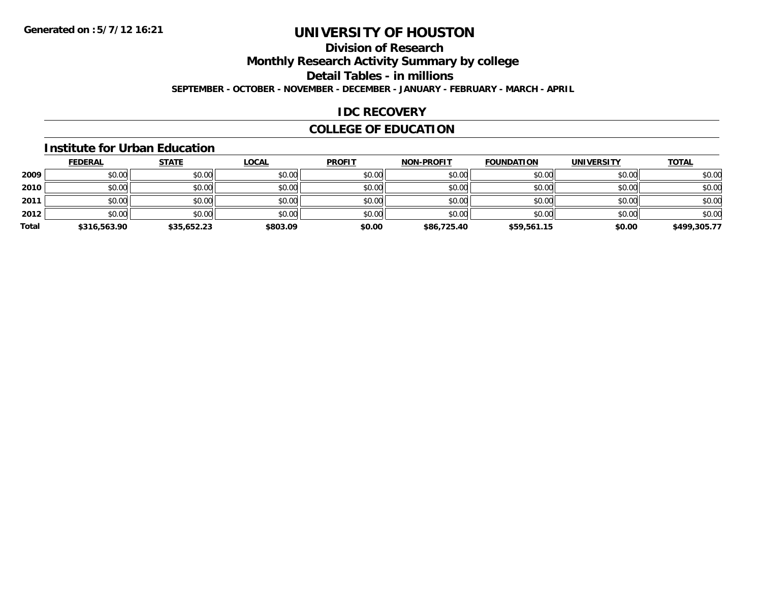### **Division of Research**

**Monthly Research Activity Summary by college**

**Detail Tables - in millions**

**SEPTEMBER - OCTOBER - NOVEMBER - DECEMBER - JANUARY - FEBRUARY - MARCH - APRIL**

### **IDC RECOVERY**

### **COLLEGE OF EDUCATION**

#### **Institute for Urban Education**

|       | <b>FEDERAL</b> | <b>STATE</b> | <b>LOCAL</b> | <b>PROFIT</b> | <b>NON-PROFIT</b> | <b>FOUNDATION</b> | <b>UNIVERSITY</b> | <b>TOTAL</b> |
|-------|----------------|--------------|--------------|---------------|-------------------|-------------------|-------------------|--------------|
| 2009  | \$0.00         | \$0.00       | \$0.00       | \$0.00        | \$0.00            | \$0.00            | \$0.00            | \$0.00       |
| 2010  | \$0.00         | \$0.00       | \$0.00       | \$0.00        | \$0.00            | \$0.00            | \$0.00            | \$0.00       |
| 2011  | \$0.00         | \$0.00       | \$0.00       | \$0.00        | \$0.00            | \$0.00            | \$0.00            | \$0.00       |
| 2012  | \$0.00         | \$0.00       | \$0.00       | \$0.00        | \$0.00            | \$0.00            | \$0.00            | \$0.00       |
| Total | \$316,563.90   | \$35,652.23  | \$803.09     | \$0.00        | \$86,725.40       | \$59,561.15       | \$0.00            | \$499,305.77 |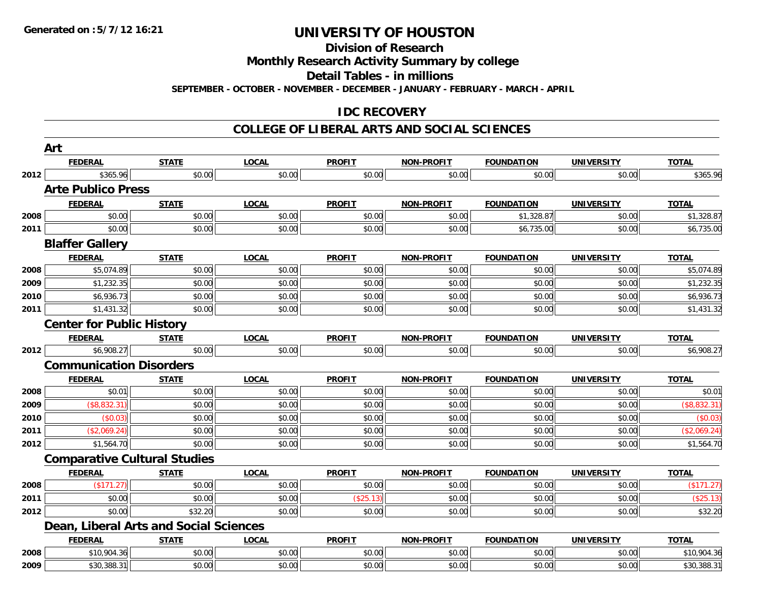**Division of Research**

**Monthly Research Activity Summary by college**

**Detail Tables - in millions**

**SEPTEMBER - OCTOBER - NOVEMBER - DECEMBER - JANUARY - FEBRUARY - MARCH - APRIL**

### **IDC RECOVERY**

#### **COLLEGE OF LIBERAL ARTS AND SOCIAL SCIENCES**

|      | Art                              |                                        |              |               |                   |                   |                   |              |
|------|----------------------------------|----------------------------------------|--------------|---------------|-------------------|-------------------|-------------------|--------------|
|      | <b>FEDERAL</b>                   | <b>STATE</b>                           | <b>LOCAL</b> | <b>PROFIT</b> | <b>NON-PROFIT</b> | <b>FOUNDATION</b> | <b>UNIVERSITY</b> | <b>TOTAL</b> |
| 2012 | \$365.96                         | \$0.00                                 | \$0.00       | \$0.00        | \$0.00            | \$0.00            | \$0.00            | \$365.96     |
|      | <b>Arte Publico Press</b>        |                                        |              |               |                   |                   |                   |              |
|      | <b>FEDERAL</b>                   | <b>STATE</b>                           | <b>LOCAL</b> | <b>PROFIT</b> | <b>NON-PROFIT</b> | <b>FOUNDATION</b> | <b>UNIVERSITY</b> | <b>TOTAL</b> |
| 2008 | \$0.00                           | \$0.00                                 | \$0.00       | \$0.00        | \$0.00            | \$1,328.87        | \$0.00            | \$1,328.87   |
| 2011 | \$0.00                           | \$0.00                                 | \$0.00       | \$0.00        | \$0.00            | \$6,735.00        | \$0.00            | \$6,735.00   |
|      | <b>Blaffer Gallery</b>           |                                        |              |               |                   |                   |                   |              |
|      | <b>FEDERAL</b>                   | <b>STATE</b>                           | <b>LOCAL</b> | <b>PROFIT</b> | <b>NON-PROFIT</b> | <b>FOUNDATION</b> | <b>UNIVERSITY</b> | <b>TOTAL</b> |
| 2008 | \$5,074.89                       | \$0.00                                 | \$0.00       | \$0.00        | \$0.00            | \$0.00            | \$0.00            | \$5,074.89   |
| 2009 | \$1,232.35                       | \$0.00                                 | \$0.00       | \$0.00        | \$0.00            | \$0.00            | \$0.00            | \$1,232.35   |
| 2010 | \$6,936.73                       | \$0.00                                 | \$0.00       | \$0.00        | \$0.00            | \$0.00            | \$0.00            | \$6,936.73   |
| 2011 | \$1,431.32                       | \$0.00                                 | \$0.00       | \$0.00        | \$0.00            | \$0.00            | \$0.00            | \$1,431.32   |
|      | <b>Center for Public History</b> |                                        |              |               |                   |                   |                   |              |
|      | <b>FEDERAL</b>                   | <b>STATE</b>                           | <b>LOCAL</b> | <b>PROFIT</b> | <b>NON-PROFIT</b> | <b>FOUNDATION</b> | <b>UNIVERSITY</b> | <b>TOTAL</b> |
| 2012 | \$6,908.27                       | \$0.00                                 | \$0.00       | \$0.00        | \$0.00            | \$0.00            | \$0.00            | \$6,908.27   |
|      | <b>Communication Disorders</b>   |                                        |              |               |                   |                   |                   |              |
|      | <b>FEDERAL</b>                   | <b>STATE</b>                           | <b>LOCAL</b> | <b>PROFIT</b> | <b>NON-PROFIT</b> | <b>FOUNDATION</b> | <b>UNIVERSITY</b> | <b>TOTAL</b> |
| 2008 | \$0.01                           | \$0.00                                 | \$0.00       | \$0.00        | \$0.00            | \$0.00            | \$0.00            | \$0.01       |
| 2009 | (\$8,832.31)                     | \$0.00                                 | \$0.00       | \$0.00        | \$0.00            | \$0.00            | \$0.00            | (\$8,832.31) |
| 2010 | (\$0.03)                         | \$0.00                                 | \$0.00       | \$0.00        | \$0.00            | \$0.00            | \$0.00            | (\$0.03)     |
| 2011 | (\$2,069.24)                     | \$0.00                                 | \$0.00       | \$0.00        | \$0.00            | \$0.00            | \$0.00            | (\$2,069.24) |
| 2012 | \$1,564.70                       | \$0.00                                 | \$0.00       | \$0.00        | \$0.00            | \$0.00            | \$0.00            | \$1,564.70   |
|      |                                  | <b>Comparative Cultural Studies</b>    |              |               |                   |                   |                   |              |
|      | <b>FEDERAL</b>                   | <b>STATE</b>                           | <b>LOCAL</b> | <b>PROFIT</b> | <b>NON-PROFIT</b> | <b>FOUNDATION</b> | <b>UNIVERSITY</b> | <b>TOTAL</b> |
| 2008 | (\$171.27)                       | \$0.00                                 | \$0.00       | \$0.00        | \$0.00            | \$0.00            | \$0.00            | (\$171.27)   |
| 2011 | \$0.00                           | \$0.00                                 | \$0.00       | (\$25.13)     | \$0.00            | \$0.00            | \$0.00            | $(*25.13)$   |
| 2012 | \$0.00                           | \$32.20                                | \$0.00       | \$0.00        | \$0.00            | \$0.00            | \$0.00            | \$32.20      |
|      |                                  | Dean, Liberal Arts and Social Sciences |              |               |                   |                   |                   |              |
|      | <b>FEDERAL</b>                   | <b>STATE</b>                           | <b>LOCAL</b> | <b>PROFIT</b> | <b>NON-PROFIT</b> | <b>FOUNDATION</b> | <b>UNIVERSITY</b> | <b>TOTAL</b> |
| 2008 | \$10,904.36                      | \$0.00                                 | \$0.00       | \$0.00        | \$0.00            | \$0.00            | \$0.00            | \$10,904.36  |
| 2009 | \$30,388.31                      | \$0.00                                 | \$0.00       | \$0.00        | \$0.00            | \$0.00            | \$0.00            | \$30,388.31  |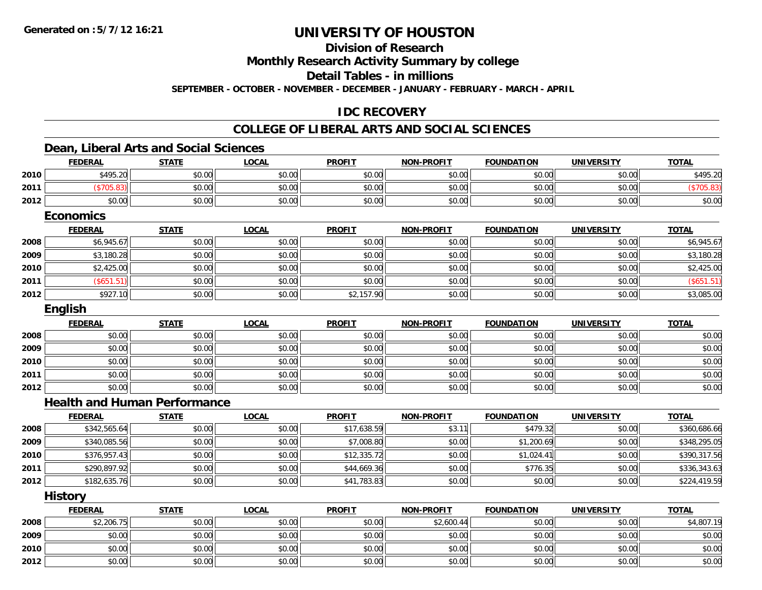**2012**

# **UNIVERSITY OF HOUSTON**

**Division of Research**

**Monthly Research Activity Summary by college**

**Detail Tables - in millions**

**SEPTEMBER - OCTOBER - NOVEMBER - DECEMBER - JANUARY - FEBRUARY - MARCH - APRIL**

### **IDC RECOVERY**

### **COLLEGE OF LIBERAL ARTS AND SOCIAL SCIENCES**

### **Dean, Liberal Arts and Social Sciences**

|      | <b>FEDERAL</b>                      | <b>STATE</b> | <b>LOCAL</b> | <b>PROFIT</b> | <b>NON-PROFIT</b> | <b>FOUNDATION</b> | <b>UNIVERSITY</b> | <b>TOTAL</b> |
|------|-------------------------------------|--------------|--------------|---------------|-------------------|-------------------|-------------------|--------------|
| 2010 | \$495.20                            | \$0.00       | \$0.00       | \$0.00        | \$0.00            | \$0.00            | \$0.00            | \$495.20     |
| 2011 | (\$705.83)                          | \$0.00       | \$0.00       | \$0.00        | \$0.00            | \$0.00            | \$0.00            | (\$705.83)   |
| 2012 | \$0.00                              | \$0.00       | \$0.00       | \$0.00        | \$0.00            | \$0.00            | \$0.00            | \$0.00       |
|      | <b>Economics</b>                    |              |              |               |                   |                   |                   |              |
|      | <b>FEDERAL</b>                      | <b>STATE</b> | <b>LOCAL</b> | <b>PROFIT</b> | <b>NON-PROFIT</b> | <b>FOUNDATION</b> | <b>UNIVERSITY</b> | <b>TOTAL</b> |
| 2008 | \$6,945.67                          | \$0.00       | \$0.00       | \$0.00        | \$0.00            | \$0.00            | \$0.00            | \$6,945.67   |
| 2009 | \$3,180.28                          | \$0.00       | \$0.00       | \$0.00        | \$0.00            | \$0.00            | \$0.00            | \$3,180.28   |
| 2010 | \$2,425.00                          | \$0.00       | \$0.00       | \$0.00        | \$0.00            | \$0.00            | \$0.00            | \$2,425.00   |
| 2011 | (\$651.51)                          | \$0.00       | \$0.00       | \$0.00        | \$0.00            | \$0.00            | \$0.00            | (\$651.51)   |
| 2012 | \$927.10                            | \$0.00       | \$0.00       | \$2,157.90    | \$0.00            | \$0.00            | \$0.00            | \$3,085.00   |
|      | English                             |              |              |               |                   |                   |                   |              |
|      | <b>FEDERAL</b>                      | <b>STATE</b> | <b>LOCAL</b> | <b>PROFIT</b> | <b>NON-PROFIT</b> | <b>FOUNDATION</b> | <b>UNIVERSITY</b> | <b>TOTAL</b> |
| 2008 | \$0.00                              | \$0.00       | \$0.00       | \$0.00        | \$0.00            | \$0.00            | \$0.00            | \$0.00       |
| 2009 | \$0.00                              | \$0.00       | \$0.00       | \$0.00        | \$0.00            | \$0.00            | \$0.00            | \$0.00       |
| 2010 | \$0.00                              | \$0.00       | \$0.00       | \$0.00        | \$0.00            | \$0.00            | \$0.00            | \$0.00       |
| 2011 | \$0.00                              | \$0.00       | \$0.00       | \$0.00        | \$0.00            | \$0.00            | \$0.00            | \$0.00       |
| 2012 | \$0.00                              | \$0.00       | \$0.00       | \$0.00        | \$0.00            | \$0.00            | \$0.00            | \$0.00       |
|      | <b>Health and Human Performance</b> |              |              |               |                   |                   |                   |              |
|      | <b>FEDERAL</b>                      | <b>STATE</b> | <b>LOCAL</b> | <b>PROFIT</b> | <b>NON-PROFIT</b> | <b>FOUNDATION</b> | <b>UNIVERSITY</b> | <b>TOTAL</b> |
| 2008 | \$342,565.64                        | \$0.00       | \$0.00       | \$17,638.59   | \$3.11            | \$479.32          | \$0.00            | \$360,686.66 |
| 2009 | \$340,085.56                        | \$0.00       | \$0.00       | \$7,008.80    | \$0.00            | \$1,200.69        | \$0.00            | \$348,295.05 |
| 2010 | \$376,957.43                        | \$0.00       | \$0.00       | \$12,335.72   | \$0.00            | \$1,024.41        | \$0.00            | \$390,317.56 |
| 2011 | \$290,897.92                        | \$0.00       | \$0.00       | \$44,669.36   | \$0.00            | \$776.35          | \$0.00            | \$336,343.63 |
| 2012 | \$182,635.76                        | \$0.00       | \$0.00       | \$41,783.83   | \$0.00            | \$0.00            | \$0.00            | \$224,419.59 |
|      | <b>History</b>                      |              |              |               |                   |                   |                   |              |
|      | <b>FEDERAL</b>                      | <b>STATE</b> | <b>LOCAL</b> | <b>PROFIT</b> | <b>NON-PROFIT</b> | <b>FOUNDATION</b> | <b>UNIVERSITY</b> | <b>TOTAL</b> |
| 2008 | \$2,206.75                          | \$0.00       | \$0.00       | \$0.00        | \$2,600.44        | \$0.00            | \$0.00            | \$4,807.19   |
| 2009 | \$0.00                              | \$0.00       | \$0.00       | \$0.00        | \$0.00            | \$0.00            | \$0.00            | \$0.00       |
| 2010 | \$0.00                              | \$0.00       | \$0.00       | \$0.00        | \$0.00            | \$0.00            | \$0.00            | \$0.00       |

2 | \$0.00 \$0.00 \$0.00 \$0.00 \$0.00 \$0.00 \$0.00 \$0.00 \$0.00 \$0.00 \$0.00 \$0.00 \$0.00 \$0.00 \$0.00 \$0.00 \$0.00 \$0.0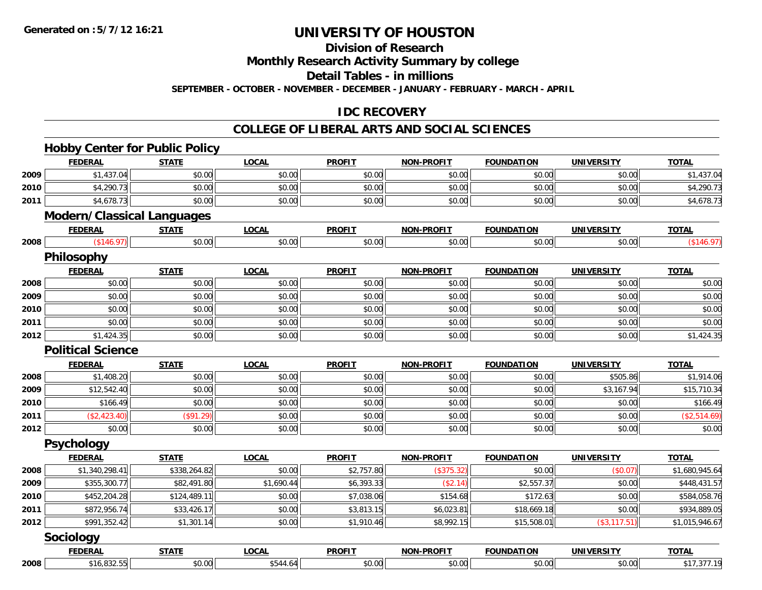**Division of Research**

**Monthly Research Activity Summary by college**

**Detail Tables - in millions**

**SEPTEMBER - OCTOBER - NOVEMBER - DECEMBER - JANUARY - FEBRUARY - MARCH - APRIL**

### **IDC RECOVERY**

#### **COLLEGE OF LIBERAL ARTS AND SOCIAL SCIENCES**

|      | <b>Hobby Center for Public Policy</b> |              |              |               |                   |                   |                   |                |
|------|---------------------------------------|--------------|--------------|---------------|-------------------|-------------------|-------------------|----------------|
|      | <b>FEDERAL</b>                        | <b>STATE</b> | <b>LOCAL</b> | <b>PROFIT</b> | <b>NON-PROFIT</b> | <b>FOUNDATION</b> | <b>UNIVERSITY</b> | <b>TOTAL</b>   |
| 2009 | \$1,437.04                            | \$0.00       | \$0.00       | \$0.00        | \$0.00            | \$0.00            | \$0.00            | \$1,437.04     |
| 2010 | \$4,290.73                            | \$0.00       | \$0.00       | \$0.00        | \$0.00            | \$0.00            | \$0.00            | \$4,290.73     |
| 2011 | \$4,678.73                            | \$0.00       | \$0.00       | \$0.00        | \$0.00            | \$0.00            | \$0.00            | \$4,678.73     |
|      | <b>Modern/Classical Languages</b>     |              |              |               |                   |                   |                   |                |
|      | <b>FEDERAL</b>                        | <b>STATE</b> | <b>LOCAL</b> | <b>PROFIT</b> | <b>NON-PROFIT</b> | <b>FOUNDATION</b> | <b>UNIVERSITY</b> | <b>TOTAL</b>   |
| 2008 | (146.97)                              | \$0.00       | \$0.00       | \$0.00        | \$0.00            | \$0.00            | \$0.00            | (\$146.97)     |
|      | Philosophy                            |              |              |               |                   |                   |                   |                |
|      | <b>FEDERAL</b>                        | <b>STATE</b> | <b>LOCAL</b> | <b>PROFIT</b> | <b>NON-PROFIT</b> | <b>FOUNDATION</b> | <b>UNIVERSITY</b> | <b>TOTAL</b>   |
| 2008 | \$0.00                                | \$0.00       | \$0.00       | \$0.00        | \$0.00            | \$0.00            | \$0.00            | \$0.00         |
| 2009 | \$0.00                                | \$0.00       | \$0.00       | \$0.00        | \$0.00            | \$0.00            | \$0.00            | \$0.00         |
| 2010 | \$0.00                                | \$0.00       | \$0.00       | \$0.00        | \$0.00            | \$0.00            | \$0.00            | \$0.00         |
| 2011 | \$0.00                                | \$0.00       | \$0.00       | \$0.00        | \$0.00            | \$0.00            | \$0.00            | \$0.00         |
| 2012 | \$1,424.35                            | \$0.00       | \$0.00       | \$0.00        | \$0.00            | \$0.00            | \$0.00            | \$1,424.35     |
|      | <b>Political Science</b>              |              |              |               |                   |                   |                   |                |
|      | <b>FEDERAL</b>                        | <b>STATE</b> | <b>LOCAL</b> | <b>PROFIT</b> | <b>NON-PROFIT</b> | <b>FOUNDATION</b> | <b>UNIVERSITY</b> | <b>TOTAL</b>   |
| 2008 | \$1,408.20                            | \$0.00       | \$0.00       | \$0.00        | \$0.00            | \$0.00            | \$505.86          | \$1,914.06     |
| 2009 | \$12,542.40                           | \$0.00       | \$0.00       | \$0.00        | \$0.00            | \$0.00            | \$3,167.94        | \$15,710.34    |
| 2010 | \$166.49                              | \$0.00       | \$0.00       | \$0.00        | \$0.00            | \$0.00            | \$0.00            | \$166.49       |
| 2011 | (\$2,423.40)                          | (\$91.29)    | \$0.00       | \$0.00        | \$0.00            | \$0.00            | \$0.00            | (\$2,514.69)   |
| 2012 | \$0.00                                | \$0.00       | \$0.00       | \$0.00        | \$0.00            | \$0.00            | \$0.00            | \$0.00         |
|      | <b>Psychology</b>                     |              |              |               |                   |                   |                   |                |
|      | <b>FEDERAL</b>                        | <b>STATE</b> | <b>LOCAL</b> | <b>PROFIT</b> | <b>NON-PROFIT</b> | <b>FOUNDATION</b> | <b>UNIVERSITY</b> | <b>TOTAL</b>   |
| 2008 | \$1,340,298.41                        | \$338,264.82 | \$0.00       | \$2,757.80    | (\$375.32)        | \$0.00            | (\$0.07)          | \$1,680,945.64 |
| 2009 | \$355,300.77                          | \$82,491.80  | \$1,690.44   | \$6,393.33    | (\$2.14)          | \$2,557.37        | \$0.00            | \$448,431.57   |
| 2010 | \$452,204.28                          | \$124,489.11 | \$0.00       | \$7,038.06    | \$154.68          | \$172.63          | \$0.00            | \$584,058.76   |
| 2011 | \$872,956.74                          | \$33,426.17  | \$0.00       | \$3,813.15    | \$6,023.81        | \$18,669.18       | \$0.00            | \$934,889.05   |
| 2012 | \$991,352.42                          | \$1,301.14   | \$0.00       | \$1,910.46    | \$8,992.15        | \$15,508.01       | (\$3,117.51)      | \$1,015,946.67 |
|      | <b>Sociology</b>                      |              |              |               |                   |                   |                   |                |
|      | <b>FEDERAL</b>                        | <b>STATE</b> | <b>LOCAL</b> | <b>PROFIT</b> | <b>NON-PROFIT</b> | <b>FOUNDATION</b> | <b>UNIVERSITY</b> | <b>TOTAL</b>   |
| 2008 | \$16,832.55                           | \$0.00       | \$544.64     | \$0.00        | \$0.00            | \$0.00            | \$0.00            | \$17,377.19    |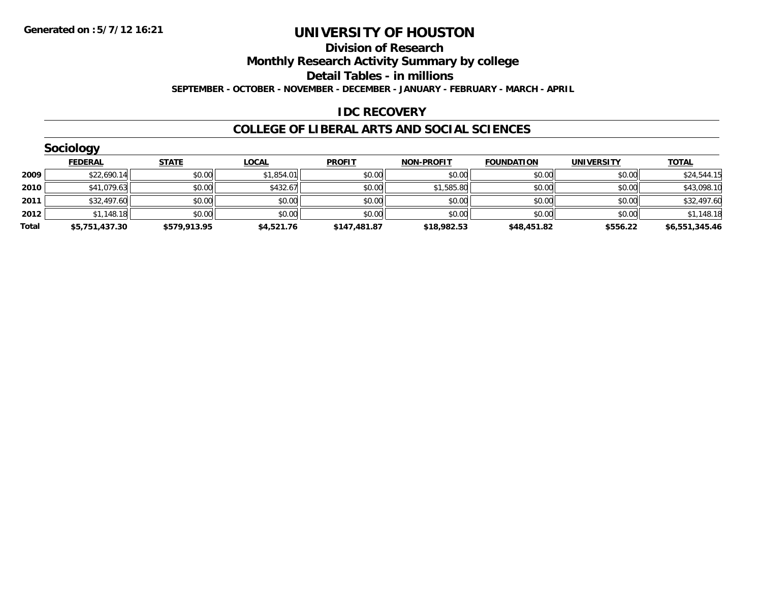**Division of Research**

**Monthly Research Activity Summary by college**

**Detail Tables - in millions**

**SEPTEMBER - OCTOBER - NOVEMBER - DECEMBER - JANUARY - FEBRUARY - MARCH - APRIL**

#### **IDC RECOVERY**

#### **COLLEGE OF LIBERAL ARTS AND SOCIAL SCIENCES**

|       | Sociology      |              |              |               |                   |                   |                   |                |
|-------|----------------|--------------|--------------|---------------|-------------------|-------------------|-------------------|----------------|
|       | <b>FEDERAL</b> | <b>STATE</b> | <u>LOCAL</u> | <b>PROFIT</b> | <b>NON-PROFIT</b> | <b>FOUNDATION</b> | <b>UNIVERSITY</b> | <b>TOTAL</b>   |
| 2009  | \$22,690.14    | \$0.00       | \$1,854.01   | \$0.00        | \$0.00            | \$0.00            | \$0.00            | \$24,544.15    |
| 2010  | \$41,079.63    | \$0.00       | \$432.67     | \$0.00        | \$1,585.80        | \$0.00            | \$0.00            | \$43,098.10    |
| 2011  | \$32,497.60    | \$0.00       | \$0.00       | \$0.00        | \$0.00            | \$0.00            | \$0.00            | \$32,497.60    |
| 2012  | \$1,148.18     | \$0.00       | \$0.00       | \$0.00        | \$0.00            | \$0.00            | \$0.00            | \$1,148.18     |
| Total | \$5,751,437.30 | \$579,913.95 | \$4,521.76   | \$147,481.87  | \$18,982.53       | \$48,451.82       | \$556.22          | \$6,551,345.46 |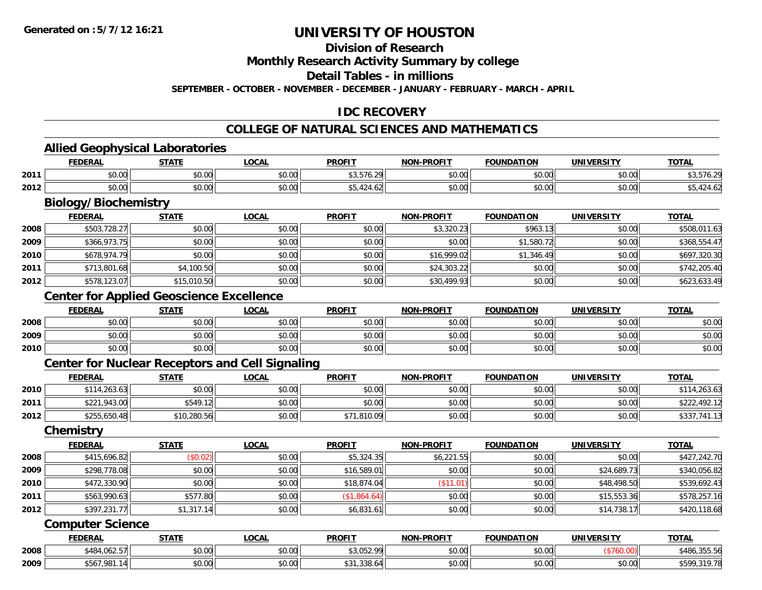#### **Division of Research**

**Monthly Research Activity Summary by college**

**Detail Tables - in millions**

**SEPTEMBER - OCTOBER - NOVEMBER - DECEMBER - JANUARY - FEBRUARY - MARCH - APRIL**

## **IDC RECOVERY**

#### **COLLEGE OF NATURAL SCIENCES AND MATHEMATICS**

**TOTAL** 

**TOTAL** 

#### **Allied Geophysical Laboratories FEDERAL STATE LOCAL PROFIT NON-PROFIT FOUNDATION UNIVERSITY TOTAL2011** \$0.00 \$0.00 \$0.00 \$3,576.29 \$0.00 \$0.00 \$0.00 \$3,576.29 **2012** $\texttt{2} \mid \texttt{30.00} \mid \texttt{40.00} \mid \texttt{50.00} \mid \texttt{50.00} \mid \texttt{60.00} \mid \texttt{60.00} \mid \texttt{75.424.62} \mid \texttt{75.424.62} \mid \texttt{75.424.62} \mid \texttt{75.424.62} \mid \texttt{75.424.62} \mid \texttt{75.424.62} \mid \texttt{75.424.62} \mid \texttt{75.424.62} \mid \texttt{75.424.6$ **Biology/Biochemistry FEDERAL STATE LOCAL PROFIT NON-PROFIT FOUNDATION UNIVERSITY TOTAL2008**8 \$503,728.27 \$0.00 \$0.00 \$0.00 \$0.00 \$0.00 \$0.00 \$0.00 \$3,320.23 \$963.13 \$963.13 \$0.00 \$508,011.63 **2009** \$366,973.75 \$0.00 \$0.00 \$0.00 \$0.00 \$1,580.72 \$0.00 \$368,554.47 **2010** \$678,974.79 \$0.00 \$0.00 \$0.00 \$16,999.02 \$1,346.49 \$0.00 \$697,320.30 **2011**1 \$713,801.68 \$4,100.50 \$4,100.50 \$0.00 \$0.00 \$0.00 \$0.00 \$24,303.22 \$0.00 \$0.00 \$742,205.40

#### **Center for Applied Geoscience Excellence**

|      | <b>FEDERAL</b> | <b>STATE</b>          | _OCAL  | <b>PROFIT</b> | <b>M-PROFIT</b><br>NON | <b>FOUNDATION</b> | <b>UNIVERSITY</b> | <b>TOTAL</b> |
|------|----------------|-----------------------|--------|---------------|------------------------|-------------------|-------------------|--------------|
| 2008 | 0000<br>,u.uu  | ሖ ∩<br>JU.UU          | \$0.00 | \$0.00        | 0000<br>JU.UU          | \$0.00            | \$0.00            | \$0.00       |
| 2009 | 0000<br>,u.uu  | $\sim$ 00<br>JU.UU    | \$0.00 | \$0.00        | 40.00<br>PO.OO         | \$0.00            | \$0.00            | \$0.00       |
| 2010 | \$0.00         | ¢∩<br>$\sim$<br>JU.UU | \$0.00 | \$0.00        | \$0.00                 | \$0.00            | \$0.00            | \$0.00       |

\$578,123.07 \$15,010.50 \$0.00 \$0.00 \$30,499.93 \$0.00 \$0.00 \$623,633.49

#### **Center for Nuclear Receptors and Cell Signaling**

|      | <b>FEDERAL</b> | <b>STATE</b> | <u>LOCAL</u> | <b>PROFIT</b> | <b>NON-PROFIT</b> | <b>FOUNDATION</b> | UNIVERSITY | <b>TOTAL</b>     |
|------|----------------|--------------|--------------|---------------|-------------------|-------------------|------------|------------------|
| 2010 | \$114,263.63   | \$0.00       | \$0.00       | \$0.00        | \$0.00            | \$0.00            | \$0.00     | \$114,263.63     |
| 2011 | \$221,943.00   | 549.17ء      | \$0.00       | \$0.00        | \$0.00            | \$0.00            | \$0.00     | \$222,492.12     |
| 2012 | \$255,650.48   | \$10,280.56  | \$0.00       | \$71,810.09   | \$0.00            | \$0.00            | \$0.00     | .741.13<br>\$337 |

#### **Chemistry**

**2012**

|      | <b>FEDERAL</b> | <b>STATE</b> | <u>LOCAL</u> | <b>PROFIT</b> | <b>NON-PROFIT</b> | <b>FOUNDATION</b> | UNIVERSITY  | <b>TOTAL</b> |
|------|----------------|--------------|--------------|---------------|-------------------|-------------------|-------------|--------------|
| 2008 | \$415,696.82   | (\$0.02)     | \$0.00       | \$5,324.35    | \$6,221.55        | \$0.00            | \$0.00      | \$427,242.70 |
| 2009 | \$298,778.08   | \$0.00       | \$0.00       | \$16,589.01   | \$0.00            | \$0.00            | \$24,689.73 | \$340,056.82 |
| 2010 | \$472,330.90   | \$0.00       | \$0.00       | \$18,874.04   | \$11.01           | \$0.00            | \$48,498.50 | \$539,692.43 |
| 2011 | \$563,990.63   | \$577.80     | \$0.00       | \$1,864.64)   | \$0.00            | \$0.00            | \$15,553,36 | \$578,257.16 |
| 2012 | \$397,231.77   | \$1,317.14   | \$0.00       | \$6,831.61    | \$0.00            | \$0.00            | \$14,738.17 | \$420,118.68 |

#### **Computer Science**

|      | <b>FEDERAL</b> | <b>CTATI</b> | 00n<br>.UU.A           | <b>PROFIT</b>                                          | <b>DDAEIT</b><br><b>NIONI</b> | UNDATION<br>-^         |                    | т∩тл                                        |
|------|----------------|--------------|------------------------|--------------------------------------------------------|-------------------------------|------------------------|--------------------|---------------------------------------------|
| 2008 | \$484,062.57   | \$0.00       | $\sim$ $\sim$<br>JU.UU | $\uparrow$ $\uparrow$ $\uparrow$ $\uparrow$<br>. ے ب ب | $\sim$ 00<br>JU.UU            | $\sim$ $\sim$<br>JU.UU |                    | \$486<br>$  \cdot$ $-$<br>- . J J J . J L . |
| 2009 | 7 0 9 1        | \$0.00       | $\sim$ 00<br>JU.UU     | າາດ<br>338.D                                           | $\sim$ 00<br>DU.UU            | $\sim$ $\sim$<br>JU.UU | $\sim$ 00<br>JU.UU | $+ - - -$<br>319 78<br>۶۵۶<br>. 7. 70       |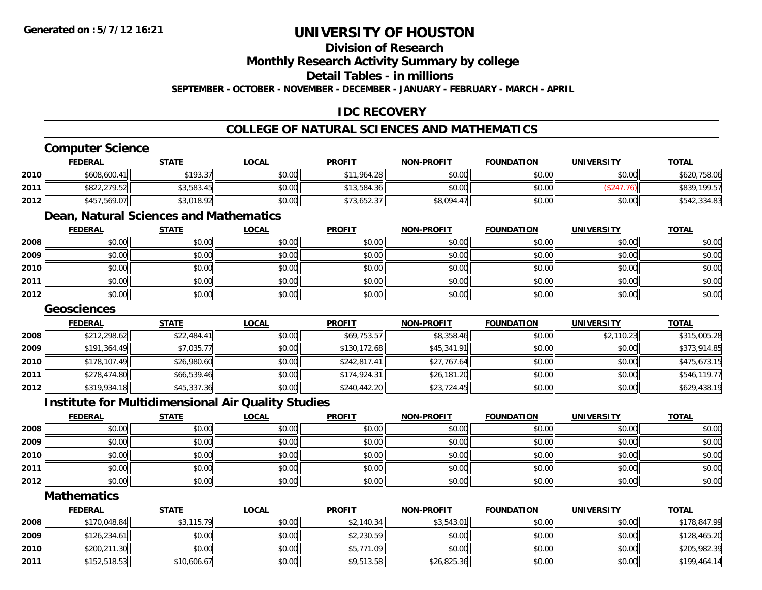### **Division of Research**

**Monthly Research Activity Summary by college**

**Detail Tables - in millions**

**SEPTEMBER - OCTOBER - NOVEMBER - DECEMBER - JANUARY - FEBRUARY - MARCH - APRIL**

## **IDC RECOVERY**

## **COLLEGE OF NATURAL SCIENCES AND MATHEMATICS**

## **Computer Science**

|      | <b>FEDERAL</b> | <u>STATE</u> | <u>LOCAL</u> | <b>PROFIT</b> | <b>NON-PROFIT</b> | <b>FOUNDATION</b> | <b>UNIVERSITY</b> | <b>TOTAL</b> |
|------|----------------|--------------|--------------|---------------|-------------------|-------------------|-------------------|--------------|
| 2010 | \$608,600.41   | \$193.37     | \$0.00       | ,964.28       | \$0.00            | \$0.00            | \$0.00            | \$620,758.06 |
| 2011 | \$822,279.52   | \$3,583.45   | \$0.00       | \$13,584.36   | \$0.00            | \$0.00            |                   | \$839,199.57 |
| 2012 | \$457,569.07   | \$3,018.92   | \$0.00       | \$73,652.37   | \$8,094.47        | \$0.00            | \$0.00            | \$542,334.83 |

# **Dean, Natural Sciences and Mathematics**

|      | <b>FEDERAL</b> | <b>STATE</b> | <u>LOCAL</u> | <b>PROFIT</b> | <b>NON-PROFIT</b> | <b>FOUNDATION</b> | <b>UNIVERSITY</b> | <b>TOTAL</b> |
|------|----------------|--------------|--------------|---------------|-------------------|-------------------|-------------------|--------------|
| 2008 | \$0.00         | \$0.00       | \$0.00       | \$0.00        | \$0.00            | \$0.00            | \$0.00            | \$0.00       |
| 2009 | \$0.00         | \$0.00       | \$0.00       | \$0.00        | \$0.00            | \$0.00            | \$0.00            | \$0.00       |
| 2010 | \$0.00         | \$0.00       | \$0.00       | \$0.00        | \$0.00            | \$0.00            | \$0.00            | \$0.00       |
| 2011 | \$0.00         | \$0.00       | \$0.00       | \$0.00        | \$0.00            | \$0.00            | \$0.00            | \$0.00       |
| 2012 | \$0.00         | \$0.00       | \$0.00       | \$0.00        | \$0.00            | \$0.00            | \$0.00            | \$0.00       |

#### **Geosciences**

|      | <b>FEDERAL</b> | <b>STATE</b> | <b>LOCAL</b> | <b>PROFIT</b> | <b>NON-PROFIT</b> | <b>FOUNDATION</b> | <b>UNIVERSITY</b> | <b>TOTAL</b> |
|------|----------------|--------------|--------------|---------------|-------------------|-------------------|-------------------|--------------|
| 2008 | \$212,298.62   | \$22,484.41  | \$0.00       | \$69,753.57   | \$8,358.46        | \$0.00            | \$2,110.23        | \$315,005.28 |
| 2009 | \$191,364.49   | \$7,035.77   | \$0.00       | \$130,172.68  | \$45,341.91       | \$0.00            | \$0.00            | \$373,914.85 |
| 2010 | \$178,107.49   | \$26,980.60  | \$0.00       | \$242.817.41  | \$27,767.64       | \$0.00            | \$0.00            | \$475,673.15 |
| 2011 | \$278,474.80   | \$66,539.46  | \$0.00       | \$174.924.31  | \$26,181.20       | \$0.00            | \$0.00            | \$546,119.77 |
| 2012 | \$319,934.18   | \$45,337.36  | \$0.00       | \$240,442.20  | \$23,724.45       | \$0.00            | \$0.00            | \$629,438.19 |

#### **Institute for Multidimensional Air Quality Studies**

|      | <u>FEDERAL</u> | <b>STATE</b> | <b>LOCAL</b> | <b>PROFIT</b> | <b>NON-PROFIT</b> | <b>FOUNDATION</b> | <b>UNIVERSITY</b> | <b>TOTAL</b> |
|------|----------------|--------------|--------------|---------------|-------------------|-------------------|-------------------|--------------|
| 2008 | \$0.00         | \$0.00       | \$0.00       | \$0.00        | \$0.00            | \$0.00            | \$0.00            | \$0.00       |
| 2009 | \$0.00         | \$0.00       | \$0.00       | \$0.00        | \$0.00            | \$0.00            | \$0.00            | \$0.00       |
| 2010 | \$0.00         | \$0.00       | \$0.00       | \$0.00        | \$0.00            | \$0.00            | \$0.00            | \$0.00       |
| 2011 | \$0.00         | \$0.00       | \$0.00       | \$0.00        | \$0.00            | \$0.00            | \$0.00            | \$0.00       |
| 2012 | \$0.00         | \$0.00       | \$0.00       | \$0.00        | \$0.00            | \$0.00            | \$0.00            | \$0.00       |

#### **Mathematics**

|      | <b>FEDERAL</b> | <b>STATE</b> | <u>LOCAL</u> | <b>PROFIT</b> | <b>NON-PROFIT</b> | <b>FOUNDATION</b> | <b>UNIVERSITY</b> | <b>TOTAL</b> |
|------|----------------|--------------|--------------|---------------|-------------------|-------------------|-------------------|--------------|
| 2008 | \$170,048.84   | \$3,115.79   | \$0.00       | \$2,140.34    | \$3,543.01        | \$0.00            | \$0.00            | \$178,847.99 |
| 2009 | \$126, 234.61  | \$0.00       | \$0.00       | \$2,230.59    | \$0.00            | \$0.00            | \$0.00            | \$128,465.20 |
| 2010 | \$200,211.30   | \$0.00       | \$0.00       | \$5,771.09    | \$0.00            | \$0.00            | \$0.00            | \$205,982.39 |
| 2011 | \$152,518.53   | \$10,606.67  | \$0.00       | \$9,513.58    | \$26,825.36       | \$0.00            | \$0.00            | \$199,464.14 |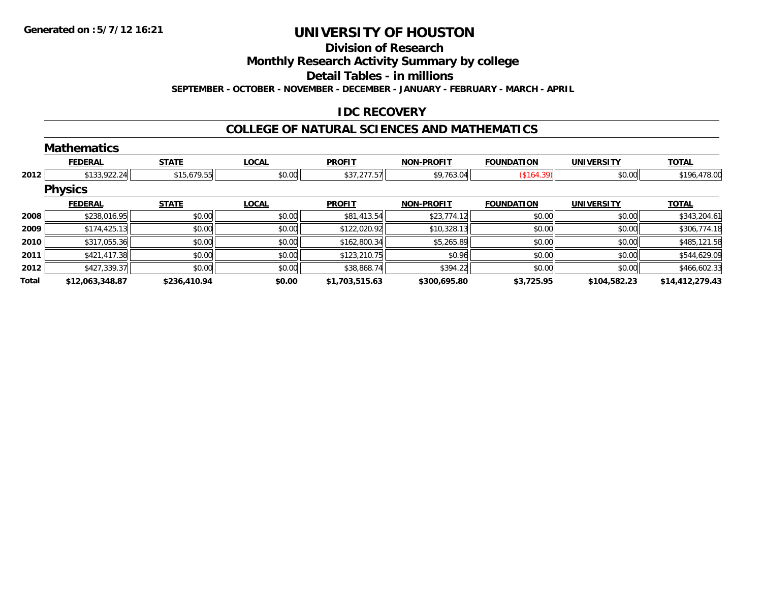#### **Division of Research**

**Monthly Research Activity Summary by college**

**Detail Tables - in millions**

**SEPTEMBER - OCTOBER - NOVEMBER - DECEMBER - JANUARY - FEBRUARY - MARCH - APRIL**

#### **IDC RECOVERY**

#### **COLLEGE OF NATURAL SCIENCES AND MATHEMATICS**

|       | <b>Mathematics</b> |              |              |                |                   |                   |                   |                 |
|-------|--------------------|--------------|--------------|----------------|-------------------|-------------------|-------------------|-----------------|
|       | <b>FEDERAL</b>     | <b>STATE</b> | <b>LOCAL</b> | <b>PROFIT</b>  | <b>NON-PROFIT</b> | <b>FOUNDATION</b> | <b>UNIVERSITY</b> | <b>TOTAL</b>    |
| 2012  | \$133,922.24       | \$15,679.55  | \$0.00       | \$37,277.57    | \$9,763.04        | (\$164.39)        | \$0.00            | \$196,478.00    |
|       | <b>Physics</b>     |              |              |                |                   |                   |                   |                 |
|       | <b>FEDERAL</b>     | <b>STATE</b> | <b>LOCAL</b> | <b>PROFIT</b>  | <b>NON-PROFIT</b> | <b>FOUNDATION</b> | <b>UNIVERSITY</b> | <b>TOTAL</b>    |
| 2008  | \$238,016.95       | \$0.00       | \$0.00       | \$81,413.54    | \$23,774.12       | \$0.00            | \$0.00            | \$343,204.61    |
| 2009  | \$174,425.13       | \$0.00       | \$0.00       | \$122,020.92   | \$10,328.13       | \$0.00            | \$0.00            | \$306,774.18    |
| 2010  | \$317,055.36       | \$0.00       | \$0.00       | \$162,800.34   | \$5,265.89        | \$0.00            | \$0.00            | \$485,121.58    |
| 2011  | \$421,417.38       | \$0.00       | \$0.00       | \$123,210.75   | \$0.96            | \$0.00            | \$0.00            | \$544,629.09    |
| 2012  | \$427,339.37       | \$0.00       | \$0.00       | \$38,868.74    | \$394.22          | \$0.00            | \$0.00            | \$466,602.33    |
| Total | \$12,063,348.87    | \$236,410.94 | \$0.00       | \$1,703,515.63 | \$300,695.80      | \$3,725.95        | \$104,582.23      | \$14,412,279.43 |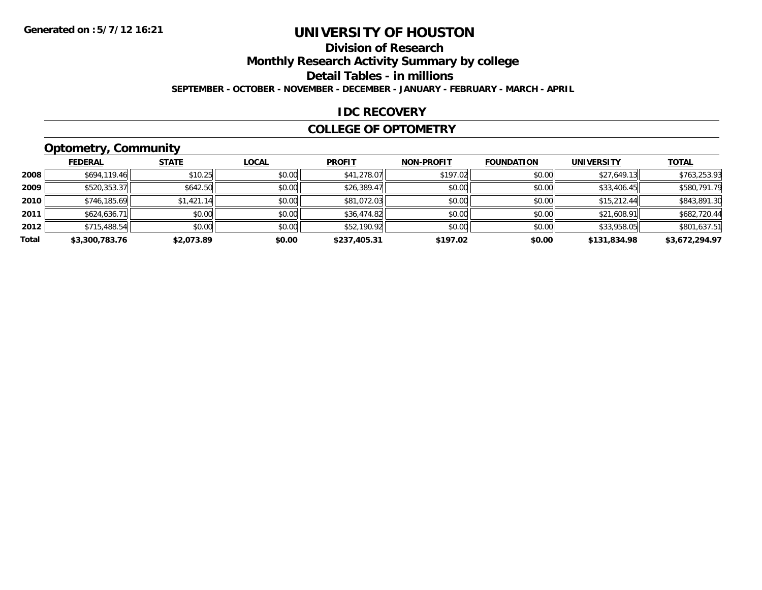## **Division of Research**

**Monthly Research Activity Summary by college**

**Detail Tables - in millions**

**SEPTEMBER - OCTOBER - NOVEMBER - DECEMBER - JANUARY - FEBRUARY - MARCH - APRIL**

#### **IDC RECOVERY**

#### **COLLEGE OF OPTOMETRY**

## **Optometry, Community**

|       | .              |              |              |               |                   |                   |                   |                |
|-------|----------------|--------------|--------------|---------------|-------------------|-------------------|-------------------|----------------|
|       | <b>FEDERAL</b> | <b>STATE</b> | <u>LOCAL</u> | <b>PROFIT</b> | <b>NON-PROFIT</b> | <b>FOUNDATION</b> | <b>UNIVERSITY</b> | <b>TOTAL</b>   |
| 2008  | \$694,119.46   | \$10.25      | \$0.00       | \$41,278.07   | \$197.02          | \$0.00            | \$27,649.13       | \$763,253.93   |
| 2009  | \$520,353.37   | \$642.50     | \$0.00       | \$26,389.47   | \$0.00            | \$0.00            | \$33,406.45       | \$580.791.79   |
| 2010  | \$746,185.69   | \$1,421.14   | \$0.00       | \$81,072.03   | \$0.00            | \$0.00            | \$15,212.44       | \$843,891.30   |
| 2011  | \$624,636.71   | \$0.00       | \$0.00       | \$36,474.82   | \$0.00            | \$0.00            | \$21,608.91       | \$682,720.44   |
| 2012  | \$715,488.54   | \$0.00       | \$0.00       | \$52,190.92   | \$0.00            | \$0.00            | \$33,958.05       | \$801,637.51   |
| Total | \$3,300,783.76 | \$2,073.89   | \$0.00       | \$237,405.31  | \$197.02          | \$0.00            | \$131,834.98      | \$3,672,294.97 |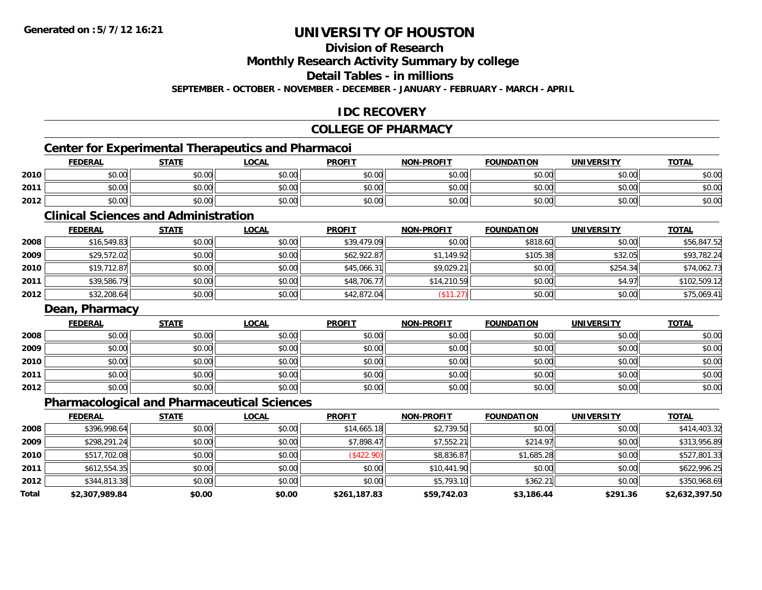**Division of Research**

**Monthly Research Activity Summary by college**

**Detail Tables - in millions**

**SEPTEMBER - OCTOBER - NOVEMBER - DECEMBER - JANUARY - FEBRUARY - MARCH - APRIL**

## **IDC RECOVERY**

### **COLLEGE OF PHARMACY**

## **Center for Experimental Therapeutics and Pharmacoi**

|      | Center for Experimental Therapeutics and Pharmacol |        |              |               |                   |                   |            |              |
|------|----------------------------------------------------|--------|--------------|---------------|-------------------|-------------------|------------|--------------|
|      | <b>FEDERAL</b>                                     | STATE  | <u>LOCAL</u> | <b>PROFIT</b> | <b>NON-PROFIT</b> | <b>FOUNDATION</b> | UNIVERSITY | <b>TOTAL</b> |
| 2010 | \$0.00                                             | \$0.00 | \$0.00       | \$0.00        | \$0.00            | \$0.00            | \$0.00     | \$0.00       |
| 2011 | \$0.00                                             | \$0.00 | \$0.00       | \$0.00        | \$0.00            | \$0.00            | \$0.00     | \$0.00       |
| 2012 | \$0.00                                             | \$0.00 | \$0.00       | \$0.00        | \$0.00            | \$0.00            | \$0.00     | \$0.00       |

#### **Clinical Sciences and Administration**

|      | <b>FEDERAL</b> | <b>STATE</b> | <b>LOCAL</b> | <b>PROFIT</b> | <b>NON-PROFIT</b> | <b>FOUNDATION</b> | UNIVERSITY | <b>TOTAL</b> |
|------|----------------|--------------|--------------|---------------|-------------------|-------------------|------------|--------------|
| 2008 | \$16,549.83    | \$0.00       | \$0.00       | \$39,479.09   | \$0.00            | \$818.60          | \$0.00     | \$56,847.52  |
| 2009 | \$29,572.02    | \$0.00       | \$0.00       | \$62,922.87   | \$1,149.92        | \$105.38          | \$32.05    | \$93,782.24  |
| 2010 | \$19,712.87    | \$0.00       | \$0.00       | \$45,066.31   | \$9,029.21        | \$0.00            | \$254.34   | \$74,062.73  |
| 2011 | \$39,586.79    | \$0.00       | \$0.00       | \$48,706.77   | \$14,210.59       | \$0.00            | \$4.97     | \$102,509.12 |
| 2012 | \$32,208.64    | \$0.00       | \$0.00       | \$42,872.04   | \$11.27           | \$0.00            | \$0.00     | \$75,069.41  |

#### **Dean, Pharmacy**

|      | <b>FEDERAL</b> | <b>STATE</b> | <u>LOCAL</u> | <b>PROFIT</b> | <b>NON-PROFIT</b> | <b>FOUNDATION</b> | <b>UNIVERSITY</b> | <b>TOTAL</b> |
|------|----------------|--------------|--------------|---------------|-------------------|-------------------|-------------------|--------------|
| 2008 | \$0.00         | \$0.00       | \$0.00       | \$0.00        | \$0.00            | \$0.00            | \$0.00            | \$0.00       |
| 2009 | \$0.00         | \$0.00       | \$0.00       | \$0.00        | \$0.00            | \$0.00            | \$0.00            | \$0.00       |
| 2010 | \$0.00         | \$0.00       | \$0.00       | \$0.00        | \$0.00            | \$0.00            | \$0.00            | \$0.00       |
| 2011 | \$0.00         | \$0.00       | \$0.00       | \$0.00        | \$0.00            | \$0.00            | \$0.00            | \$0.00       |
| 2012 | \$0.00         | \$0.00       | \$0.00       | \$0.00        | \$0.00            | \$0.00            | \$0.00            | \$0.00       |

## **Pharmacological and Pharmaceutical Sciences**

|       | <b>FEDERAL</b> | <b>STATE</b> | <b>LOCAL</b> | <b>PROFIT</b> | <b>NON-PROFIT</b> | <b>FOUNDATION</b> | <b>UNIVERSITY</b> | <b>TOTAL</b>   |
|-------|----------------|--------------|--------------|---------------|-------------------|-------------------|-------------------|----------------|
| 2008  | \$396,998.64   | \$0.00       | \$0.00       | \$14,665.18   | \$2,739.50        | \$0.00            | \$0.00            | \$414,403.32   |
| 2009  | \$298,291.24   | \$0.00       | \$0.00       | \$7,898.47    | \$7,552.21        | \$214.97          | \$0.00            | \$313,956.89   |
| 2010  | \$517,702.08   | \$0.00       | \$0.00       | (S422.90)     | \$8,836.87        | \$1,685.28        | \$0.00            | \$527,801.33   |
| 2011  | \$612,554.35   | \$0.00       | \$0.00       | \$0.00        | \$10,441.90       | \$0.00            | \$0.00            | \$622,996.25   |
| 2012  | \$344,813.38   | \$0.00       | \$0.00       | \$0.00        | \$5,793.10        | \$362.21          | \$0.00            | \$350,968.69   |
| Total | \$2,307,989.84 | \$0.00       | \$0.00       | \$261,187.83  | \$59,742.03       | \$3,186.44        | \$291.36          | \$2,632,397.50 |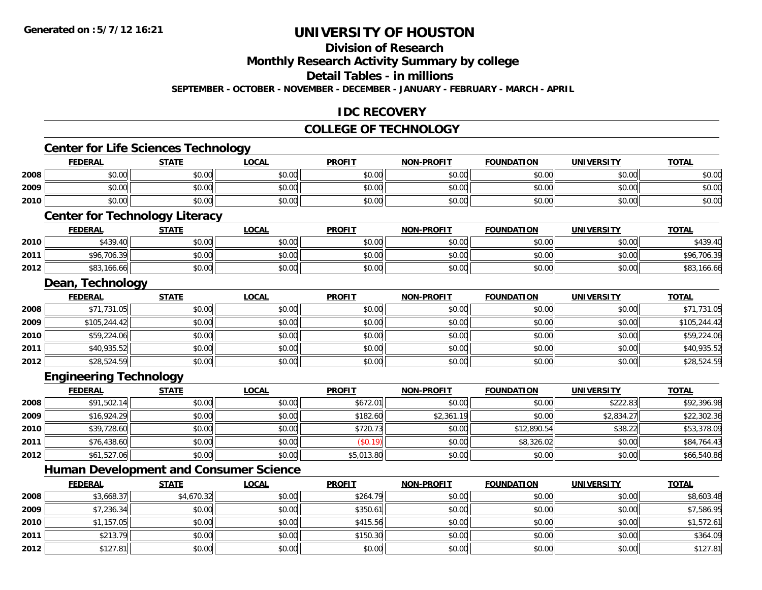**2012**

# **UNIVERSITY OF HOUSTON**

# **Division of Research**

**Monthly Research Activity Summary by college**

**Detail Tables - in millions**

**SEPTEMBER - OCTOBER - NOVEMBER - DECEMBER - JANUARY - FEBRUARY - MARCH - APRIL**

#### **IDC RECOVERY**

#### **COLLEGE OF TECHNOLOGY**

|      | <b>Center for Life Sciences Technology</b>    |              |              |               |                   |                   |                   |              |
|------|-----------------------------------------------|--------------|--------------|---------------|-------------------|-------------------|-------------------|--------------|
|      | <b>FEDERAL</b>                                | <b>STATE</b> | <b>LOCAL</b> | <b>PROFIT</b> | <b>NON-PROFIT</b> | <b>FOUNDATION</b> | <b>UNIVERSITY</b> | <b>TOTAL</b> |
| 2008 | \$0.00                                        | \$0.00       | \$0.00       | \$0.00        | \$0.00            | \$0.00            | \$0.00            | \$0.00       |
| 2009 | \$0.00                                        | \$0.00       | \$0.00       | \$0.00        | \$0.00            | \$0.00            | \$0.00            | \$0.00       |
| 2010 | \$0.00                                        | \$0.00       | \$0.00       | \$0.00        | \$0.00            | \$0.00            | \$0.00            | \$0.00       |
|      | <b>Center for Technology Literacy</b>         |              |              |               |                   |                   |                   |              |
|      | <b>FEDERAL</b>                                | <b>STATE</b> | <b>LOCAL</b> | <b>PROFIT</b> | <b>NON-PROFIT</b> | <b>FOUNDATION</b> | <b>UNIVERSITY</b> | <b>TOTAL</b> |
| 2010 | \$439.40                                      | \$0.00       | \$0.00       | \$0.00        | \$0.00            | \$0.00            | \$0.00            | \$439.40     |
| 2011 | \$96,706.39                                   | \$0.00       | \$0.00       | \$0.00        | \$0.00            | \$0.00            | \$0.00            | \$96,706.39  |
| 2012 | \$83,166.66                                   | \$0.00       | \$0.00       | \$0.00        | \$0.00            | \$0.00            | \$0.00            | \$83,166.66  |
|      | Dean, Technology                              |              |              |               |                   |                   |                   |              |
|      | <b>FEDERAL</b>                                | <b>STATE</b> | <b>LOCAL</b> | <b>PROFIT</b> | <b>NON-PROFIT</b> | <b>FOUNDATION</b> | <b>UNIVERSITY</b> | <b>TOTAL</b> |
| 2008 | \$71,731.05                                   | \$0.00       | \$0.00       | \$0.00        | \$0.00            | \$0.00            | \$0.00            | \$71,731.05  |
| 2009 | \$105,244.42                                  | \$0.00       | \$0.00       | \$0.00        | \$0.00            | \$0.00            | \$0.00            | \$105,244.42 |
| 2010 | \$59,224.06                                   | \$0.00       | \$0.00       | \$0.00        | \$0.00            | \$0.00            | \$0.00            | \$59,224.06  |
| 2011 | \$40,935.52                                   | \$0.00       | \$0.00       | \$0.00        | \$0.00            | \$0.00            | \$0.00            | \$40,935.52  |
| 2012 | \$28,524.59                                   | \$0.00       | \$0.00       | \$0.00        | \$0.00            | \$0.00            | \$0.00            | \$28,524.59  |
|      | <b>Engineering Technology</b>                 |              |              |               |                   |                   |                   |              |
|      | <b>FEDERAL</b>                                | <b>STATE</b> | <b>LOCAL</b> | <b>PROFIT</b> | <b>NON-PROFIT</b> | <b>FOUNDATION</b> | <b>UNIVERSITY</b> | <b>TOTAL</b> |
| 2008 | \$91,502.14                                   | \$0.00       | \$0.00       | \$672.01      | \$0.00            | \$0.00            | \$222.83          | \$92,396.98  |
| 2009 | \$16,924.29                                   | \$0.00       | \$0.00       | \$182.60      | \$2,361.19        | \$0.00            | \$2,834.27        | \$22,302.36  |
| 2010 | \$39,728.60                                   | \$0.00       | \$0.00       | \$720.73      | \$0.00            | \$12,890.54       | \$38.22           | \$53,378.09  |
| 2011 | \$76,438.60                                   | \$0.00       | \$0.00       | (\$0.19)      | \$0.00            | \$8,326.02        | \$0.00            | \$84,764.43  |
| 2012 | \$61,527.06                                   | \$0.00       | \$0.00       | \$5,013.80    | \$0.00            | \$0.00            | \$0.00            | \$66,540.86  |
|      | <b>Human Development and Consumer Science</b> |              |              |               |                   |                   |                   |              |
|      | <b>FEDERAL</b>                                | <b>STATE</b> | <b>LOCAL</b> | <b>PROFIT</b> | <b>NON-PROFIT</b> | <b>FOUNDATION</b> | <b>UNIVERSITY</b> | <b>TOTAL</b> |
| 2008 | \$3,668.37                                    | \$4,670.32   | \$0.00       | \$264.79      | \$0.00            | \$0.00            | \$0.00            | \$8,603.48   |
| 2009 | \$7,236.34                                    | \$0.00       | \$0.00       | \$350.61      | \$0.00            | \$0.00            | \$0.00            | \$7,586.95   |
| 2010 | \$1,157.05                                    | \$0.00       | \$0.00       | \$415.56      | \$0.00            | \$0.00            | \$0.00            | \$1,572.61   |
| 2011 | \$213.79                                      | \$0.00       | \$0.00       | \$150.30      | \$0.00            | \$0.00            | \$0.00            | \$364.09     |

2 \$127.81 \$0.00 \$0.00 \$0.00 \$0.00 \$0.00 \$0.00 \$0.00 \$0.00 \$0.00 \$0.00 \$0.00 \$0.00 \$127.81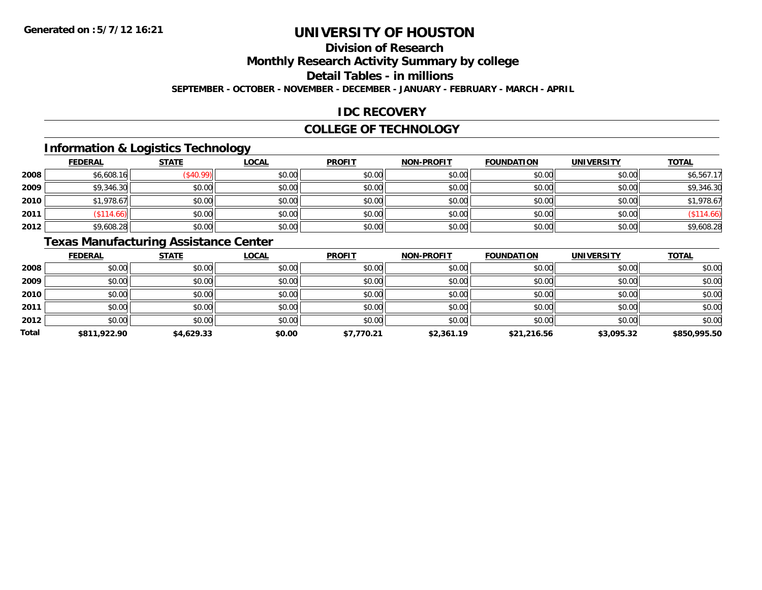## **Division of Research**

**Monthly Research Activity Summary by college**

**Detail Tables - in millions**

**SEPTEMBER - OCTOBER - NOVEMBER - DECEMBER - JANUARY - FEBRUARY - MARCH - APRIL**

#### **IDC RECOVERY**

#### **COLLEGE OF TECHNOLOGY**

## **Information & Logistics Technology**

|      | <b>FEDERAL</b> | <b>STATE</b> | <b>LOCAL</b> | <b>PROFIT</b> | <b>NON-PROFIT</b> | <b>FOUNDATION</b> | <b>UNIVERSITY</b> | <b>TOTAL</b> |
|------|----------------|--------------|--------------|---------------|-------------------|-------------------|-------------------|--------------|
| 2008 | \$6,608.16     | \$40.99      | \$0.00       | \$0.00        | \$0.00            | \$0.00            | \$0.00            | \$6,567.17   |
| 2009 | \$9,346.30     | \$0.00       | \$0.00       | \$0.00        | \$0.00            | \$0.00            | \$0.00            | \$9,346.30   |
| 2010 | \$1,978.67     | \$0.00       | \$0.00       | \$0.00        | \$0.00            | \$0.00            | \$0.00            | \$1,978.67   |
| 2011 | \$114.66       | \$0.00       | \$0.00       | \$0.00        | \$0.00            | \$0.00            | \$0.00            | (\$114.66)   |
| 2012 | \$9,608.28     | \$0.00       | \$0.00       | \$0.00        | \$0.00            | \$0.00            | \$0.00            | \$9,608.28   |

## **Texas Manufacturing Assistance Center**

|              | <b>FEDERAL</b> | <b>STATE</b> | <b>LOCAL</b> | <b>PROFIT</b> | <b>NON-PROFIT</b> | <b>FOUNDATION</b> | UNIVERSITY | <b>TOTAL</b> |
|--------------|----------------|--------------|--------------|---------------|-------------------|-------------------|------------|--------------|
| 2008         | \$0.00         | \$0.00       | \$0.00       | \$0.00        | \$0.00            | \$0.00            | \$0.00     | \$0.00       |
| 2009         | \$0.00         | \$0.00       | \$0.00       | \$0.00        | \$0.00            | \$0.00            | \$0.00     | \$0.00       |
| 2010         | \$0.00         | \$0.00       | \$0.00       | \$0.00        | \$0.00            | \$0.00            | \$0.00     | \$0.00       |
| 2011         | \$0.00         | \$0.00       | \$0.00       | \$0.00        | \$0.00            | \$0.00            | \$0.00     | \$0.00       |
| 2012         | \$0.00         | \$0.00       | \$0.00       | \$0.00        | \$0.00            | \$0.00            | \$0.00     | \$0.00       |
| <b>Total</b> | \$811,922.90   | \$4,629.33   | \$0.00       | \$7,770.21    | \$2,361.19        | \$21,216.56       | \$3,095.32 | \$850,995.50 |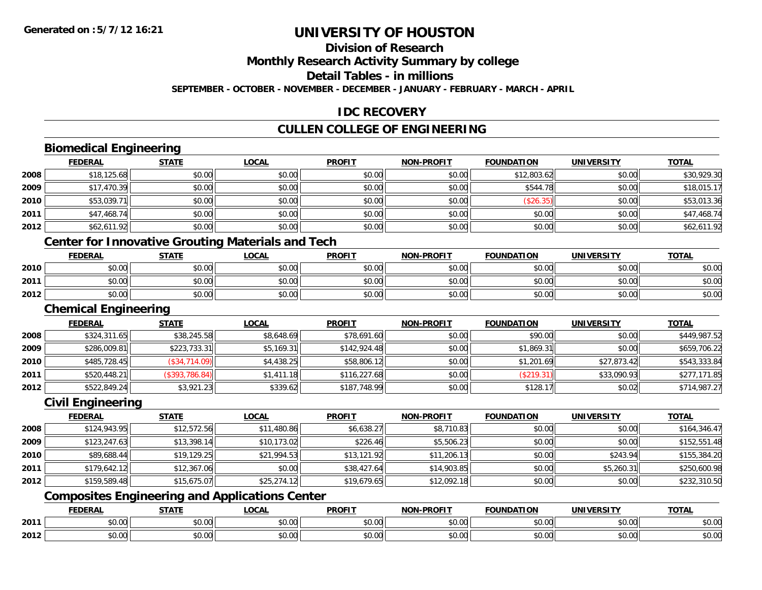**2012**

# **UNIVERSITY OF HOUSTON**

#### **Division of Research**

**Monthly Research Activity Summary by college**

**Detail Tables - in millions**

**SEPTEMBER - OCTOBER - NOVEMBER - DECEMBER - JANUARY - FEBRUARY - MARCH - APRIL**

#### **IDC RECOVERY**

#### **CULLEN COLLEGE OF ENGINEERING**

#### **Biomedical Engineering FEDERAL STATE LOCAL PROFIT NON-PROFIT FOUNDATION UNIVERSITY TOTALTOTAL 2008**8 \$18,125.68 \$18,029.30 \$0.00 \$0.00 \$0.00 \$0.00 \$0.00 \$0.00 \$0.00 \$12,803.62 \$12,803.62 \$0.00 \$30,929.30 **2009** \$17,470.39 \$0.00 \$0.00 \$0.00 \$0.00 \$544.78 \$0.00 \$18,015.17 **2010** $\textsf{[0]} \quad \textsf{[0]} \quad \textsf{[0]} \quad \textsf{[0]} \quad \textsf{[0]} \quad \textsf{[0]} \quad \textsf{[0]} \quad \textsf{[0]} \quad \textsf{[0]} \quad \textsf{[0]} \quad \textsf{[0]} \quad \textsf{[0]} \quad \textsf{[0]} \quad \textsf{[0]} \quad \textsf{[0]} \quad \textsf{[0]} \quad \textsf{[0]} \quad \textsf{[0]} \quad \textsf{[0]} \quad \textsf{[0]} \quad \textsf{[0]} \quad \textsf{[0]} \quad \textsf{[0]} \quad \textsf{[0]} \quad \textsf{$ **2011** \$47,468.74 \$0.00 \$0.00 \$0.00 \$0.00 \$0.00 \$0.00 \$47,468.74 **2012**2 \$62,611.92 \$62,611.92 \$0.00 \$0.00 \$0.00 \$0.00 \$0.00 \$0.00 \$0.00 \$0.00 \$0.00 \$0.00 \$62,611.92 **Center for Innovative Grouting Materials and Tech FEDERAL STATE LOCAL PROFIT NON-PROFIT FOUNDATION UNIVERSITY TOTAL2010** \$0.00 \$0.00 \$0.00 \$0.00 \$0.00 \$0.00 \$0.00 \$0.00 **2011**1 \$0.00 \$0.00 \$0.00 \$0.00 \$0.00 \$0.00 \$0.00 \$0.00 \$0.00 \$0.00 \$0.00 \$0.00 \$0.00 \$0.00 \$0.00 \$0.00 \$0.00 \$0.00 **2012** \$0.00 \$0.00 \$0.00 \$0.00 \$0.00 \$0.00 \$0.00 \$0.00 **Chemical Engineering FEDERAL STATE LOCAL PROFIT NON-PROFIT FOUNDATION UNIVERSITY TOTAL2008**8 \$324,311.65 \$38,245.58 \$8,245.58 \$8,648.69 \$78,691.60 \$78,691.60 \$0.00 \$90.00 \$90.00 \$0.00 \$449,987.52 **20099** \$286,009.81 \$223,733.31 \$5,169.31 \$142,924.48 \$142,924.48 \$0.00 \$1,869.31 \$0.00 \$659,706.22 **2010** \$485,728.45 (\$34,714.09) \$4,438.25 \$58,806.12 \$0.00 \$1,201.69 \$27,873.42 \$543,333.84 **2011** \$520,448.21 (\$393,786.84) \$1,411.18 \$116,227.68 \$0.00 (\$219.31) \$33,090.93 \$277,171.85 **2012** \$522,849.24 \$3,921.23 \$339.62 \$187,748.99 \$0.00 \$128.17 \$0.02 \$714,987.27 **Civil Engineering FEDERAL STATE LOCAL PROFIT NON-PROFIT FOUNDATION UNIVERSITY TOTALTOTAL 2008**8 \$124,943.95|| \$12,572.56|| \$11,480.86|| \$6,638.27|| \$8,710.83|| \$0.00|| \$164,346.47| \$0.00|| \$164,346.47 **2009** $\textbf{9} \quad \textbf{\$123,247.63} \quad \textbf{\$13,398.14} \quad \textbf{\$10,173.02} \quad \textbf{\$226.46} \quad \textbf{\$5,506.23} \quad \textbf{\$0.00} \quad \textbf{\$152,551.48} \quad \textbf{\$133,398.14} \quad \textbf{\$148,259.148} \quad \textbf{\$228.149} \quad \textbf{\$226.46} \quad \textbf{\$33,398.14} \quad \textbf{\$33,398.14} \quad$ **2010** $\textsf{0} \mid \textsf{89,688.44} \mid \textsf{819,129.25} \mid \textsf{813,994.53} \mid \textsf{813,121.92} \mid \textsf{813,1206.13} \mid \textsf{80.00} \mid \textsf{80.00} \mid \textsf{8243.94} \mid \textsf{8155,384.20} \mid \textsf{8243.95} \mid \textsf{8243.96} \mid \textsf{8243.96} \mid \textsf{8243.97} \mid \textsf{8243.97} \mid \$ **2011** \$179,642.12 \$12,367.06 \$0.00 \$38,427.64 \$14,903.85 \$0.00 \$5,260.31 \$250,600.98 **2012** \$159,589.48 \$15,675.07 \$25,274.12 \$19,679.65 \$12,092.18 \$0.00 \$0.00 \$232,310.50 **Composites Engineering and Applications Center FEDERAL STATE LOCAL PROFIT NON-PROFIT FOUNDATION UNIVERSITY TOTAL2011**1 \$0.00 \$0.00 \$0.00 \$0.00 \$0.00 \$0.00 \$0.00 \$0.00 \$0.00 \$0.00 \$0.00 \$0.00 \$0.00 \$0.00 \$0.00 \$0.00 \$0.00 \$0.00

2 \$0.00 | \$0.00 | \$0.00 | \$0.00 | \$0.00 | \$0.00 | \$0.00 | \$0.00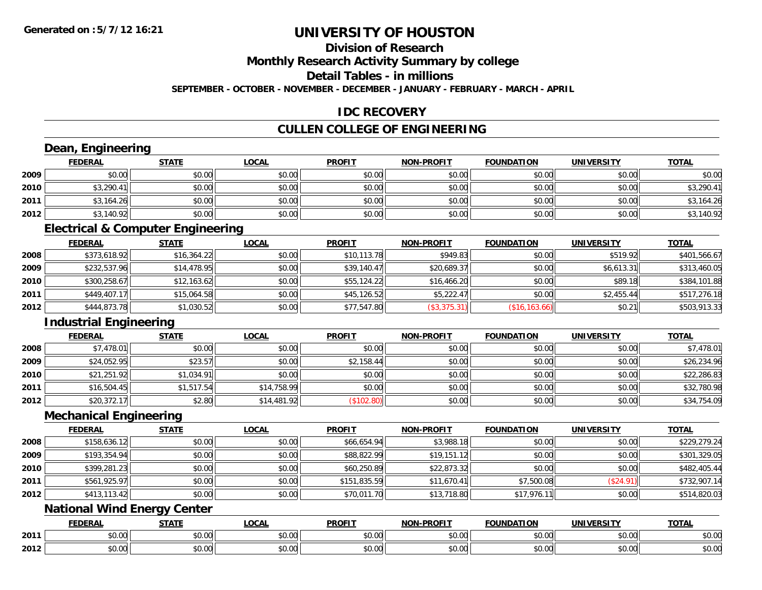# **Division of Research**

**Monthly Research Activity Summary by college**

**Detail Tables - in millions**

**SEPTEMBER - OCTOBER - NOVEMBER - DECEMBER - JANUARY - FEBRUARY - MARCH - APRIL**

#### **IDC RECOVERY**

## **CULLEN COLLEGE OF ENGINEERING**

|      | Dean, Engineering             |                                              |              |               |                   |                   |                   |              |
|------|-------------------------------|----------------------------------------------|--------------|---------------|-------------------|-------------------|-------------------|--------------|
|      | <b>FEDERAL</b>                | <b>STATE</b>                                 | <b>LOCAL</b> | <b>PROFIT</b> | <b>NON-PROFIT</b> | <b>FOUNDATION</b> | <b>UNIVERSITY</b> | <b>TOTAL</b> |
| 2009 | \$0.00                        | \$0.00                                       | \$0.00       | \$0.00        | \$0.00            | \$0.00            | \$0.00            | \$0.00       |
| 2010 | \$3,290.41                    | \$0.00                                       | \$0.00       | \$0.00        | \$0.00            | \$0.00            | \$0.00            | \$3,290.41   |
| 2011 | \$3,164.26                    | \$0.00                                       | \$0.00       | \$0.00        | \$0.00            | \$0.00            | \$0.00            | \$3,164.26   |
| 2012 | \$3,140.92                    | \$0.00                                       | \$0.00       | \$0.00        | \$0.00            | \$0.00            | \$0.00            | \$3,140.92   |
|      |                               | <b>Electrical &amp; Computer Engineering</b> |              |               |                   |                   |                   |              |
|      | <b>FEDERAL</b>                | <b>STATE</b>                                 | <b>LOCAL</b> | <b>PROFIT</b> | <b>NON-PROFIT</b> | <b>FOUNDATION</b> | <b>UNIVERSITY</b> | <b>TOTAL</b> |
| 2008 | \$373,618.92                  | \$16,364.22                                  | \$0.00       | \$10,113.78   | \$949.83          | \$0.00            | \$519.92          | \$401,566.67 |
| 2009 | \$232,537.96                  | \$14,478.95                                  | \$0.00       | \$39,140.47   | \$20,689.37       | \$0.00            | \$6,613.31        | \$313,460.05 |
| 2010 | \$300,258.67                  | \$12,163.62                                  | \$0.00       | \$55,124.22   | \$16,466.20       | \$0.00            | \$89.18           | \$384,101.88 |
| 2011 | \$449,407.17                  | \$15,064.58                                  | \$0.00       | \$45,126.52   | \$5,222.47        | \$0.00            | \$2,455.44        | \$517,276.18 |
| 2012 | \$444,873.78                  | \$1,030.52                                   | \$0.00       | \$77,547.80   | (\$3,375.31)      | (\$16, 163.66)    | \$0.21            | \$503,913.33 |
|      | <b>Industrial Engineering</b> |                                              |              |               |                   |                   |                   |              |
|      | <b>FEDERAL</b>                | <b>STATE</b>                                 | <b>LOCAL</b> | <b>PROFIT</b> | <b>NON-PROFIT</b> | <b>FOUNDATION</b> | <b>UNIVERSITY</b> | <b>TOTAL</b> |
| 2008 | \$7,478.01                    | \$0.00                                       | \$0.00       | \$0.00        | \$0.00            | \$0.00            | \$0.00            | \$7,478.01   |
| 2009 | \$24,052.95                   | \$23.57                                      | \$0.00       | \$2,158.44    | \$0.00            | \$0.00            | \$0.00            | \$26,234.96  |
| 2010 | \$21,251.92                   | \$1,034.91                                   | \$0.00       | \$0.00        | \$0.00            | \$0.00            | \$0.00            | \$22,286.83  |
| 2011 | \$16,504.45                   | \$1,517.54                                   | \$14,758.99  | \$0.00        | \$0.00            | \$0.00            | \$0.00            | \$32,780.98  |
| 2012 | \$20,372.17                   | \$2.80                                       | \$14,481.92  | (\$102.80)    | \$0.00            | \$0.00            | \$0.00            | \$34,754.09  |
|      | <b>Mechanical Engineering</b> |                                              |              |               |                   |                   |                   |              |
|      | <b>FEDERAL</b>                | <b>STATE</b>                                 | <b>LOCAL</b> | <b>PROFIT</b> | <b>NON-PROFIT</b> | <b>FOUNDATION</b> | <b>UNIVERSITY</b> | <b>TOTAL</b> |
| 2008 | \$158,636.12                  | \$0.00                                       | \$0.00       | \$66,654.94   | \$3,988.18        | \$0.00            | \$0.00            | \$229,279.24 |
| 2009 | \$193,354.94                  | \$0.00                                       | \$0.00       | \$88,822.99   | \$19,151.12       | \$0.00            | \$0.00            | \$301,329.05 |
| 2010 | \$399,281.23                  | \$0.00                                       | \$0.00       | \$60,250.89   | \$22,873.32       | \$0.00            | \$0.00            | \$482,405.44 |
| 2011 | \$561,925.97                  | \$0.00                                       | \$0.00       | \$151,835.59  | \$11,670.41       | \$7,500.08        | (\$24.91)         | \$732,907.14 |
| 2012 | \$413,113.42                  | \$0.00                                       | \$0.00       | \$70,011.70   | \$13,718.80       | \$17,976.11       | \$0.00            | \$514,820.03 |
|      |                               | <b>National Wind Energy Center</b>           |              |               |                   |                   |                   |              |
|      | <b>FEDERAL</b>                | <b>STATE</b>                                 | <b>LOCAL</b> | <b>PROFIT</b> | <b>NON-PROFIT</b> | <b>FOUNDATION</b> | <b>UNIVERSITY</b> | <b>TOTAL</b> |
| 2011 | \$0.00                        | \$0.00                                       | \$0.00       | \$0.00        | \$0.00            | \$0.00            | \$0.00            | \$0.00       |
| 2012 | \$0.00                        | \$0.00                                       | \$0.00       | \$0.00        | \$0.00            | \$0.00            | \$0.00            | \$0.00       |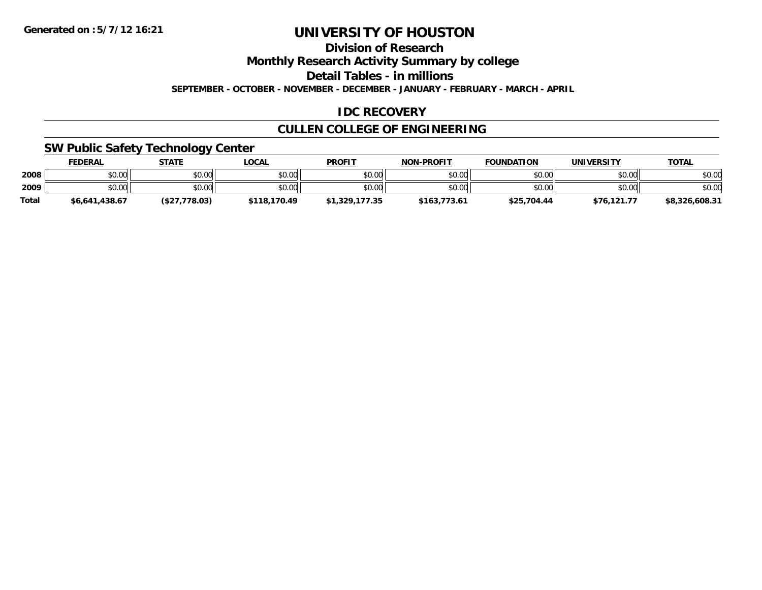**Division of Research**

**Monthly Research Activity Summary by college**

**Detail Tables - in millions**

**SEPTEMBER - OCTOBER - NOVEMBER - DECEMBER - JANUARY - FEBRUARY - MARCH - APRIL**

## **IDC RECOVERY**

## **CULLEN COLLEGE OF ENGINEERING**

#### **SW Public Safety Technology Center**

|              | <b>FEDERAL</b> | <u>STATE</u> | <u>_OCAL</u> | <b>PROFIT</b>  | <b>NON-PROFIT</b> | <b>FOUNDATION</b> | UNIVERSITY  | <b>TOTAL</b>   |
|--------------|----------------|--------------|--------------|----------------|-------------------|-------------------|-------------|----------------|
| 2008         | \$0.00         | \$0.00       | \$0.00       | \$0.00         | \$0.00            | \$0.00            | \$0.00      | \$0.00         |
| 2009         | \$0.00         | \$0.00       | \$0.00       | \$0.00         | \$0.00            | \$0.00            | \$0.00      | \$0.00         |
| <b>Total</b> | \$6,641,438.67 | (S27.778.03) | \$118,170.49 | \$1,329,177.35 | \$163,773.61      | \$25,704.44       | \$76.121.77 | \$8,326,608.31 |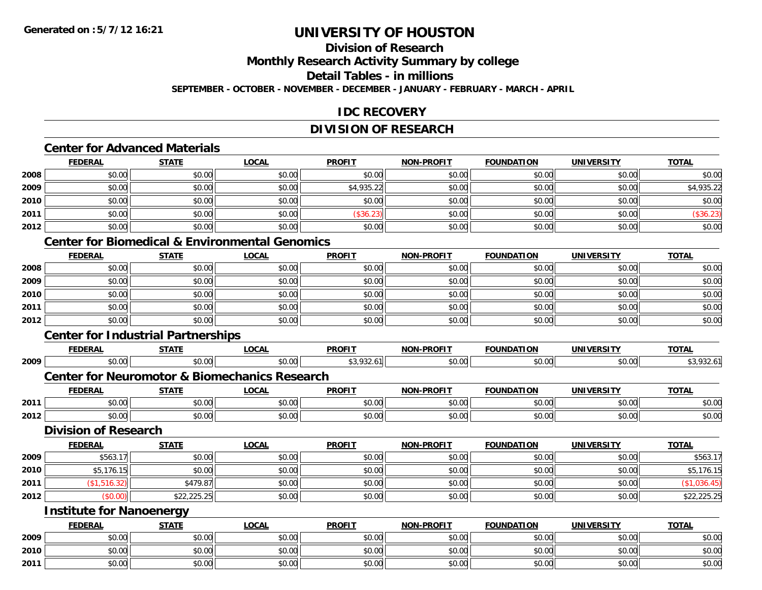## **Division of Research**

**Monthly Research Activity Summary by college**

**Detail Tables - in millions**

**SEPTEMBER - OCTOBER - NOVEMBER - DECEMBER - JANUARY - FEBRUARY - MARCH - APRIL**

#### **IDC RECOVERY**

## **DIVISION OF RESEARCH**

## **Center for Advanced Materials**

|      | <b>FEDERAL</b> | <b>STATE</b> | <b>LOCAL</b> | <b>PROFIT</b> | <b>NON-PROFIT</b> | <b>FOUNDATION</b> | <b>UNIVERSITY</b> | <b>TOTAL</b> |
|------|----------------|--------------|--------------|---------------|-------------------|-------------------|-------------------|--------------|
| 2008 | \$0.00         | \$0.00       | \$0.00       | \$0.00        | \$0.00            | \$0.00            | \$0.00            | \$0.00       |
| 2009 | \$0.00         | \$0.00       | \$0.00       | \$4,935.22    | \$0.00            | \$0.00            | \$0.00            | \$4,935.22   |
| 2010 | \$0.00         | \$0.00       | \$0.00       | \$0.00        | \$0.00            | \$0.00            | \$0.00            | \$0.00       |
| 2011 | \$0.00         | \$0.00       | \$0.00       | (\$36.23)     | \$0.00            | \$0.00            | \$0.00            | \$36.23      |
| 2012 | \$0.00         | \$0.00       | \$0.00       | \$0.00        | \$0.00            | \$0.00            | \$0.00            | \$0.00       |

## **Center for Biomedical & Environmental Genomics**

|      | <b>FEDERAL</b> | <b>STATE</b> | <u>LOCAL</u> | <b>PROFIT</b> | <b>NON-PROFIT</b> | <b>FOUNDATION</b> | <b>UNIVERSITY</b> | <b>TOTAL</b> |
|------|----------------|--------------|--------------|---------------|-------------------|-------------------|-------------------|--------------|
| 2008 | \$0.00         | \$0.00       | \$0.00       | \$0.00        | \$0.00            | \$0.00            | \$0.00            | \$0.00       |
| 2009 | \$0.00         | \$0.00       | \$0.00       | \$0.00        | \$0.00            | \$0.00            | \$0.00            | \$0.00       |
| 2010 | \$0.00         | \$0.00       | \$0.00       | \$0.00        | \$0.00            | \$0.00            | \$0.00            | \$0.00       |
| 2011 | \$0.00         | \$0.00       | \$0.00       | \$0.00        | \$0.00            | \$0.00            | \$0.00            | \$0.00       |
| 2012 | \$0.00         | \$0.00       | \$0.00       | \$0.00        | \$0.00            | \$0.00            | \$0.00            | \$0.00       |

### **Center for Industrial Partnerships**

|      | <b>FEDERAL</b>                                           | <b>STATE</b> | LOCAL        | <b>PROFIT</b> | <b>NON-PROFIT</b> | <b>FOUNDATION</b> | <b>UNIVERSITY</b> | <b>TOTAL</b> |  |  |
|------|----------------------------------------------------------|--------------|--------------|---------------|-------------------|-------------------|-------------------|--------------|--|--|
| 2009 | \$0.00                                                   | \$0.00       | \$0.00       | \$3,932.61    | \$0.00            | \$0.00            | \$0.00            | \$3,932.61   |  |  |
|      | <b>Center for Neuromotor &amp; Biomechanics Research</b> |              |              |               |                   |                   |                   |              |  |  |
|      | <b>FEDERAL</b>                                           | <b>STATE</b> | <u>LOCAL</u> | <b>PROFIT</b> | <b>NON-PROFIT</b> | <b>FOUNDATION</b> | <b>UNIVERSITY</b> | <b>TOTAL</b> |  |  |
| 2011 | \$0.00                                                   | \$0.00       | \$0.00       | \$0.00        | \$0.00            | \$0.00            | \$0.00            | \$0.00       |  |  |
| 2012 | \$0.00                                                   | \$0.00       | \$0.00       | \$0.00        | \$0.00            | \$0.00            | \$0.00            | \$0.00       |  |  |
|      | <b>Division of Research</b>                              |              |              |               |                   |                   |                   |              |  |  |
|      | <b>FEDERAL</b>                                           | <b>STATE</b> | LOCAL        | <b>PROFIT</b> | <b>NON-PROFIT</b> | <b>FOUNDATION</b> | <b>UNIVERSITY</b> | <b>TOTAL</b> |  |  |
| 2009 | \$563.17                                                 | \$0.00       | \$0.00       | \$0.00        | \$0.00            | \$0.00            | \$0.00            | \$563.17     |  |  |
| 2010 | \$5,176.15                                               | \$0.00       | \$0.00       | \$0.00        | \$0.00            | \$0.00            | \$0.00            | \$5,176.15   |  |  |
| 2011 | (\$1,516.32)                                             | \$479.87     | \$0.00       | \$0.00        | \$0.00            | \$0.00            | \$0.00            | (\$1,036.45) |  |  |
| 2012 | (\$0.00)                                                 | \$22,225.25  | \$0.00       | \$0.00        | \$0.00            | \$0.00            | \$0.00            | \$22,225.25  |  |  |
|      | <b>Institute for Nanoenergy</b>                          |              |              |               |                   |                   |                   |              |  |  |
|      | <b>FEDERAL</b>                                           | <b>STATE</b> | <b>LOCAL</b> | <b>PROFIT</b> | <b>NON-PROFIT</b> | <b>FOUNDATION</b> | <b>UNIVERSITY</b> | <b>TOTAL</b> |  |  |
| 2009 | \$0.00                                                   | \$0.00       | \$0.00       | \$0.00        | \$0.00            | \$0.00            | \$0.00            | \$0.00       |  |  |
| 2010 | \$0.00                                                   | \$0.00       | \$0.00       | \$0.00        | \$0.00            | \$0.00            | \$0.00            | \$0.00       |  |  |
| 2011 | \$0.00                                                   | \$0.00       | \$0.00       | \$0.00        | \$0.00            | \$0.00            | \$0.00            | \$0.00       |  |  |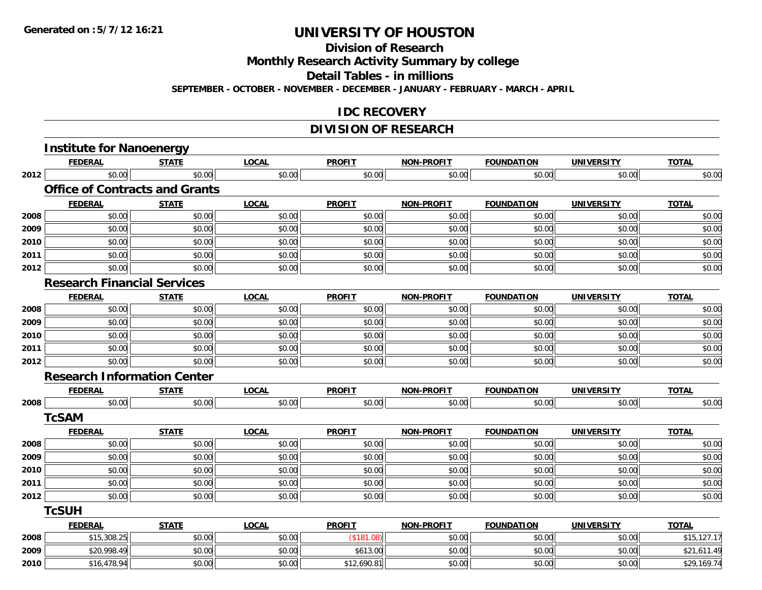**Division of Research**

**Monthly Research Activity Summary by college**

**Detail Tables - in millions**

**SEPTEMBER - OCTOBER - NOVEMBER - DECEMBER - JANUARY - FEBRUARY - MARCH - APRIL**

#### **IDC RECOVERY**

## **DIVISION OF RESEARCH**

|      | <b>Institute for Nanoenergy</b>       |              |              |               |                   |                   |                   |              |
|------|---------------------------------------|--------------|--------------|---------------|-------------------|-------------------|-------------------|--------------|
|      | <b>FEDERAL</b>                        | <b>STATE</b> | <b>LOCAL</b> | <b>PROFIT</b> | <b>NON-PROFIT</b> | <b>FOUNDATION</b> | <b>UNIVERSITY</b> | <b>TOTAL</b> |
| 2012 | \$0.00                                | \$0.00       | \$0.00       | \$0.00        | \$0.00            | \$0.00            | \$0.00            | \$0.00       |
|      | <b>Office of Contracts and Grants</b> |              |              |               |                   |                   |                   |              |
|      | <b>FEDERAL</b>                        | <b>STATE</b> | <b>LOCAL</b> | <b>PROFIT</b> | <b>NON-PROFIT</b> | <b>FOUNDATION</b> | <b>UNIVERSITY</b> | <b>TOTAL</b> |
| 2008 | \$0.00                                | \$0.00       | \$0.00       | \$0.00        | \$0.00            | \$0.00            | \$0.00            | \$0.00       |
| 2009 | \$0.00                                | \$0.00       | \$0.00       | \$0.00        | \$0.00            | \$0.00            | \$0.00            | \$0.00       |
| 2010 | \$0.00                                | \$0.00       | \$0.00       | \$0.00        | \$0.00            | \$0.00            | \$0.00            | \$0.00       |
| 2011 | \$0.00                                | \$0.00       | \$0.00       | \$0.00        | \$0.00            | \$0.00            | \$0.00            | \$0.00       |
| 2012 | \$0.00                                | \$0.00       | \$0.00       | \$0.00        | \$0.00            | \$0.00            | \$0.00            | \$0.00       |
|      | <b>Research Financial Services</b>    |              |              |               |                   |                   |                   |              |
|      | <b>FEDERAL</b>                        | <b>STATE</b> | <b>LOCAL</b> | <b>PROFIT</b> | <b>NON-PROFIT</b> | <b>FOUNDATION</b> | <b>UNIVERSITY</b> | <b>TOTAL</b> |
| 2008 | \$0.00                                | \$0.00       | \$0.00       | \$0.00        | \$0.00            | \$0.00            | \$0.00            | \$0.00       |
| 2009 | \$0.00                                | \$0.00       | \$0.00       | \$0.00        | \$0.00            | \$0.00            | \$0.00            | \$0.00       |
| 2010 | \$0.00                                | \$0.00       | \$0.00       | \$0.00        | \$0.00            | \$0.00            | \$0.00            | \$0.00       |
| 2011 | \$0.00                                | \$0.00       | \$0.00       | \$0.00        | \$0.00            | \$0.00            | \$0.00            | \$0.00       |
| 2012 | \$0.00                                | \$0.00       | \$0.00       | \$0.00        | \$0.00            | \$0.00            | \$0.00            | \$0.00       |
|      | <b>Research Information Center</b>    |              |              |               |                   |                   |                   |              |
|      | <b>FEDERAL</b>                        | <b>STATE</b> | <b>LOCAL</b> | <b>PROFIT</b> | <b>NON-PROFIT</b> | <b>FOUNDATION</b> | <b>UNIVERSITY</b> | <b>TOTAL</b> |
| 2008 | \$0.00                                | \$0.00       | \$0.00       | \$0.00        | \$0.00            | \$0.00            | \$0.00            | \$0.00       |
|      | <b>TcSAM</b>                          |              |              |               |                   |                   |                   |              |
|      | <b>FEDERAL</b>                        | <b>STATE</b> | <b>LOCAL</b> | <b>PROFIT</b> | <b>NON-PROFIT</b> | <b>FOUNDATION</b> | <b>UNIVERSITY</b> | <b>TOTAL</b> |
| 2008 | \$0.00                                | \$0.00       | \$0.00       | \$0.00        | \$0.00            | \$0.00            | \$0.00            | \$0.00       |
| 2009 | \$0.00                                | \$0.00       | \$0.00       | \$0.00        | \$0.00            | \$0.00            | \$0.00            | \$0.00       |
| 2010 | \$0.00                                | \$0.00       | \$0.00       | \$0.00        | \$0.00            | \$0.00            | \$0.00            | \$0.00       |
| 2011 | \$0.00                                | \$0.00       | \$0.00       | \$0.00        | \$0.00            | \$0.00            | \$0.00            | \$0.00       |
| 2012 | \$0.00                                | \$0.00       | \$0.00       | \$0.00        | \$0.00            | \$0.00            | \$0.00            | \$0.00       |
|      | <b>TcSUH</b>                          |              |              |               |                   |                   |                   |              |
|      | <b>FEDERAL</b>                        | <b>STATE</b> | <b>LOCAL</b> | <b>PROFIT</b> | <b>NON-PROFIT</b> | <b>FOUNDATION</b> | <b>UNIVERSITY</b> | <b>TOTAL</b> |
| 2008 | \$15,308.25                           | \$0.00       | \$0.00       | (\$181.08)    | \$0.00            | \$0.00            | \$0.00            | \$15,127.17  |
| 2009 | \$20,998.49                           | \$0.00       | \$0.00       | \$613.00      | \$0.00            | \$0.00            | \$0.00            | \$21,611.49  |
| 2010 | \$16,478.94                           | \$0.00       | \$0.00       | \$12,690.81   | \$0.00            | \$0.00            | \$0.00            | \$29,169.74  |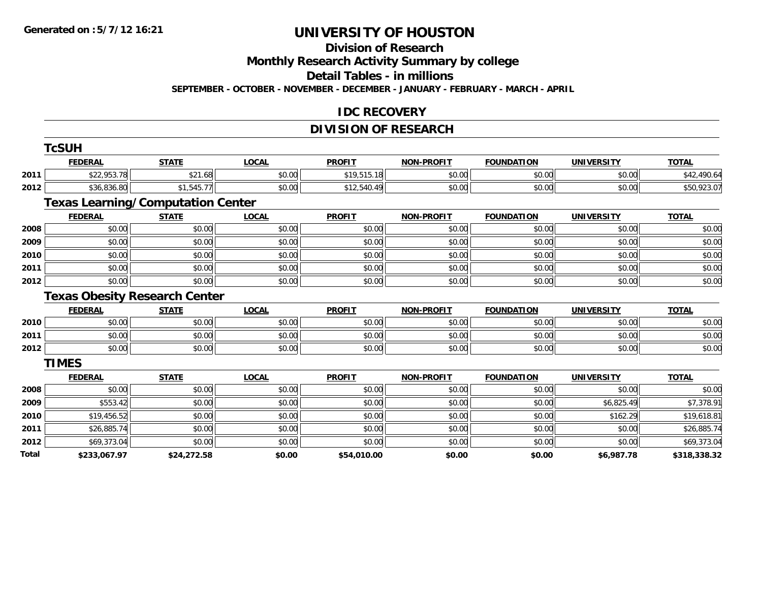#### **Division of Research**

**Monthly Research Activity Summary by college**

**Detail Tables - in millions**

**SEPTEMBER - OCTOBER - NOVEMBER - DECEMBER - JANUARY - FEBRUARY - MARCH - APRIL**

#### **IDC RECOVERY**

## **DIVISION OF RESEARCH**

|       | <b>TcSUH</b>   |                                          |              |               |                   |                   |                   |              |
|-------|----------------|------------------------------------------|--------------|---------------|-------------------|-------------------|-------------------|--------------|
|       | <b>FEDERAL</b> | <b>STATE</b>                             | <b>LOCAL</b> | <b>PROFIT</b> | <b>NON-PROFIT</b> | <b>FOUNDATION</b> | <b>UNIVERSITY</b> | <b>TOTAL</b> |
| 2011  | \$22,953.78    | \$21.68                                  | \$0.00       | \$19,515.18   | \$0.00            | \$0.00            | \$0.00            | \$42,490.64  |
| 2012  | \$36,836.80    | \$1,545.77                               | \$0.00       | \$12,540.49   | \$0.00            | \$0.00            | \$0.00            | \$50,923.07  |
|       |                | <b>Texas Learning/Computation Center</b> |              |               |                   |                   |                   |              |
|       | <b>FEDERAL</b> | <b>STATE</b>                             | <b>LOCAL</b> | <b>PROFIT</b> | <b>NON-PROFIT</b> | <b>FOUNDATION</b> | <b>UNIVERSITY</b> | <b>TOTAL</b> |
| 2008  | \$0.00         | \$0.00                                   | \$0.00       | \$0.00        | \$0.00            | \$0.00            | \$0.00            | \$0.00       |
| 2009  | \$0.00         | \$0.00                                   | \$0.00       | \$0.00        | \$0.00            | \$0.00            | \$0.00            | \$0.00       |
| 2010  | \$0.00         | \$0.00                                   | \$0.00       | \$0.00        | \$0.00            | \$0.00            | \$0.00            | \$0.00       |
| 2011  | \$0.00         | \$0.00                                   | \$0.00       | \$0.00        | \$0.00            | \$0.00            | \$0.00            | \$0.00       |
| 2012  | \$0.00         | \$0.00                                   | \$0.00       | \$0.00        | \$0.00            | \$0.00            | \$0.00            | \$0.00       |
|       |                | <b>Texas Obesity Research Center</b>     |              |               |                   |                   |                   |              |
|       | <b>FEDERAL</b> | <b>STATE</b>                             | <b>LOCAL</b> | <b>PROFIT</b> | <b>NON-PROFIT</b> | <b>FOUNDATION</b> | <b>UNIVERSITY</b> | <b>TOTAL</b> |
| 2010  | \$0.00         | \$0.00                                   | \$0.00       | \$0.00        | \$0.00            | \$0.00            | \$0.00            | \$0.00       |
| 2011  | \$0.00         | \$0.00                                   | \$0.00       | \$0.00        | \$0.00            | \$0.00            | \$0.00            | \$0.00       |
| 2012  | \$0.00         | \$0.00                                   | \$0.00       | \$0.00        | \$0.00            | \$0.00            | \$0.00            | \$0.00       |
|       | <b>TIMES</b>   |                                          |              |               |                   |                   |                   |              |
|       | <b>FEDERAL</b> | <b>STATE</b>                             | <b>LOCAL</b> | <b>PROFIT</b> | <b>NON-PROFIT</b> | <b>FOUNDATION</b> | <b>UNIVERSITY</b> | <b>TOTAL</b> |
| 2008  | \$0.00         | \$0.00                                   | \$0.00       | \$0.00        | \$0.00            | \$0.00            | \$0.00            | \$0.00       |
| 2009  | \$553.42       | \$0.00                                   | \$0.00       | \$0.00        | \$0.00            | \$0.00            | \$6,825.49        | \$7,378.91   |
| 2010  | \$19,456.52    | \$0.00                                   | \$0.00       | \$0.00        | \$0.00            | \$0.00            | \$162.29          | \$19,618.81  |
| 2011  | \$26,885.74    | \$0.00                                   | \$0.00       | \$0.00        | \$0.00            | \$0.00            | \$0.00            | \$26,885.74  |
| 2012  | \$69,373.04    | \$0.00                                   | \$0.00       | \$0.00        | \$0.00            | \$0.00            | \$0.00            | \$69,373.04  |
| Total | \$233,067.97   | \$24,272.58                              | \$0.00       | \$54,010.00   | \$0.00            | \$0.00            | \$6,987.78        | \$318,338.32 |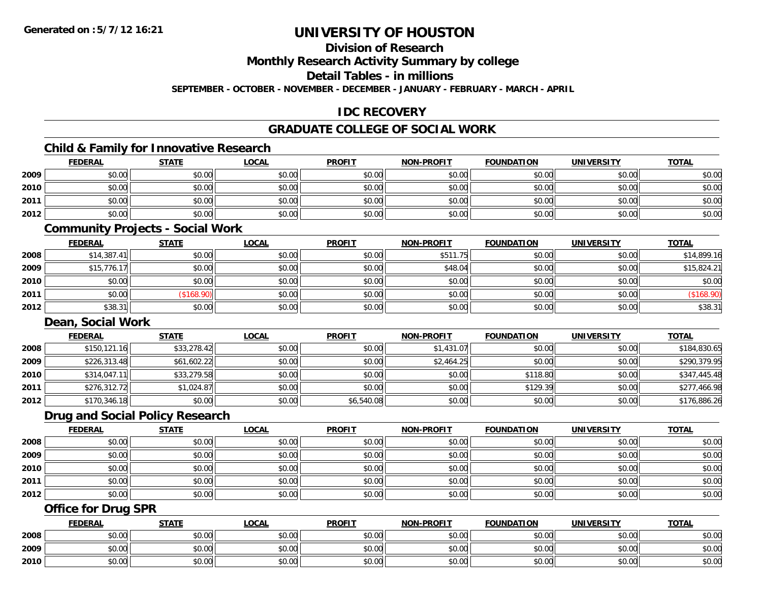**Division of Research**

**Monthly Research Activity Summary by college**

**Detail Tables - in millions**

**SEPTEMBER - OCTOBER - NOVEMBER - DECEMBER - JANUARY - FEBRUARY - MARCH - APRIL**

## **IDC RECOVERY**

## **GRADUATE COLLEGE OF SOCIAL WORK**

## **Child & Family for Innovative Research**

|      | <b>FEDERAL</b> | <b>STATE</b> | <u>LOCAL</u> | <b>PROFIT</b> | <b>NON-PROFIT</b> | <b>FOUNDATION</b> | <b>UNIVERSITY</b> | <b>TOTAL</b> |
|------|----------------|--------------|--------------|---------------|-------------------|-------------------|-------------------|--------------|
| 2009 | \$0.00         | \$0.00       | \$0.00       | \$0.00        | \$0.00            | \$0.00            | \$0.00            | \$0.00       |
| 2010 | \$0.00         | \$0.00       | \$0.00       | \$0.00        | \$0.00            | \$0.00            | \$0.00            | \$0.00       |
| 2011 | \$0.00         | \$0.00       | \$0.00       | \$0.00        | \$0.00            | \$0.00            | \$0.00            | \$0.00       |
| 2012 | \$0.00         | \$0.00       | \$0.00       | \$0.00        | \$0.00            | \$0.00            | \$0.00            | \$0.00       |
|      |                |              |              |               |                   |                   |                   |              |

#### **Community Projects - Social Work**

|      | <b>FEDERAL</b> | <b>STATE</b> | <b>LOCAL</b> | <b>PROFIT</b> | <b>NON-PROFIT</b> | <b>FOUNDATION</b> | <b>UNIVERSITY</b> | <b>TOTAL</b> |
|------|----------------|--------------|--------------|---------------|-------------------|-------------------|-------------------|--------------|
| 2008 | \$14,387.41    | \$0.00       | \$0.00       | \$0.00        | \$511.75          | \$0.00            | \$0.00            | \$14,899.16  |
| 2009 | \$15,776.17    | \$0.00       | \$0.00       | \$0.00        | \$48.04           | \$0.00            | \$0.00            | \$15,824.21  |
| 2010 | \$0.00         | \$0.00       | \$0.00       | \$0.00        | \$0.00            | \$0.00            | \$0.00            | \$0.00       |
| 2011 | \$0.00         | (\$168.90)   | \$0.00       | \$0.00        | \$0.00            | \$0.00            | \$0.00            | (\$168.90)   |
| 2012 | \$38.31        | \$0.00       | \$0.00       | \$0.00        | \$0.00            | \$0.00            | \$0.00            | \$38.31      |

#### **Dean, Social Work**

|      | <b>FEDERAL</b> | <b>STATE</b> | <u>LOCAL</u> | <b>PROFIT</b> | <b>NON-PROFIT</b> | <b>FOUNDATION</b> | UNIVERSITY | <b>TOTAL</b> |
|------|----------------|--------------|--------------|---------------|-------------------|-------------------|------------|--------------|
| 2008 | \$150, 121.16  | \$33,278.42  | \$0.00       | \$0.00        | \$1,431.07        | \$0.00            | \$0.00     | \$184,830.65 |
| 2009 | \$226,313.48   | \$61,602.22  | \$0.00       | \$0.00        | \$2,464.25        | \$0.00            | \$0.00     | \$290,379.95 |
| 2010 | \$314,047.11   | \$33,279.58  | \$0.00       | \$0.00        | \$0.00            | \$118.80          | \$0.00     | \$347,445.48 |
| 2011 | \$276,312.72   | \$1,024.87   | \$0.00       | \$0.00        | \$0.00            | \$129.39          | \$0.00     | \$277,466.98 |
| 2012 | \$170,346.18   | \$0.00       | \$0.00       | \$6,540.08    | \$0.00            | \$0.00            | \$0.00     | \$176,886.26 |

#### **Drug and Social Policy Research**

|      | <b>FEDERAL</b> | <u>STATE</u> | <b>LOCAL</b> | <b>PROFIT</b> | <b>NON-PROFIT</b> | <b>FOUNDATION</b> | <b>UNIVERSITY</b> | <b>TOTAL</b> |
|------|----------------|--------------|--------------|---------------|-------------------|-------------------|-------------------|--------------|
| 2008 | \$0.00         | \$0.00       | \$0.00       | \$0.00        | \$0.00            | \$0.00            | \$0.00            | \$0.00       |
| 2009 | \$0.00         | \$0.00       | \$0.00       | \$0.00        | \$0.00            | \$0.00            | \$0.00            | \$0.00       |
| 2010 | \$0.00         | \$0.00       | \$0.00       | \$0.00        | \$0.00            | \$0.00            | \$0.00            | \$0.00       |
| 2011 | \$0.00         | \$0.00       | \$0.00       | \$0.00        | \$0.00            | \$0.00            | \$0.00            | \$0.00       |
| 2012 | \$0.00         | \$0.00       | \$0.00       | \$0.00        | \$0.00            | \$0.00            | \$0.00            | \$0.00       |

#### **Office for Drug SPR**

|      | <b>FEDERAL</b>     | <b>STATE</b> | <u>LOCAL</u>  | <b>PROFIT</b> | <b>I-PROFIT</b><br>NON- | <b>FOUNDATION</b> | <b>UNIVERSITY</b> | <b>TOTAL</b> |
|------|--------------------|--------------|---------------|---------------|-------------------------|-------------------|-------------------|--------------|
| 2008 | <b>00</b><br>JU.UU | \$0.00       | \$0.00        | \$0.00        | \$0.00                  | \$0.00            | \$0.00            | \$0.00       |
| 2009 | ሶስ ሰሰ<br>PU.UU     | \$0.00       | 0.00<br>ง∪.∪บ | \$0.00        | \$0.00                  | \$0.00            | \$0.00            | \$0.00       |
| 2010 | 0000<br>JU.UU      | \$0.00       | \$0.00        | \$0.00        | \$0.00                  | \$0.00            | \$0.00            | \$0.00       |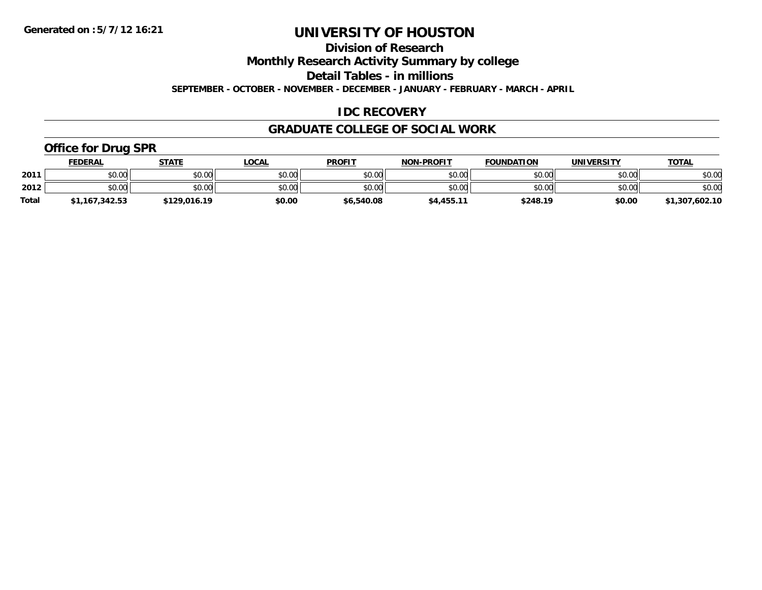**Division of Research**

**Monthly Research Activity Summary by college**

**Detail Tables - in millions**

**SEPTEMBER - OCTOBER - NOVEMBER - DECEMBER - JANUARY - FEBRUARY - MARCH - APRIL**

## **IDC RECOVERY**

#### **GRADUATE COLLEGE OF SOCIAL WORK**

## **Office for Drug SPR**

|              | <b>FEDERAL</b> | <b>STATE</b> | _OCAL  | <b>PROFIT</b> | <b>NON-PROFIT</b> | <b>FOUNDATION</b> | UNIVERSITY | <b>TOTAL</b>   |
|--------------|----------------|--------------|--------|---------------|-------------------|-------------------|------------|----------------|
| 2011         | \$0.00         | \$0.00       | \$0.00 | \$0.00        | \$0.00            | \$0.00            | \$0.00     | \$0.00         |
| 2012         | \$0.00         | \$0.00       | \$0.00 | \$0.00        | \$0.00            | \$0.00            | \$0.00     | \$0.00         |
| <b>Total</b> | \$1,167,342.53 | \$129,016.19 | \$0.00 | \$6,540.08    | \$4,455.11        | \$248.19          | \$0.00     | \$1,307,602.10 |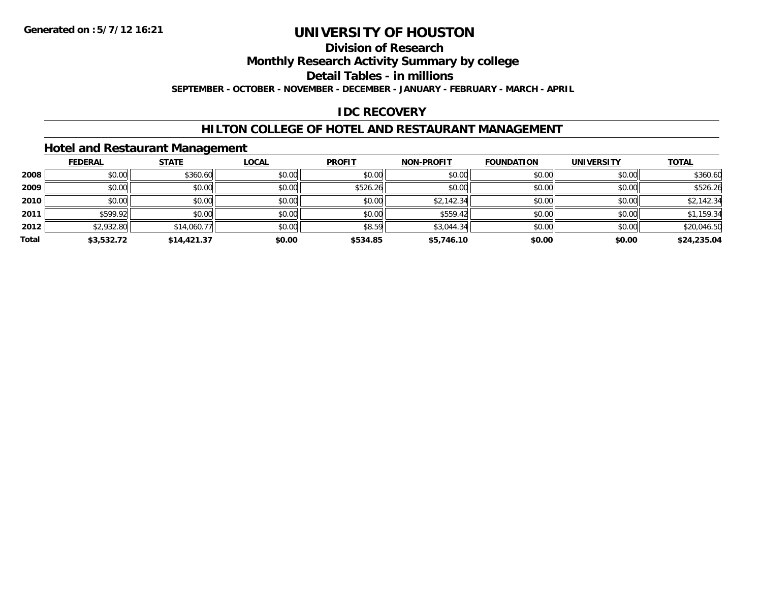## **Division of Research**

**Monthly Research Activity Summary by college**

**Detail Tables - in millions**

**SEPTEMBER - OCTOBER - NOVEMBER - DECEMBER - JANUARY - FEBRUARY - MARCH - APRIL**

## **IDC RECOVERY**

#### **HILTON COLLEGE OF HOTEL AND RESTAURANT MANAGEMENT**

#### **Hotel and Restaurant Management**

|       | <b>FEDERAL</b> | <b>STATE</b> | <b>LOCAL</b> | <b>PROFIT</b> | <b>NON-PROFIT</b> | <b>FOUNDATION</b> | <b>UNIVERSITY</b> | <b>TOTAL</b> |
|-------|----------------|--------------|--------------|---------------|-------------------|-------------------|-------------------|--------------|
| 2008  | \$0.00         | \$360.60     | \$0.00       | \$0.00        | \$0.00            | \$0.00            | \$0.00            | \$360.60     |
| 2009  | \$0.00         | \$0.00       | \$0.00       | \$526.26      | \$0.00            | \$0.00            | \$0.00            | \$526.26     |
| 2010  | \$0.00         | \$0.00       | \$0.00       | \$0.00        | \$2,142.34        | \$0.00            | \$0.00            | \$2,142.34   |
| 2011  | \$599.92       | \$0.00       | \$0.00       | \$0.00        | \$559.42          | \$0.00            | \$0.00            | \$1,159.34   |
| 2012  | \$2,932.80     | \$14,060.77  | \$0.00       | \$8.59        | \$3,044.34        | \$0.00            | \$0.00            | \$20,046.50  |
| Total | \$3,532.72     | \$14,421.37  | \$0.00       | \$534.85      | \$5,746.10        | \$0.00            | \$0.00            | \$24,235.04  |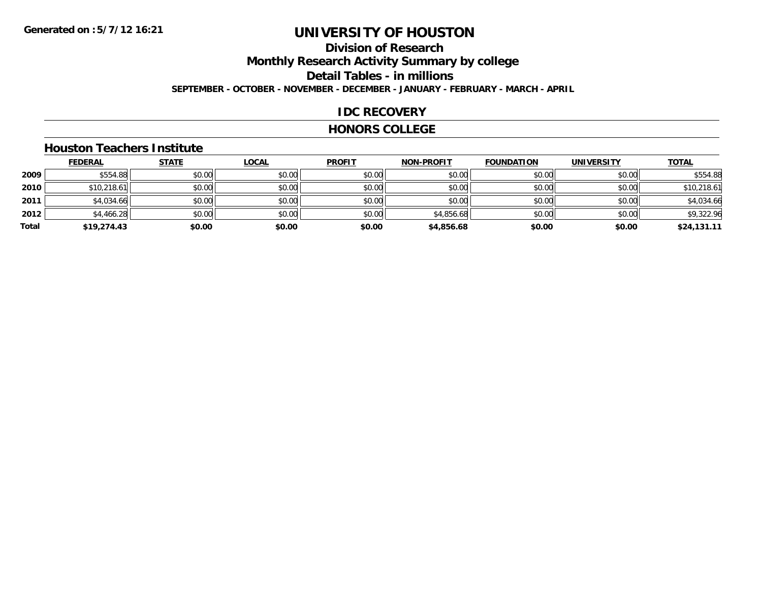# **Division of ResearchMonthly Research Activity Summary by college Detail Tables - in millions**

**SEPTEMBER - OCTOBER - NOVEMBER - DECEMBER - JANUARY - FEBRUARY - MARCH - APRIL**

#### **IDC RECOVERY**

#### **HONORS COLLEGE**

#### **Houston Teachers Institute**

|       | <b>FEDERAL</b> | <b>STATE</b> | <b>LOCAL</b> | <b>PROFIT</b> | <b>NON-PROFIT</b> | <b>FOUNDATION</b> | <b>UNIVERSITY</b> | <b>TOTAL</b> |
|-------|----------------|--------------|--------------|---------------|-------------------|-------------------|-------------------|--------------|
| 2009  | \$554.88       | \$0.00       | \$0.00       | \$0.00        | \$0.00            | \$0.00            | \$0.00            | \$554.88     |
| 2010  | \$10,218.61    | \$0.00       | \$0.00       | \$0.00        | \$0.00            | \$0.00            | \$0.00            | \$10,218.61  |
| 2011  | \$4,034.66     | \$0.00       | \$0.00       | \$0.00        | \$0.00            | \$0.00            | \$0.00            | \$4,034.66   |
| 2012  | \$4,466.28     | \$0.00       | \$0.00       | \$0.00        | \$4,856.68        | \$0.00            | \$0.00            | \$9,322.96   |
| Total | \$19,274.43    | \$0.00       | \$0.00       | \$0.00        | \$4,856.68        | \$0.00            | \$0.00            | \$24,131.11  |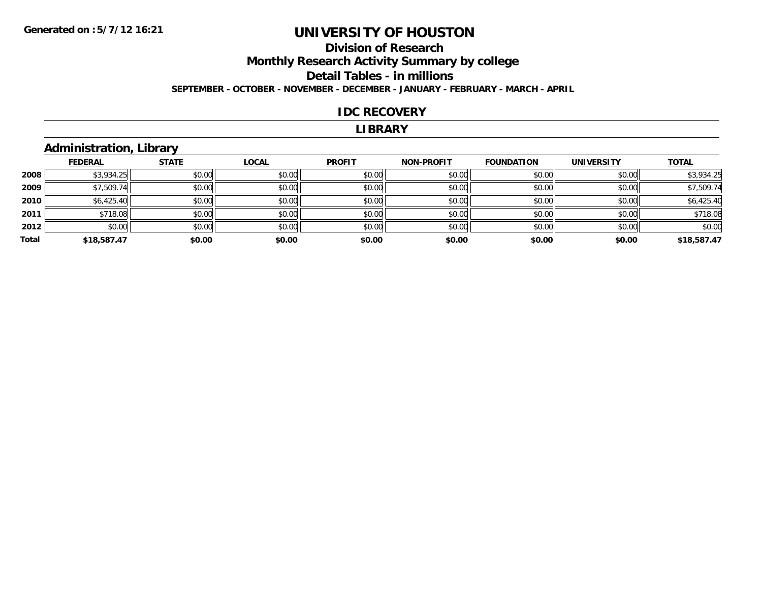## **Division of ResearchMonthly Research Activity Summary by college Detail Tables - in millions**

**SEPTEMBER - OCTOBER - NOVEMBER - DECEMBER - JANUARY - FEBRUARY - MARCH - APRIL**

#### **IDC RECOVERY**

#### **LIBRARY**

## **Administration, Library**

|       | <b>FEDERAL</b> | <b>STATE</b> | LOCAL  | <b>PROFIT</b> | <b>NON-PROFIT</b> | <b>FOUNDATION</b> | <b>UNIVERSITY</b> | <b>TOTAL</b> |
|-------|----------------|--------------|--------|---------------|-------------------|-------------------|-------------------|--------------|
| 2008  | \$3,934.25     | \$0.00       | \$0.00 | \$0.00        | \$0.00            | \$0.00            | \$0.00            | \$3,934.25   |
| 2009  | \$7,509.74     | \$0.00       | \$0.00 | \$0.00        | \$0.00            | \$0.00            | \$0.00            | \$7,509.74   |
| 2010  | \$6,425.40     | \$0.00       | \$0.00 | \$0.00        | \$0.00            | \$0.00            | \$0.00            | \$6,425.40   |
| 2011  | \$718.08       | \$0.00       | \$0.00 | \$0.00        | \$0.00            | \$0.00            | \$0.00            | \$718.08     |
| 2012  | \$0.00         | \$0.00       | \$0.00 | \$0.00        | \$0.00            | \$0.00            | \$0.00            | \$0.00       |
| Total | \$18,587.47    | \$0.00       | \$0.00 | \$0.00        | \$0.00            | \$0.00            | \$0.00            | \$18,587.47  |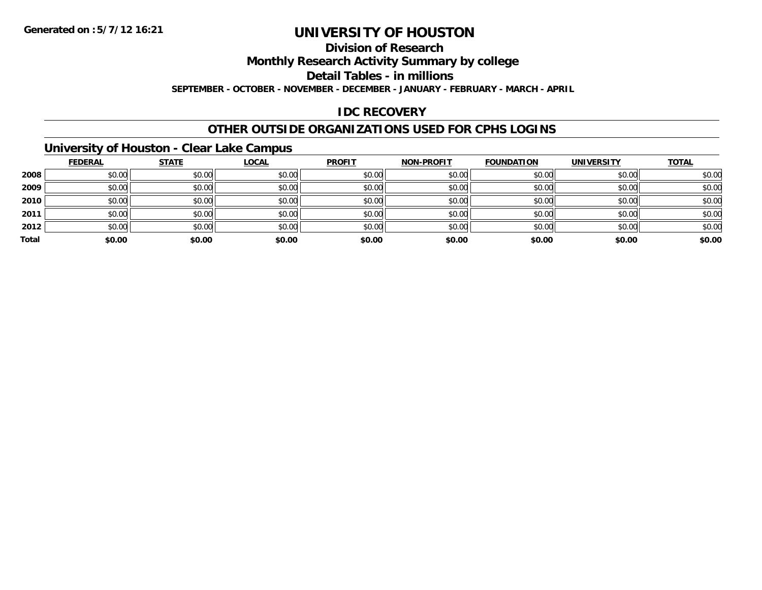#### **Division of Research**

**Monthly Research Activity Summary by college**

**Detail Tables - in millions**

**SEPTEMBER - OCTOBER - NOVEMBER - DECEMBER - JANUARY - FEBRUARY - MARCH - APRIL**

## **IDC RECOVERY**

#### **OTHER OUTSIDE ORGANIZATIONS USED FOR CPHS LOGINS**

## **University of Houston - Clear Lake Campus**

|       | <b>FEDERAL</b> | <b>STATE</b> | <u>LOCAL</u> | <b>PROFIT</b> | <b>NON-PROFIT</b> | <b>FOUNDATION</b> | <b>UNIVERSITY</b> | <b>TOTAL</b> |
|-------|----------------|--------------|--------------|---------------|-------------------|-------------------|-------------------|--------------|
| 2008  | \$0.00         | \$0.00       | \$0.00       | \$0.00        | \$0.00            | \$0.00            | \$0.00            | \$0.00       |
| 2009  | \$0.00         | \$0.00       | \$0.00       | \$0.00        | \$0.00            | \$0.00            | \$0.00            | \$0.00       |
| 2010  | \$0.00         | \$0.00       | \$0.00       | \$0.00        | \$0.00            | \$0.00            | \$0.00            | \$0.00       |
| 2011  | \$0.00         | \$0.00       | \$0.00       | \$0.00        | \$0.00            | \$0.00            | \$0.00            | \$0.00       |
| 2012  | \$0.00         | \$0.00       | \$0.00       | \$0.00        | \$0.00            | \$0.00            | \$0.00            | \$0.00       |
| Total | \$0.00         | \$0.00       | \$0.00       | \$0.00        | \$0.00            | \$0.00            | \$0.00            | \$0.00       |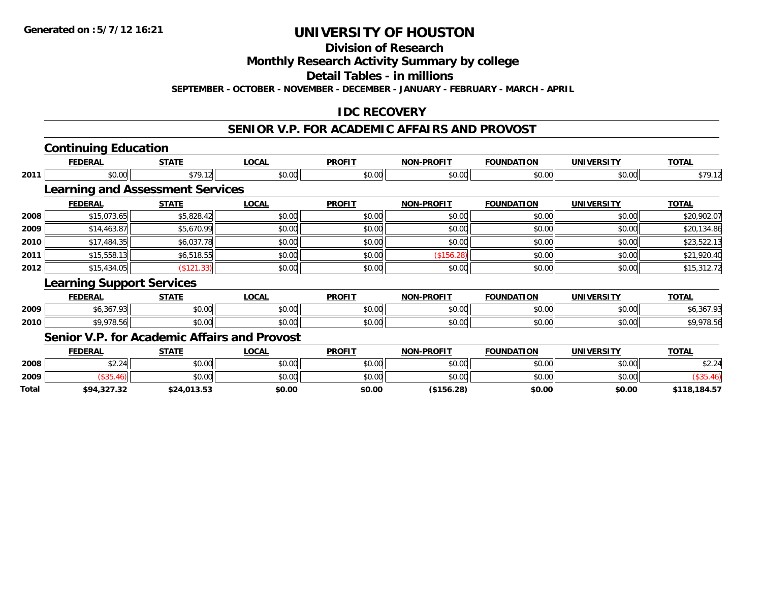**Division of Research**

**Monthly Research Activity Summary by college**

**Detail Tables - in millions**

**SEPTEMBER - OCTOBER - NOVEMBER - DECEMBER - JANUARY - FEBRUARY - MARCH - APRIL**

#### **IDC RECOVERY**

#### **SENIOR V.P. FOR ACADEMIC AFFAIRS AND PROVOST**

|              | <b>Continuing Education</b>                  |              |              |               |                   |                   |                   |              |
|--------------|----------------------------------------------|--------------|--------------|---------------|-------------------|-------------------|-------------------|--------------|
|              | <b>FEDERAL</b>                               | <b>STATE</b> | <b>LOCAL</b> | <b>PROFIT</b> | <b>NON-PROFIT</b> | <b>FOUNDATION</b> | <b>UNIVERSITY</b> | <b>TOTAL</b> |
| 2011         | \$0.00                                       | \$79.12      | \$0.00       | \$0.00        | \$0.00            | \$0.00            | \$0.00            | \$79.12      |
|              | <b>Learning and Assessment Services</b>      |              |              |               |                   |                   |                   |              |
|              | <b>FEDERAL</b>                               | <b>STATE</b> | <b>LOCAL</b> | <b>PROFIT</b> | <b>NON-PROFIT</b> | <b>FOUNDATION</b> | <b>UNIVERSITY</b> | <b>TOTAL</b> |
| 2008         | \$15,073.65                                  | \$5,828.42   | \$0.00       | \$0.00        | \$0.00            | \$0.00            | \$0.00            | \$20,902.07  |
| 2009         | \$14,463.87                                  | \$5,670.99   | \$0.00       | \$0.00        | \$0.00            | \$0.00            | \$0.00            | \$20,134.86  |
| 2010         | \$17,484.35                                  | \$6,037.78   | \$0.00       | \$0.00        | \$0.00            | \$0.00            | \$0.00            | \$23,522.13  |
| 2011         | \$15,558.13                                  | \$6,518.55   | \$0.00       | \$0.00        | (\$156.28)        | \$0.00            | \$0.00            | \$21,920.40  |
| 2012         | \$15,434.05                                  | (\$121.33)   | \$0.00       | \$0.00        | \$0.00            | \$0.00            | \$0.00            | \$15,312.72  |
|              | <b>Learning Support Services</b>             |              |              |               |                   |                   |                   |              |
|              | <b>FEDERAL</b>                               | <b>STATE</b> | <b>LOCAL</b> | <b>PROFIT</b> | <b>NON-PROFIT</b> | <b>FOUNDATION</b> | <b>UNIVERSITY</b> | <b>TOTAL</b> |
| 2009         | \$6,367.93                                   | \$0.00       | \$0.00       | \$0.00        | \$0.00            | \$0.00            | \$0.00            | \$6,367.93   |
| 2010         | \$9,978.56                                   | \$0.00       | \$0.00       | \$0.00        | \$0.00            | \$0.00            | \$0.00            | \$9,978.56   |
|              | Senior V.P. for Academic Affairs and Provost |              |              |               |                   |                   |                   |              |
|              | <b>FEDERAL</b>                               | <b>STATE</b> | <b>LOCAL</b> | <b>PROFIT</b> | <b>NON-PROFIT</b> | <b>FOUNDATION</b> | <b>UNIVERSITY</b> | <b>TOTAL</b> |
| 2008         | \$2.24                                       | \$0.00       | \$0.00       | \$0.00        | \$0.00            | \$0.00            | \$0.00            | \$2.24       |
| 2009         | (\$35.46)                                    | \$0.00       | \$0.00       | \$0.00        | \$0.00            | \$0.00            | \$0.00            | (\$35.46)    |
| <b>Total</b> | \$94,327.32                                  | \$24,013.53  | \$0.00       | \$0.00        | (\$156.28)        | \$0.00            | \$0.00            | \$118,184.57 |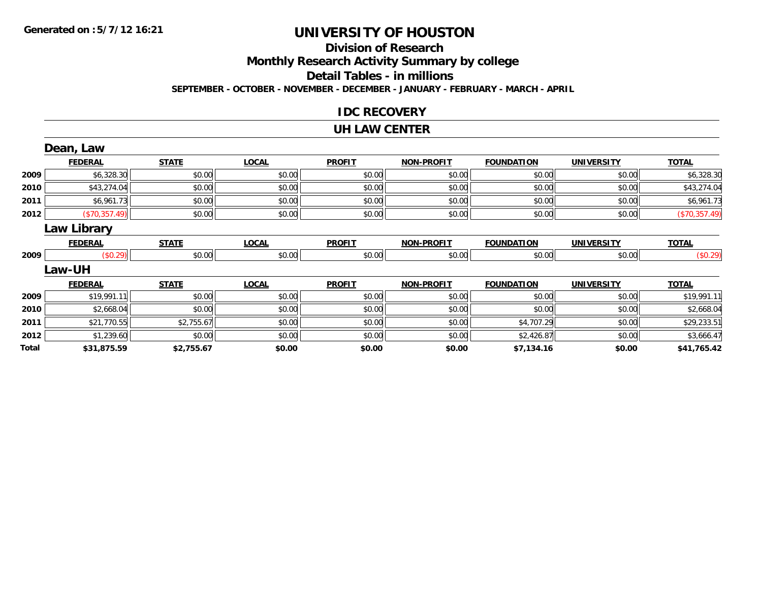#### **Division of Research**

**Monthly Research Activity Summary by college**

**Detail Tables - in millions**

**SEPTEMBER - OCTOBER - NOVEMBER - DECEMBER - JANUARY - FEBRUARY - MARCH - APRIL**

#### **IDC RECOVERY**

#### **UH LAW CENTER**

|       | Dean, Law          |              |              |               |                   |                   |                   |               |
|-------|--------------------|--------------|--------------|---------------|-------------------|-------------------|-------------------|---------------|
|       | <b>FEDERAL</b>     | <b>STATE</b> | <b>LOCAL</b> | <b>PROFIT</b> | <b>NON-PROFIT</b> | <b>FOUNDATION</b> | <b>UNIVERSITY</b> | <b>TOTAL</b>  |
| 2009  | \$6,328.30         | \$0.00       | \$0.00       | \$0.00        | \$0.00            | \$0.00            | \$0.00            | \$6,328.30    |
| 2010  | \$43,274.04        | \$0.00       | \$0.00       | \$0.00        | \$0.00            | \$0.00            | \$0.00            | \$43,274.04   |
| 2011  | \$6,961.73         | \$0.00       | \$0.00       | \$0.00        | \$0.00            | \$0.00            | \$0.00            | \$6,961.73    |
| 2012  | (\$70,357.49)      | \$0.00       | \$0.00       | \$0.00        | \$0.00            | \$0.00            | \$0.00            | (\$70,357.49) |
|       | <b>Law Library</b> |              |              |               |                   |                   |                   |               |
|       | <b>FEDERAL</b>     | <b>STATE</b> | <b>LOCAL</b> | <b>PROFIT</b> | <b>NON-PROFIT</b> | <b>FOUNDATION</b> | <b>UNIVERSITY</b> | <b>TOTAL</b>  |
| 2009  | (\$0.29)           | \$0.00       | \$0.00       | \$0.00        | \$0.00            | \$0.00            | \$0.00            | (\$0.29)      |
|       | Law-UH             |              |              |               |                   |                   |                   |               |
|       | <b>FEDERAL</b>     | <b>STATE</b> | <b>LOCAL</b> | <b>PROFIT</b> | <b>NON-PROFIT</b> | <b>FOUNDATION</b> | <b>UNIVERSITY</b> | <b>TOTAL</b>  |
| 2009  | \$19,991.11        | \$0.00       | \$0.00       | \$0.00        | \$0.00            | \$0.00            | \$0.00            | \$19,991.11   |
| 2010  | \$2,668.04         | \$0.00       | \$0.00       | \$0.00        | \$0.00            | \$0.00            | \$0.00            | \$2,668.04    |
| 2011  | \$21,770.55        | \$2,755.67   | \$0.00       | \$0.00        | \$0.00            | \$4,707.29        | \$0.00            | \$29,233.51   |
| 2012  | \$1,239.60         | \$0.00       | \$0.00       | \$0.00        | \$0.00            | \$2,426.87        | \$0.00            | \$3,666.47    |
| Total | \$31,875.59        | \$2,755.67   | \$0.00       | \$0.00        | \$0.00            | \$7,134.16        | \$0.00            | \$41,765.42   |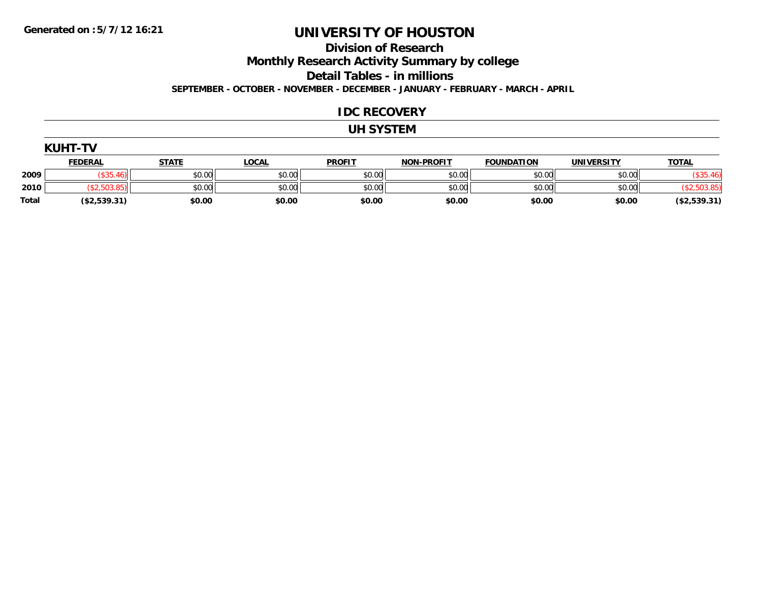**Division of Research**

**Monthly Research Activity Summary by college**

**Detail Tables - in millions**

**SEPTEMBER - OCTOBER - NOVEMBER - DECEMBER - JANUARY - FEBRUARY - MARCH - APRIL**

#### **IDC RECOVERY**

#### **UH SYSTEM**

|              | <b>KUHT-TV</b> |              |              |               |                   |                   |                   |              |
|--------------|----------------|--------------|--------------|---------------|-------------------|-------------------|-------------------|--------------|
|              | <b>FEDERAL</b> | <b>STATE</b> | <u>LOCAL</u> | <b>PROFIT</b> | <b>NON-PROFIT</b> | <b>FOUNDATION</b> | <b>UNIVERSITY</b> | <b>TOTAL</b> |
| 2009         | (0.25)         | \$0.00       | \$0.00       | \$0.00        | \$0.00            | \$0.00            | \$0.00            | \$35.46      |
| 2010         | \$2,503.85     | \$0.00       | \$0.00       | \$0.00        | \$0.00            | \$0.00            | \$0.00            | \$2,503.85)  |
| <b>Total</b> | (\$2,539.31)   | \$0.00       | \$0.00       | \$0.00        | \$0.00            | \$0.00            | \$0.00            | (\$2,539.31) |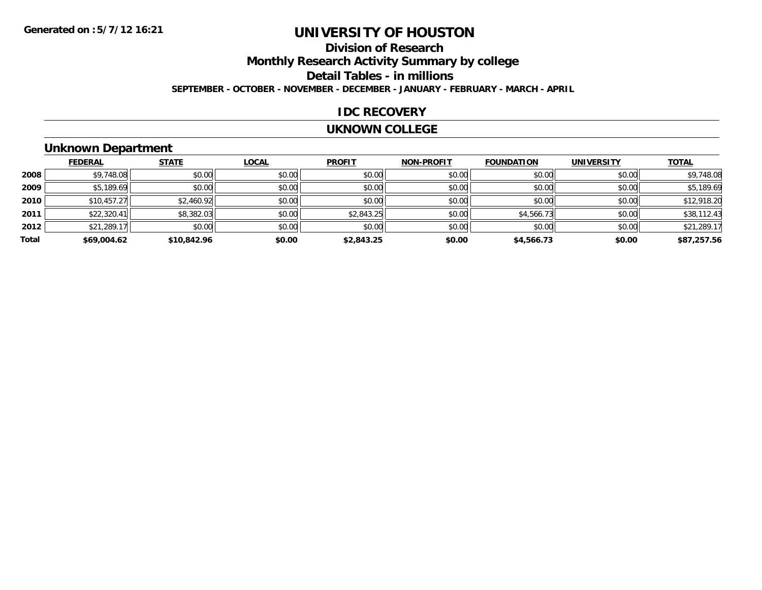## **Division of Research**

**Monthly Research Activity Summary by college**

**Detail Tables - in millions**

**SEPTEMBER - OCTOBER - NOVEMBER - DECEMBER - JANUARY - FEBRUARY - MARCH - APRIL**

#### **IDC RECOVERY**

#### **UKNOWN COLLEGE**

## **Unknown Department**

|       | <b>FEDERAL</b> | <b>STATE</b> | LOCAL  | <b>PROFIT</b> | <b>NON-PROFIT</b> | <b>FOUNDATION</b> | <b>UNIVERSITY</b> | <b>TOTAL</b> |
|-------|----------------|--------------|--------|---------------|-------------------|-------------------|-------------------|--------------|
| 2008  | \$9,748.08     | \$0.00       | \$0.00 | \$0.00        | \$0.00            | \$0.00            | \$0.00            | \$9,748.08   |
| 2009  | \$5,189.69     | \$0.00       | \$0.00 | \$0.00        | \$0.00            | \$0.00            | \$0.00            | \$5,189.69   |
| 2010  | \$10,457.27    | \$2,460.92   | \$0.00 | \$0.00        | \$0.00            | \$0.00            | \$0.00            | \$12,918.20  |
| 2011  | \$22,320.41    | \$8,382.03   | \$0.00 | \$2,843.25    | \$0.00            | \$4,566.73        | \$0.00            | \$38,112.43  |
| 2012  | \$21,289.17    | \$0.00       | \$0.00 | \$0.00        | \$0.00            | \$0.00            | \$0.00            | \$21,289.17  |
| Total | \$69,004.62    | \$10,842.96  | \$0.00 | \$2,843.25    | \$0.00            | \$4,566.73        | \$0.00            | \$87,257.56  |